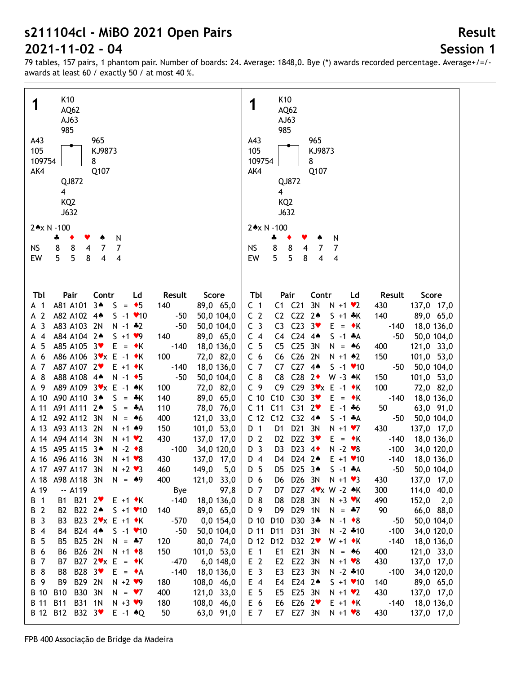# **Session 1**

**Result**

| K10                                                                               | K <sub>10</sub>                                                                                                              |
|-----------------------------------------------------------------------------------|------------------------------------------------------------------------------------------------------------------------------|
| 1<br>AQ62                                                                         | 1<br>AQ62                                                                                                                    |
| AJ63                                                                              | AJ63                                                                                                                         |
| 985                                                                               | 985                                                                                                                          |
|                                                                                   |                                                                                                                              |
| A43<br>965                                                                        | A43<br>965                                                                                                                   |
| 105<br>KJ9873                                                                     | 105<br>KJ9873                                                                                                                |
| 109754<br>8                                                                       | 109754<br>8                                                                                                                  |
| AK4<br>Q107                                                                       | AK4<br>Q107                                                                                                                  |
| QJ872                                                                             | QJ872                                                                                                                        |
| $\overline{\mathbf{4}}$                                                           | 4                                                                                                                            |
| KQ <sub>2</sub>                                                                   | KQ <sub>2</sub>                                                                                                              |
| J632                                                                              | J632                                                                                                                         |
|                                                                                   |                                                                                                                              |
| 2*x N -100                                                                        | 2*x N -100                                                                                                                   |
| N<br>4<br>٠<br>v                                                                  | N<br>4<br>٠<br>Y                                                                                                             |
| 8<br>8<br>7<br>7<br>NS<br>$\overline{4}$                                          | 8<br>8<br><b>NS</b><br>4<br>7<br>7                                                                                           |
| 5<br>5<br>EW<br>8<br>4<br>4                                                       | 5<br>5<br>8<br>EW<br>4<br>4                                                                                                  |
|                                                                                   |                                                                                                                              |
|                                                                                   |                                                                                                                              |
|                                                                                   |                                                                                                                              |
| Pair<br>Contr<br>Score<br>Tbl<br>Ld<br>Result                                     | Tbl<br>Pair<br>Contr<br>Ld<br>Result<br>Score                                                                                |
| $3*$<br>A81 A101<br>$= 5$<br>89,0 65,0<br>S.<br>140<br>A 1                        | $C1$ $C21$<br>3N<br>C <sub>1</sub><br>$N + 1$ $\vee$ 2<br>430<br>137,0 17,0                                                  |
| A 2<br>A82 A102 4*<br>$S - 1$ / 10<br>$-50$<br>50,0 104,0                         | C <sub>2</sub><br>C <sub>22</sub><br>C <sub>2</sub><br>$2*$<br>$S + 1$ $*K$<br>140<br>89,0 65,0                              |
| $\overline{3}$<br>A83 A103 2N<br>$N - 1$ $*2$<br>$-50$<br>50,0 104,0<br>A         | C <sub>3</sub><br>C <sub>23</sub><br>C <sub>3</sub><br>3 <sup>4</sup><br>$E = \cdot K$<br>18,0 136,0<br>$-140$               |
| $\overline{4}$<br>A84 A104 2+<br>$S + 1 \cdot 9$<br>140<br>89,0 65,0<br>А         | C <sub>24</sub><br>C <sub>4</sub><br>C4<br>$4*$<br>$S - 1$ $*A$<br>$-50$<br>50,0 104,0                                       |
| A85 A105 3                                                                        | C <sub>25</sub><br>3N                                                                                                        |
| 5<br>$E = \cdot K$<br>$-140$<br>18,0 136,0<br>А                                   | C <sub>5</sub><br>C <sub>5</sub><br>$N = 46$<br>121,0 33,0<br>400                                                            |
| A86 A106 3Vx E -1 ◆K<br>6<br>100<br>72,0 82,0<br>А                                | C <sub>6</sub><br>C <sub>26</sub><br>150<br>C <sub>6</sub><br>2N<br>$N + 1$ $*2$<br>101,0 53,0                               |
| A87 A107 2<br>$E + 1$ $\star$ K<br>7<br>$-140$<br>18,0 136,0<br>A                 | C <sub>7</sub><br>C <sub>27</sub><br>$4*$<br>C7<br>$S - 1$ / 10<br>50,0 104,0<br>-50                                         |
| 8<br>A88 A108 4*<br>$N - 1$ $\bullet$ 5<br>$-50$<br>50,0 104,0<br>А               | C <sub>28</sub><br>$C_8$<br>$2\bullet$<br>C <sub>8</sub><br>W -3 *K<br>150<br>101,0 53,0                                     |
| A89 A109 3*x E -1 *K<br>72,0 82,0<br>A 9<br>100                                   | C29 $3\mathbf{v} \times$ E -1 $\mathbf{v} \times$<br>C <sub>9</sub><br>C <sub>9</sub><br>100<br>72,0 82,0                    |
| A90 A110 34<br>S<br>A 10<br>= *K<br>140<br>89,0 65,0                              | C <sub>10</sub><br>C <sub>10</sub><br>C <sub>30</sub><br>3 <sup>4</sup><br>$E = \cdot K$<br>$-140$<br>18,0 136,0             |
| A91 A111 24<br>78,0 76,0<br>A 11<br>$S = A$<br>110                                | C <sub>11</sub><br>C <sub>31</sub><br>$2\bullet$<br>C <sub>11</sub><br>$E - 1 + 6$<br>50<br>63,0 91,0                        |
| A 12 A92 A112 3N<br>121,0 33,0<br>$N = 46$<br>400                                 | C <sub>12</sub><br>C12<br>C <sub>32</sub><br>$4*$<br>$S - 1$ $*A$<br>-50<br>50,0 104,0                                       |
| A 13 A93 A113 2N<br>150<br>$N + 1$ $*9$<br>101,0 53,0                             | D <sub>21</sub><br>D 1<br>3N<br>$N + 1$ $V$ 7<br>430<br>D1<br>137,0 17,0                                                     |
| A 14 A94 A114 3N<br>430<br>$N + 1$ $\vee$ 2<br>137,0 17,0                         | D 2<br>D <sub>22</sub><br>3 <sup>4</sup><br>D <sub>2</sub><br>$E = \cdot K$<br>$-140$<br>18,0 136,0                          |
| A 15 A95 A115 3*<br>$N - 2 \cdot 8$<br>$-100$<br>34,0 120,0                       | D <sub>3</sub><br>D <sub>23</sub><br>$N - 2$ $\vee 8$<br>D <sub>3</sub><br>$4\bullet$<br>$-100$<br>34,0 120,0                |
| A 16 A96 A116 3N<br>$N + 1$ $\vee 8$<br>430<br>137,0 17,0                         | D <sub>4</sub><br>D24 2 <sup>*</sup><br>$E + 1$ $\times$ 10<br>D4<br>$-140$<br>18,0 136,0                                    |
| A 17 A97 A117 3N<br>$N + 2$ $\vee$ 3<br>460<br>149,0<br>5,0                       | D 5<br>D25 34<br>$S - 1$ $*A$<br>-50                                                                                         |
| 400                                                                               | 50,0 104,0<br>לU                                                                                                             |
| 121,0 33,0<br>A98 A118 3N<br>$N = 49$<br>A 18                                     | 137,0 17,0<br>D 6<br>D26 3N<br>$N + 1$ $\vee$ 3<br>430<br>D6                                                                 |
| A 19<br>$-. A119$<br>97,8<br><b>Bye</b>                                           | D 7<br>D27 4 * x W - 2 * K<br>300<br>114,0 40,0<br>D7                                                                        |
| <b>B</b> 1<br>B1 B21 2<br>18,0 136,0<br>$E + 1 \cdot K$<br>$-140$                 | D 8<br>D28 3N<br>D8<br>$N + 3$ $\forall$ K<br>490<br>$152,0$ 2,0                                                             |
| B 2<br>B2 B22 24<br>89,0 65,0<br>$S + 1$ $\times$ 10<br>140                       | D 9<br>D29 1N<br>D9<br>$N = *7$<br>90<br>66,0 88,0                                                                           |
| B23 2vx E +1 ◆K<br>B 3<br>$-570$<br>$0,0$ 154,0<br>B3                             | D10 D30 3*<br>D 10<br>$N - 1$ $\bullet$ 8<br>50,0 104,0<br>$-50$                                                             |
| B 4<br>B24 44<br>$S - 1$ / 10<br>$-50$<br>50,0 104,0<br>B4                        | D31 3N<br>$N - 2$ $*10$<br>D 11<br>D11<br>$-100$<br>34,0 120,0                                                               |
| <b>B</b> 5<br>B25 2N<br>80,0 74,0<br>B5<br>$N = 47$<br>120                        | D 12 D12<br>D32 2<br>$W + 1$ $\star$ K<br>$-140$<br>18,0 136,0                                                               |
| B 6<br>B26 2N<br>$N + 1$ $\bullet$ 8<br>150<br>101,0 53,0<br>B6                   | $E$ 1<br>E21 3N<br>E1<br>121,0 33,0<br>$N = 46$<br>400                                                                       |
| B 7<br><b>B7</b><br>B27 $2 \cdot x$ E = $\cdot$ K<br>$-470$<br>6,0 148,0          | E <sub>2</sub><br>E22 3N<br>E <sub>2</sub><br>430<br>137,0 17,0<br>$N + 1$ $\vee 8$                                          |
| B 8<br>B8<br>B28 3 <sup>₩</sup><br>$E = \bullet A$<br>$-140$<br>18,0 136,0        | E <sub>3</sub><br>E23 3N<br>E3<br>$N - 2 * 10$<br>$-100$<br>34,0 120,0                                                       |
| B29 2N<br>B 9<br>B <sub>9</sub><br>$N + 2$ $\vee$ 9<br>180<br>108,0 46,0          | E24 2 <sup>+</sup><br>$E$ 4<br>140<br>E4<br>$S + 1$ $\times$ 10<br>89,0 65,0                                                 |
| <b>B30</b><br><b>B</b> 10<br><b>B10</b><br>3N<br>400<br>121,0 33,0<br>$N = 7$     | E 5<br>E25 3N<br>430<br>137,0 17,0<br>E5<br>$N + 1$ $\vee$ 2                                                                 |
| B 11<br><b>B11</b><br>B31 1N<br>$N + 3$ $\vee$ 9<br>180<br>108,0 46,0             |                                                                                                                              |
|                                                                                   |                                                                                                                              |
| <b>B</b> 12<br><b>B12</b><br>B32 3 <sup>₩</sup><br>$E -1$ $*Q$<br>63,0 91,0<br>50 | E 6<br>E26 $2$<br>E6<br>$E + 1 \cdot K$<br>$-140$<br>18,0 136,0<br>E 7<br>E7 E27 3N<br>430<br>$N + 1$ $\vee$ 8<br>137,0 17,0 |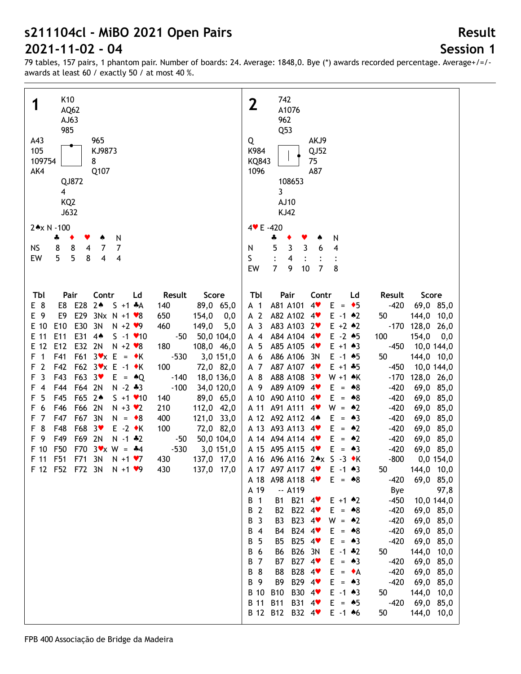# **Session 1**

**Result**

| K10<br>1<br>AQ62<br>AJ63<br>985<br>A43<br>965<br>105<br>KJ9873<br>109754<br>8<br>AK4<br>Q107<br>QJ872<br>$\overline{\mathbf{4}}$<br>KQ <sub>2</sub><br>J632<br>2*x N -100<br>N<br>4<br>٠<br>8<br>8<br>$\overline{\mathbf{4}}$<br>7<br><b>NS</b><br>$\overline{7}$<br>5<br>5<br>8<br>4<br>$\overline{\mathbf{4}}$<br>EW                                                                                                                                                                                                                                                                                                                                                                                                                                                                                                                                                                                                                                                                                                                                                                                                                                                                                                                                                                                                                      | 742<br>$\overline{2}$<br>A1076<br>962<br>Q53<br>AKJ9<br>Q<br>K984<br>QJ52<br>KQ843<br>75<br>1096<br>A87<br>108653<br>3<br>AJ10<br><b>KJ42</b><br>4 V E - 420<br>N<br>4<br>$\mathbf{3}$<br>4<br>5<br>3<br>6<br>N<br>S<br>4<br>$\overline{7}$<br>9<br>$\overline{7}$<br>8<br>10<br>EW                                                                                                                                                                                                                                                                                                                                                                                                                                                                                                                                                                                                                                                                                                                                                                                                                                                                                                                                                                                                                                                                                                                                                                                                                                                                                                                                                                                                                                                                                                                                                                                                                                                                                                                                                                                                                                                                                           |
|---------------------------------------------------------------------------------------------------------------------------------------------------------------------------------------------------------------------------------------------------------------------------------------------------------------------------------------------------------------------------------------------------------------------------------------------------------------------------------------------------------------------------------------------------------------------------------------------------------------------------------------------------------------------------------------------------------------------------------------------------------------------------------------------------------------------------------------------------------------------------------------------------------------------------------------------------------------------------------------------------------------------------------------------------------------------------------------------------------------------------------------------------------------------------------------------------------------------------------------------------------------------------------------------------------------------------------------------|-------------------------------------------------------------------------------------------------------------------------------------------------------------------------------------------------------------------------------------------------------------------------------------------------------------------------------------------------------------------------------------------------------------------------------------------------------------------------------------------------------------------------------------------------------------------------------------------------------------------------------------------------------------------------------------------------------------------------------------------------------------------------------------------------------------------------------------------------------------------------------------------------------------------------------------------------------------------------------------------------------------------------------------------------------------------------------------------------------------------------------------------------------------------------------------------------------------------------------------------------------------------------------------------------------------------------------------------------------------------------------------------------------------------------------------------------------------------------------------------------------------------------------------------------------------------------------------------------------------------------------------------------------------------------------------------------------------------------------------------------------------------------------------------------------------------------------------------------------------------------------------------------------------------------------------------------------------------------------------------------------------------------------------------------------------------------------------------------------------------------------------------------------------------------------|
| Score<br>Tbl<br>Pair<br>Contr<br>Ld<br>Result<br>E8 E28 2*<br>E 8<br>$S + 1$ $*A$<br>89,0 65,0<br>140<br>E29<br>E 9<br>E9<br>$3Nx N + 1 \cdot 8$<br>650<br>154,0<br>0,0<br>E30<br>E 10<br>E <sub>10</sub><br>3N<br>460<br>149,0<br>5,0<br>$N + 2$ $\vee$ 9<br>E11<br>E31<br>E 11<br>$4*$<br>$S - 1$ $\times 10$<br>$-50$<br>50,0 104,0<br>E12<br>E32 2N<br>E 12<br>$N + 2 \cdot 8$<br>180<br>108,0 46,0<br>$F61$ $3\mathbf{v} \times \mathbf{E} = \mathbf{v} \times \mathbf{K}$<br>$\overline{1}$<br>F41<br>$-530$<br>F<br>3,0 151,0<br>$\overline{2}$<br>F42<br>F62 3vx E -1 ◆K<br>100<br>72,0 82,0<br>F<br>$\overline{3}$<br>F43<br>F63 3<br>F<br>$E = \triangle Q$<br>$-140$<br>18,0 136,0<br>$-100$<br>F44<br>F64 2N<br>$N - 2 * 3$<br>34,0 120,0<br>F<br>$\overline{4}$<br>F65 2*<br>5<br>F45<br>$S + 1$ $\times$ 10<br>89,0 65,0<br>F<br>140<br>6<br>F46<br>F66 2N<br>$N + 3$ $\vee$ 2<br>210<br>112,0 42,0<br>F<br>$\overline{7}$<br>F67 3N<br>F47<br>$N = \bullet 8$<br>400<br>121,0 33,0<br>F<br>8<br>F48<br>F68 3<br>$E -2$ $\star$ K<br>100<br>72,0 82,0<br>F<br>F49<br>F69 2N<br>F 9<br>$N - 1$ $*2$<br>50,0 104,0<br>$-50$<br>F50<br>$F70$ $3 \times W = 44$<br>$-530$<br>F 10<br>3,0 151,0<br>F 11 F51<br>F71 3N<br>$N + 1$ $\vee$ 7<br>430<br>137,0 17,0<br>F 12 F52 F72 3N N +1 $\blacktriangledown$ 9<br>137,0 17,0<br>430 | Tbl<br>Pair<br>Contr<br>Result<br>Score<br>Ld<br>A81 A101<br>4<br>$E = \bullet 5$<br>$-420$<br>69,0 85,0<br>A <sub>1</sub><br>A 2<br>A82 A102 4<br>$E - 1$ $*2$<br>50<br>144,0 10,0<br>A <sub>3</sub><br>A83 A103 2<br>$E + 2 \cdot 2$<br>$-170$<br>128,0 26,0<br>$E - 2 * 5$<br>A84 A104 4<br>100<br>$154,0$ 0,0<br>A 4<br>A 5<br>A85 A105 4<br>$E + 1 \cdot 3$<br>$-450$<br>10,0 144,0<br>A 6<br>A86 A106<br>50<br>144,0 10,0<br>-3N<br>$E - 1$ $*5$<br>A87 A107 4<br>A 7<br>$E + 1 + 5$<br>$-450$<br>10,0 144,0<br>A88 A108<br>$-170$<br>A 8<br>3 <sup>4</sup><br>128,0 26,0<br>$W + 1$ $\star$ K<br>A89 A109 4<br>A 9<br>$-420$<br>69,0 85,0<br>$E = 88$<br>A 10 A90 A110 4<br>$-420$<br>$E = 8$<br>69,0 85,0<br>A 11 A91 A111<br>$-420$<br>$4$ v<br>$W = 2$<br>69,0 85,0<br>A 12 A92 A112 4*<br>$-420$<br>$E = \triangle 3$<br>69,0 85,0<br>A 13 A93 A113 4<br>$-420$<br>$E = 42$<br>69,0 85,0<br>A 14 A 94 A 114 4<br>$-420$<br>$E = 42$<br>69,0 85,0<br>A 15 A95 A115 4<br>$-420$<br>$E = \triangle 3$<br>69,0 85,0<br>$-800$<br>A 16 A96 A116 2*x S -3 *K<br>0,0 154,0<br>A 17 A97 A117 4<br>$E - 1$ $*3$<br>144,0 10,0<br>50<br>A 18 A98 A118 4<br>69,0 85,0<br>$E = 88$<br>$-420$<br>$-. A119$<br>A 19<br>Bye<br>97,8<br>B21 4<br>$-450$<br>$\overline{1}$<br>В<br>B1<br>$E + 1$ $*2$<br>10,0 144,0<br>B22 4<br>$-420$<br>$\overline{2}$<br>B <sub>2</sub><br>В<br>$E = 88$<br>69,0 85,0<br>B23 4<br>$-420$<br>В<br>$\overline{3}$<br>B <sub>3</sub><br>$W = 2$<br>69,0 85,0<br>B24 4<br>$-420$<br>$E = 8$<br>69,0 85,0<br>B 4<br><b>B4</b><br>B25 4 <sup>₩</sup><br>5<br>$-420$<br>В<br><b>B5</b><br>$E = \triangle 3$<br>69,0 85,0<br>B26 3N<br>6<br>50<br>144,0 10,0<br>В<br>B6<br>$E - 1$ $*2$<br>B27 4<br><b>B</b> 7<br><b>B7</b><br>$E = \triangle 3$<br>$-420$<br>69,0 85,0<br>B 8<br>B28 4<br>$-420$<br>B8<br>$E = \bullet A$<br>69,0 85,0<br>B29 4 <sup>₩</sup><br>$-420$<br>B 9<br>B <sub>9</sub><br>$E = \triangle 3$<br>69,0 85,0<br>B30 4 <sup>₩</sup><br>B 10<br><b>B10</b><br>50<br>144,0 10,0<br>$E - 1$ $*3$<br><b>B</b> 11<br><b>B11</b><br>B31 4<br>$E = \triangle 5$<br>$-420$<br>69,0 85,0<br>B 12 B12 B32 4<br>144,0 10,0<br>$E - 1$ 46<br>50 |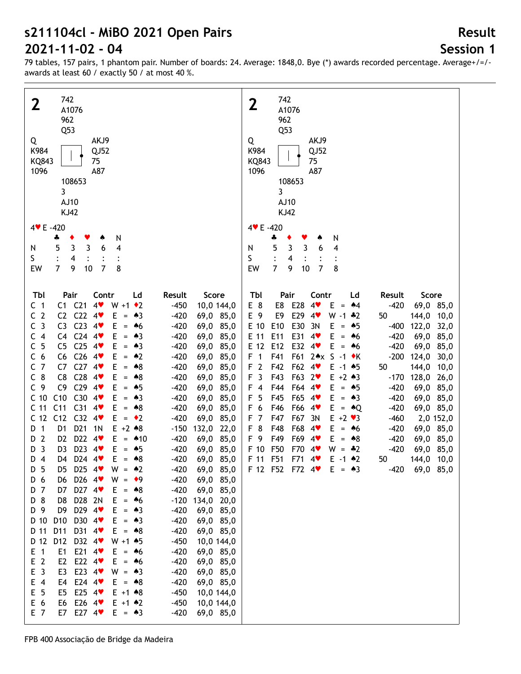# **Session 1**

**Result**

| 742<br>$\mathbf{2}$<br>A1076<br>962<br>Q53<br>AKJ9<br>Q<br>K984<br>QJ52<br>KQ843<br>75<br>1096<br>A87<br>108653<br>3<br>AJ10<br><b>KJ42</b><br>4 V E - 420<br>N<br>4<br>٠<br>5<br>$\mathbf{3}$<br>3<br>6<br>4<br>N<br>S<br>$\overline{\mathbf{4}}$<br>$\overline{7}$                                                                                                                                                                                                                                                                                                                                                                                                                                                                                                                                                                                                                                                                                                                                                                                                                                                                                                                                                                                                                                                                                                                                                                                                                                                                                                                                                                                                                                                                                                                                                                                                                                                                                                                                                                                                                                                                                                                                                                                                                                                                                                                                                                                                                                                                                                                                               | 742<br>$\mathbf{2}$<br>A1076<br>962<br>Q53<br>AKJ9<br>Q<br>K984<br>QJ52<br>75<br>KQ843<br>1096<br>A87<br>108653<br>3<br>AJ10<br><b>KJ42</b><br>4 V E - 420<br>N<br>÷<br>5<br>$\mathbf{3}$<br>3<br>4<br>6<br>N<br>S<br>4<br>$\overline{7}$                                                                                                                                                                                                                                                                                                                                                                                                                                                                                                                                                                                                                                                                                                                                                                                                                                                                                                                                                                                                                                                                                                                 |
|--------------------------------------------------------------------------------------------------------------------------------------------------------------------------------------------------------------------------------------------------------------------------------------------------------------------------------------------------------------------------------------------------------------------------------------------------------------------------------------------------------------------------------------------------------------------------------------------------------------------------------------------------------------------------------------------------------------------------------------------------------------------------------------------------------------------------------------------------------------------------------------------------------------------------------------------------------------------------------------------------------------------------------------------------------------------------------------------------------------------------------------------------------------------------------------------------------------------------------------------------------------------------------------------------------------------------------------------------------------------------------------------------------------------------------------------------------------------------------------------------------------------------------------------------------------------------------------------------------------------------------------------------------------------------------------------------------------------------------------------------------------------------------------------------------------------------------------------------------------------------------------------------------------------------------------------------------------------------------------------------------------------------------------------------------------------------------------------------------------------------------------------------------------------------------------------------------------------------------------------------------------------------------------------------------------------------------------------------------------------------------------------------------------------------------------------------------------------------------------------------------------------------------------------------------------------------------------------------------------------|-----------------------------------------------------------------------------------------------------------------------------------------------------------------------------------------------------------------------------------------------------------------------------------------------------------------------------------------------------------------------------------------------------------------------------------------------------------------------------------------------------------------------------------------------------------------------------------------------------------------------------------------------------------------------------------------------------------------------------------------------------------------------------------------------------------------------------------------------------------------------------------------------------------------------------------------------------------------------------------------------------------------------------------------------------------------------------------------------------------------------------------------------------------------------------------------------------------------------------------------------------------------------------------------------------------------------------------------------------------|
| 9<br>$10$<br>$\overline{7}$<br>8<br>EW<br>Tbl<br>Contr<br>Score<br>Pair<br>Ld<br>Result<br>C1 C21<br>4<br>$W + 1$ $\div 2$<br>C <sub>1</sub><br>$-450$<br>10,0 144,0<br>C2 C22<br>C <sub>2</sub><br>4<br>Е<br>$-420$<br>69,0 85,0<br>$=$ 43<br>C <sub>3</sub><br>C <sub>23</sub><br>4<br>C <sub>3</sub><br>E<br>$-420$<br>69,0 85,0<br>$*6$<br>$\equiv$<br>C4 C24<br>$4$ v<br>C <sub>4</sub><br>Е<br>$-420$<br>69,0 85,0<br>$\bullet 3$<br>$=$<br>5<br>C <sub>25</sub><br>$4$ v<br>C<br>C <sub>5</sub><br>Е<br>$-420$<br>69,0 85,0<br>$= 43$<br>C <sub>6</sub><br>C <sub>26</sub><br>4<br>C <sub>6</sub><br>Е<br>$\bullet 2$<br>$-420$<br>69,0 85,0<br>$\equiv$<br>C <sub>7</sub><br>$C27$ 4<br>C7<br>Е<br>•8<br>$-420$<br>69,0 85,0<br>$=$<br>$C_8$<br>C <sub>28</sub><br>C <sub>8</sub><br>$4$ v<br>Е<br>$= 88$<br>$-420$<br>69,0 85,0<br>C <sub>29</sub><br>C <sub>9</sub><br>C9<br>$4$ v<br>Е<br>$-420$<br>69,0 85,0<br>$= 45$<br>C30<br>C <sub>10</sub><br>C10<br>$4$ v<br>Е<br>$-420$<br>69,0 85,0<br>$=$ 43<br>C <sub>11</sub><br>C <sub>31</sub><br>C <sub>11</sub><br>4<br>Ε<br>$= 88$<br>$-420$<br>69,0 85,0<br>$C32$ 4<br>C <sub>12</sub><br>C12<br>$E = \cdot 2$<br>$-420$<br>69,0 85,0<br>D <sub>21</sub><br>$E + 2 * 8$<br>$\overline{1}$<br>D <sub>1</sub><br>1 <sub>N</sub><br>D<br>$-150$<br>132,0 22,0<br>$\overline{2}$<br>D <sub>22</sub><br>4<br>E<br>D <sub>2</sub><br>$= 410$<br>$-420$<br>69,0 85,0<br>D<br>D23 4<br>$\overline{\mathbf{3}}$<br>D <sub>3</sub><br>Е<br>$-420$<br>69,0 85,0<br>D<br>$= 45$<br>D24 4<br>Е<br>D <sub>4</sub><br>$-420$<br>69,0 85,0<br>D4<br>$= 88$<br>D 5<br>D25 $4\bullet$<br>$W = 2$<br>$-420$<br>69,0 85,0<br>לU<br>D26 4<br>$-420$<br>69,0 85,0<br>D 6<br>$W = 9$<br>D6<br>D27 4<br>D 7<br>D7<br>$E = 88$<br>$-420$<br>69,0 85,0<br>D28 2N<br>D 8<br>D8<br>$E = 46$<br>$-120$<br>134,0 20,0<br>D 9<br>D29 4<br>D9<br>$E = \triangle 3$<br>$-420$<br>69,0 85,0<br>D <sub>10</sub><br>D30 4<br>D 10<br>E.<br>$-420$<br>69,0 85,0<br>$=$ 43<br>D31 4<br>D 11<br>D11<br>$E = \triangle 8$<br>$-420$<br>69,0 85,0<br>D12<br>D32 4<br>D 12<br>$W + 1$ $*5$<br>$-450$<br>10,0 144,0<br>E21 $4$<br>$E$ 1<br>E1<br>$-420$<br>69,0 85,0<br>$E = 46$<br>E <sub>2</sub><br>E22 $4$<br>E2<br>$-420$<br>69,0 85,0<br>$E = 46$<br>E <sub>3</sub><br>E23 $4$<br>E <sub>3</sub><br>$-420$<br>69,0 85,0<br>$W = 43$<br>E4 E24 4<br>$E$ 4<br>$-420$<br>69,0 85,0<br>$E = 88$<br>E 5<br>E25 $4$<br>$E + 1$ $*8$<br>$-450$<br>10,0 144,0<br>E5<br>E 6<br>E26 $4$<br>$E + 1$ $*2$<br>$-450$<br>10,0 144,0<br>E6<br>E 7<br>E7 E27 4<br>$-420$<br>69,0 85,0<br>$E = \triangle 3$ | 9<br>$10$<br>$\overline{7}$<br>8<br>EW<br>Pair<br>Tbl<br>Contr<br>Result<br>Score<br>Ld<br>E28<br>$4^{\prime}$<br>E 8<br>E8<br>E.<br>$-420$<br>69,0 85,0<br>$= 44$<br>E29<br>E 9<br>E9<br>4<br>$W - 1$ $*2$<br>50<br>144,0 10,0<br>E 10<br>E10<br>E30<br>122,0<br>3N<br>Е<br>$-400$<br>32,0<br>$= 45$<br>E 11<br>E11<br>E31<br>4<br>Е<br>$-420$<br>69,0 85,0<br>$= 46$<br>E 12<br>E12<br>E32<br>4<br>E<br>$-420$<br>69,0 85,0<br>$= 46$<br>F <sub>1</sub><br>F41<br>F61 2★x S -1 ◆K<br>$-200$<br>124,0<br>30,0<br>F <sub>2</sub><br>F62<br>F42<br>$E - 1$ $*5$<br>144,0<br>4<br>50<br>10,0<br>F <sub>3</sub><br>F43<br>F63<br>$2\bullet$<br>128,0 26,0<br>$E + 2 \cdot 3$<br>$-170$<br>F44<br>F64<br>$F$ 4<br>$E = 45$<br>$-420$<br>69,0 85,0<br>$4$ v<br>F <sub>5</sub><br>F45<br>F65<br>E.<br>$-420$<br>$4$ v<br>$= 43$<br>69,0 85,0<br>F 6<br>F46<br>F66<br>E.<br>$-420$<br>$4$ v<br>$=$ $\triangle$ Q<br>69,0 85,0<br>F <sub>7</sub><br>F47<br>F67<br>3N<br>$E + 2 \cdot 3$<br>$-460$<br>2,0 152,0<br>F <sub>8</sub><br>F48<br>F68<br>E.<br>$-420$<br>4<br>69,0 85,0<br>$= 46$<br>F 9<br>F49<br>F69<br>E.<br>$-420$<br>$4$ v<br>$= 88$<br>69,0 85,0<br>F50<br>F70<br>$-420$<br>F 10<br>69,0 85,0<br>4<br>$W = -2$<br>F 11 F51<br>F71<br>$E - 1$ $*2$<br>144,0 10,0<br>$4^{\prime\prime}$<br>50<br>F 12 F52 F72 $4 \cdot E = 3$<br>$-420$<br>69,0 85,0 |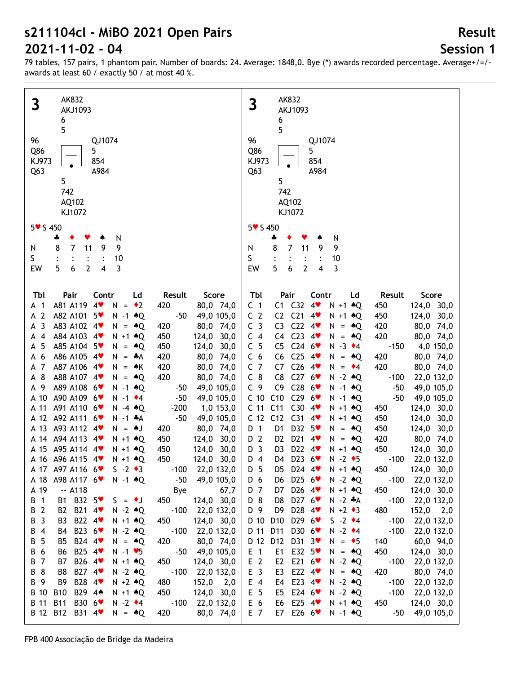# **Session 1**

| AK832                                                                                                                                                                                                                                                                                                                                                                                                                                                                                                                                                                                                                                                                                                                                                                                                                                                                                                                                                                                                                                                                                                                                                                                                                                                                                                                                                                                                                                                                                                                                                                                                                                                                                                                                                                                                                                                              | AK832                                                                                                                                                                                                                                                                                                                                                                                                                                                                                                                                                                                                                                                                                                                                                                                                                                                                                                                                                                                                                                                                                                                                                                                                                                                                                                                                                                                                                                                                                                                                                                                                                                                                                                                                                                                                                                                                                                                                                                                                                                                                                                                     |
|--------------------------------------------------------------------------------------------------------------------------------------------------------------------------------------------------------------------------------------------------------------------------------------------------------------------------------------------------------------------------------------------------------------------------------------------------------------------------------------------------------------------------------------------------------------------------------------------------------------------------------------------------------------------------------------------------------------------------------------------------------------------------------------------------------------------------------------------------------------------------------------------------------------------------------------------------------------------------------------------------------------------------------------------------------------------------------------------------------------------------------------------------------------------------------------------------------------------------------------------------------------------------------------------------------------------------------------------------------------------------------------------------------------------------------------------------------------------------------------------------------------------------------------------------------------------------------------------------------------------------------------------------------------------------------------------------------------------------------------------------------------------------------------------------------------------------------------------------------------------|---------------------------------------------------------------------------------------------------------------------------------------------------------------------------------------------------------------------------------------------------------------------------------------------------------------------------------------------------------------------------------------------------------------------------------------------------------------------------------------------------------------------------------------------------------------------------------------------------------------------------------------------------------------------------------------------------------------------------------------------------------------------------------------------------------------------------------------------------------------------------------------------------------------------------------------------------------------------------------------------------------------------------------------------------------------------------------------------------------------------------------------------------------------------------------------------------------------------------------------------------------------------------------------------------------------------------------------------------------------------------------------------------------------------------------------------------------------------------------------------------------------------------------------------------------------------------------------------------------------------------------------------------------------------------------------------------------------------------------------------------------------------------------------------------------------------------------------------------------------------------------------------------------------------------------------------------------------------------------------------------------------------------------------------------------------------------------------------------------------------------|
| 3                                                                                                                                                                                                                                                                                                                                                                                                                                                                                                                                                                                                                                                                                                                                                                                                                                                                                                                                                                                                                                                                                                                                                                                                                                                                                                                                                                                                                                                                                                                                                                                                                                                                                                                                                                                                                                                                  | 3                                                                                                                                                                                                                                                                                                                                                                                                                                                                                                                                                                                                                                                                                                                                                                                                                                                                                                                                                                                                                                                                                                                                                                                                                                                                                                                                                                                                                                                                                                                                                                                                                                                                                                                                                                                                                                                                                                                                                                                                                                                                                                                         |
| AKJ1093                                                                                                                                                                                                                                                                                                                                                                                                                                                                                                                                                                                                                                                                                                                                                                                                                                                                                                                                                                                                                                                                                                                                                                                                                                                                                                                                                                                                                                                                                                                                                                                                                                                                                                                                                                                                                                                            | <b>AKJ1093</b>                                                                                                                                                                                                                                                                                                                                                                                                                                                                                                                                                                                                                                                                                                                                                                                                                                                                                                                                                                                                                                                                                                                                                                                                                                                                                                                                                                                                                                                                                                                                                                                                                                                                                                                                                                                                                                                                                                                                                                                                                                                                                                            |
| 6                                                                                                                                                                                                                                                                                                                                                                                                                                                                                                                                                                                                                                                                                                                                                                                                                                                                                                                                                                                                                                                                                                                                                                                                                                                                                                                                                                                                                                                                                                                                                                                                                                                                                                                                                                                                                                                                  | 6                                                                                                                                                                                                                                                                                                                                                                                                                                                                                                                                                                                                                                                                                                                                                                                                                                                                                                                                                                                                                                                                                                                                                                                                                                                                                                                                                                                                                                                                                                                                                                                                                                                                                                                                                                                                                                                                                                                                                                                                                                                                                                                         |
| 5                                                                                                                                                                                                                                                                                                                                                                                                                                                                                                                                                                                                                                                                                                                                                                                                                                                                                                                                                                                                                                                                                                                                                                                                                                                                                                                                                                                                                                                                                                                                                                                                                                                                                                                                                                                                                                                                  | 5                                                                                                                                                                                                                                                                                                                                                                                                                                                                                                                                                                                                                                                                                                                                                                                                                                                                                                                                                                                                                                                                                                                                                                                                                                                                                                                                                                                                                                                                                                                                                                                                                                                                                                                                                                                                                                                                                                                                                                                                                                                                                                                         |
| 96                                                                                                                                                                                                                                                                                                                                                                                                                                                                                                                                                                                                                                                                                                                                                                                                                                                                                                                                                                                                                                                                                                                                                                                                                                                                                                                                                                                                                                                                                                                                                                                                                                                                                                                                                                                                                                                                 | 96                                                                                                                                                                                                                                                                                                                                                                                                                                                                                                                                                                                                                                                                                                                                                                                                                                                                                                                                                                                                                                                                                                                                                                                                                                                                                                                                                                                                                                                                                                                                                                                                                                                                                                                                                                                                                                                                                                                                                                                                                                                                                                                        |
| QJ1074                                                                                                                                                                                                                                                                                                                                                                                                                                                                                                                                                                                                                                                                                                                                                                                                                                                                                                                                                                                                                                                                                                                                                                                                                                                                                                                                                                                                                                                                                                                                                                                                                                                                                                                                                                                                                                                             | QJ1074                                                                                                                                                                                                                                                                                                                                                                                                                                                                                                                                                                                                                                                                                                                                                                                                                                                                                                                                                                                                                                                                                                                                                                                                                                                                                                                                                                                                                                                                                                                                                                                                                                                                                                                                                                                                                                                                                                                                                                                                                                                                                                                    |
| Q86                                                                                                                                                                                                                                                                                                                                                                                                                                                                                                                                                                                                                                                                                                                                                                                                                                                                                                                                                                                                                                                                                                                                                                                                                                                                                                                                                                                                                                                                                                                                                                                                                                                                                                                                                                                                                                                                | Q86                                                                                                                                                                                                                                                                                                                                                                                                                                                                                                                                                                                                                                                                                                                                                                                                                                                                                                                                                                                                                                                                                                                                                                                                                                                                                                                                                                                                                                                                                                                                                                                                                                                                                                                                                                                                                                                                                                                                                                                                                                                                                                                       |
| 5                                                                                                                                                                                                                                                                                                                                                                                                                                                                                                                                                                                                                                                                                                                                                                                                                                                                                                                                                                                                                                                                                                                                                                                                                                                                                                                                                                                                                                                                                                                                                                                                                                                                                                                                                                                                                                                                  | 5                                                                                                                                                                                                                                                                                                                                                                                                                                                                                                                                                                                                                                                                                                                                                                                                                                                                                                                                                                                                                                                                                                                                                                                                                                                                                                                                                                                                                                                                                                                                                                                                                                                                                                                                                                                                                                                                                                                                                                                                                                                                                                                         |
| 854                                                                                                                                                                                                                                                                                                                                                                                                                                                                                                                                                                                                                                                                                                                                                                                                                                                                                                                                                                                                                                                                                                                                                                                                                                                                                                                                                                                                                                                                                                                                                                                                                                                                                                                                                                                                                                                                | 854                                                                                                                                                                                                                                                                                                                                                                                                                                                                                                                                                                                                                                                                                                                                                                                                                                                                                                                                                                                                                                                                                                                                                                                                                                                                                                                                                                                                                                                                                                                                                                                                                                                                                                                                                                                                                                                                                                                                                                                                                                                                                                                       |
| KJ973                                                                                                                                                                                                                                                                                                                                                                                                                                                                                                                                                                                                                                                                                                                                                                                                                                                                                                                                                                                                                                                                                                                                                                                                                                                                                                                                                                                                                                                                                                                                                                                                                                                                                                                                                                                                                                                              | KJ973                                                                                                                                                                                                                                                                                                                                                                                                                                                                                                                                                                                                                                                                                                                                                                                                                                                                                                                                                                                                                                                                                                                                                                                                                                                                                                                                                                                                                                                                                                                                                                                                                                                                                                                                                                                                                                                                                                                                                                                                                                                                                                                     |
| Q <sub>63</sub>                                                                                                                                                                                                                                                                                                                                                                                                                                                                                                                                                                                                                                                                                                                                                                                                                                                                                                                                                                                                                                                                                                                                                                                                                                                                                                                                                                                                                                                                                                                                                                                                                                                                                                                                                                                                                                                    | Q <sub>63</sub>                                                                                                                                                                                                                                                                                                                                                                                                                                                                                                                                                                                                                                                                                                                                                                                                                                                                                                                                                                                                                                                                                                                                                                                                                                                                                                                                                                                                                                                                                                                                                                                                                                                                                                                                                                                                                                                                                                                                                                                                                                                                                                           |
| A984                                                                                                                                                                                                                                                                                                                                                                                                                                                                                                                                                                                                                                                                                                                                                                                                                                                                                                                                                                                                                                                                                                                                                                                                                                                                                                                                                                                                                                                                                                                                                                                                                                                                                                                                                                                                                                                               | A984                                                                                                                                                                                                                                                                                                                                                                                                                                                                                                                                                                                                                                                                                                                                                                                                                                                                                                                                                                                                                                                                                                                                                                                                                                                                                                                                                                                                                                                                                                                                                                                                                                                                                                                                                                                                                                                                                                                                                                                                                                                                                                                      |
| 5                                                                                                                                                                                                                                                                                                                                                                                                                                                                                                                                                                                                                                                                                                                                                                                                                                                                                                                                                                                                                                                                                                                                                                                                                                                                                                                                                                                                                                                                                                                                                                                                                                                                                                                                                                                                                                                                  | 5                                                                                                                                                                                                                                                                                                                                                                                                                                                                                                                                                                                                                                                                                                                                                                                                                                                                                                                                                                                                                                                                                                                                                                                                                                                                                                                                                                                                                                                                                                                                                                                                                                                                                                                                                                                                                                                                                                                                                                                                                                                                                                                         |
| 742                                                                                                                                                                                                                                                                                                                                                                                                                                                                                                                                                                                                                                                                                                                                                                                                                                                                                                                                                                                                                                                                                                                                                                                                                                                                                                                                                                                                                                                                                                                                                                                                                                                                                                                                                                                                                                                                | 742                                                                                                                                                                                                                                                                                                                                                                                                                                                                                                                                                                                                                                                                                                                                                                                                                                                                                                                                                                                                                                                                                                                                                                                                                                                                                                                                                                                                                                                                                                                                                                                                                                                                                                                                                                                                                                                                                                                                                                                                                                                                                                                       |
| AQ102                                                                                                                                                                                                                                                                                                                                                                                                                                                                                                                                                                                                                                                                                                                                                                                                                                                                                                                                                                                                                                                                                                                                                                                                                                                                                                                                                                                                                                                                                                                                                                                                                                                                                                                                                                                                                                                              | AQ102                                                                                                                                                                                                                                                                                                                                                                                                                                                                                                                                                                                                                                                                                                                                                                                                                                                                                                                                                                                                                                                                                                                                                                                                                                                                                                                                                                                                                                                                                                                                                                                                                                                                                                                                                                                                                                                                                                                                                                                                                                                                                                                     |
| KJ1072                                                                                                                                                                                                                                                                                                                                                                                                                                                                                                                                                                                                                                                                                                                                                                                                                                                                                                                                                                                                                                                                                                                                                                                                                                                                                                                                                                                                                                                                                                                                                                                                                                                                                                                                                                                                                                                             | KJ1072                                                                                                                                                                                                                                                                                                                                                                                                                                                                                                                                                                                                                                                                                                                                                                                                                                                                                                                                                                                                                                                                                                                                                                                                                                                                                                                                                                                                                                                                                                                                                                                                                                                                                                                                                                                                                                                                                                                                                                                                                                                                                                                    |
| 5v S 450                                                                                                                                                                                                                                                                                                                                                                                                                                                                                                                                                                                                                                                                                                                                                                                                                                                                                                                                                                                                                                                                                                                                                                                                                                                                                                                                                                                                                                                                                                                                                                                                                                                                                                                                                                                                                                                           | 5 v S 450                                                                                                                                                                                                                                                                                                                                                                                                                                                                                                                                                                                                                                                                                                                                                                                                                                                                                                                                                                                                                                                                                                                                                                                                                                                                                                                                                                                                                                                                                                                                                                                                                                                                                                                                                                                                                                                                                                                                                                                                                                                                                                                 |
| N                                                                                                                                                                                                                                                                                                                                                                                                                                                                                                                                                                                                                                                                                                                                                                                                                                                                                                                                                                                                                                                                                                                                                                                                                                                                                                                                                                                                                                                                                                                                                                                                                                                                                                                                                                                                                                                                  | N                                                                                                                                                                                                                                                                                                                                                                                                                                                                                                                                                                                                                                                                                                                                                                                                                                                                                                                                                                                                                                                                                                                                                                                                                                                                                                                                                                                                                                                                                                                                                                                                                                                                                                                                                                                                                                                                                                                                                                                                                                                                                                                         |
| ÷                                                                                                                                                                                                                                                                                                                                                                                                                                                                                                                                                                                                                                                                                                                                                                                                                                                                                                                                                                                                                                                                                                                                                                                                                                                                                                                                                                                                                                                                                                                                                                                                                                                                                                                                                                                                                                                                  | ÷                                                                                                                                                                                                                                                                                                                                                                                                                                                                                                                                                                                                                                                                                                                                                                                                                                                                                                                                                                                                                                                                                                                                                                                                                                                                                                                                                                                                                                                                                                                                                                                                                                                                                                                                                                                                                                                                                                                                                                                                                                                                                                                         |
| 9                                                                                                                                                                                                                                                                                                                                                                                                                                                                                                                                                                                                                                                                                                                                                                                                                                                                                                                                                                                                                                                                                                                                                                                                                                                                                                                                                                                                                                                                                                                                                                                                                                                                                                                                                                                                                                                                  | 7                                                                                                                                                                                                                                                                                                                                                                                                                                                                                                                                                                                                                                                                                                                                                                                                                                                                                                                                                                                                                                                                                                                                                                                                                                                                                                                                                                                                                                                                                                                                                                                                                                                                                                                                                                                                                                                                                                                                                                                                                                                                                                                         |
| $\overline{7}$                                                                                                                                                                                                                                                                                                                                                                                                                                                                                                                                                                                                                                                                                                                                                                                                                                                                                                                                                                                                                                                                                                                                                                                                                                                                                                                                                                                                                                                                                                                                                                                                                                                                                                                                                                                                                                                     | 9                                                                                                                                                                                                                                                                                                                                                                                                                                                                                                                                                                                                                                                                                                                                                                                                                                                                                                                                                                                                                                                                                                                                                                                                                                                                                                                                                                                                                                                                                                                                                                                                                                                                                                                                                                                                                                                                                                                                                                                                                                                                                                                         |
| 9                                                                                                                                                                                                                                                                                                                                                                                                                                                                                                                                                                                                                                                                                                                                                                                                                                                                                                                                                                                                                                                                                                                                                                                                                                                                                                                                                                                                                                                                                                                                                                                                                                                                                                                                                                                                                                                                  | 8                                                                                                                                                                                                                                                                                                                                                                                                                                                                                                                                                                                                                                                                                                                                                                                                                                                                                                                                                                                                                                                                                                                                                                                                                                                                                                                                                                                                                                                                                                                                                                                                                                                                                                                                                                                                                                                                                                                                                                                                                                                                                                                         |
| 8                                                                                                                                                                                                                                                                                                                                                                                                                                                                                                                                                                                                                                                                                                                                                                                                                                                                                                                                                                                                                                                                                                                                                                                                                                                                                                                                                                                                                                                                                                                                                                                                                                                                                                                                                                                                                                                                  | 9                                                                                                                                                                                                                                                                                                                                                                                                                                                                                                                                                                                                                                                                                                                                                                                                                                                                                                                                                                                                                                                                                                                                                                                                                                                                                                                                                                                                                                                                                                                                                                                                                                                                                                                                                                                                                                                                                                                                                                                                                                                                                                                         |
| 11                                                                                                                                                                                                                                                                                                                                                                                                                                                                                                                                                                                                                                                                                                                                                                                                                                                                                                                                                                                                                                                                                                                                                                                                                                                                                                                                                                                                                                                                                                                                                                                                                                                                                                                                                                                                                                                                 | N                                                                                                                                                                                                                                                                                                                                                                                                                                                                                                                                                                                                                                                                                                                                                                                                                                                                                                                                                                                                                                                                                                                                                                                                                                                                                                                                                                                                                                                                                                                                                                                                                                                                                                                                                                                                                                                                                                                                                                                                                                                                                                                         |
| N                                                                                                                                                                                                                                                                                                                                                                                                                                                                                                                                                                                                                                                                                                                                                                                                                                                                                                                                                                                                                                                                                                                                                                                                                                                                                                                                                                                                                                                                                                                                                                                                                                                                                                                                                                                                                                                                  | 11                                                                                                                                                                                                                                                                                                                                                                                                                                                                                                                                                                                                                                                                                                                                                                                                                                                                                                                                                                                                                                                                                                                                                                                                                                                                                                                                                                                                                                                                                                                                                                                                                                                                                                                                                                                                                                                                                                                                                                                                                                                                                                                        |
| S                                                                                                                                                                                                                                                                                                                                                                                                                                                                                                                                                                                                                                                                                                                                                                                                                                                                                                                                                                                                                                                                                                                                                                                                                                                                                                                                                                                                                                                                                                                                                                                                                                                                                                                                                                                                                                                                  | S                                                                                                                                                                                                                                                                                                                                                                                                                                                                                                                                                                                                                                                                                                                                                                                                                                                                                                                                                                                                                                                                                                                                                                                                                                                                                                                                                                                                                                                                                                                                                                                                                                                                                                                                                                                                                                                                                                                                                                                                                                                                                                                         |
| 10                                                                                                                                                                                                                                                                                                                                                                                                                                                                                                                                                                                                                                                                                                                                                                                                                                                                                                                                                                                                                                                                                                                                                                                                                                                                                                                                                                                                                                                                                                                                                                                                                                                                                                                                                                                                                                                                 | 10                                                                                                                                                                                                                                                                                                                                                                                                                                                                                                                                                                                                                                                                                                                                                                                                                                                                                                                                                                                                                                                                                                                                                                                                                                                                                                                                                                                                                                                                                                                                                                                                                                                                                                                                                                                                                                                                                                                                                                                                                                                                                                                        |
| 3                                                                                                                                                                                                                                                                                                                                                                                                                                                                                                                                                                                                                                                                                                                                                                                                                                                                                                                                                                                                                                                                                                                                                                                                                                                                                                                                                                                                                                                                                                                                                                                                                                                                                                                                                                                                                                                                  | 6                                                                                                                                                                                                                                                                                                                                                                                                                                                                                                                                                                                                                                                                                                                                                                                                                                                                                                                                                                                                                                                                                                                                                                                                                                                                                                                                                                                                                                                                                                                                                                                                                                                                                                                                                                                                                                                                                                                                                                                                                                                                                                                         |
| EW                                                                                                                                                                                                                                                                                                                                                                                                                                                                                                                                                                                                                                                                                                                                                                                                                                                                                                                                                                                                                                                                                                                                                                                                                                                                                                                                                                                                                                                                                                                                                                                                                                                                                                                                                                                                                                                                 | 5                                                                                                                                                                                                                                                                                                                                                                                                                                                                                                                                                                                                                                                                                                                                                                                                                                                                                                                                                                                                                                                                                                                                                                                                                                                                                                                                                                                                                                                                                                                                                                                                                                                                                                                                                                                                                                                                                                                                                                                                                                                                                                                         |
| 5                                                                                                                                                                                                                                                                                                                                                                                                                                                                                                                                                                                                                                                                                                                                                                                                                                                                                                                                                                                                                                                                                                                                                                                                                                                                                                                                                                                                                                                                                                                                                                                                                                                                                                                                                                                                                                                                  | $\mathbf{2}$                                                                                                                                                                                                                                                                                                                                                                                                                                                                                                                                                                                                                                                                                                                                                                                                                                                                                                                                                                                                                                                                                                                                                                                                                                                                                                                                                                                                                                                                                                                                                                                                                                                                                                                                                                                                                                                                                                                                                                                                                                                                                                              |
| $\mathbf{2}$                                                                                                                                                                                                                                                                                                                                                                                                                                                                                                                                                                                                                                                                                                                                                                                                                                                                                                                                                                                                                                                                                                                                                                                                                                                                                                                                                                                                                                                                                                                                                                                                                                                                                                                                                                                                                                                       | 3                                                                                                                                                                                                                                                                                                                                                                                                                                                                                                                                                                                                                                                                                                                                                                                                                                                                                                                                                                                                                                                                                                                                                                                                                                                                                                                                                                                                                                                                                                                                                                                                                                                                                                                                                                                                                                                                                                                                                                                                                                                                                                                         |
| 6                                                                                                                                                                                                                                                                                                                                                                                                                                                                                                                                                                                                                                                                                                                                                                                                                                                                                                                                                                                                                                                                                                                                                                                                                                                                                                                                                                                                                                                                                                                                                                                                                                                                                                                                                                                                                                                                  | EW                                                                                                                                                                                                                                                                                                                                                                                                                                                                                                                                                                                                                                                                                                                                                                                                                                                                                                                                                                                                                                                                                                                                                                                                                                                                                                                                                                                                                                                                                                                                                                                                                                                                                                                                                                                                                                                                                                                                                                                                                                                                                                                        |
| 4                                                                                                                                                                                                                                                                                                                                                                                                                                                                                                                                                                                                                                                                                                                                                                                                                                                                                                                                                                                                                                                                                                                                                                                                                                                                                                                                                                                                                                                                                                                                                                                                                                                                                                                                                                                                                                                                  | 4                                                                                                                                                                                                                                                                                                                                                                                                                                                                                                                                                                                                                                                                                                                                                                                                                                                                                                                                                                                                                                                                                                                                                                                                                                                                                                                                                                                                                                                                                                                                                                                                                                                                                                                                                                                                                                                                                                                                                                                                                                                                                                                         |
| Pair<br>Score<br>TЫ<br>Contr<br>Ld<br>Result<br>A81 A119<br>4<br>420<br>$N = \cdot 2$<br>80,0 74,0<br>A 1<br>A 2<br>A82 A101 5<br>$N - 1$ $\triangle Q$<br>$-50$<br>49,0 105,0<br>$\overline{3}$<br>A83 A102 4<br>80,0 74,0<br>$N = \triangle Q$<br>420<br>А<br>A84 A103 4<br>450<br>124,0 30,0<br>$\overline{4}$<br>$N + 1$ $\triangle Q$<br>A<br>5<br>A85 A104 5<br>124,0 30,0<br>$N = AQ$<br>450<br>А<br>6<br>A86 A105 4<br>80,0 74,0<br>$N = A$<br>420<br>A<br>A87 A106 4<br>$N = AK$<br>420<br>80,0 74,0<br>7<br>А<br>8<br>A88 A107 4<br>420<br>80,0 74,0<br>$N = AQ$<br>А<br>A89 A108 6<br>9<br>$N - 1$ $\triangle Q$<br>49,0 105,0<br>-50<br>А<br>A 10<br>A90 A109 6<br>$N - 1$ $\cdot 4$<br>$-50$<br>49,0 105,0<br>A 11<br>A91 A110 6<br>$-200$<br>1,0 153,0<br>$N - 4$ $*Q$<br>A 12 A92 A111 6<br>$N - 1$ $*A$<br>$-50$<br>49,0 105,0<br>A 13 A93 A112 4<br>$N = M$<br>80,0 74,0<br>420<br>A 14 A94 A113 4<br>$N + 1$ $\triangle Q$<br>450<br>124,0 30,0<br>A 15 A95 A114 4<br>124,0 30,0<br>$N + 1$ $\triangle Q$<br>450<br>A 16 A96 A115 4<br>450<br>124,0 30,0<br>$N + 1$ $*$ Q<br>A 17 A97 A116 6<br>$S -2 \cdot 3$<br>$-100$ 22,0 132,0<br>49,0 105,0<br>A98 A117 6<br>$N - 1$ $\triangle Q$<br>$-50$<br>A 18<br>A 19<br>$-$ A118<br>Bye<br>67,7<br>B1 B32 5<br>124,0 30,0<br>B 1<br>450<br>$S = \bullet J$<br>B2 B21 4<br>B 2<br>$-100$<br>22,0 132,0<br>$N - 2$ $\triangle Q$<br>B22 4<br>B 3<br>$N + 1$ $\triangle Q$<br>450<br>124,0 30,0<br>B3<br>B23 6<br>$\overline{4}$<br>$N - 2$ $\triangle Q$<br>$-100$<br>22,0 132,0<br>В<br>B4<br>5<br>B24 4<br>$N = AQ$<br>420<br>80,0 74,0<br>В<br>B5<br>6<br>B25 4<br>$N - 1$ $\blacktriangleright$ 5<br>$-50$<br>49,0 105,0<br>В<br>B6<br>B26 4<br>$\overline{7}$<br>$N + 1$ $\triangle Q$<br>450<br>124,0 30,0<br>В<br>B7<br>8<br>B27 4<br>$N - 2$ $\triangle Q$<br>$-100$<br>22,0 132,0<br>В<br>B8 | Tbl<br>Pair<br>Contr<br>Ld<br>Score<br>Result<br>C1 C32<br>C <sub>1</sub><br>4<br>124,0 30,0<br>$N + 1$ $\triangle Q$<br>450<br>C <sub>2</sub><br>C2 C21 $4$<br>450<br>124,0 30,0<br>$N + 1$ $\triangle Q$<br>C <sub>3</sub><br>C3 C22 4<br>420<br>80,0 74,0<br>$N = AQ$<br>C4 C23 4<br>C <sub>4</sub><br>420<br>80,0 74,0<br>$N = AQ$<br>C <sub>5</sub><br>C5 C24 $6$<br>$N - 3 \cdot 4$<br>4,0 150,0<br>$-150$<br>C <sub>6</sub><br>C6 C25<br>420<br>80,0 74,0<br>$4$ v<br>$N = AQ$<br>C <sub>7</sub><br>C7 $C26$ 4<br>420<br>80,0 74,0<br>$N = 4$<br>$C_8$<br>C <sub>8</sub><br>C276V<br>$N - 2 \cdot Q$<br>22,0 132,0<br>$-100$<br>C <sub>9</sub><br>C9 C28 6<br>$N - 1$ $\triangle Q$<br>$-50$<br>49,0 105,0<br>C <sub>10</sub><br>$C10$ $C29$ $6$<br>$N - 1$ $\triangle Q$<br>$-50$<br>49,0 105,0<br>C <sub>11</sub><br>C11 C30<br>124,0 30,0<br>4♥<br>$N + 1$ $\triangle Q$<br>450<br>C 12 C12 C31<br>124,0 30,0<br>$4$ v<br>$N + 1$ $\triangle Q$<br>450<br>D32<br>D <sub>1</sub><br>D <sub>1</sub><br>$5*$<br>$N = AQ$<br>450<br>124,0 30,0<br>D <sub>21</sub><br>D 2<br>4<br>80,0 74,0<br>D <sub>2</sub><br>$N = AQ$<br>420<br>D22 4<br>D <sub>3</sub><br>D <sub>3</sub><br>450<br>124,0 30,0<br>$N + 1$ $\triangle Q$<br>D 4<br>D23 6<br>$N - 2$ $\bullet$ 5<br>22,0 132,0<br>D4<br>$-100$<br>D 5<br>D5 D24 4<br>$N + 1$ $*Q$<br>450<br>124,0 30,0<br>D25 $6\blacktriangledown$<br>$N - 2$ $\triangle Q$<br>22,0 132,0<br>D 6<br>$-100$<br>D6<br>D26 4<br>D 7<br>$N + 1$ $\triangle Q$<br>450<br>124,0 30,0<br>D7<br>D 8<br>D27 6<br>D <sub>8</sub><br>$N - 2$ $*A$<br>$-100$<br>22,0 132,0<br>D28 4<br>$N + 2 \cdot 3$<br>D 9<br>D9<br>480<br>152,0 2,0<br>D29 6<br>$S -2$ $\bullet$ 4<br>D 10<br>D <sub>10</sub><br>$-100$<br>22,0 132,0<br>D 11<br>D30 6<br>$N - 2$ $\bullet$ 4<br>D11<br>$-100$<br>22,0 132,0<br>D 12<br>D12<br>D31 3<br>60,0 94,0<br>$N = \bullet 5$<br>140<br>$E$ 1<br>E32 5<br>E <sub>1</sub><br>$N = 4Q$<br>450<br>124,0 30,0<br>$E$ 2<br>E21 6<br>$N - 2$ $*Q$<br>E <sub>2</sub><br>$-100$<br>22,0 132,0<br>E <sub>3</sub><br>E22 4<br>E <sub>3</sub><br>$N = AQ$<br>420<br>80,0 74,0 |
| B28 4<br>B 9<br>B <sub>9</sub><br>$N + 2$ $*Q$<br>152,0<br>480<br>2,0<br>B29 44<br>B 10<br><b>B10</b><br>450<br>124,0 30,0<br>$N + 1$ $\triangle Q$<br>$N - 2$ $\bullet$ 4<br>B 11<br><b>B11</b><br>B30 6 <sup>₩</sup><br>$-100$<br>22,0 132,0<br>B 12<br><b>B12</b><br>B31 4<br>420<br>$N = AQ$<br>80,0 74,0                                                                                                                                                                                                                                                                                                                                                                                                                                                                                                                                                                                                                                                                                                                                                                                                                                                                                                                                                                                                                                                                                                                                                                                                                                                                                                                                                                                                                                                                                                                                                      | E 4<br>E23 4<br>$N - 2$ $\triangle Q$<br>$-100$<br>E4<br>22,0 132,0<br>E 5<br>E24 6<br>$N - 2$ $\triangle Q$<br>$-100$<br>22,0 132,0<br>E <sub>5</sub><br>E 6<br>E25 4<br>$N + 1$ $\triangle Q$<br>450<br>124,0 30,0<br>E6<br>E 7<br>E7<br>E26 6<br>$N - 1$ $\triangle Q$<br>$-50$<br>49,0 105,0                                                                                                                                                                                                                                                                                                                                                                                                                                                                                                                                                                                                                                                                                                                                                                                                                                                                                                                                                                                                                                                                                                                                                                                                                                                                                                                                                                                                                                                                                                                                                                                                                                                                                                                                                                                                                          |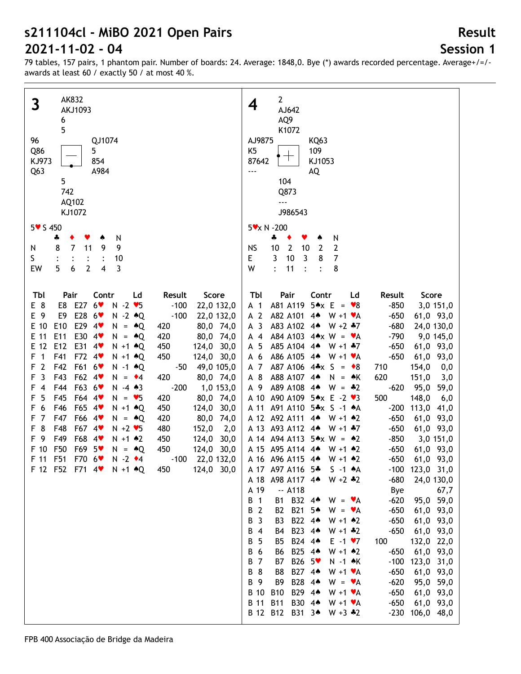# **Session 1**

**Result**

| AK832<br>3<br>AKJ1093<br>6<br>5<br>96<br>QJ1074<br>Q86<br>5<br>KJ973<br>854<br>Q <sub>63</sub><br>A984<br>5<br>742<br>AQ102<br>KJ1072<br>$5 \times 5450$                                                                                                                                                                                                                                                                                                                                                                                                                                                                                                                                                                                                                                                                                                                                                                                                                                                                                                                                                                                                                                                                                  | $\mathbf{2}$<br>4<br>AJ642<br>AQ9<br>K1072<br>AJ9875<br>KQ63<br>K <sub>5</sub><br>109<br>87642<br>KJ1053<br>AQ<br>---<br>104<br>Q873<br>$\overline{\phantom{a}}$<br>J986543<br>5 x N - 200                                                                                                                                                                                                                                                                                                                                                                                                                                                                                                                                                                                                                                                                                                                                                                                                                                                                                                                                                                                                                                                                                                                                                                                                                                                                                                                                                                                                                                                                                                                                                                                                                                                                                                                                                                                                                                                                                                                                                                                          |
|-------------------------------------------------------------------------------------------------------------------------------------------------------------------------------------------------------------------------------------------------------------------------------------------------------------------------------------------------------------------------------------------------------------------------------------------------------------------------------------------------------------------------------------------------------------------------------------------------------------------------------------------------------------------------------------------------------------------------------------------------------------------------------------------------------------------------------------------------------------------------------------------------------------------------------------------------------------------------------------------------------------------------------------------------------------------------------------------------------------------------------------------------------------------------------------------------------------------------------------------|-------------------------------------------------------------------------------------------------------------------------------------------------------------------------------------------------------------------------------------------------------------------------------------------------------------------------------------------------------------------------------------------------------------------------------------------------------------------------------------------------------------------------------------------------------------------------------------------------------------------------------------------------------------------------------------------------------------------------------------------------------------------------------------------------------------------------------------------------------------------------------------------------------------------------------------------------------------------------------------------------------------------------------------------------------------------------------------------------------------------------------------------------------------------------------------------------------------------------------------------------------------------------------------------------------------------------------------------------------------------------------------------------------------------------------------------------------------------------------------------------------------------------------------------------------------------------------------------------------------------------------------------------------------------------------------------------------------------------------------------------------------------------------------------------------------------------------------------------------------------------------------------------------------------------------------------------------------------------------------------------------------------------------------------------------------------------------------------------------------------------------------------------------------------------------------|
| N<br>4<br>9<br>8<br>$\overline{7}$<br>9<br>11<br>N<br>S.<br>10<br>$\ddot{\cdot}$<br>5<br>EW<br>6<br>$\overline{2}$<br>4<br>3                                                                                                                                                                                                                                                                                                                                                                                                                                                                                                                                                                                                                                                                                                                                                                                                                                                                                                                                                                                                                                                                                                              | ÷<br>N<br>٠<br>۸<br>$\overline{2}$<br>2<br>10<br>10<br><b>NS</b><br>$\overline{2}$<br>3<br>3<br>E<br>10<br>8<br>7<br>W<br>11<br>8<br>$\ddot{\cdot}$<br>$\ddot{\cdot}$                                                                                                                                                                                                                                                                                                                                                                                                                                                                                                                                                                                                                                                                                                                                                                                                                                                                                                                                                                                                                                                                                                                                                                                                                                                                                                                                                                                                                                                                                                                                                                                                                                                                                                                                                                                                                                                                                                                                                                                                               |
| Score<br>Tbl<br>Pair<br>Contr<br>Ld<br>Result<br>E8 E27 6<br>$N - 2$ $\blacktriangledown$<br>E 8<br>$-100$<br>22,0 132,0<br>E28 6<br>E 9<br>$N - 2 \cdot Q$<br>$-100$<br>E9<br>22,0 132,0<br>E10<br>E29 4<br>E 10<br>80,0 74,0<br>$N = AQ$<br>420<br>E 11<br>E11<br>E30 4<br>$N = AQ$<br>420<br>80,0 74,0<br>E 12<br>E12<br>E31 4<br>$N + 1$ $*Q$<br>450<br>124,0 30,0<br>F<br>F41<br>F72 4<br>$\mathbf{1}$<br>450<br>$N + 1$ $*Q$<br>124,0 30,0<br>$\overline{2}$<br>F42<br>F61 6<br>F<br>49,0 105,0<br>$N - 1$ $\triangle Q$<br>$-50$<br>3<br>F43<br>F62 4<br>F<br>420<br>80,0 74,0<br>$N = \cdot 4$<br>F63 6<br>F44<br>$-200$<br>1,0 153,0<br>F<br>4<br>$N - 4 \cdot 3$<br>5<br>F45<br>F<br>F64 4<br>420<br>80,0 74,0<br>$N = 95$<br>F65 4<br>6<br>F46<br>124,0 30,0<br>F<br>$N + 1$ $\triangle$ Q<br>450<br>$\overline{7}$<br>F47<br>F66 4<br>80,0 74,0<br>F<br>$N = AQ$<br>420<br>8<br>F48<br>F67 4<br>F<br>$N + 2$ $\blacktriangleright$ 5<br>480<br>152,0<br>2,0<br>- 9<br>F<br>F49<br>F68<br>450<br>$4$ v<br>$N + 1$ $*2$<br>124,0 30,0<br>F50<br>F69 5 <sup>*</sup><br>F 10<br>450<br>124,0 30,0<br>$N = AQ$<br>F 11 F51<br>F70 6<br>$N - 2$ $\bullet$ 4<br>$-100$<br>22,0 132,0<br>F 12 F52 F71 4 N +1 + Q<br>450<br>124,0 30,0 | Tbl<br>Pair<br>Contr<br>Result<br>Score<br>Ld<br>A81 A119<br>$5 \cdot x$ E = $\cdot 8$<br>$-850$<br>A <sub>1</sub><br>3,0 151,0<br>A 2<br>A82 A101<br>$W + 1$ $\forall A$<br>$-650$<br>$4*$<br>61,0 93,0<br>A <sub>3</sub><br>A83 A102 4*<br>$W + 2 + 7$<br>$-680$<br>24,0 130,0<br>A84 A103 $4 \times W = V$ A<br>$-790$<br>$A$ 4<br>9,0 145,0<br>A85 A104 4*<br>$-650$<br>A 5<br>$W + 1 + 7$<br>61,0 93,0<br>A 6<br>A86 A105 4*<br>$-650$<br>61,0 93,0<br>$W + 1$ $\forall A$<br>A87 A106 $4*x$ S = $*8$<br>A 7<br>154,0<br>710<br>0,0<br>A 8<br>A88 A107 4*<br>620<br>151,0<br>$N = AK$<br>3,0<br>A 9<br>A89 A108<br>$-620$<br>95,0<br>$4*$<br>$W = -2$<br>59,0<br>A 10<br>A90 A109<br>$5*x E - 2 V3$<br>500<br>148,0<br>6,0<br>A 11<br>A91 A110<br>$5 \cdot x$ S -1 $\cdot A$<br>$-200$<br>113,0 41,0<br>A 12 A92 A111<br>$-650$<br>$4*$<br>$W + 1$ $*2$<br>61,0 93,0<br>A 13 A93 A112 4*<br>$-650$<br>$W + 1 + 7$<br>61,0 93,0<br>A 14 A 94 A 113<br>$5 \star x \; W = \; *2$<br>$-850$<br>3,0 151,0<br>A 15 A95 A114<br>$-650$<br>61,0 93,0<br>$4*$<br>$W + 1$ $*2$<br>A 16 A 96 A 115 4*<br>$-650$<br>$W + 1$ $*2$<br>61,0 93,0<br>A 17 A97 A116 5*<br>$S -1$ $A$<br>$-100$ 123,0 31,0<br>A 18 A 98 A 117 4*<br>$-680$<br>$W + 2 + 2$<br>24,0 130,0<br>A 19<br>$-$ A118<br>Bye<br>67,7<br>B 1<br>B1 B32 44<br>$-620$<br>95,0 59,0<br>$W = \mathbf{v}A$<br>B21 5*<br>B 2<br>$-650$<br>B <sub>2</sub><br>$W = \mathbf{v}A$<br>61,0 93,0<br>B22 44<br>B 3<br>$-650$<br>61,0 93,0<br>B3<br>$W + 1$ $*2$<br>B23 44<br>B 4<br>$-650$<br>61,0 93,0<br>B4<br>$W + 1 * 2$<br>B24 44<br>B 5<br><b>B5</b><br>$E -1$ $\sqrt{7}$<br>100<br>132,0 22,0<br>B25 44<br>B 6<br>$W + 1$ $*2$<br>$-650$<br>61,0 93,0<br>B6<br>B26 5 <sup>V</sup><br><b>B</b> 7<br>N -1 AK<br>$-100$<br>123,0 31,0<br>B7<br>B27 44<br>B 8<br>B8<br>$-650$<br>$W + 1$ $\blacktriangleright$ A<br>61,0 93,0<br>B28 44<br>B 9<br>B <sub>9</sub><br>$-620$<br>95,0 59,0<br>$W = \mathbf{v}A$<br>B29 44<br><b>B</b> 10<br><b>B10</b><br>$-650$<br>$W + 1 \cdot A$<br>61,0 93,0<br><b>B</b> 11<br>B30 44<br>$-650$<br><b>B11</b><br>61,0 93,0<br>$W + 1 \cdot A$<br>B 12 B12 B31 34<br>$-230$ 106,0 48,0<br>$W + 3 * 2$ |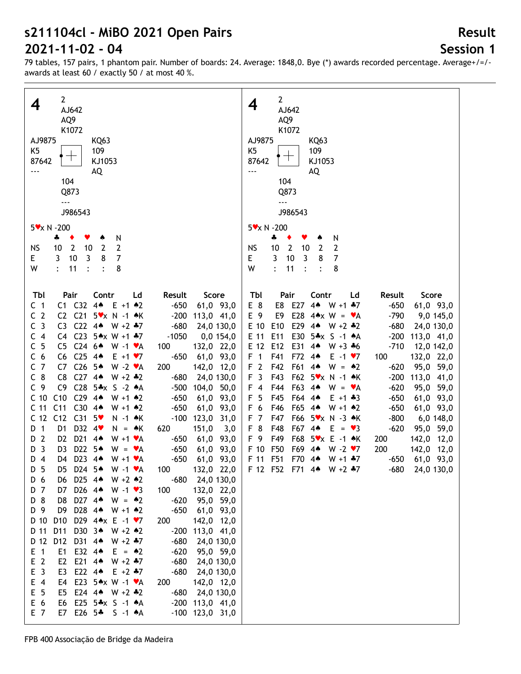# **Session 1**

**Result**

| $\mathbf{2}$<br>4<br>AJ642<br>AQ9<br>K1072<br>AJ9875<br>KQ63<br>K5<br>109<br>$\top$<br>87642<br>KJ1053<br>AQ<br><br>104<br>Q873<br>$\overline{\phantom{a}}$<br>J986543<br>$5 \times N - 200$<br>N<br>4<br>٠<br>Y<br>$\overline{2}$<br>2<br><b>NS</b><br>10<br>$\overline{2}$<br>10<br>3<br>7<br>3<br>10<br>8<br>E<br>W<br>11<br>8<br>$\ddot{\cdot}$<br>$\ddot{\cdot}$                                                                                                                                                                                                                                                                                                                                                                                                                                                                                                                                                                                                                                                                                                                                                                                                                                                                                                                                                                                                                                                                                                                                                                                                                                                                                                                                                                                                                                                                                                                                                                                                                                                                                                                                                                                                                                                                                                                                                                                                                                                                                          | $\mathbf{2}$<br>4<br>AJ642<br>AQ9<br>K1072<br>AJ9875<br>KQ63<br>K <sub>5</sub><br>109<br>┯<br>87642<br>KJ1053<br>AQ<br><br>104<br>Q873<br>$- - -$<br>J986543<br>5 x N - 200<br>4<br>N<br>٠<br>v<br><b>NS</b><br>10<br>$\overline{2}$<br>10<br>$\overline{2}$<br>$\overline{2}$<br>3<br>$\overline{3}$<br>10<br>7<br>Е<br>8<br>W<br>$\ddot{\cdot}$<br>11<br>8<br>$\ddot{\cdot}$<br>$\ddot{\cdot}$                                                                                                                                                                                                                                                                                                                                                                                                                                                                                                                                                                                                                                                                                                                                                                                                                                                                                                                    |
|----------------------------------------------------------------------------------------------------------------------------------------------------------------------------------------------------------------------------------------------------------------------------------------------------------------------------------------------------------------------------------------------------------------------------------------------------------------------------------------------------------------------------------------------------------------------------------------------------------------------------------------------------------------------------------------------------------------------------------------------------------------------------------------------------------------------------------------------------------------------------------------------------------------------------------------------------------------------------------------------------------------------------------------------------------------------------------------------------------------------------------------------------------------------------------------------------------------------------------------------------------------------------------------------------------------------------------------------------------------------------------------------------------------------------------------------------------------------------------------------------------------------------------------------------------------------------------------------------------------------------------------------------------------------------------------------------------------------------------------------------------------------------------------------------------------------------------------------------------------------------------------------------------------------------------------------------------------------------------------------------------------------------------------------------------------------------------------------------------------------------------------------------------------------------------------------------------------------------------------------------------------------------------------------------------------------------------------------------------------------------------------------------------------------------------------------------------------|---------------------------------------------------------------------------------------------------------------------------------------------------------------------------------------------------------------------------------------------------------------------------------------------------------------------------------------------------------------------------------------------------------------------------------------------------------------------------------------------------------------------------------------------------------------------------------------------------------------------------------------------------------------------------------------------------------------------------------------------------------------------------------------------------------------------------------------------------------------------------------------------------------------------------------------------------------------------------------------------------------------------------------------------------------------------------------------------------------------------------------------------------------------------------------------------------------------------------------------------------------------------------------------------------------------------|
| Tbl<br>Score<br>Pair<br>Contr<br>Ld<br>Result<br>C1 C32<br>4 <sub>•</sub><br>C <sub>1</sub><br>$E + 1$ $*2$<br>$-650$<br>61,0 93,0<br>C <sub>2</sub><br>C <sub>21</sub><br>$5x \times N - 1$ *K<br>C <sub>2</sub><br>$-200$<br>113,0 41,0<br>C <sub>3</sub><br>C <sub>22</sub><br>$4*$<br>C <sub>3</sub><br>$W + 2 + 7$<br>$-680$<br>24,0 130,0<br>C23 5* $x$ W +1 *7<br>С<br>$\overline{4}$<br>C4<br>$-1050$<br>0,0 154,0<br>5<br>C246<br>С<br>C <sub>5</sub><br>$W - 1$ $\blacktriangleright$ A<br>132,0 22,0<br>100<br>6<br>C <sub>25</sub><br>С<br>C6<br>$4*$<br>$E + 1 \cdot 7$<br>$-650$<br>61,0 93,0<br>$\overline{7}$<br>C <sub>26</sub><br>5▲<br>$W - 2$ $\blacktriangleright$ A<br>200<br>C<br>C7<br>142,0 12,0<br>$C_8$<br>C <sub>8</sub><br>$C27$ 44<br>$W + 2 \div 2$<br>$-680$<br>24,0 130,0<br>$C28$ 5*x S -2 $*A$<br>C <sub>9</sub><br>C <sub>9</sub><br>$-500$<br>104,0 50,0<br>C <sub>10</sub><br>C10<br>$C29.4*$<br>$W + 1$ $*2$<br>$-650$<br>61,0 93,0<br>C <sub>11</sub><br>$C30$ 44<br>C <sub>11</sub><br>$-650$<br>$W + 1$ 42<br>61,0 93,0<br>C <sub>12</sub><br>C <sub>12</sub><br>$C31$ 5<br>$-100$<br>123,0 31,0<br>N -1 ♠K<br>D32 4<br>$\overline{1}$<br>D <sub>1</sub><br>151,0<br>$N = AK$<br>620<br>3,0<br>D<br>$\overline{2}$<br>D <sub>21</sub><br>D <sub>2</sub><br>4 <sub>•</sub><br>$W + 1$ $\forall A$<br>$-650$<br>61,0 93,0<br>D<br>D22 5 <sup>*</sup><br>3<br>$-650$<br>61,0 93,0<br>D<br>D <sub>3</sub><br>$W = \mathbf{v}A$<br>D23 44<br>D 4<br>$-650$<br>61,0 93,0<br>D4<br>$W + 1$ $\forall A$<br>D 5<br>D5 D24 5 <sup>*</sup><br>W -1 ♥A<br>100<br>132,0 22,0<br>D6 D25 44<br>D 6<br>$W + 2 \cdot 2$<br>-680<br>24,0 130,0<br>D7 D26 44<br>D 7<br>$W - 1 \cdot 3$<br>100<br>132,0 22,0<br>D 8<br>D8 D27 4* W = $*2$<br>95,0 59,0<br>$-620$<br>D 9<br>D28 4* W +1 *2<br>D9<br>$-650$<br>61,0 93,0<br>D10 D29 4*x E -1 *7<br>D 10<br>200<br>142,0 12,0<br>D 11<br>D11<br>D30 34 W +2 42<br>$-200$<br>113,0 41,0<br>D12 D31 4* W +2 *7<br>D 12<br>$-680$<br>24,0 130,0<br>E1 E32 44<br>$E$ 1<br>$E = \triangle 2$<br>$-620$<br>95,0 59,0<br>E <sub>2</sub><br>E2 E21 44<br>$W + 2 + 7$<br>$-680$<br>24,0 130,0<br>E <sub>3</sub><br>E22 $4\bullet$<br>E3<br>$E + 2 + 7$<br>$-680$<br>24,0 130,0<br>$E$ 4<br>E4 E23 5*x W -1 *A<br>200<br>142,0 12,0<br>E <sub>5</sub><br>E5 E24 44 W +2 +2<br>$-680$<br>24,0 130,0<br>E 6<br>E6 E25 5*x S -1 *A<br>$-200$ 113,0 41,0<br>E 7<br>E7 E26 5* S -1 *A<br>$-100$ 123,0 31,0 | Tbl<br>Pair<br>Contr<br>Ld<br>Result<br>Score<br>E27<br>4 <sub>•</sub><br>E 8<br>E8<br>$W + 1 + 7$<br>$-650$<br>61,0 93,0<br>E28<br>E 9<br>E9<br>$-790$<br>$4 \cdot x$ W = $\cdot A$<br>9,0 145,0<br>E 10<br>E10<br>E29 4*<br>$-680$<br>$W + 2 * 2$<br>24,0 130,0<br>E11<br>E30<br>5*x S -1 *A<br>$-200$<br>E 11<br>113,0 41,0<br>E 12<br>E12<br>E31<br>$-710$<br>4 <sub>•</sub><br>$W + 3 + 6$<br>12,0 142,0<br>F41<br>F72<br>F <sub>1</sub><br>$4*$<br>$E - 1 \cdot 7$<br>100<br>132,0 22,0<br>F <sub>2</sub><br>F42<br>F61<br>$4*$<br>$W = 2$<br>95,0 59,0<br>$-620$<br>F <sub>3</sub><br>F43<br>F62 5 * x N -1 * K<br>$-200$<br>113,0 41,0<br>F44<br>F63<br>$F$ 4<br>$4*$<br>$-620$<br>95,0 59,0<br>$W = \mathbf{v}A$<br>F <sub>5</sub><br>F45<br>F64<br>$4*$<br>$E + 1 + 3$<br>$-650$<br>61,0 93,0<br>F 6<br>F46<br>F65<br>$4*$<br>$W + 1$ 42<br>$-650$<br>61,0 93,0<br>F47<br>F66<br>$-800$<br>F <sub>7</sub><br>$5\text{v} \times \text{N}$ -3 $\text{A} \text{K}$<br>6,0 148,0<br>F 8<br>F48<br>F67 4*<br>$-620$<br>$E = \bullet 3$<br>95,0 59,0<br>F 9<br>F49<br>F68<br>$5x \times E - 1 \cdot K$<br>200<br>142,0 12,0<br>F50<br>F69<br>F 10<br>$4*$<br>$W - 2 \cdot 7$<br>200<br>142,0 12,0<br>F 11 F51<br>F70 4*<br>61,0 93,0<br>$W + 1 + 7$<br>$-650$<br>F 12 F52 F71 4 W +2 $*7$<br>-680<br>24,0 130,0 |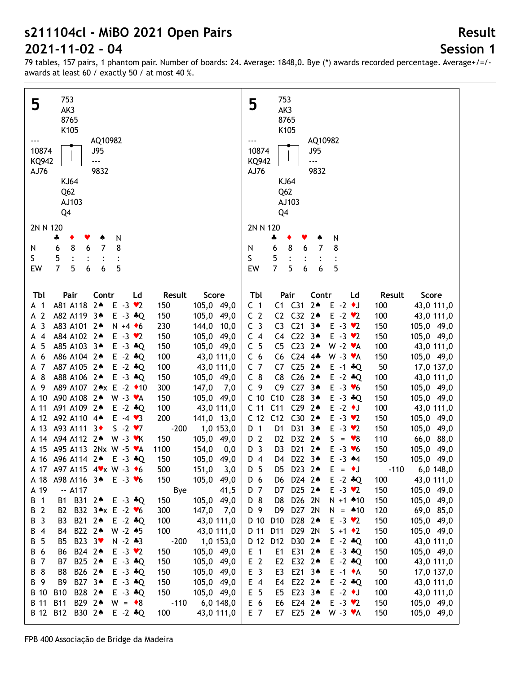**Session 1**

79 tables, 157 pairs, 1 phantom pair. Number of boards: 24. Average: 1848,0. Bye (\*) awards recorded percentage. Average+/=/ awards at least 60 / exactly 50 / at most 40 %.

| 753                                                                               | 753                                                                                                       |
|-----------------------------------------------------------------------------------|-----------------------------------------------------------------------------------------------------------|
| 5<br>AK3                                                                          | 5<br>AK3                                                                                                  |
| 8765                                                                              | 8765                                                                                                      |
|                                                                                   |                                                                                                           |
| K105                                                                              | K105                                                                                                      |
| AQ10982                                                                           | AQ10982                                                                                                   |
| 10874<br><b>J95</b>                                                               | 10874<br>J95                                                                                              |
| <b>KQ942</b><br>---                                                               | $\overline{a}$<br><b>KQ942</b>                                                                            |
| AJ76<br>9832                                                                      | 9832<br>AJ76                                                                                              |
|                                                                                   |                                                                                                           |
| <b>KJ64</b>                                                                       | KJ64                                                                                                      |
| Q <sub>62</sub>                                                                   | Q <sub>62</sub>                                                                                           |
| AJ103                                                                             | AJ103                                                                                                     |
| Q4                                                                                | Q4                                                                                                        |
|                                                                                   |                                                                                                           |
| 2N N 120                                                                          | 2N N 120                                                                                                  |
| N<br>÷<br>٠<br>♠                                                                  | N<br>÷<br>۸                                                                                               |
| $\overline{7}$<br>8<br>8<br>6<br>6<br>N                                           | 7<br>8<br>8<br>6<br>6<br>N                                                                                |
| S.<br>5                                                                           | S<br>5                                                                                                    |
| 7<br>5<br>5<br>EW<br>6<br>6                                                       | $\overline{7}$<br>5<br>5<br>EW<br>6<br>6                                                                  |
|                                                                                   |                                                                                                           |
|                                                                                   |                                                                                                           |
| Tbl<br>Pair<br>Contr<br>Result<br>Score<br>Ld                                     | Tbl<br>Pair<br>Contr<br>Ld<br>Result<br>Score                                                             |
| $2*$<br>$E -3$ $\vee$ 2<br>A81 A118<br>150<br>105,0 49,0<br>A <sub>1</sub>        | $C1$ $C31$<br>$2*$<br>$E - 2$ $\bullet$ J<br>C <sub>1</sub><br>100<br>43,0 111,0                          |
| $\overline{2}$<br>$E - 3 + Q$                                                     | C <sub>2</sub><br>C <sub>32</sub><br>C <sub>2</sub><br>$2*$                                               |
| A82 A119<br>3∧<br>150<br>105,0 49,0<br>A                                          | $E - 2$ $\vee$ 2<br>100<br>43,0 111,0                                                                     |
| 3<br>A83 A101 24<br>$N + 4$ + 6<br>230<br>144,0<br>10,0<br>А                      | C <sub>21</sub><br>$E - 3 \cdot 2$<br>C <sub>3</sub><br>$3*$<br>C <sub>3</sub><br>150<br>105,0 49,0       |
| $\overline{4}$<br>A84 A102 24<br>$E - 3 \cdot 2$<br>150<br>105,0 49,0<br>А        | C <sub>22</sub><br>C <sub>4</sub><br>$3*$<br>$E -3 \cdot 2$<br>C <sub>4</sub><br>150<br>105,0 49,0        |
| 5<br>A85 A103 34<br>$E - 3$ $*Q$<br>150<br>105,0 49,0<br>А                        | C <sub>23</sub><br>C <sub>5</sub><br>$2*$<br>C <sub>5</sub><br>$W - 2 \cdot A$<br>100<br>43,0 111,0       |
| 6<br>A86 A104 2 <sup>*</sup><br>$E - 2$ $*Q$<br>100<br>43,0 111,0<br>А            | C <sub>6</sub><br>C <sub>24</sub><br>C <sub>6</sub><br>$4*$<br>$W - 3 V A$<br>150<br>105,0 49,0           |
| $\overline{7}$<br>A87 A105 2*<br>$E - 2$ $*Q$<br>100<br>43,0 111,0<br>A           | C <sub>25</sub><br>C <sub>7</sub><br>$2*$<br>50<br>C7<br>$E - 1 + Q$<br>17,0 137,0                        |
| 8<br>A88 A106 2*<br>$E - 3$ $*Q$<br>150<br>105,0 49,0<br>A                        | C <sub>26</sub><br>$C_8$<br>C8<br>$2*$<br>$E - 2$ $*Q$<br>100<br>43,0 111,0                               |
| 9<br>A89 A107 2★x E -2 ◆10<br>300<br>147,0<br>7,0<br>А                            | C <sub>9</sub><br>$C27 - 3*$<br>C <sub>9</sub><br>$E - 3 \times 6$<br>150<br>105,0 49,0                   |
| A90 A108 2*                                                                       | C <sub>28</sub><br>C10<br>$3*$<br>$E - 3 + Q$                                                             |
| A 10<br>$W - 3 \cdot A$<br>150<br>105,0 49,0                                      | C <sub>10</sub><br>150<br>105,0 49,0                                                                      |
| A91 A109 24<br>A 11<br>$E - 2$ $*Q$<br>100<br>43,0 111,0                          | C <sub>11</sub><br>C <sub>11</sub><br>C <sub>29</sub><br>$2*$<br>$E - 2$ $\bullet$ J<br>100<br>43,0 111,0 |
| A92 A110 4*<br>A 12<br>$E -4 \cdot 3$<br>200<br>141,0 13,0                        | C30<br>C <sub>12</sub><br>C12<br>$2*$<br>$E - 3 \cdot 2$<br>150<br>105,0 49,0                             |
| A 13<br>A93 A111 3+<br>$S - 2 \cdot 7$<br>$-200$<br>1,0 153,0                     | D31<br>$3*$<br>$E - 3 \cdot 2$<br>D 1<br>D <sub>1</sub><br>150<br>105,0 49,0                              |
| A94 A112 2*<br>$W - 3$ $\forall$ K<br>150<br>105,0 49,0<br>A 14                   | D 2<br>D32<br>$2*$<br>S<br>D <sub>2</sub><br>$= 88$<br>110<br>66,0 88,0                                   |
| A95 A113 2Nx W -5 $\mathsf{v}$ A<br>A 15<br>1100<br>154,0<br>0,0                  | D <sub>3</sub><br>D <sub>21</sub><br>$2*$<br>D <sub>3</sub><br>$E - 3$ $\vee$ 6<br>105,0<br>150<br>49,0   |
| A 16 A 96 A 114 2 <sup>4</sup><br>$E - 3 \cdot Q$<br>150<br>105,0 49,0            | D <sub>4</sub><br>D22 34<br>$E - 3$ $*4$<br>150<br>105,0 49,0<br>D4                                       |
| A 17 A97 A115 4 V x W -3 +6<br>500<br>151,0<br>3,0                                | D 5<br>D5<br>D23 2*<br>$E = \cdot J$<br>$-110$<br>$6,0$ 148,0                                             |
| 150<br>105,0 49,0<br>A98 A116 34<br>$E - 3 \times 6$<br>A 18                      | D24 2 <sup>+</sup><br>43,0 111,0<br>D 6<br>$E - 2$ $*Q$<br>100<br>D6                                      |
| A 19<br>$-. A117$                                                                 | D25 24<br>D 7<br>$E - 3 \cdot 2$<br>150                                                                   |
| Bye<br>41,5                                                                       | 105,0 49,0<br>D7                                                                                          |
| B 1<br>B1 B31 24<br>105,0 49,0<br>$E - 3 * Q$<br>150                              | D26 2N<br>D 8<br>$N + 1$ $*10$<br>105,0 49,0<br>D8<br>150                                                 |
| B 2<br>B32 3★x E -2 ♥6<br>B2<br>300<br>$147,0$ 7,0                                | D 9<br>D27 2N<br>D <sub>9</sub><br>$N = 10$<br>120<br>69,0 85,0                                           |
| $\overline{\mathbf{3}}$<br>B21 24<br>100<br>В<br>B3<br>$E - 2$ $*Q$<br>43,0 111,0 | D 10<br>D28 24<br>D <sub>10</sub><br>$E - 3 \cdot 2$<br>150<br>105,0 49,0                                 |
| $\overline{4}$<br>B22 24<br>$W - 2 \cdot 5$<br>100<br>43,0 111,0<br>В<br>B4       | D 11<br>D29 2N<br>D11<br>$S + 1$ $\bullet$ 2<br>150<br>105,0 49,0                                         |
| 5<br>B23 3 <sup>₩</sup><br>$N - 2 * 3$<br>$-200$<br>1,0 153,0<br>В<br>B5          | D 12<br>D30 24<br>$E - 2$ $*Q$<br>D12<br>100<br>43,0 111,0                                                |
| B 6<br>B24 24<br>$E - 3 \cdot 2$<br>105,0 49,0<br>B6<br>150                       | $E$ 1<br>E31 24<br>$E - 3$ $*Q$<br>E1<br>150<br>105,0 49,0                                                |
| B 7<br>B25 24<br>$E - 3$ $*Q$<br>105,0 49,0<br>B7<br>150                          | E <sub>2</sub><br>E32 24<br>$E - 2$ $*Q$<br>E <sub>2</sub><br>100<br>43,0 111,0                           |
| 8<br>B26 24<br>$E - 3$ $*Q$<br>150<br>105,0 49,0<br>В<br>B8                       | E <sub>3</sub><br>E21 34<br>$E -1$ $\star$ A<br>E3<br>50<br>17,0 137,0                                    |
|                                                                                   |                                                                                                           |
| B 9<br>B27 34<br>$E - 3$ $*Q$<br>150<br>105,0 49,0<br>B9                          | E22 24<br>E 4<br>$E - 2$ $*Q$<br>E4<br>100<br>43,0 111,0                                                  |
| B 10<br><b>B10</b><br>B28 24<br>$E - 3$ $*Q$<br>150<br>105,0 49,0                 | E <sub>5</sub><br>E23 34<br>$E -2$ $\bullet$ J<br>E5<br>100<br>43,0 111,0                                 |
| B 11<br><b>B11</b><br>B29 24<br>$-110$<br>$6,0$ 148,0<br>$W = \cdot 8$            | E 6<br>E24 2 <sup>+</sup><br>$E - 3 \cdot 2$<br>E6<br>150<br>105,0 49,0                                   |
| B 12<br><b>B12</b><br>B30 24<br>$E - 2 * Q$<br>100<br>43,0 111,0                  | E 7<br>E25 24<br>$W - 3 \cdot A$<br>105,0 49,0<br>E7<br>150                                               |
|                                                                                   |                                                                                                           |

#### **Result**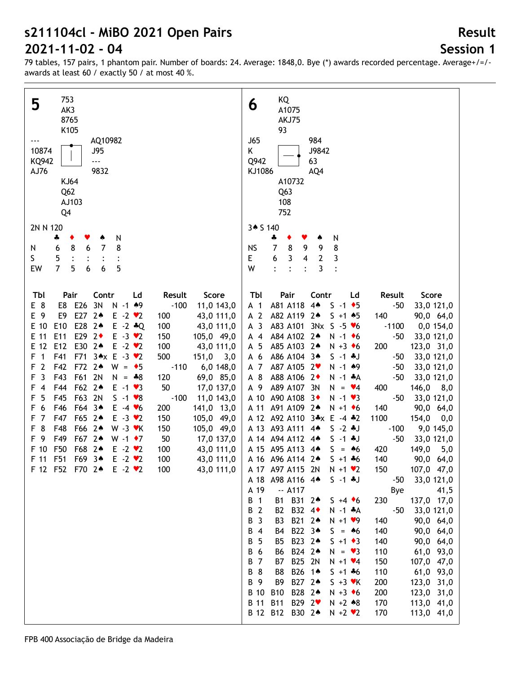# **Session 1**

**Result**

| 753<br>5                                                                                    | KQ<br>6                                                                                     |
|---------------------------------------------------------------------------------------------|---------------------------------------------------------------------------------------------|
| AK3                                                                                         | A1075                                                                                       |
| 8765                                                                                        | AKJ75                                                                                       |
| K105                                                                                        | 93                                                                                          |
| AQ10982                                                                                     | <b>J65</b><br>984                                                                           |
| 10874<br>J95                                                                                | Κ<br>J9842                                                                                  |
| KQ942<br>---                                                                                | Q942<br>63                                                                                  |
| AJ76<br>9832                                                                                | KJ1086<br>AQ4                                                                               |
| <b>KJ64</b>                                                                                 | A10732                                                                                      |
| Q <sub>62</sub>                                                                             | Q <sub>63</sub>                                                                             |
| AJ103                                                                                       | 108                                                                                         |
| Q4                                                                                          | 752                                                                                         |
|                                                                                             |                                                                                             |
| 2N N 120                                                                                    | 3* S 140                                                                                    |
| N<br>4                                                                                      | 4<br>N                                                                                      |
| $\overline{7}$<br>8<br>8<br>6<br>6<br>N                                                     | 8<br>$\overline{7}$<br>8<br>9<br>9<br><b>NS</b>                                             |
| S.<br>5                                                                                     | 3<br>E<br>6<br>3<br>4<br>$\mathbf{2}$                                                       |
| $\overline{7}$<br>5<br>6<br>5<br>6<br>EW                                                    | $\overline{3}$<br>W<br>$\ddot{\cdot}$<br>$\ddot{\cdot}$<br>$\ddot{\cdot}$<br>$\ddot{\cdot}$ |
|                                                                                             |                                                                                             |
| Score<br>Tbl<br>Pair<br>Contr<br>Result<br>Ld                                               | Tbl<br>Pair<br>Contr<br>Result<br>Score<br>Ld                                               |
| E8 E26 3N<br>E 8<br>$N - 1$ $*9$<br>$-100$<br>11,0 143,0                                    | A81 A118<br>$4*$<br>$S - 1$ $\bullet$ 5<br>$-50$<br>33,0 121,0<br>A 1                       |
| E27 24<br>E 9<br>E9<br>$E -2$ $\vee$ 2<br>43,0 111,0<br>100                                 | A 2<br>A82 A119<br>$2*$<br>$S + 1 + 5$<br>140<br>90,0 64,0                                  |
| E28 24<br>E 10<br>E <sub>10</sub><br>$E - 2$ $*Q$<br>100<br>43,0 111,0                      | A <sub>3</sub><br>A83 A101<br>$3NxS - 5 v6$<br>0,0 154,0<br>$-1100$                         |
| E11<br>E29 2◆<br>E 11<br>$E - 3 \cdot 2$<br>150<br>105,0 49,0                               | A84 A102 2*<br>$-50$<br>33,0 121,0<br>A 4<br>$N - 1$ +6                                     |
| E30 24<br>E 12<br>E <sub>12</sub><br>$E -2$ $\vee$ 2<br>100<br>43,0 111,0                   | A 5<br>A85 A103 2*<br>$N + 3 \cdot 6$<br>200<br>123,0 31,0                                  |
| F71 $3 \times x$ E -3 $\sqrt{2}$<br>$\overline{1}$<br>F41<br>500<br>151,0<br>F<br>3,0       | A 6<br>A86 A104 3 <sup>*</sup><br>$S - 1$ $*J$<br>$-50$<br>33,0 121,0                       |
| $\overline{2}$<br>F42<br>F72 24<br>F<br>$W = \bullet 5$<br>$-110$<br>6,0 148,0              | A87 A105 2<br>A 7<br>$-50$<br>33,0 121,0<br>$N - 1$ $*9$                                    |
| 3<br>F43<br>F61<br>2N<br>120<br>69,0 85,0<br>F<br>$N = *8$                                  | A 8<br>A88 A106 2+<br>$N - 1$ $*A$<br>$-50$<br>33,0 121,0                                   |
| F62 2 <sup>4</sup><br>50<br>F44<br>17,0 137,0<br>F<br>$\overline{4}$<br>$E - 1 \cdot 3$     | A89 A107 3N<br>A 9<br>$146,0$ 8,0<br>$N = \bullet 4$<br>400                                 |
| 5<br>F45<br>F63 2N<br>$S - 1 \cdot 8$<br>$-100$<br>11,0 143,0<br>F                          | A90 A108<br>A 10<br>$-50$<br>$\overline{\mathbf{3}}$<br>$N - 1$ $\vee$ 3<br>33,0 121,0      |
| 6<br>F46<br>F64 34<br>200<br>141,0 13,0<br>F<br>$E -4$ $\vee 6$                             | A 11<br>A91 A109 2*<br>140<br>$N + 1$ + 6<br>90,0 64,0                                      |
| $\overline{7}$<br>F47<br>F65 2*<br>150<br>105,0 49,0<br>F<br>$E - 3 \cdot 2$                | A 12 A92 A110 3*x E -4 *2<br>1100<br>$154,0$ 0,0                                            |
| 8<br>F48<br>F66 2 <sup>*</sup><br>150<br>105,0 49,0<br>F<br>$W - 3$ $\blacktriangleright$ K | A 13 A93 A111<br>$S - 2$ $*J$<br>$4*$<br>$-100$<br>9,0 145,0                                |
| F 9<br>F49<br>F67 2*<br>50<br>17,0 137,0<br>W -1 $\bullet$ 7                                | A 14 A 94 A 112 4*<br>$-50$<br>$S - 1 * J$                                                  |
| F50<br>F68 2 <sup>4</sup>                                                                   | 33,0 121,0<br>A 15 A95 A113                                                                 |
| F 10<br>$E -2$ $\vee$ 2<br>100<br>43,0 111,0                                                | 149,0<br>4▲<br>$S = 46$<br>420<br>5,0                                                       |
| F51<br>$E - 2$ $\vee$ 2<br>F 11<br>F69 34<br>100<br>43,0 111,0                              | 140<br>90,0 64,0<br>A 16 A 96 A 114 2 <sup>4</sup><br>$5 + 1 + 6$                           |
| 43,0 111,0<br>F 12 F52 F70 2▲ E -2 ♥2<br>100                                                | 107,0 47,0<br>A 17 A97 A115 2N<br>150<br>$N + 1$ $\vee$ 2                                   |
|                                                                                             | A 18 A 98 A 116 44<br>$S - 1$ . J<br>-50<br>33,0 121,0                                      |
|                                                                                             | A 19<br>$-. A117$<br>Bye<br>41,5                                                            |
|                                                                                             | B31 24<br>В<br>$\overline{1}$<br>230<br>137,0 17,0<br><b>B1</b><br>$S + 4 \cdot 6$          |
|                                                                                             | B32 4◆<br>В<br>$\overline{2}$<br>B <sub>2</sub><br>$-50$<br>$N - 1$ $*A$<br>33,0 121,0      |
|                                                                                             | $\overline{3}$<br>B21 24<br>В<br>B <sub>3</sub><br>$N + 1$ $\vee$ 9<br>140<br>90,0 64,0     |
|                                                                                             | B22 34<br>В<br>$\overline{4}$<br>B <sub>4</sub><br>140<br>90,0 64,0<br>$S = 46$             |
|                                                                                             | 5<br>B23 24<br>В<br>B <sub>5</sub><br>$S + 1 \cdot 3$<br>140<br>90,0 64,0                   |
|                                                                                             | B24 2 <sup>*</sup><br>В<br>6<br><b>B6</b><br>110<br>61,0 93,0<br>$N = \bullet 3$            |
|                                                                                             | B25 2N<br>B<br>$\overline{7}$<br>B7<br>$N + 1$ $4$<br>150<br>107,0 47,0                     |
|                                                                                             | 8<br><b>B26</b><br>В<br>B8<br>$1\spadesuit$<br>$S + 1 + 6$<br>110<br>61,0 93,0              |
|                                                                                             | 9<br>B27 24<br>B<br>B <sub>9</sub><br>$S + 3 \cdot K$<br>200<br>123,0 31,0                  |
|                                                                                             | <b>B</b> 10<br>B28 24<br><b>B10</b><br>$N + 3$ +6<br>200<br>123,0 31,0                      |
|                                                                                             | <b>B</b> 11<br><b>B11</b><br>B29 2 <sup>₩</sup><br>$N + 2 * 8$<br>170<br>113,0 41,0         |
|                                                                                             | B 12 B12 B30 24<br>$N + 2$ $\vee$ 2<br>170<br>113,0 41,0                                    |
|                                                                                             |                                                                                             |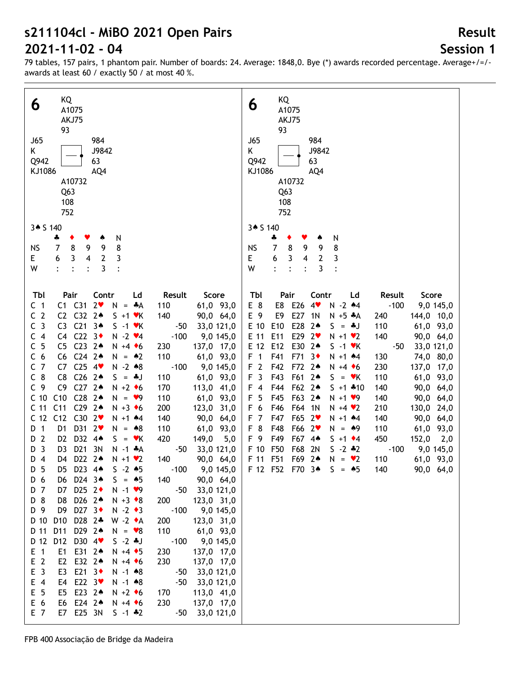# **Session 1**

**Result**

79 tables, 157 pairs, 1 phantom pair. Number of boards: 24. Average: 1848,0. Bye (\*) awards recorded percentage. Average+/=/ awards at least 60 / exactly 50 / at most 40 %.

| KQ<br>6<br>A1075                                                                                                                     |                                          | KQ<br>6<br>A1075                                                                                                                         |
|--------------------------------------------------------------------------------------------------------------------------------------|------------------------------------------|------------------------------------------------------------------------------------------------------------------------------------------|
| AKJ75<br>93                                                                                                                          |                                          | AKJ75<br>93                                                                                                                              |
| J65<br>984<br>J9842<br>K<br>Q942<br>63                                                                                               |                                          | <b>J65</b><br>984<br>J9842<br>K<br>Q942<br>63                                                                                            |
| KJ1086<br>AQ4                                                                                                                        |                                          | KJ1086<br>AQ4                                                                                                                            |
| A10732<br>Q63                                                                                                                        |                                          | A10732<br>Q <sub>63</sub>                                                                                                                |
| 108<br>752                                                                                                                           |                                          | 108<br>752                                                                                                                               |
| 3* S 140                                                                                                                             |                                          | 3 <b>6</b> 5 140                                                                                                                         |
| N<br>÷<br>۸<br>9<br>8<br><b>NS</b><br>8<br>7<br>9                                                                                    |                                          | ÷<br>N<br>۸<br>8<br>7<br>8<br>9<br>9<br><b>NS</b>                                                                                        |
| $\mathbf{2}$<br>3<br>E.<br>6<br>3<br>$\overline{4}$                                                                                  |                                          | E.<br>3<br>$\overline{\mathbf{4}}$<br>$\mathbf{2}$<br>3<br>6                                                                             |
| 3<br>W<br>$\ddot{\cdot}$<br>$\ddot{\cdot}$                                                                                           |                                          | 3<br>W<br>$\ddot{\cdot}$<br>$\ddot{\cdot}$<br>$\cdot$                                                                                    |
| Tbl<br>Pair<br>Contr<br>Ld                                                                                                           | Result<br>Score                          | Tbl<br>Pair<br>Contr<br>Result<br>Score<br>Ld                                                                                            |
| C <sub>1</sub><br>$C1$ $C31$<br>2 <sub>v</sub><br>$N = A$                                                                            | 61,0 93,0<br>110                         | E 8<br>E8 E26<br>$-100$<br>4<br>$N - 2$ $*4$<br>9,0 145,0                                                                                |
| C <sub>2</sub><br>C2 C32 24<br>$S + 1$ $\forall$ K<br>C <sub>3</sub><br>C3<br>C213<br>$S -1$ $\forall$ K                             | 140<br>90,0 64,0<br>$-50$<br>33,0 121,0  | E 9<br>E27<br>E9<br>$N + 5 A$<br>144,0 10,0<br>1N<br>240<br>E 10<br>E28<br>E10<br>$2*$<br>110<br>61,0 93,0<br>$S = *J$                   |
| C4 $C22$ $3*$<br>C <sub>4</sub><br>$N - 2$ $\vee 4$                                                                                  | $-100$<br>9,0 145,0                      | E29 2 <sup>v</sup><br>E 11<br>E11<br>140<br>90,0 64,0<br>$N + 1$ $*2$                                                                    |
| - 5<br>$C23$ 2 <sup>*</sup><br>C<br>C <sub>5</sub><br>$N + 4$ + 6                                                                    | 137,0 17,0<br>230                        | E 12<br>E12<br>E30<br>$2*$<br>$S -1$ $\forall$ K<br>$-50$<br>33,0 121,0                                                                  |
| C <sub>6</sub><br>$C24$ 2 <sup>*</sup><br>C6<br>$N = 2$                                                                              | 110<br>61,0 93,0                         | F <sub>1</sub><br>F41<br>F71<br>$3+$<br>74,0 80,0<br>$N + 1$ $*4$<br>130                                                                 |
| C <sub>7</sub><br>C7<br>$C25$ 4<br>$N - 2 * 8$                                                                                       | 9,0 145,0<br>$-100$                      | F <sub>2</sub><br>F42<br>F72<br>$2*$<br>230<br>137,0 17,0<br>$N + 4$ + 6                                                                 |
| $C26$ 2 <sup>*</sup><br>$C_8$<br>C8<br>$S = *J$                                                                                      | 110<br>61,0 93,0                         | F <sub>3</sub><br>F43<br>F61<br>$2*$<br>110<br>61,0 93,0<br>$S = vK$                                                                     |
| C <sub>9</sub><br>C <sub>9</sub><br>$C27$ 2 <sup>*</sup><br>$N + 2$ + 6<br>C10<br>$C28$ 2 <sup>*</sup><br>C <sub>10</sub><br>$N = 9$ | 170<br>113,0 41,0<br>110<br>61,0 93,0    | $F$ 4<br>F44<br>F62<br>$2*$<br>140<br>90,0 64,0<br>$S + 1$ $*10$<br>5<br>F63<br>F45<br>$2*$<br>$N + 1$ $\vee$ 9<br>140<br>90,0 64,0<br>F |
| C <sub>11</sub><br>$C29$ 2 <sup>*</sup><br>C <sub>11</sub><br>$N + 3$ +6                                                             | 200<br>123,0 31,0                        | F 6<br>F46<br>F64<br>1 <sub>N</sub><br>210<br>130,0 24,0<br>$N + 4$ $\vee$ 2                                                             |
| C <sub>12</sub><br>C <sub>12</sub><br>C302<br>$N + 1$ $*4$                                                                           | 140<br>90,0<br>64,0                      | F47<br>F65<br>F <sub>7</sub><br>$2\bullet$<br>$N + 1$ $*4$<br>140<br>90,0 64,0                                                           |
| D31 2<br>D 1<br>D <sub>1</sub><br>$N = *8$                                                                                           | 110<br>61,0 93,0                         | F 8<br>F66<br>F48<br>$2\bullet$<br>$N = 49$<br>110<br>61,0 93,0                                                                          |
| D32 4*<br>$\overline{2}$<br>D <sub>2</sub><br>D<br>$S = \mathbf{v}K$                                                                 | 420<br>149,0<br>5,0                      | F 9<br>F49<br>F67<br>$4*$<br>450<br>$152,0$ 2,0<br>$S + 1$ $\div 4$                                                                      |
| $\overline{3}$<br>D <sub>21</sub><br>3N<br>D <sub>3</sub><br>D<br>$N - 1$ $*A$                                                       | 33,0 121,0<br>-50                        | F50<br>F68<br>$S - 2 * 2$<br>F 10<br>2N<br>$-100$<br>9,0 145,0                                                                           |
| D22 2 <sup>*</sup><br>$D_4$<br>D4<br>$N + 1$ $\vee$ 2<br>D <sub>5</sub><br>$S - 2 * 5$                                               | 140<br>90,0 64,0<br>9,0 145,0            | F51<br>F 11<br>F69<br>$2*$<br>110<br>$N = \bullet 2$<br>61,0 93,0<br>F 12 F52 F70 $3 \cdot 5 = 5$<br>90,0 64,0<br>140                    |
| D5 D23 4*<br>D 6<br>D24 3 <sup>*</sup><br>D6<br>$S = 45$                                                                             | $-100$<br>90,0 64,0<br>140               |                                                                                                                                          |
| D25 $2+$<br>D 7<br>D7<br>$N - 1$ $\vee$ 9                                                                                            | $-50$<br>33,0 121,0                      |                                                                                                                                          |
| D 8<br>D26 2 <sup>*</sup><br>D8<br>$N + 3 \cdot 8$                                                                                   | 200<br>123,0 31,0                        |                                                                                                                                          |
| D 9<br>D27 $3+$<br>D9<br>$N - 2 \cdot 3$                                                                                             | $-100$<br>9,0 145,0                      |                                                                                                                                          |
| D28 2*<br>D 10<br>D <sub>10</sub><br>$W - 2 \cdot A$                                                                                 | 123,0 31,0<br>200                        |                                                                                                                                          |
| D11<br>D29 24<br>D 11<br>$N = \bullet 8$                                                                                             | 110<br>61,0 93,0                         |                                                                                                                                          |
| D 12<br>D <sub>12</sub><br>D30 4<br>$S - 2 * J$<br>$E \quad 1$<br>E1<br>E31 24<br>$N + 4$ $\bullet$ 5                                | $-100$<br>9,0 145,0<br>230<br>137,0 17,0 |                                                                                                                                          |
| E <sub>2</sub><br>E <sub>2</sub><br>E32 24<br>$N + 4$ + 6                                                                            | 230<br>137,0 17,0                        |                                                                                                                                          |
| E <sub>3</sub><br>E <sub>3</sub><br>E21 $3\bullet$<br>$N - 1$ $*8$                                                                   | 33,0 121,0<br>$-50$                      |                                                                                                                                          |
| $E$ 4<br>E22 $3\bullet$<br>E4<br>$N - 1$ $*8$                                                                                        | $-50$<br>33,0 121,0                      |                                                                                                                                          |
| E <sub>5</sub><br>E23 24<br>E5<br>$N + 2$ +6                                                                                         | 113,0 41,0<br>170                        |                                                                                                                                          |
| E 6<br>E6 E24 2*<br>$N + 4$ + 6                                                                                                      | 230<br>137,0 17,0                        |                                                                                                                                          |
| E 7<br>E7 E25 3N<br>$S - 1$ $*2$                                                                                                     | 33,0 121,0<br>$-50$                      |                                                                                                                                          |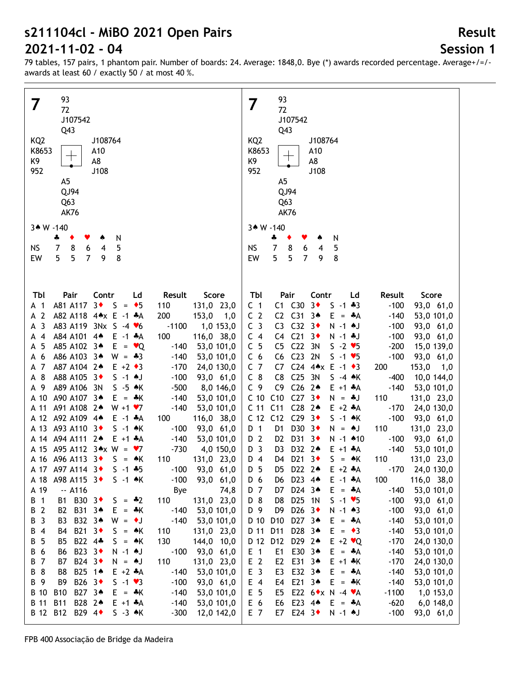## **Session 1**

**Result**

| 93                                                                                                        |                                        | 93                                                                                                         |
|-----------------------------------------------------------------------------------------------------------|----------------------------------------|------------------------------------------------------------------------------------------------------------|
| 7<br>72                                                                                                   | 7                                      | 72                                                                                                         |
| J107542                                                                                                   |                                        | J107542                                                                                                    |
|                                                                                                           |                                        |                                                                                                            |
| Q43                                                                                                       |                                        | Q43                                                                                                        |
| KQ <sub>2</sub><br>J108764                                                                                | KQ <sub>2</sub>                        | J108764                                                                                                    |
| K8653<br>A10                                                                                              | K8653                                  | A10                                                                                                        |
| ┱<br>K9<br>A8                                                                                             | K9                                     | A8                                                                                                         |
| 952<br>J108                                                                                               | 952                                    | J108                                                                                                       |
| A <sub>5</sub>                                                                                            |                                        | A <sub>5</sub>                                                                                             |
|                                                                                                           |                                        |                                                                                                            |
| QJ94                                                                                                      |                                        | QJ94                                                                                                       |
| Q <sub>63</sub>                                                                                           |                                        | Q <sub>63</sub>                                                                                            |
| <b>AK76</b>                                                                                               |                                        | <b>AK76</b>                                                                                                |
|                                                                                                           |                                        |                                                                                                            |
| 3* W -140                                                                                                 |                                        | 3* W -140                                                                                                  |
| N<br>÷<br>٠                                                                                               |                                        | N<br>÷                                                                                                     |
| $\overline{7}$<br>5<br><b>NS</b><br>8<br>6<br>4                                                           | <b>NS</b>                              | $\boldsymbol{7}$<br>5<br>8<br>6<br>4                                                                       |
| 5<br>$\overline{7}$<br>8<br>5<br>EW<br>9                                                                  | EW                                     | 5<br>5<br>$\overline{7}$<br>8<br>9                                                                         |
|                                                                                                           |                                        |                                                                                                            |
|                                                                                                           |                                        |                                                                                                            |
|                                                                                                           |                                        |                                                                                                            |
| Tbl<br>Pair<br>Contr<br>Ld<br>Result                                                                      | Tbl<br>Score                           | Pair<br>Contr<br>Ld<br>Result<br>Score                                                                     |
| $3*$<br>A81 A117<br>S.<br>$= 5$<br>110<br>A 1                                                             | 131,0 23,0<br>C <sub>1</sub>           | C1 C30<br>$3\bullet$<br>$S - 1 + 3$<br>$-100$<br>93,0 61,0                                                 |
| $\overline{2}$<br>A82 A118 4*x E -1 *A<br>200<br>А                                                        | C <sub>2</sub><br>153,0<br>1,0         | C <sub>31</sub><br>C <sub>2</sub><br>$3*$<br>E<br>$-140$<br>53,0 101,0<br>$=$ $\ast$ A                     |
| 3<br>A83 A119 3Nx S -4 $\blacktriangledown$ 6<br>$-1100$                                                  | C <sub>3</sub>                         | C <sub>3</sub><br>C <sub>32</sub><br>$3\bullet$<br>N -1 +J<br>$-100$                                       |
| А                                                                                                         | 1,0 153,0                              | 93,0 61,0                                                                                                  |
| A84 A101<br>$4*$<br>$E - 1$ $A$<br>100<br>4<br>А                                                          | 116,0 38,0<br>$C_4$                    | C <sub>21</sub><br>C <sub>4</sub><br>$3\bullet$<br>$N - 1$ + J<br>$-100$<br>93,0 61,0                      |
| A85 A102 34<br>E.<br>5<br>$= \bullet Q$<br>$-140$<br>А                                                    | C <sub>5</sub><br>53,0 101,0           | C <sub>22</sub><br>3N<br>C <sub>5</sub><br>$S - 2 \blacktriangleright 5$<br>$-200$<br>15,0 139,0           |
| 6<br>A86 A103 3*<br>$W = -3$<br>$-140$<br>А                                                               | 53,0 101,0<br>C <sub>6</sub>           | C <sub>23</sub><br>2N<br>C <sub>6</sub><br>$S - 1 \times 5$<br>$-100$<br>93,0 61,0                         |
| A87 A104 2+<br>7<br>$E + 2 \cdot 3$<br>$-170$<br>А                                                        | C <sub>7</sub><br>24,0 130,0           | C <sub>24</sub><br>$4 \times E - 1 \cdot 3$<br>153,0<br>C7<br>200<br>1,0                                   |
| 8<br>A88 A105 3+<br>$S - 1$ AJ<br>$-100$<br>А                                                             | $C_8$<br>93,0 61,0                     | C <sub>25</sub><br>C <sub>8</sub><br>3N<br>$S -4$ $*$ K<br>$-400$<br>10,0 144,0                            |
| A89 A106 3N<br>$S - 5$ $\star$ K<br>-9<br>$-500$<br>А                                                     | C <sub>9</sub><br>8,0 146,0            | C <sub>26</sub><br>C <sub>9</sub><br>$2*$<br>$-140$<br>53,0 101,0<br>$E + 1 + A$                           |
| A90 A107 3*<br>A 10                                                                                       | C <sub>10</sub>                        | C10<br>C <sub>27</sub><br>3 <sub>•</sub><br>$N = *J$                                                       |
| $-140$<br>$E = \pm K$                                                                                     | 53,0 101,0                             | 110<br>131,0 23,0                                                                                          |
| A91 A108 24<br>$W + 1 \cdot 7$<br>$-140$<br>A 11                                                          | C <sub>11</sub><br>53,0 101,0          | C <sub>11</sub><br>C <sub>28</sub><br>$2*$<br>$E + 2$ $A$<br>$-170$<br>24,0 130,0                          |
| A92 A109 44<br>A 12<br>100<br>$E - 1$ $A$                                                                 | C <sub>12</sub><br>116,0 38,0          | C <sub>12</sub><br>C <sub>29</sub><br>$3+$<br>$S -1$ $*K$<br>$-100$<br>93,0 61,0                           |
| A93 A110 3+<br>A 13<br>$S -1$ $*$ K<br>$-100$                                                             | D <sub>1</sub><br>93,0 61,0            | D30<br>D <sub>1</sub><br>$3+$<br>110<br>$N = M$<br>131,0 23,0                                              |
| A 14 A 94 A 111 2*<br>$E + 1 + A$<br>$-140$                                                               | D 2<br>53,0 101,0                      | D31<br>D <sub>2</sub><br>$3+$<br>N -1 +10<br>$-100$<br>93,0 61,0                                           |
| A 15 A95 A112 $3 \cdot x$ W = $\cdot 7$<br>$-730$                                                         | D <sub>3</sub><br>4,0 150,0            | D32<br>$2*$<br>D <sub>3</sub><br>$E + 1$ $A$<br>$-140$<br>53,0 101,0                                       |
| A 16 A 96 A 113 3<br>$S = AK$<br>110                                                                      | 131,0 23,0<br>D 4                      | D21 3+<br>$S = AK$<br>D4<br>110<br>131,0 23,0                                                              |
| $-100$<br>A 17 A97 A114 3+<br>$S - 1$ $*5$                                                                | D 5<br>93,0 61,0                       | $-170$<br>D5<br>D22 2 <sup>*</sup><br>$E + 2$ $A$<br>24,0 130,0                                            |
|                                                                                                           |                                        |                                                                                                            |
| A98 A115 3 <sup>+</sup><br>$-100$<br>A 18<br>$S -1$ $\star$ K                                             | 93,0 61,0<br>D 6                       | D23 44<br>116,0 38,0<br>$E - 1$ $A$<br>100<br>D6                                                           |
| A 19<br>$-$ A116<br>Bye                                                                                   | D 7<br>74,8                            | D24 34<br>$E = A$<br>$-140$<br>53,0 101,0<br>D7                                                            |
| B1 B30 3◆<br>$\mathbf{1}$<br>$S = -2$<br>110<br>В                                                         | D 8<br>131,0 23,0                      | D25 1N<br>$S - 1 \cdot 5$<br>$-100$<br>D8<br>93,0 61,0                                                     |
| $\overline{2}$<br>B31 34<br>$=$ $\frac{1}{2}$ K<br>$-140$<br>B2<br>E.<br>B                                | 53,0 101,0<br>D 9                      | D <sub>26</sub> $3\bullet$<br>D <sub>9</sub><br>$N - 1$ $*3$<br>$-100$<br>93,0 61,0                        |
| $\overline{3}$<br>B32 34<br>$-140$<br>В<br>B3<br>$W = \cdot J$                                            | D 10<br>53,0 101,0                     | D27 34<br>D <sub>10</sub><br>$-140$<br>E.<br>$=$ $A$<br>53,0 101,0                                         |
| B21 3◆<br>$\overline{4}$<br>В<br>$S = AK$<br>110<br>B4                                                    | D 11<br>131,0 23,0                     | D28 34<br>D11<br>$E = \bullet 3$<br>$-140$<br>53,0 101,0                                                   |
| 5<br>B22 4*<br>130<br>В<br>B5<br>$S = AK$                                                                 | D 12<br>144,0 10,0                     | D29 24<br>D <sub>12</sub><br>$E + 2 \cdot Q$<br>$-170$<br>24,0 130,0                                       |
|                                                                                                           |                                        |                                                                                                            |
| 6<br>B23 3◆<br>$-100$<br>В<br>B6<br>N -1 +J                                                               | $E$ 1<br>93,0 61,0                     | E30 34<br>$-140$<br>E1<br>$E = A$<br>53,0 101,0                                                            |
| B24 3◆<br>$\overline{7}$<br>В<br>B7<br>$N = M$<br>110                                                     | E <sub>2</sub><br>131,0 23,0           | E31 34<br>E <sub>2</sub><br>$E + 1$ $*$ K<br>$-170$<br>24,0 130,0                                          |
| 8<br>B25 14<br>$E + 2 A$<br>$-140$<br>В<br>B8                                                             | E <sub>3</sub><br>53,0 101,0           | E32 34<br>$-140$<br>E3<br>E.<br>$=$ $A$<br>53,0 101,0                                                      |
| 9<br>B26 3◆<br>$S - 1 \cdot 3$<br>$-100$<br>В<br>B9                                                       | E 4<br>93,0 61,0                       | E21 34<br>$E = \cdot K$<br>$-140$<br>E4<br>53,0 101,0                                                      |
| B27 34<br>B 10<br><b>B10</b><br>$-140$<br>$E = \pm K$                                                     | E <sub>5</sub><br>53,0 101,0           | E22 6 <sup>*</sup> x N -4 * A<br>$-1100$<br>E5<br>1,0 153,0                                                |
|                                                                                                           |                                        |                                                                                                            |
|                                                                                                           |                                        |                                                                                                            |
| B 11<br><b>B11</b><br>B28 24<br>$-140$<br>$E + 1 + A$<br>B 12<br>B12 B29 4<br>$S - 3$ $\land$ K<br>$-300$ | 53,0 101,0<br>E 6<br>E 7<br>12,0 142,0 | E23 44<br>E6<br>$E = A$<br>$-620$<br>$6,0$ 148,0<br>E24 $3\bullet$<br>N -1 +J<br>E7<br>$-100$<br>93,0 61,0 |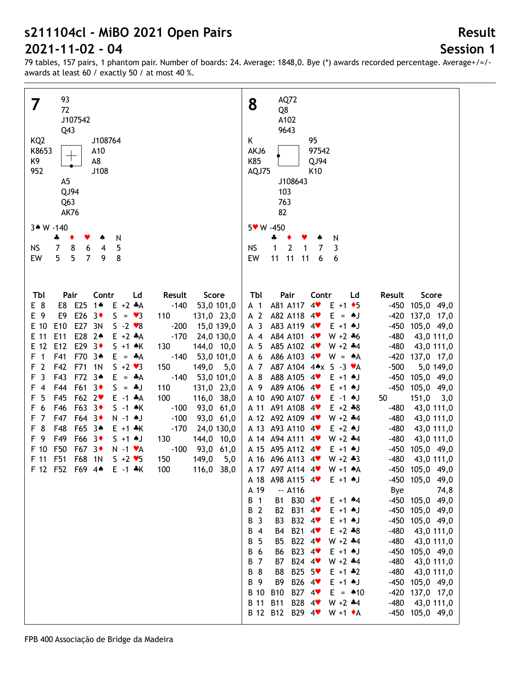# **Session 1**

**Result**

| 93                                                                                                                                                                                                                                                                                                                                                                                                                                                                                                                                                                                                                                                                                                                                                                                                                                                                                                                                                                                                                                                                                                                                                                                                                                                                                                       | AQ72                                                                                                                                                                                                                                                                                                                                                                                                                                                                                                                                                                                                                                                                                                                                                                                                                                                                                                                                                                                                                                                                                                                                                                                                                                                                                                                                                                                                                                                                                                                                                                                                                                                                                                                                                                                                                                                                                                                                                                                                                                                                                                                                                                                                                                                         |
|----------------------------------------------------------------------------------------------------------------------------------------------------------------------------------------------------------------------------------------------------------------------------------------------------------------------------------------------------------------------------------------------------------------------------------------------------------------------------------------------------------------------------------------------------------------------------------------------------------------------------------------------------------------------------------------------------------------------------------------------------------------------------------------------------------------------------------------------------------------------------------------------------------------------------------------------------------------------------------------------------------------------------------------------------------------------------------------------------------------------------------------------------------------------------------------------------------------------------------------------------------------------------------------------------------|--------------------------------------------------------------------------------------------------------------------------------------------------------------------------------------------------------------------------------------------------------------------------------------------------------------------------------------------------------------------------------------------------------------------------------------------------------------------------------------------------------------------------------------------------------------------------------------------------------------------------------------------------------------------------------------------------------------------------------------------------------------------------------------------------------------------------------------------------------------------------------------------------------------------------------------------------------------------------------------------------------------------------------------------------------------------------------------------------------------------------------------------------------------------------------------------------------------------------------------------------------------------------------------------------------------------------------------------------------------------------------------------------------------------------------------------------------------------------------------------------------------------------------------------------------------------------------------------------------------------------------------------------------------------------------------------------------------------------------------------------------------------------------------------------------------------------------------------------------------------------------------------------------------------------------------------------------------------------------------------------------------------------------------------------------------------------------------------------------------------------------------------------------------------------------------------------------------------------------------------------------------|
| 7                                                                                                                                                                                                                                                                                                                                                                                                                                                                                                                                                                                                                                                                                                                                                                                                                                                                                                                                                                                                                                                                                                                                                                                                                                                                                                        | 8                                                                                                                                                                                                                                                                                                                                                                                                                                                                                                                                                                                                                                                                                                                                                                                                                                                                                                                                                                                                                                                                                                                                                                                                                                                                                                                                                                                                                                                                                                                                                                                                                                                                                                                                                                                                                                                                                                                                                                                                                                                                                                                                                                                                                                                            |
| 72                                                                                                                                                                                                                                                                                                                                                                                                                                                                                                                                                                                                                                                                                                                                                                                                                                                                                                                                                                                                                                                                                                                                                                                                                                                                                                       | Q8                                                                                                                                                                                                                                                                                                                                                                                                                                                                                                                                                                                                                                                                                                                                                                                                                                                                                                                                                                                                                                                                                                                                                                                                                                                                                                                                                                                                                                                                                                                                                                                                                                                                                                                                                                                                                                                                                                                                                                                                                                                                                                                                                                                                                                                           |
| J107542                                                                                                                                                                                                                                                                                                                                                                                                                                                                                                                                                                                                                                                                                                                                                                                                                                                                                                                                                                                                                                                                                                                                                                                                                                                                                                  | A102                                                                                                                                                                                                                                                                                                                                                                                                                                                                                                                                                                                                                                                                                                                                                                                                                                                                                                                                                                                                                                                                                                                                                                                                                                                                                                                                                                                                                                                                                                                                                                                                                                                                                                                                                                                                                                                                                                                                                                                                                                                                                                                                                                                                                                                         |
| Q43                                                                                                                                                                                                                                                                                                                                                                                                                                                                                                                                                                                                                                                                                                                                                                                                                                                                                                                                                                                                                                                                                                                                                                                                                                                                                                      | 9643                                                                                                                                                                                                                                                                                                                                                                                                                                                                                                                                                                                                                                                                                                                                                                                                                                                                                                                                                                                                                                                                                                                                                                                                                                                                                                                                                                                                                                                                                                                                                                                                                                                                                                                                                                                                                                                                                                                                                                                                                                                                                                                                                                                                                                                         |
| KQ <sub>2</sub>                                                                                                                                                                                                                                                                                                                                                                                                                                                                                                                                                                                                                                                                                                                                                                                                                                                                                                                                                                                                                                                                                                                                                                                                                                                                                          | Κ                                                                                                                                                                                                                                                                                                                                                                                                                                                                                                                                                                                                                                                                                                                                                                                                                                                                                                                                                                                                                                                                                                                                                                                                                                                                                                                                                                                                                                                                                                                                                                                                                                                                                                                                                                                                                                                                                                                                                                                                                                                                                                                                                                                                                                                            |
| J108764                                                                                                                                                                                                                                                                                                                                                                                                                                                                                                                                                                                                                                                                                                                                                                                                                                                                                                                                                                                                                                                                                                                                                                                                                                                                                                  | 95                                                                                                                                                                                                                                                                                                                                                                                                                                                                                                                                                                                                                                                                                                                                                                                                                                                                                                                                                                                                                                                                                                                                                                                                                                                                                                                                                                                                                                                                                                                                                                                                                                                                                                                                                                                                                                                                                                                                                                                                                                                                                                                                                                                                                                                           |
| K8653                                                                                                                                                                                                                                                                                                                                                                                                                                                                                                                                                                                                                                                                                                                                                                                                                                                                                                                                                                                                                                                                                                                                                                                                                                                                                                    | 97542                                                                                                                                                                                                                                                                                                                                                                                                                                                                                                                                                                                                                                                                                                                                                                                                                                                                                                                                                                                                                                                                                                                                                                                                                                                                                                                                                                                                                                                                                                                                                                                                                                                                                                                                                                                                                                                                                                                                                                                                                                                                                                                                                                                                                                                        |
| A10                                                                                                                                                                                                                                                                                                                                                                                                                                                                                                                                                                                                                                                                                                                                                                                                                                                                                                                                                                                                                                                                                                                                                                                                                                                                                                      | AKJ6                                                                                                                                                                                                                                                                                                                                                                                                                                                                                                                                                                                                                                                                                                                                                                                                                                                                                                                                                                                                                                                                                                                                                                                                                                                                                                                                                                                                                                                                                                                                                                                                                                                                                                                                                                                                                                                                                                                                                                                                                                                                                                                                                                                                                                                         |
| K9                                                                                                                                                                                                                                                                                                                                                                                                                                                                                                                                                                                                                                                                                                                                                                                                                                                                                                                                                                                                                                                                                                                                                                                                                                                                                                       | K85                                                                                                                                                                                                                                                                                                                                                                                                                                                                                                                                                                                                                                                                                                                                                                                                                                                                                                                                                                                                                                                                                                                                                                                                                                                                                                                                                                                                                                                                                                                                                                                                                                                                                                                                                                                                                                                                                                                                                                                                                                                                                                                                                                                                                                                          |
| A8                                                                                                                                                                                                                                                                                                                                                                                                                                                                                                                                                                                                                                                                                                                                                                                                                                                                                                                                                                                                                                                                                                                                                                                                                                                                                                       | QJ94                                                                                                                                                                                                                                                                                                                                                                                                                                                                                                                                                                                                                                                                                                                                                                                                                                                                                                                                                                                                                                                                                                                                                                                                                                                                                                                                                                                                                                                                                                                                                                                                                                                                                                                                                                                                                                                                                                                                                                                                                                                                                                                                                                                                                                                         |
| 952                                                                                                                                                                                                                                                                                                                                                                                                                                                                                                                                                                                                                                                                                                                                                                                                                                                                                                                                                                                                                                                                                                                                                                                                                                                                                                      | AQJ75                                                                                                                                                                                                                                                                                                                                                                                                                                                                                                                                                                                                                                                                                                                                                                                                                                                                                                                                                                                                                                                                                                                                                                                                                                                                                                                                                                                                                                                                                                                                                                                                                                                                                                                                                                                                                                                                                                                                                                                                                                                                                                                                                                                                                                                        |
| J108                                                                                                                                                                                                                                                                                                                                                                                                                                                                                                                                                                                                                                                                                                                                                                                                                                                                                                                                                                                                                                                                                                                                                                                                                                                                                                     | K <sub>10</sub>                                                                                                                                                                                                                                                                                                                                                                                                                                                                                                                                                                                                                                                                                                                                                                                                                                                                                                                                                                                                                                                                                                                                                                                                                                                                                                                                                                                                                                                                                                                                                                                                                                                                                                                                                                                                                                                                                                                                                                                                                                                                                                                                                                                                                                              |
| A <sub>5</sub>                                                                                                                                                                                                                                                                                                                                                                                                                                                                                                                                                                                                                                                                                                                                                                                                                                                                                                                                                                                                                                                                                                                                                                                                                                                                                           | J108643                                                                                                                                                                                                                                                                                                                                                                                                                                                                                                                                                                                                                                                                                                                                                                                                                                                                                                                                                                                                                                                                                                                                                                                                                                                                                                                                                                                                                                                                                                                                                                                                                                                                                                                                                                                                                                                                                                                                                                                                                                                                                                                                                                                                                                                      |
| QJ94                                                                                                                                                                                                                                                                                                                                                                                                                                                                                                                                                                                                                                                                                                                                                                                                                                                                                                                                                                                                                                                                                                                                                                                                                                                                                                     | 103                                                                                                                                                                                                                                                                                                                                                                                                                                                                                                                                                                                                                                                                                                                                                                                                                                                                                                                                                                                                                                                                                                                                                                                                                                                                                                                                                                                                                                                                                                                                                                                                                                                                                                                                                                                                                                                                                                                                                                                                                                                                                                                                                                                                                                                          |
| Q <sub>63</sub>                                                                                                                                                                                                                                                                                                                                                                                                                                                                                                                                                                                                                                                                                                                                                                                                                                                                                                                                                                                                                                                                                                                                                                                                                                                                                          | 763                                                                                                                                                                                                                                                                                                                                                                                                                                                                                                                                                                                                                                                                                                                                                                                                                                                                                                                                                                                                                                                                                                                                                                                                                                                                                                                                                                                                                                                                                                                                                                                                                                                                                                                                                                                                                                                                                                                                                                                                                                                                                                                                                                                                                                                          |
| <b>AK76</b>                                                                                                                                                                                                                                                                                                                                                                                                                                                                                                                                                                                                                                                                                                                                                                                                                                                                                                                                                                                                                                                                                                                                                                                                                                                                                              | 82                                                                                                                                                                                                                                                                                                                                                                                                                                                                                                                                                                                                                                                                                                                                                                                                                                                                                                                                                                                                                                                                                                                                                                                                                                                                                                                                                                                                                                                                                                                                                                                                                                                                                                                                                                                                                                                                                                                                                                                                                                                                                                                                                                                                                                                           |
| 3* W -140                                                                                                                                                                                                                                                                                                                                                                                                                                                                                                                                                                                                                                                                                                                                                                                                                                                                                                                                                                                                                                                                                                                                                                                                                                                                                                | 5 W - 450                                                                                                                                                                                                                                                                                                                                                                                                                                                                                                                                                                                                                                                                                                                                                                                                                                                                                                                                                                                                                                                                                                                                                                                                                                                                                                                                                                                                                                                                                                                                                                                                                                                                                                                                                                                                                                                                                                                                                                                                                                                                                                                                                                                                                                                    |
| N                                                                                                                                                                                                                                                                                                                                                                                                                                                                                                                                                                                                                                                                                                                                                                                                                                                                                                                                                                                                                                                                                                                                                                                                                                                                                                        | ♣                                                                                                                                                                                                                                                                                                                                                                                                                                                                                                                                                                                                                                                                                                                                                                                                                                                                                                                                                                                                                                                                                                                                                                                                                                                                                                                                                                                                                                                                                                                                                                                                                                                                                                                                                                                                                                                                                                                                                                                                                                                                                                                                                                                                                                                            |
| ÷                                                                                                                                                                                                                                                                                                                                                                                                                                                                                                                                                                                                                                                                                                                                                                                                                                                                                                                                                                                                                                                                                                                                                                                                                                                                                                        | N                                                                                                                                                                                                                                                                                                                                                                                                                                                                                                                                                                                                                                                                                                                                                                                                                                                                                                                                                                                                                                                                                                                                                                                                                                                                                                                                                                                                                                                                                                                                                                                                                                                                                                                                                                                                                                                                                                                                                                                                                                                                                                                                                                                                                                                            |
| 7                                                                                                                                                                                                                                                                                                                                                                                                                                                                                                                                                                                                                                                                                                                                                                                                                                                                                                                                                                                                                                                                                                                                                                                                                                                                                                        | $\mathbf{1}$                                                                                                                                                                                                                                                                                                                                                                                                                                                                                                                                                                                                                                                                                                                                                                                                                                                                                                                                                                                                                                                                                                                                                                                                                                                                                                                                                                                                                                                                                                                                                                                                                                                                                                                                                                                                                                                                                                                                                                                                                                                                                                                                                                                                                                                 |
| 8                                                                                                                                                                                                                                                                                                                                                                                                                                                                                                                                                                                                                                                                                                                                                                                                                                                                                                                                                                                                                                                                                                                                                                                                                                                                                                        | $\overline{2}$                                                                                                                                                                                                                                                                                                                                                                                                                                                                                                                                                                                                                                                                                                                                                                                                                                                                                                                                                                                                                                                                                                                                                                                                                                                                                                                                                                                                                                                                                                                                                                                                                                                                                                                                                                                                                                                                                                                                                                                                                                                                                                                                                                                                                                               |
| 5                                                                                                                                                                                                                                                                                                                                                                                                                                                                                                                                                                                                                                                                                                                                                                                                                                                                                                                                                                                                                                                                                                                                                                                                                                                                                                        | <b>NS</b>                                                                                                                                                                                                                                                                                                                                                                                                                                                                                                                                                                                                                                                                                                                                                                                                                                                                                                                                                                                                                                                                                                                                                                                                                                                                                                                                                                                                                                                                                                                                                                                                                                                                                                                                                                                                                                                                                                                                                                                                                                                                                                                                                                                                                                                    |
| <b>NS</b>                                                                                                                                                                                                                                                                                                                                                                                                                                                                                                                                                                                                                                                                                                                                                                                                                                                                                                                                                                                                                                                                                                                                                                                                                                                                                                | 1                                                                                                                                                                                                                                                                                                                                                                                                                                                                                                                                                                                                                                                                                                                                                                                                                                                                                                                                                                                                                                                                                                                                                                                                                                                                                                                                                                                                                                                                                                                                                                                                                                                                                                                                                                                                                                                                                                                                                                                                                                                                                                                                                                                                                                                            |
| 6                                                                                                                                                                                                                                                                                                                                                                                                                                                                                                                                                                                                                                                                                                                                                                                                                                                                                                                                                                                                                                                                                                                                                                                                                                                                                                        | 3                                                                                                                                                                                                                                                                                                                                                                                                                                                                                                                                                                                                                                                                                                                                                                                                                                                                                                                                                                                                                                                                                                                                                                                                                                                                                                                                                                                                                                                                                                                                                                                                                                                                                                                                                                                                                                                                                                                                                                                                                                                                                                                                                                                                                                                            |
| 4                                                                                                                                                                                                                                                                                                                                                                                                                                                                                                                                                                                                                                                                                                                                                                                                                                                                                                                                                                                                                                                                                                                                                                                                                                                                                                        | 7                                                                                                                                                                                                                                                                                                                                                                                                                                                                                                                                                                                                                                                                                                                                                                                                                                                                                                                                                                                                                                                                                                                                                                                                                                                                                                                                                                                                                                                                                                                                                                                                                                                                                                                                                                                                                                                                                                                                                                                                                                                                                                                                                                                                                                                            |
| $\overline{7}$                                                                                                                                                                                                                                                                                                                                                                                                                                                                                                                                                                                                                                                                                                                                                                                                                                                                                                                                                                                                                                                                                                                                                                                                                                                                                           | 11                                                                                                                                                                                                                                                                                                                                                                                                                                                                                                                                                                                                                                                                                                                                                                                                                                                                                                                                                                                                                                                                                                                                                                                                                                                                                                                                                                                                                                                                                                                                                                                                                                                                                                                                                                                                                                                                                                                                                                                                                                                                                                                                                                                                                                                           |
| 8                                                                                                                                                                                                                                                                                                                                                                                                                                                                                                                                                                                                                                                                                                                                                                                                                                                                                                                                                                                                                                                                                                                                                                                                                                                                                                        | EW                                                                                                                                                                                                                                                                                                                                                                                                                                                                                                                                                                                                                                                                                                                                                                                                                                                                                                                                                                                                                                                                                                                                                                                                                                                                                                                                                                                                                                                                                                                                                                                                                                                                                                                                                                                                                                                                                                                                                                                                                                                                                                                                                                                                                                                           |
| 5                                                                                                                                                                                                                                                                                                                                                                                                                                                                                                                                                                                                                                                                                                                                                                                                                                                                                                                                                                                                                                                                                                                                                                                                                                                                                                        | 11                                                                                                                                                                                                                                                                                                                                                                                                                                                                                                                                                                                                                                                                                                                                                                                                                                                                                                                                                                                                                                                                                                                                                                                                                                                                                                                                                                                                                                                                                                                                                                                                                                                                                                                                                                                                                                                                                                                                                                                                                                                                                                                                                                                                                                                           |
| 5                                                                                                                                                                                                                                                                                                                                                                                                                                                                                                                                                                                                                                                                                                                                                                                                                                                                                                                                                                                                                                                                                                                                                                                                                                                                                                        | 11                                                                                                                                                                                                                                                                                                                                                                                                                                                                                                                                                                                                                                                                                                                                                                                                                                                                                                                                                                                                                                                                                                                                                                                                                                                                                                                                                                                                                                                                                                                                                                                                                                                                                                                                                                                                                                                                                                                                                                                                                                                                                                                                                                                                                                                           |
| 9                                                                                                                                                                                                                                                                                                                                                                                                                                                                                                                                                                                                                                                                                                                                                                                                                                                                                                                                                                                                                                                                                                                                                                                                                                                                                                        | 6                                                                                                                                                                                                                                                                                                                                                                                                                                                                                                                                                                                                                                                                                                                                                                                                                                                                                                                                                                                                                                                                                                                                                                                                                                                                                                                                                                                                                                                                                                                                                                                                                                                                                                                                                                                                                                                                                                                                                                                                                                                                                                                                                                                                                                                            |
| EW                                                                                                                                                                                                                                                                                                                                                                                                                                                                                                                                                                                                                                                                                                                                                                                                                                                                                                                                                                                                                                                                                                                                                                                                                                                                                                       | 6                                                                                                                                                                                                                                                                                                                                                                                                                                                                                                                                                                                                                                                                                                                                                                                                                                                                                                                                                                                                                                                                                                                                                                                                                                                                                                                                                                                                                                                                                                                                                                                                                                                                                                                                                                                                                                                                                                                                                                                                                                                                                                                                                                                                                                                            |
| Tbl<br>Pair<br>Contr<br>Ld<br>Result<br>Score<br>E 8<br>E8 E25<br>$E + 2 A$<br>$-140$<br>53,0 101,0<br>$1\spadesuit$<br>E26 $3\bullet$<br>E 9<br>E9<br>$S = \bullet 3$<br>110<br>131,0 23,0<br>E27 3N<br>E 10<br>E <sub>10</sub><br>$-200$<br>15,0 139,0<br>$S -2$ ♥8<br>E11<br>E28 2 <sup>4</sup><br>E 11<br>$-170$<br>24,0 130,0<br>$E + 2 A$<br>E 12<br>E12<br>E29 $3\bullet$<br>$S + 1$ $\star$ K<br>130<br>144,0 10,0<br>$\overline{1}$<br>F41<br>F70 3*<br>$-140$<br>F<br>$E = A$<br>53,0 101,0<br>$\overline{2}$<br>F42<br>F71<br>1 <sub>N</sub><br>$S + 2 \cdot 3$<br>150<br>149,0<br>5,0<br>F<br>3<br>F43<br>F72<br>F<br>3▲<br>$-140$<br>53,0 101,0<br>$E = A$<br>F44<br>F61 3+<br>$S = *J$<br>110<br>131,0 23,0<br>F<br>$\overline{4}$<br>5<br>F45<br>$F62$ 2<br>100<br>116,0 38,0<br>F<br>$E -1$ $*A$<br>F46<br>F63 3+<br>6<br>93,0 61,0<br>F<br>$S -1$ $\star$ K<br>$-100$<br>$\overline{7}$<br>F47<br>$F64$ 3<br>$-100$<br>93,0 61,0<br>F<br>N -1 ♠J<br>8<br>F48<br>F65 34<br>$-170$<br>24,0 130,0<br>F<br>$E + 1$ $*$ K<br>F 9<br>F49<br>F66 3+<br>144,0 10,0<br>$S + 1$ $\uparrow$ J<br>130<br>F50<br>F67 3+<br>F 10<br>$-100$<br>93,0 61,0<br>$N - 1$ $\mathbf{v}$ A<br>F51<br>F68 1N<br>F 11<br>$S + 2 \times 5$<br>150<br>149,0<br>5,0<br>F 12 F52 F69 44 E -1 *K<br>116,0 38,0<br>100 | Tbl<br>Pair<br>Contr<br>Result<br>Score<br>Ld<br>A81 A117 4<br>$E + 1$ + 5<br>$-450$<br>105,0 49,0<br>A 1<br>A 2<br>A82 A118 4<br>$-420$<br>137,0 17,0<br>$E = \triangle J$<br>A <sub>3</sub><br>A83 A119 4<br>$-450$<br>105,0 49,0<br>$E + 1$ $\uparrow$ J<br>A84 A101<br>$-480$<br>$A$ 4<br>$4$ v<br>$W + 2 + 6$<br>43,0 111,0<br>A 5<br>A85 A102 4<br>$-480$<br>$W + 2 + 4$<br>43,0 111,0<br>A86 A103 4<br>$-420$<br>A 6<br>$W = A$<br>137,0 17,0<br>A 7<br>A87 A104 4*x S -3 *A<br>$-500$<br>5,0 149,0<br>A 8<br>A88 A105 4<br>$-450$<br>105,0 49,0<br>$E + 1$ $\uparrow$ J<br>A 9<br>A89 A106 4<br>$-450$<br>105,0 49,0<br>$E + 1$ $\uparrow$ J<br>A 10<br>A90 A107 6<br>50<br>151,0<br>$E - 1$ $\uparrow$<br>3,0<br>A 11<br>A91 A108 4<br>$E + 2 + 8$<br>$-480$<br>43,0 111,0<br>A 12 A92 A109 4<br>$W + 2 + 4$<br>$-480$<br>43,0 111,0<br>A 13 A93 A110 4<br>$E + 2$ $\uparrow$ J<br>$-480$<br>43,0 111,0<br>A 14 A 94 A 111<br>$W + 2 + 4$<br>$-480$<br>$4$ v<br>43,0 111,0<br>A 15 A95 A112 4<br>$-450$<br>105,0 49,0<br>$E + 1$ $\uparrow$ J<br>A 16 A 96 A 113 4<br>$-480$<br>$W + 2 * 3$<br>43,0 111,0<br>A 17 A97 A114 4<br>-450 105,0 49,0<br>$W + 1$ $A$<br>A 18 A 98 A 115 4<br>-450 105,0 49,0<br>$E + 1$ $\uparrow$ J<br>A 19<br>$-$ A116<br>Bye<br>74,8<br>В<br>$\overline{1}$<br>B30 4 <sup>₩</sup><br>$-450$<br>105,0 49,0<br>B1<br>$E + 1$ $*4$<br>В<br>$\overline{2}$<br>B <sub>2</sub><br>B31 4<br>$-450$<br>105,0 49,0<br>$E + 1$ $\uparrow$ J<br>$\overline{3}$<br>В<br>B <sub>3</sub><br>B32 4<br>$E + 1$ $A$ J<br>$-450$<br>105,0 49,0<br>В<br>$\overline{4}$<br>B21 4<br>$E + 2 + 8$<br>$-480$<br>B4<br>43,0 111,0<br>5<br>B22 4<br>В<br>B <sub>5</sub><br>$W + 2 + 4$<br>$-480$<br>43,0 111,0<br>B23 4<br>В<br>6<br>$-450$<br>105,0 49,0<br>B6<br>$E + 1$ $\uparrow$ J<br>$\overline{7}$<br>B24 4<br>В<br>$-480$<br>B7<br>$W + 2 + 4$<br>43,0 111,0<br>8<br>В<br>B8<br>B25 5 <sup>V</sup><br>$E + 1 + 2$<br>$-480$<br>43,0 111,0<br>B26 4<br>В<br>9<br>B9<br>$E + 1$ $\uparrow$ J<br>$-450$<br>105,0 49,0<br><b>B</b> 10<br><b>B10</b><br>B27 4<br>$-420$<br>137,0 17,0<br>$E = 10$<br><b>B</b> 11<br><b>B11</b><br>B28 4<br>$W + 2 + 4$<br>$-480$<br>43,0 111,0<br>B 12 B12 B29 4<br>$W + 1$ $\triangle$ A<br>-450 105,0 49,0 |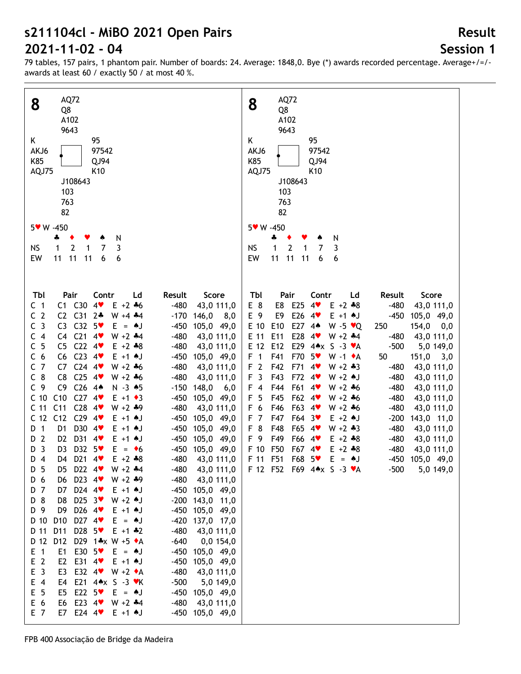# **Session 1**

**Result**

79 tables, 157 pairs, 1 phantom pair. Number of boards: 24. Average: 1848,0. Bye (\*) awards recorded percentage. Average+/=/ awards at least 60 / exactly 50 / at most 40 %.

| AQ72                                                                                                                                                                                                                                                                                                                                                                                                                                                                                                                                                                                                                                                                                                                                                                                                                                                                                                                                                                                                                                                                                                                                                                                                                                                                                                                                                                                                                                                                                                                                                                                                                                                                                                                                                                                                                                                                                                                                                                                                                                                                                                                                                                                                                                                                                                                                                                                                                                      | AQ72                                                                                                                                                                                                                                                                                                                                                                                                                                                                                                                                                                                                                                                                                                                                                                                                                                                                                                                                                                                                                                                                                                                                                                                                                                                  |
|-------------------------------------------------------------------------------------------------------------------------------------------------------------------------------------------------------------------------------------------------------------------------------------------------------------------------------------------------------------------------------------------------------------------------------------------------------------------------------------------------------------------------------------------------------------------------------------------------------------------------------------------------------------------------------------------------------------------------------------------------------------------------------------------------------------------------------------------------------------------------------------------------------------------------------------------------------------------------------------------------------------------------------------------------------------------------------------------------------------------------------------------------------------------------------------------------------------------------------------------------------------------------------------------------------------------------------------------------------------------------------------------------------------------------------------------------------------------------------------------------------------------------------------------------------------------------------------------------------------------------------------------------------------------------------------------------------------------------------------------------------------------------------------------------------------------------------------------------------------------------------------------------------------------------------------------------------------------------------------------------------------------------------------------------------------------------------------------------------------------------------------------------------------------------------------------------------------------------------------------------------------------------------------------------------------------------------------------------------------------------------------------------------------------------------------------|-------------------------------------------------------------------------------------------------------------------------------------------------------------------------------------------------------------------------------------------------------------------------------------------------------------------------------------------------------------------------------------------------------------------------------------------------------------------------------------------------------------------------------------------------------------------------------------------------------------------------------------------------------------------------------------------------------------------------------------------------------------------------------------------------------------------------------------------------------------------------------------------------------------------------------------------------------------------------------------------------------------------------------------------------------------------------------------------------------------------------------------------------------------------------------------------------------------------------------------------------------|
| 8                                                                                                                                                                                                                                                                                                                                                                                                                                                                                                                                                                                                                                                                                                                                                                                                                                                                                                                                                                                                                                                                                                                                                                                                                                                                                                                                                                                                                                                                                                                                                                                                                                                                                                                                                                                                                                                                                                                                                                                                                                                                                                                                                                                                                                                                                                                                                                                                                                         | 8                                                                                                                                                                                                                                                                                                                                                                                                                                                                                                                                                                                                                                                                                                                                                                                                                                                                                                                                                                                                                                                                                                                                                                                                                                                     |
| Q8                                                                                                                                                                                                                                                                                                                                                                                                                                                                                                                                                                                                                                                                                                                                                                                                                                                                                                                                                                                                                                                                                                                                                                                                                                                                                                                                                                                                                                                                                                                                                                                                                                                                                                                                                                                                                                                                                                                                                                                                                                                                                                                                                                                                                                                                                                                                                                                                                                        | Q8                                                                                                                                                                                                                                                                                                                                                                                                                                                                                                                                                                                                                                                                                                                                                                                                                                                                                                                                                                                                                                                                                                                                                                                                                                                    |
| A102                                                                                                                                                                                                                                                                                                                                                                                                                                                                                                                                                                                                                                                                                                                                                                                                                                                                                                                                                                                                                                                                                                                                                                                                                                                                                                                                                                                                                                                                                                                                                                                                                                                                                                                                                                                                                                                                                                                                                                                                                                                                                                                                                                                                                                                                                                                                                                                                                                      | A102                                                                                                                                                                                                                                                                                                                                                                                                                                                                                                                                                                                                                                                                                                                                                                                                                                                                                                                                                                                                                                                                                                                                                                                                                                                  |
| 9643                                                                                                                                                                                                                                                                                                                                                                                                                                                                                                                                                                                                                                                                                                                                                                                                                                                                                                                                                                                                                                                                                                                                                                                                                                                                                                                                                                                                                                                                                                                                                                                                                                                                                                                                                                                                                                                                                                                                                                                                                                                                                                                                                                                                                                                                                                                                                                                                                                      | 9643                                                                                                                                                                                                                                                                                                                                                                                                                                                                                                                                                                                                                                                                                                                                                                                                                                                                                                                                                                                                                                                                                                                                                                                                                                                  |
| 95                                                                                                                                                                                                                                                                                                                                                                                                                                                                                                                                                                                                                                                                                                                                                                                                                                                                                                                                                                                                                                                                                                                                                                                                                                                                                                                                                                                                                                                                                                                                                                                                                                                                                                                                                                                                                                                                                                                                                                                                                                                                                                                                                                                                                                                                                                                                                                                                                                        | 95                                                                                                                                                                                                                                                                                                                                                                                                                                                                                                                                                                                                                                                                                                                                                                                                                                                                                                                                                                                                                                                                                                                                                                                                                                                    |
| K                                                                                                                                                                                                                                                                                                                                                                                                                                                                                                                                                                                                                                                                                                                                                                                                                                                                                                                                                                                                                                                                                                                                                                                                                                                                                                                                                                                                                                                                                                                                                                                                                                                                                                                                                                                                                                                                                                                                                                                                                                                                                                                                                                                                                                                                                                                                                                                                                                         | Κ                                                                                                                                                                                                                                                                                                                                                                                                                                                                                                                                                                                                                                                                                                                                                                                                                                                                                                                                                                                                                                                                                                                                                                                                                                                     |
| AKJ6                                                                                                                                                                                                                                                                                                                                                                                                                                                                                                                                                                                                                                                                                                                                                                                                                                                                                                                                                                                                                                                                                                                                                                                                                                                                                                                                                                                                                                                                                                                                                                                                                                                                                                                                                                                                                                                                                                                                                                                                                                                                                                                                                                                                                                                                                                                                                                                                                                      | 97542                                                                                                                                                                                                                                                                                                                                                                                                                                                                                                                                                                                                                                                                                                                                                                                                                                                                                                                                                                                                                                                                                                                                                                                                                                                 |
| 97542                                                                                                                                                                                                                                                                                                                                                                                                                                                                                                                                                                                                                                                                                                                                                                                                                                                                                                                                                                                                                                                                                                                                                                                                                                                                                                                                                                                                                                                                                                                                                                                                                                                                                                                                                                                                                                                                                                                                                                                                                                                                                                                                                                                                                                                                                                                                                                                                                                     | AKJ6                                                                                                                                                                                                                                                                                                                                                                                                                                                                                                                                                                                                                                                                                                                                                                                                                                                                                                                                                                                                                                                                                                                                                                                                                                                  |
| K85                                                                                                                                                                                                                                                                                                                                                                                                                                                                                                                                                                                                                                                                                                                                                                                                                                                                                                                                                                                                                                                                                                                                                                                                                                                                                                                                                                                                                                                                                                                                                                                                                                                                                                                                                                                                                                                                                                                                                                                                                                                                                                                                                                                                                                                                                                                                                                                                                                       | K85                                                                                                                                                                                                                                                                                                                                                                                                                                                                                                                                                                                                                                                                                                                                                                                                                                                                                                                                                                                                                                                                                                                                                                                                                                                   |
| QJ94                                                                                                                                                                                                                                                                                                                                                                                                                                                                                                                                                                                                                                                                                                                                                                                                                                                                                                                                                                                                                                                                                                                                                                                                                                                                                                                                                                                                                                                                                                                                                                                                                                                                                                                                                                                                                                                                                                                                                                                                                                                                                                                                                                                                                                                                                                                                                                                                                                      | QJ94                                                                                                                                                                                                                                                                                                                                                                                                                                                                                                                                                                                                                                                                                                                                                                                                                                                                                                                                                                                                                                                                                                                                                                                                                                                  |
| AQJ75                                                                                                                                                                                                                                                                                                                                                                                                                                                                                                                                                                                                                                                                                                                                                                                                                                                                                                                                                                                                                                                                                                                                                                                                                                                                                                                                                                                                                                                                                                                                                                                                                                                                                                                                                                                                                                                                                                                                                                                                                                                                                                                                                                                                                                                                                                                                                                                                                                     | AQJ75                                                                                                                                                                                                                                                                                                                                                                                                                                                                                                                                                                                                                                                                                                                                                                                                                                                                                                                                                                                                                                                                                                                                                                                                                                                 |
| K <sub>10</sub>                                                                                                                                                                                                                                                                                                                                                                                                                                                                                                                                                                                                                                                                                                                                                                                                                                                                                                                                                                                                                                                                                                                                                                                                                                                                                                                                                                                                                                                                                                                                                                                                                                                                                                                                                                                                                                                                                                                                                                                                                                                                                                                                                                                                                                                                                                                                                                                                                           | K <sub>10</sub>                                                                                                                                                                                                                                                                                                                                                                                                                                                                                                                                                                                                                                                                                                                                                                                                                                                                                                                                                                                                                                                                                                                                                                                                                                       |
| J108643                                                                                                                                                                                                                                                                                                                                                                                                                                                                                                                                                                                                                                                                                                                                                                                                                                                                                                                                                                                                                                                                                                                                                                                                                                                                                                                                                                                                                                                                                                                                                                                                                                                                                                                                                                                                                                                                                                                                                                                                                                                                                                                                                                                                                                                                                                                                                                                                                                   | J108643                                                                                                                                                                                                                                                                                                                                                                                                                                                                                                                                                                                                                                                                                                                                                                                                                                                                                                                                                                                                                                                                                                                                                                                                                                               |
| 103                                                                                                                                                                                                                                                                                                                                                                                                                                                                                                                                                                                                                                                                                                                                                                                                                                                                                                                                                                                                                                                                                                                                                                                                                                                                                                                                                                                                                                                                                                                                                                                                                                                                                                                                                                                                                                                                                                                                                                                                                                                                                                                                                                                                                                                                                                                                                                                                                                       | 103                                                                                                                                                                                                                                                                                                                                                                                                                                                                                                                                                                                                                                                                                                                                                                                                                                                                                                                                                                                                                                                                                                                                                                                                                                                   |
| 763                                                                                                                                                                                                                                                                                                                                                                                                                                                                                                                                                                                                                                                                                                                                                                                                                                                                                                                                                                                                                                                                                                                                                                                                                                                                                                                                                                                                                                                                                                                                                                                                                                                                                                                                                                                                                                                                                                                                                                                                                                                                                                                                                                                                                                                                                                                                                                                                                                       | 763                                                                                                                                                                                                                                                                                                                                                                                                                                                                                                                                                                                                                                                                                                                                                                                                                                                                                                                                                                                                                                                                                                                                                                                                                                                   |
| 82                                                                                                                                                                                                                                                                                                                                                                                                                                                                                                                                                                                                                                                                                                                                                                                                                                                                                                                                                                                                                                                                                                                                                                                                                                                                                                                                                                                                                                                                                                                                                                                                                                                                                                                                                                                                                                                                                                                                                                                                                                                                                                                                                                                                                                                                                                                                                                                                                                        | 82                                                                                                                                                                                                                                                                                                                                                                                                                                                                                                                                                                                                                                                                                                                                                                                                                                                                                                                                                                                                                                                                                                                                                                                                                                                    |
| 5* W -450                                                                                                                                                                                                                                                                                                                                                                                                                                                                                                                                                                                                                                                                                                                                                                                                                                                                                                                                                                                                                                                                                                                                                                                                                                                                                                                                                                                                                                                                                                                                                                                                                                                                                                                                                                                                                                                                                                                                                                                                                                                                                                                                                                                                                                                                                                                                                                                                                                 | 5 v W -450                                                                                                                                                                                                                                                                                                                                                                                                                                                                                                                                                                                                                                                                                                                                                                                                                                                                                                                                                                                                                                                                                                                                                                                                                                            |
| N                                                                                                                                                                                                                                                                                                                                                                                                                                                                                                                                                                                                                                                                                                                                                                                                                                                                                                                                                                                                                                                                                                                                                                                                                                                                                                                                                                                                                                                                                                                                                                                                                                                                                                                                                                                                                                                                                                                                                                                                                                                                                                                                                                                                                                                                                                                                                                                                                                         | N                                                                                                                                                                                                                                                                                                                                                                                                                                                                                                                                                                                                                                                                                                                                                                                                                                                                                                                                                                                                                                                                                                                                                                                                                                                     |
| 4                                                                                                                                                                                                                                                                                                                                                                                                                                                                                                                                                                                                                                                                                                                                                                                                                                                                                                                                                                                                                                                                                                                                                                                                                                                                                                                                                                                                                                                                                                                                                                                                                                                                                                                                                                                                                                                                                                                                                                                                                                                                                                                                                                                                                                                                                                                                                                                                                                         | 4                                                                                                                                                                                                                                                                                                                                                                                                                                                                                                                                                                                                                                                                                                                                                                                                                                                                                                                                                                                                                                                                                                                                                                                                                                                     |
| $\overline{2}$                                                                                                                                                                                                                                                                                                                                                                                                                                                                                                                                                                                                                                                                                                                                                                                                                                                                                                                                                                                                                                                                                                                                                                                                                                                                                                                                                                                                                                                                                                                                                                                                                                                                                                                                                                                                                                                                                                                                                                                                                                                                                                                                                                                                                                                                                                                                                                                                                            | $\overline{2}$                                                                                                                                                                                                                                                                                                                                                                                                                                                                                                                                                                                                                                                                                                                                                                                                                                                                                                                                                                                                                                                                                                                                                                                                                                        |
| NS                                                                                                                                                                                                                                                                                                                                                                                                                                                                                                                                                                                                                                                                                                                                                                                                                                                                                                                                                                                                                                                                                                                                                                                                                                                                                                                                                                                                                                                                                                                                                                                                                                                                                                                                                                                                                                                                                                                                                                                                                                                                                                                                                                                                                                                                                                                                                                                                                                        | <b>NS</b>                                                                                                                                                                                                                                                                                                                                                                                                                                                                                                                                                                                                                                                                                                                                                                                                                                                                                                                                                                                                                                                                                                                                                                                                                                             |
| 7                                                                                                                                                                                                                                                                                                                                                                                                                                                                                                                                                                                                                                                                                                                                                                                                                                                                                                                                                                                                                                                                                                                                                                                                                                                                                                                                                                                                                                                                                                                                                                                                                                                                                                                                                                                                                                                                                                                                                                                                                                                                                                                                                                                                                                                                                                                                                                                                                                         | 1                                                                                                                                                                                                                                                                                                                                                                                                                                                                                                                                                                                                                                                                                                                                                                                                                                                                                                                                                                                                                                                                                                                                                                                                                                                     |
| 3                                                                                                                                                                                                                                                                                                                                                                                                                                                                                                                                                                                                                                                                                                                                                                                                                                                                                                                                                                                                                                                                                                                                                                                                                                                                                                                                                                                                                                                                                                                                                                                                                                                                                                                                                                                                                                                                                                                                                                                                                                                                                                                                                                                                                                                                                                                                                                                                                                         | 3                                                                                                                                                                                                                                                                                                                                                                                                                                                                                                                                                                                                                                                                                                                                                                                                                                                                                                                                                                                                                                                                                                                                                                                                                                                     |
| 1                                                                                                                                                                                                                                                                                                                                                                                                                                                                                                                                                                                                                                                                                                                                                                                                                                                                                                                                                                                                                                                                                                                                                                                                                                                                                                                                                                                                                                                                                                                                                                                                                                                                                                                                                                                                                                                                                                                                                                                                                                                                                                                                                                                                                                                                                                                                                                                                                                         | 1                                                                                                                                                                                                                                                                                                                                                                                                                                                                                                                                                                                                                                                                                                                                                                                                                                                                                                                                                                                                                                                                                                                                                                                                                                                     |
| 1                                                                                                                                                                                                                                                                                                                                                                                                                                                                                                                                                                                                                                                                                                                                                                                                                                                                                                                                                                                                                                                                                                                                                                                                                                                                                                                                                                                                                                                                                                                                                                                                                                                                                                                                                                                                                                                                                                                                                                                                                                                                                                                                                                                                                                                                                                                                                                                                                                         | 7                                                                                                                                                                                                                                                                                                                                                                                                                                                                                                                                                                                                                                                                                                                                                                                                                                                                                                                                                                                                                                                                                                                                                                                                                                                     |
| 11                                                                                                                                                                                                                                                                                                                                                                                                                                                                                                                                                                                                                                                                                                                                                                                                                                                                                                                                                                                                                                                                                                                                                                                                                                                                                                                                                                                                                                                                                                                                                                                                                                                                                                                                                                                                                                                                                                                                                                                                                                                                                                                                                                                                                                                                                                                                                                                                                                        | 11                                                                                                                                                                                                                                                                                                                                                                                                                                                                                                                                                                                                                                                                                                                                                                                                                                                                                                                                                                                                                                                                                                                                                                                                                                                    |
| EW                                                                                                                                                                                                                                                                                                                                                                                                                                                                                                                                                                                                                                                                                                                                                                                                                                                                                                                                                                                                                                                                                                                                                                                                                                                                                                                                                                                                                                                                                                                                                                                                                                                                                                                                                                                                                                                                                                                                                                                                                                                                                                                                                                                                                                                                                                                                                                                                                                        | EW                                                                                                                                                                                                                                                                                                                                                                                                                                                                                                                                                                                                                                                                                                                                                                                                                                                                                                                                                                                                                                                                                                                                                                                                                                                    |
| 11                                                                                                                                                                                                                                                                                                                                                                                                                                                                                                                                                                                                                                                                                                                                                                                                                                                                                                                                                                                                                                                                                                                                                                                                                                                                                                                                                                                                                                                                                                                                                                                                                                                                                                                                                                                                                                                                                                                                                                                                                                                                                                                                                                                                                                                                                                                                                                                                                                        | 11                                                                                                                                                                                                                                                                                                                                                                                                                                                                                                                                                                                                                                                                                                                                                                                                                                                                                                                                                                                                                                                                                                                                                                                                                                                    |
| 11                                                                                                                                                                                                                                                                                                                                                                                                                                                                                                                                                                                                                                                                                                                                                                                                                                                                                                                                                                                                                                                                                                                                                                                                                                                                                                                                                                                                                                                                                                                                                                                                                                                                                                                                                                                                                                                                                                                                                                                                                                                                                                                                                                                                                                                                                                                                                                                                                                        | 11                                                                                                                                                                                                                                                                                                                                                                                                                                                                                                                                                                                                                                                                                                                                                                                                                                                                                                                                                                                                                                                                                                                                                                                                                                                    |
| 6                                                                                                                                                                                                                                                                                                                                                                                                                                                                                                                                                                                                                                                                                                                                                                                                                                                                                                                                                                                                                                                                                                                                                                                                                                                                                                                                                                                                                                                                                                                                                                                                                                                                                                                                                                                                                                                                                                                                                                                                                                                                                                                                                                                                                                                                                                                                                                                                                                         | 6                                                                                                                                                                                                                                                                                                                                                                                                                                                                                                                                                                                                                                                                                                                                                                                                                                                                                                                                                                                                                                                                                                                                                                                                                                                     |
| 6                                                                                                                                                                                                                                                                                                                                                                                                                                                                                                                                                                                                                                                                                                                                                                                                                                                                                                                                                                                                                                                                                                                                                                                                                                                                                                                                                                                                                                                                                                                                                                                                                                                                                                                                                                                                                                                                                                                                                                                                                                                                                                                                                                                                                                                                                                                                                                                                                                         | 6                                                                                                                                                                                                                                                                                                                                                                                                                                                                                                                                                                                                                                                                                                                                                                                                                                                                                                                                                                                                                                                                                                                                                                                                                                                     |
| Tbl<br>Contr<br>Score<br>Pair<br>Ld<br>Result<br>C1 C30<br>4<br>$E + 2 + 6$<br>C <sub>1</sub><br>$-480$<br>43,0 111,0<br>C <sub>2</sub><br>C2 C31<br>$2*$<br>$W + 4 + 4$<br>$-170$<br>146,0<br>8,0<br>C <sub>3</sub><br>C3 C32 5<br>105,0 49,0<br>$E = AJ$<br>$-450$<br>C4 C21<br>C <sub>4</sub><br>$4$ v<br>$W + 2 + 4$<br>$-480$<br>43,0 111,0<br>C <sub>5</sub><br>$C22$ 4<br>C <sub>5</sub><br>$E + 2 + 8$<br>$-480$<br>43,0 111,0<br>$C23$ 4<br>C <sub>6</sub><br>C6<br>$E + 1$ $\uparrow$ J<br>$-450$<br>105,0 49,0<br>C <sub>7</sub><br>$C24$ 4<br>C7<br>$W + 2 + 6$<br>$-480$<br>43,0 111,0<br>$C_8$<br>$C25$ 4<br>C8<br>$W + 2 + 6$<br>$-480$<br>43,0 111,0<br>$C26$ 44<br>C <sub>9</sub><br>C <sub>9</sub><br>$N - 3$ $*5$<br>$-150$<br>148,0<br>6,0<br>$C27$ 4<br>C10<br>C <sub>10</sub><br>105,0 49,0<br>$E + 1 \cdot 3$<br>$-450$<br>$C28$ 4<br>C <sub>11</sub><br>C <sub>11</sub><br>$W + 2 + 9$<br>$-480$<br>43,0 111,0<br>$C29$ 4<br>C <sub>12</sub><br>C <sub>12</sub><br>105,0 49,0<br>$E + 1$ $\uparrow$<br>$-450$<br>D30 4<br>$\overline{1}$<br>D <sub>1</sub><br>105,0 49,0<br>D<br>$E + 1$ $A$ J<br>$-450$<br>$\overline{2}$<br>D31<br>D <sub>2</sub><br>4<br>105,0 49,0<br>$E + 1$ $\uparrow$ J<br>$-450$<br>D<br>D32 5<br>$\overline{3}$<br>D <sub>3</sub><br>$E = \bullet 6$<br>-450<br>105,0 49,0<br>D<br>D4 D21 4<br>$D$ 4<br>$E + 2 + 8$<br>$-480$<br>43,0 111,0<br>D <sub>5</sub><br>D5 D22 4<br>$W + 2 + 4$<br>$-480$<br>43,0 111,0<br>D6 D23 4<br>$W + 2 + 9$<br>$-480$<br>43,0 111,0<br>D 6<br>D7 D24 4<br>$E + 1$ $\uparrow$ J<br>-450 105,0 49,0<br>D 7<br>D8 D25 3<br>D 8<br>$W + 2$ $\uparrow$ J<br>$-200$ 143,0 11,0<br>D9 D26 4<br>D 9<br>$E + 1$ $\uparrow$ J<br>-450 105,0 49,0<br>D <sub>10</sub><br>D27 4<br>D 10<br>$E = AJ$<br>-420 137,0 17,0<br>D28 5<br>D 11<br>D11<br>$-480$<br>43,0 111,0<br>$E + 1$ $*2$<br>D12<br>D29 1*x W +5 ◆A<br>D 12<br>$-640$<br>$0,0$ 154,0<br>E30 $5\bullet$<br>$E$ 1<br>E1<br>$E = AJ$<br>-450 105,0 49,0<br>E <sub>2</sub><br>E2<br>E31 4<br>$E + 1$ $\uparrow$ J<br>-450 105,0 49,0<br>E <sub>3</sub><br>E <sub>3</sub><br>E32 $4$ W +2 $\bullet$ A<br>$-480$<br>43,0 111,0<br>$E$ 4<br>E4<br>E21 $4 \cdot x$ S -3 $\cdot x$ K<br>$-500$<br>5,0 149,0<br>E <sub>5</sub><br>E22 5<br>E <sub>5</sub><br>-450 105,0 49,0<br>$E = AJ$<br>E 6<br>E23 $4$<br>E6<br>$W + 2 + 4$<br>$-480$ 43,0 111,0<br>E7 E24 4<br>E 7<br>$E + 1$ $\uparrow$ J<br>-450 105,0 49,0 | Tbl<br>Pair<br>Contr<br>Ld<br>Result<br>Score<br>E25<br>E 8<br>E8<br>4<br>$E + 2 + 8$<br>$-480$<br>43,0 111,0<br>E 9<br>E26<br>E9<br>$E + 1$ AJ<br>$-450$<br>$4$ v<br>105,0 49,0<br>E27 44<br>E 10<br>E10<br>$W - 5 \cdot Q$<br>154,0<br>250<br>0,0<br>E28<br>E 11<br>E11<br>$W + 2 + 4$<br>$-480$<br>43,0 111,0<br>$4$ v<br>E 12 E12<br>E29 44x S -3 $\mathbf{v}$ A<br>$-500$<br>5,0 149,0<br>F <sub>1</sub><br>F41<br>F70<br>$5*$<br>$W - 1$ $\star$ A<br>50<br>$151,0$ $3,0$<br>F <sub>2</sub><br>F42<br>F71<br>4<br>$W + 2 * 3$<br>$-480$<br>43,0 111,0<br>F <sub>3</sub><br>F43<br>F72<br>4<br>$W + 2$ AJ<br>$-480$<br>43,0 111,0<br>$F$ 4<br>F44<br>F61<br>$W + 2 + 6$<br>$-480$<br>4<br>43,0 111,0<br>F <sub>5</sub><br>F45<br>F62 4<br>$W + 2 + 6$<br>$-480$<br>43,0 111,0<br>F63 4<br>F 6<br>F46<br>$W + 2 + 6$<br>$-480$<br>43,0 111,0<br>F <sub>7</sub><br>F47<br>F64 3<br>$E + 2$ $\uparrow$ J<br>$-200$<br>143,0 11,0<br>F <sub>8</sub><br>F48<br>F65 4<br>$W + 2 + 3$<br>$-480$<br>43,0 111,0<br>F 9<br>F49<br>F66 4<br>$E + 2 + 8$<br>$-480$<br>43,0 111,0<br>F 10 F50<br>F67 4<br>$-480$<br>$E + 2 + 8$<br>43,0 111,0<br>F 11 F51<br>F68 5<br>$E = \triangle J$<br>-450 105,0 49,0<br>F 12 F52 F69 4** S -3 *A<br>$-500$<br>5,0 149,0 |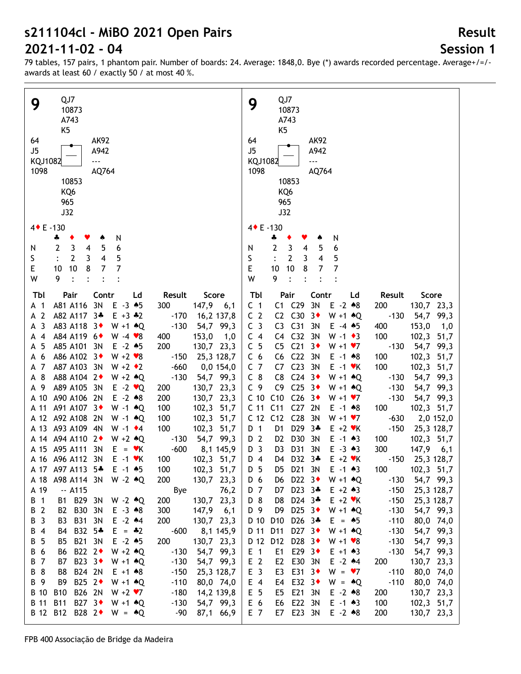## **Session 1**

**Result**

| QJ7<br>9                                                                                                                 | QJ7<br>9                                                                                                                               |
|--------------------------------------------------------------------------------------------------------------------------|----------------------------------------------------------------------------------------------------------------------------------------|
| 10873                                                                                                                    | 10873                                                                                                                                  |
| A743                                                                                                                     | A743                                                                                                                                   |
| K <sub>5</sub>                                                                                                           | K <sub>5</sub>                                                                                                                         |
| 64<br><b>AK92</b>                                                                                                        | 64<br><b>AK92</b>                                                                                                                      |
| J5<br>A942<br>444                                                                                                        | J5<br>A942<br>444                                                                                                                      |
| KQJ1082<br>1098                                                                                                          | KQJ1082<br>1098                                                                                                                        |
| AQ764<br>10853                                                                                                           | AQ764<br>10853                                                                                                                         |
| KQ6                                                                                                                      | KQ6                                                                                                                                    |
| 965                                                                                                                      | 965                                                                                                                                    |
| J32                                                                                                                      | J32                                                                                                                                    |
|                                                                                                                          |                                                                                                                                        |
| 4 + E -130                                                                                                               | 4◆ E-130                                                                                                                               |
| N<br>4<br>٠<br>۸                                                                                                         | N<br>♣<br>۸                                                                                                                            |
| 5<br>6<br>$\mathbf{3}$<br>$\overline{4}$<br>$\overline{2}$<br>N                                                          | 6<br>$\overline{2}$<br>3<br>$\overline{\mathbf{4}}$<br>5<br>N                                                                          |
| $\overline{\mathbf{4}}$<br>S<br>$\overline{2}$<br>5<br>3                                                                 | $\overline{\mathbf{4}}$<br>S<br>$\mathbf{2}$<br>5<br>3                                                                                 |
| E<br>10<br>$\overline{7}$<br>8<br>$\overline{7}$<br>10<br>W<br>9<br>$\cdot$                                              | E<br>10<br>7<br>8<br>10<br>$\overline{7}$<br>W<br>9<br>$\bullet$                                                                       |
|                                                                                                                          |                                                                                                                                        |
| Contr<br>Score<br>Tbl<br>Pair<br>Ld<br>Result                                                                            | Tbl<br>Pair<br>Contr<br>Result<br>Score<br>Ld                                                                                          |
| 3N<br>$E - 3 \cdot 5$<br>A81 A116<br>300<br>$147,9$ 6,1<br>A 1                                                           | C1 C29<br>3N<br>$E - 2 * 8$<br>C <sub>1</sub><br>200<br>130,7 23,3                                                                     |
| A <sub>2</sub><br>A82 A117 3*<br>$E + 3$ $*2$<br>$-170$<br>16,2 137,8                                                    | C2 C30<br>C <sub>2</sub><br>$-130$<br>$3\bullet$<br>$W + 1$ $*Q$<br>54,7 99,3                                                          |
| -3<br>A83 A118 3 <sup>+</sup><br>$-130$<br>54,7 99,3<br>$W + 1$ $*Q$<br>A                                                | C <sub>3</sub><br>C <sub>31</sub><br>3N<br>400<br>153,0<br>C <sub>3</sub><br>$E - 4$ $*5$<br>1,0                                       |
| A84 A119 6 <sup>+</sup><br>153,0<br>$\overline{4}$<br>$W - 4 \cdot 8$<br>400<br>1,0<br>А                                 | C4 C32<br>C <sub>4</sub><br>3N<br>$W - 1 \cdot 3$<br>100<br>102,3 51,7                                                                 |
| - 5<br>A85 A101 3N<br>$E - 2$ $*5$<br>200<br>130,7 23,3<br>A                                                             | C <sub>5</sub><br>C <sub>21</sub><br>C <sub>5</sub><br>$3*$<br>$W + 1 V$<br>$-130$<br>54,7 99,3                                        |
| A86 A102 3 <sup>+</sup><br>$W + 2 \cdot 8$<br>$-150$<br>- 6<br>25,3 128,7<br>A                                           | C <sub>22</sub><br>C <sub>6</sub><br>C <sub>6</sub><br>3N<br>100<br>102,3 51,7<br>$E - 1$ $*8$                                         |
| A87 A103 3N<br>$-660$<br>A 7<br>$W + 2 \cdot 2$<br>0,0 154,0                                                             | C <sub>23</sub><br>C <sub>7</sub><br>100<br>C7<br>3N<br>$E - 1$ $\forall$ K<br>102,3 51,7                                              |
| A 8<br>A88 A104 2+<br>$W + 2 \cdot Q$<br>$-130$<br>54,7 99,3<br>A89 A105 3N<br>A 9                                       | $C_8$<br>$C24$ 3<br>C <sub>8</sub><br>$W + 1$ $*Q$<br>54,7<br>99,3<br>$-130$<br>C <sub>9</sub><br>C <sub>25</sub> $3+$<br>C9<br>$-130$ |
| 130,7 23,3<br>$E - 2 \cdot Q$<br>200<br>A90 A106 2N<br>$E - 2 \cdot 8$<br>200<br>130,7 23,3<br>A 10                      | 54,7 99,3<br>$W + 1$ $*Q$<br>C10<br>C <sub>26</sub><br>C <sub>10</sub><br>$3+$<br>$W + 1 \cdot 7$<br>$-130$<br>54,7 99,3               |
| A91 A107 3+<br>100<br>102,3 51,7<br>A 11<br>$W - 1$ $*Q$                                                                 | C <sub>27</sub><br>2N<br>C 11 C11<br>100<br>102,3 51,7<br>$E - 1$ $*8$                                                                 |
| A 12 A92 A108 2N<br>100<br>102,3 51,7<br>$W - 1$ $*Q$                                                                    | C <sub>28</sub><br>C 12 C12<br>3N<br>$W + 1 \cdot 7$<br>$-630$<br>2,0 152,0                                                            |
| A 13 A93 A109 4N<br>100<br>102,3 51,7<br>$W - 1$ $\bullet$ 4                                                             | D <sub>29</sub><br>D 1<br>D <sub>1</sub><br>$3*$<br>$E + 2$ $\blacktriangledown$ K<br>$-150$<br>25,3 128,7                             |
| A 14 A 94 A 110 2<br>54,7 99,3<br>$W + 2 \cdot Q$<br>$-130$                                                              | D30<br>D 2<br>D <sub>2</sub><br>3N<br>$E - 1$ $*3$<br>100<br>102,3 51,7                                                                |
| A 15 A95 A111<br>$-600$<br>3N<br>$E = \mathbf{v}K$<br>8,1 145,9                                                          | D31<br>D <sub>3</sub><br>300<br>D <sub>3</sub><br>3N<br>$E - 3 \cdot 3$<br>$147,9$ 6,1                                                 |
| A 16 A96 A112 3N<br>$E - 1$ $\forall$ K<br>102,3 51,7<br>100                                                             | D <sub>4</sub><br>D4 D32 3*<br>$E + 2$ $\vee$ K<br>$-150$<br>25,3 128,7                                                                |
| A 17 A97 A113 5*<br>$E - 1$ $*5$<br>102,3 51,7<br>100                                                                    | D21 3N<br>$E - 1$ 43<br>102,3 51,7<br>D 5<br>100<br>D5.                                                                                |
| 130,7 23,3<br>A98 A114 3N W -2 $*Q$<br>200<br>A 18                                                                       | D22 $3\bullet$<br>54,7 99,3<br>$W + 1$ $*Q$<br>$-130$<br>D 6<br>D6                                                                     |
| A 19<br>$-$ A115<br>Bye<br>76,2                                                                                          | D7 D23 3*<br>$E + 2 \cdot 3$<br>$-150$<br>D 7<br>25,3 128,7                                                                            |
| B1 B29 3N<br>B 1<br>200<br>130,7 23,3<br>$W - 2 \cdot Q$                                                                 | D24 3*<br>D 8<br>D <sub>8</sub><br>$E + 2 \cdot K$<br>$-150$<br>25,3 128,7                                                             |
| B2 B30<br>B 2<br>3N<br>300<br>$147,9$ 6,1<br>$E - 3 \cdot 8$                                                             | D25 $3*$<br>D 9<br>D <sub>9</sub><br>$W + 1$ $*Q$<br>$-130$<br>54,7 99,3                                                               |
| <b>B31</b><br>B 3<br><b>B3</b><br>3N<br>$E - 2$ $*4$<br>200<br>130,7 23,3                                                | D26 3*<br>D 10<br>D <sub>10</sub><br>$E = \triangle 5$<br>$-110$<br>80,0 74,0                                                          |
| B32 5*<br>B 4<br>$-600$<br>8,1 145,9<br>B4<br>$E = -2$                                                                   | D27 $3\bullet$<br>D 11<br>D11<br>$-130$<br>54,7 99,3<br>$W + 1$ $A$ Q                                                                  |
| B21 3N<br>B 5<br><b>B5</b><br>$E - 2$ 45<br>200<br>130,7 23,3<br>B22 2◆                                                  | D 12 D12 D28 3+<br>$W + 1 \cdot 8$<br>$-130$<br>54,7 99,3<br>E29 $3\bullet$<br>$-130$<br>E1                                            |
| B 6<br>$W + 2 \cdot Q$<br>$-130$<br>54,7 99,3<br>B6<br>B23 3◆<br>B 7<br><b>B7</b><br>$W + 1$ $*Q$<br>$-130$<br>54,7 99,3 | $E$ 1<br>$E + 1 \cdot 3$<br>54,7 99,3<br>E <sub>2</sub><br>E30 3N<br>E <sub>2</sub><br>$E - 2$ $*4$<br>130,7 23,3<br>200               |
| B24 2N<br>B 8<br>B8<br>$E + 1 \cdot 8$<br>$-150$<br>25,3 128,7                                                           | E <sub>3</sub><br>E31 3◆<br>E3<br>$W = \bullet 7$<br>$-110$<br>80,0 74,0                                                               |
| B25 2◆<br>B 9<br>B9<br>$-110$<br>$W + 1$ $A$ Q<br>80,0 74,0                                                              | E32 3+<br>$-110$<br>80,0 74,0<br>E 4<br>E4<br>$W = AQ$                                                                                 |
| B26 2N<br><b>B</b> 10<br><b>B10</b><br>$-180$<br>14,2 139,8<br>$W + 2 V$                                                 | E21 3N<br>E 5<br>130,7 23,3<br>E5<br>$E - 2 \cdot 8$<br>200                                                                            |
| B27 $3\bullet$<br><b>B</b> 11<br><b>B11</b><br>$-130$<br>54,7 99,3<br>$W + 1$ $*Q$                                       | E22 3N<br>E 6<br>$E - 1$ $*3$<br>100<br>102,3 51,7<br>E6                                                                               |
| B 12 B12 B28 2+<br>$-90$<br>$W = AQ$<br>87,1 66,9                                                                        | E23 3N<br>E 7<br>$E - 2 \cdot 8$<br>200<br>130,7 23,3<br>E7                                                                            |
|                                                                                                                          |                                                                                                                                        |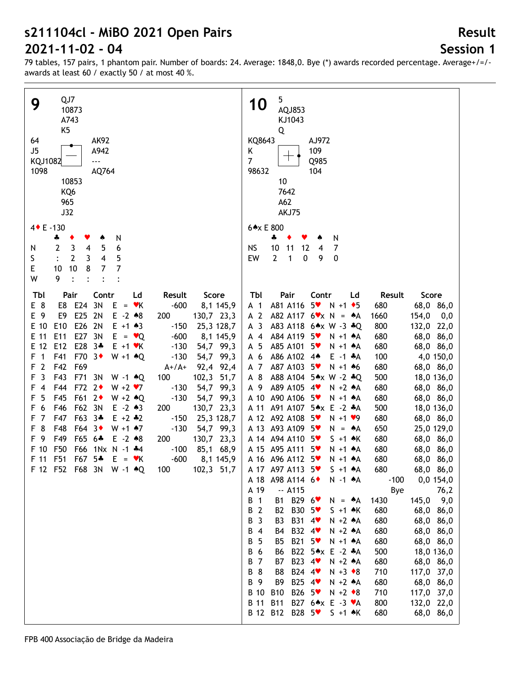# **Session 1**

**Result**

| QJ7<br>9<br>10873<br>A743<br>K <sub>5</sub><br><b>AK92</b><br>64<br>J5<br>A942<br>KQJ1082<br>---<br>1098<br>AQ764<br>10853<br>KQ6<br>965<br>J32<br>4 + E -130<br>N<br>♣<br>۸<br>3<br>5<br>2<br>6<br>$\overline{4}$<br>N<br>5<br>S<br>$\mathbf{2}$<br>3<br>4<br>E<br>$\overline{7}$<br>$10$<br>$\overline{7}$<br>8<br>10<br>W<br>9<br>$\bullet$<br>Tbl<br>Pair<br>Contr<br>Ld<br>Result<br>Score                                                                                                                                                                                                                                                                                                                                                                                                                                                                                                                                                                                                                                                                                                                                                                                                                         | 5<br>10<br>AQJ853<br>KJ1043<br>Q<br>KQ8643<br>AJ972<br>109<br>Κ<br>$\overline{7}$<br>Q985<br>98632<br>104<br>10<br>7642<br>A62<br>AKJ75<br>6*x E 800<br>N<br>4<br>۸<br><b>NS</b><br>10<br>11<br>12<br>7<br>$\overline{4}$<br>$\overline{2}$<br>$\mathbf{1}$<br>EW<br>0<br>9<br>$\pmb{0}$<br>Pair<br>Tbl<br>Contr<br>Result<br>Score<br>Ld                                                                                                                                                                                                                                                                                                                                                                                                                                                                                                                                                                                                                                                                                                                                                                                                                                                                                                                                                                                                                                                                                                                                                                                                                                                                                                                                                                                                                                                                                                                                                                                                                                                                                          |
|-------------------------------------------------------------------------------------------------------------------------------------------------------------------------------------------------------------------------------------------------------------------------------------------------------------------------------------------------------------------------------------------------------------------------------------------------------------------------------------------------------------------------------------------------------------------------------------------------------------------------------------------------------------------------------------------------------------------------------------------------------------------------------------------------------------------------------------------------------------------------------------------------------------------------------------------------------------------------------------------------------------------------------------------------------------------------------------------------------------------------------------------------------------------------------------------------------------------------|------------------------------------------------------------------------------------------------------------------------------------------------------------------------------------------------------------------------------------------------------------------------------------------------------------------------------------------------------------------------------------------------------------------------------------------------------------------------------------------------------------------------------------------------------------------------------------------------------------------------------------------------------------------------------------------------------------------------------------------------------------------------------------------------------------------------------------------------------------------------------------------------------------------------------------------------------------------------------------------------------------------------------------------------------------------------------------------------------------------------------------------------------------------------------------------------------------------------------------------------------------------------------------------------------------------------------------------------------------------------------------------------------------------------------------------------------------------------------------------------------------------------------------------------------------------------------------------------------------------------------------------------------------------------------------------------------------------------------------------------------------------------------------------------------------------------------------------------------------------------------------------------------------------------------------------------------------------------------------------------------------------------------------|
| E 8<br>E24 3N<br>$-600$<br>E8<br>$E = vK$<br>8,1 145,9<br>E 9<br>E9<br>E25<br>2N<br>$E - 2 \cdot 8$<br>200<br>130,7 23,3<br>E26 2N<br>E 10<br>E <sub>10</sub><br>$E + 1 \cdot 3$<br>$-150$<br>25,3 128,7<br>E27 3N<br>E 11<br>E11<br>$E = \vee Q$<br>$-600$<br>8,1 145,9<br>E 12<br>E28 3*<br>E12<br>$E + 1$ $\forall$ K<br>$-130$<br>54,7 99,3<br>F41<br>F70 3+<br>F<br>$\overline{1}$<br>$W + 1$ $*Q$<br>$-130$<br>99,3<br>54,7<br>$\overline{2}$<br>F42<br>F69<br>F<br>$A+ / A+$<br>92,4<br>92,4<br>$\overline{3}$<br>F43<br>F71<br>102,3<br>F<br>3N<br>100<br>51,7<br>$W - 1$ $*Q$<br>F44<br>F72 2+<br>$\overline{4}$<br>$W + 2 V$<br>$-130$<br>54,7<br>99,3<br>F<br>5<br>F45<br>F61 2+<br>$-130$<br>$W + 2 \cdot Q$<br>54,7<br>99,3<br>F<br>6<br>F46<br>F62 3N<br>$E - 2 \cdot 3$<br>200<br>130,7 23,3<br>F<br>$\overline{7}$<br>F47<br>F63 3*<br>$E + 2 + 2$<br>$-150$<br>25,3 128,7<br>F<br>8<br>F48<br>F64 3 <sup>+</sup><br>$-130$<br>54,7 99,3<br>F<br>$W + 1$ $*7$<br>F 9<br>F49<br>F65 6*<br>$E - 2 * 8$<br>200<br>130,7 23,3<br>F50<br>F66<br>F 10<br>1Nx N -1 *4<br>$-100$<br>85,1 68,9<br>F51<br>F67<br>$5*$<br>F 11<br>$E = vK$<br>$-600$<br>8,1 145,9<br>102,3 51,7<br>F 12 F52 F68 3N W -1 + Q<br>100 | A81 A116<br>$5*$<br>68,0 86,0<br>A <sub>1</sub><br>$N + 1$ + 5<br>680<br>A 2<br>A82 A117 $6 \times x$ N = $A$ A<br>154,0<br>1660<br>0,0<br>A <sub>3</sub><br>A83 A118 6*x W -3 *Q<br>800<br>132,0 22,0<br>A84 A119<br>68,0 86,0<br>$A$ 4<br>$5*$<br>$N + 1$ $A$<br>680<br>A85 A101<br>A 5<br>$5*$<br>68,0 86,0<br>$N + 1$ $A$<br>680<br>A 6<br>A86 A102<br>$E - 1$ $A$<br>100<br>4,0 150,0<br>$4*$<br>A87 A103<br>A 7<br>$5*$<br>680<br>68,0 86,0<br>$N + 1$ 46<br>A88 A104 5*x W -2 *Q<br>A 8<br>500<br>18,0 136,0<br>A 9<br>A89 A105<br>$N + 2 A$<br>4<br>680<br>68,0 86,0<br>A90 A106<br>A 10<br>$5*$<br>$N + 1$ $A$<br>680<br>68,0 86,0<br>A 11<br>A91 A107<br>5*x E -2 *A<br>500<br>18,0 136,0<br>A 12 A92 A108<br>$5*$<br>$N + 1$ $\vee$ 9<br>680<br>68,0 86,0<br>A 13 A93 A109<br>$5*$<br>650<br>25,0 129,0<br>$N = A$<br>A 14 A 94 A 110<br>680<br>$5*$<br>$S + 1$ $\star$ K<br>68,0 86,0<br>A 15 A95 A111<br>$5*$<br>680<br>68,0 86,0<br>$N + 1$ $A$<br>A 16 A 96 A 112<br>$5*$<br>680<br>68,0 86,0<br>$N + 1$ $A$<br>A 17 A97 A113 5<br>680<br>68,0 86,0<br>$S + 1$ $A$<br>A 18 A 98 A 114 6<br>0,0 154,0<br>$N - 1$ $A$<br>$-100$<br>A 19<br>$-$ A115<br>Bye<br>76,2<br>B 1<br>B29 6 <sup>₩</sup><br>145,0<br>9,0<br><b>B1</b><br>1430<br>$N = A$<br>B 2<br>B30 5 <sup>₩</sup><br>B <sub>2</sub><br>680<br>$S + 1$ $\star$ K<br>68,0 86,0<br>B 3<br>B31 4<br>B <sub>3</sub><br>$N + 2 A$<br>680<br>68,0 86,0<br>B32 4 <sup>₩</sup><br>B 4<br>$N + 2 A$<br>680<br>B4<br>68,0 86,0<br><b>B21</b><br>5<br>B<br>$5*$<br>$N + 1$ $A$<br>680<br>68,0 86,0<br>B5<br>B22 5*x E -2 *A<br>500<br>B 6<br>18,0 136,0<br>B6<br>B 7<br>B23 4<br>680<br>68,0 86,0<br>B7<br>$N + 2 A$<br><b>B</b> 8<br>B24 4<br>B8<br>$N + 3 \cdot 8$<br>710<br>117,0 37,0<br>B 9<br>B25 4 <sup>₩</sup><br>B9<br>680<br>68,0 86,0<br>$N + 2 A$<br>B 10<br>B26 5 <sup>₩</sup><br><b>B10</b><br>710<br>117,0 37,0<br>$N + 2 \cdot 8$<br><b>B</b> 11<br><b>B11</b><br>B27 6*x E -3 *A<br>800<br>132,0 22,0<br>B 12 B12 B28 5 * S +1 *K<br>680<br>68,0 86,0 |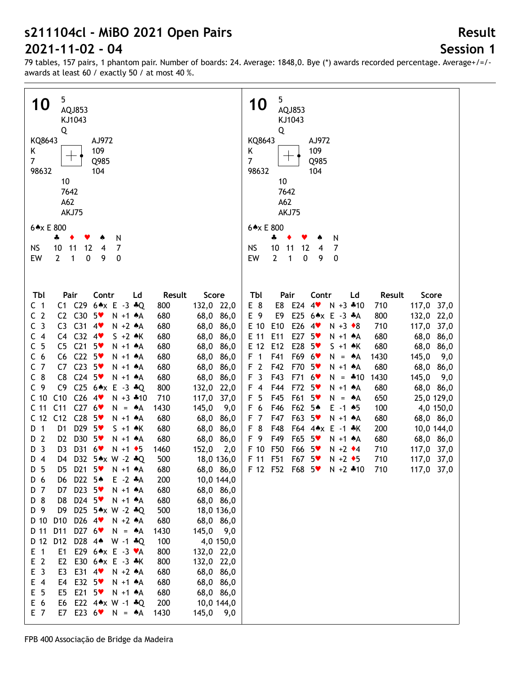# **Session 1**

**Result**

79 tables, 157 pairs, 1 phantom pair. Number of boards: 24. Average: 1848,0. Bye (\*) awards recorded percentage. Average+/=/ awards at least 60 / exactly 50 / at most 40 %.

| 5<br><b>10</b><br>AQJ853<br>KJ1043                                                                                                                       | 5<br>10<br>AQJ853<br>KJ1043                                                                                                                           |
|----------------------------------------------------------------------------------------------------------------------------------------------------------|-------------------------------------------------------------------------------------------------------------------------------------------------------|
| Q<br>KQ8643<br>AJ972                                                                                                                                     | Q<br>KQ8643<br>AJ972                                                                                                                                  |
| 109<br>Κ<br>$\overline{7}$<br>Q985                                                                                                                       | 109<br>Κ<br>$\overline{7}$<br>Q985                                                                                                                    |
| 98632<br>104                                                                                                                                             | 98632<br>104                                                                                                                                          |
| 10<br>7642                                                                                                                                               | 10<br>7642                                                                                                                                            |
| A62                                                                                                                                                      | A62                                                                                                                                                   |
| AKJ75                                                                                                                                                    | AKJ75                                                                                                                                                 |
| 6*x E 800                                                                                                                                                | 6*x E 800                                                                                                                                             |
| N<br>4                                                                                                                                                   | ÷<br>N                                                                                                                                                |
| 7<br><b>NS</b><br>10<br>11<br>12<br>4<br>0<br>EW<br>$\overline{2}$<br>$\mathbf{1}$<br>$\mathbf 0$<br>9                                                   | 10<br>7<br><b>NS</b><br>11<br>12<br>$\overline{4}$<br>$\mathbf{1}$<br>$\overline{2}$<br>$\mathbf 0$<br>9<br>0<br>EW                                   |
|                                                                                                                                                          |                                                                                                                                                       |
|                                                                                                                                                          |                                                                                                                                                       |
| Score<br>Tbl<br>Pair<br>Contr<br>Result<br>Ld                                                                                                            | Tbl<br>Pair<br>Contr<br>Score<br>Ld<br>Result                                                                                                         |
| C1 C29<br>$6 \times E - 3 \cdot Q$<br>132,0 22,0<br>C <sub>1</sub><br>800                                                                                | E 8<br>E8<br>E24<br>4<br>$N + 3$ $*10$<br>117,0 37,0<br>710                                                                                           |
| C <sub>2</sub><br>C2 C30 5<br>68,0 86,0<br>$N + 1$ $A$<br>680                                                                                            | E 9<br>E25 6*x E -3 *A<br>E9<br>800<br>132,0 22,0                                                                                                     |
| C <sub>3</sub><br>$C31$ 4<br>C3<br>68,0 86,0<br>$N + 2 A$<br>680                                                                                         | E26<br>E 10<br>E10<br>710<br>117,0 37,0<br>$4\bullet$<br>$N + 3 \cdot 8$                                                                              |
| $C4$ $C32$ $4$<br>C <sub>4</sub><br>$S + 2$ $\star$ K<br>68,0 86,0<br>680                                                                                | E27<br>E 11<br>E11<br>$5*$<br>680<br>68,0 86,0<br>$N + 1$ $A$                                                                                         |
| 5<br>C <sub>21</sub><br>С<br>C5<br>$5*$<br>680<br>N +1 + A<br>68,0 86,0<br>$C22$ 5<br>C <sub>6</sub><br>C6<br>N +1 + A<br>680<br>68,0 86,0               | E28<br>E 12<br>E12<br>680<br>68,0 86,0<br>$5*$<br>$S + 1$ $\star$ K<br>F <sub>1</sub><br>F41<br>F69 6 <sup>*</sup><br>1430<br>145,0<br>9,0<br>$N = A$ |
| $C23$ 5<br>$\overline{7}$<br>C7<br>68,0 86,0<br>C<br>$N + 1$ $A$<br>680                                                                                  | F <sub>2</sub><br>F70<br>F42<br>$5*$<br>680<br>$N + 1$ $A$<br>68,0 86,0                                                                               |
| $C_8$<br>C8<br>$C24$ 5<br>$N + 1$ $A$<br>68,0 86,0<br>680                                                                                                | F <sub>3</sub><br>F43<br>F71<br>1430<br>145,0<br>$6$ v<br>$N = *10$<br>9,0                                                                            |
| C9<br>$C25$ 6*x E -3 *Q<br>C <sub>9</sub><br>132,0 22,0<br>800                                                                                           | F 4<br>F44<br>F72<br>$5*$<br>$N + 1$ $A$<br>680<br>68,0 86,0                                                                                          |
| C10<br>$C26$ 4<br>C <sub>10</sub><br>$N + 3$ $*10$<br>710<br>117,0 37,0                                                                                  | F <sub>5</sub><br>F45<br>F61<br>5 <sub>v</sub><br>650<br>25,0 129,0<br>$N = A$                                                                        |
| C276<br>C <sub>11</sub><br>C <sub>11</sub><br>145,0<br>1430<br>9,0<br>$N = A$                                                                            | F 6<br>F46<br>F62<br>5♠<br>$E - 1$ $*5$<br>100<br>4,0 150,0                                                                                           |
| C <sub>12</sub><br>C12<br>$C28$ 5<br>N +1 + A<br>680<br>68,0 86,0<br>D29 5<br>D <sub>1</sub><br>D <sub>1</sub><br>$S + 1$ $\star$ K<br>680<br>68,0 86,0  | F <sub>7</sub><br>F63<br>F47<br>$5*$<br>$N + 1$ $A$<br>680<br>68,0 86,0<br>F 8<br>F48<br>F64 4*x<br>$E - 1$ $*$ K<br>200<br>10,0 144,0                |
| D30 5<br>D 2<br>D <sub>2</sub><br>$N + 1$ $A$<br>680<br>68,0 86,0                                                                                        | F 9<br>F49<br>F65<br>5 <sub>v</sub><br>$N + 1$ $A$<br>680<br>68,0 86,0                                                                                |
| D31<br>3<br>D <sub>3</sub><br>$6*$<br>152,0<br>D<br>$N + 1$ + 5<br>1460<br>2,0                                                                           | F 10<br>F50<br>F66<br>$N + 2$ $\div 4$<br>710<br>117,0 37,0<br>$5*$                                                                                   |
| $D_4$<br>D32 5*x W -2 *Q<br>500<br>D4<br>18,0 136,0                                                                                                      | F51<br>F 11<br>F67<br>$5*$<br>$N + 2$ $\rightarrow$ 5<br>710<br>117,0 37,0                                                                            |
| D21 $5\textdegree$<br>68,0 86,0<br>D 5<br>680<br>D5<br>N +1 ♠A                                                                                           | 117,0 37,0<br>F 12 F52 F68 5 W N +2 +10<br>710                                                                                                        |
| D22 5 <sup>*</sup><br>$E - 2$ $A$<br>200<br>10,0 144,0<br>D 6<br>D6                                                                                      |                                                                                                                                                       |
| D23 5<br>D 7<br>D7<br>$N + 1$ $A$<br>680<br>68,0 86,0<br>D24 5<br>D 8<br>D8<br>680<br>68,0 86,0<br>$N + 1$ $A$                                           |                                                                                                                                                       |
| D 9<br>D9<br>D25 5*x W -2 *Q<br>500<br>18,0 136,0                                                                                                        |                                                                                                                                                       |
| D26 4<br>D 10<br>D10<br>$N + 2 A$<br>680<br>68,0 86,0                                                                                                    |                                                                                                                                                       |
| D 11<br>D11<br>D27 6<br>1430<br>145,0 9,0<br>$N = A$                                                                                                     |                                                                                                                                                       |
| D 12<br>D12<br>D28 44<br>100<br>4,0 150,0<br>$W - 1$ $*Q$                                                                                                |                                                                                                                                                       |
| $E$ 1<br>E1<br>E29 6*x E -3 ♥A<br>800<br>132,0 22,0                                                                                                      |                                                                                                                                                       |
| E <sub>2</sub><br>E <sub>2</sub><br>E30 6*x E -3 *K<br>800<br>132,0 22,0<br>$\overline{\mathbf{3}}$<br>E<br>E3<br>E31 4<br>$N + 2 A$<br>680<br>68,0 86,0 |                                                                                                                                                       |
| E 4<br>E4<br>E32 5<br>$N + 1$ $A$<br>680<br>68,0 86,0                                                                                                    |                                                                                                                                                       |
| 5<br>E<br>E <sub>5</sub><br>E21<br>$5*$<br>680<br>68,0 86,0<br>$N + 1$ $A$                                                                               |                                                                                                                                                       |
| E<br>$6\phantom{1}6$<br>E22 $4 \times W - 1 * Q$<br>200<br>10,0 144,0<br>E6                                                                              |                                                                                                                                                       |
| E 7<br>E7<br>E23 $6\degree$<br>$N = A$<br>145,0 9,0<br>1430                                                                                              |                                                                                                                                                       |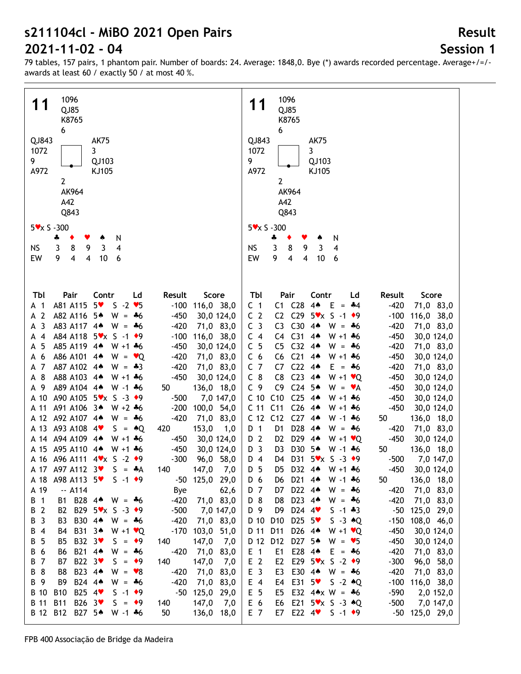**Session 1**

**Result**

79 tables, 157 pairs, 1 phantom pair. Number of boards: 24. Average: 1848,0. Bye (\*) awards recorded percentage. Average+/=/ awards at least 60 / exactly 50 / at most 40 %.

| 1096<br>11<br>QJ85<br>K8765<br>6                                                            | 1096<br>11<br>QJ85<br>K8765<br>6                                                                   |
|---------------------------------------------------------------------------------------------|----------------------------------------------------------------------------------------------------|
| QJ843<br><b>AK75</b>                                                                        | QJ843<br><b>AK75</b>                                                                               |
| 3<br>1072                                                                                   | 3<br>1072                                                                                          |
| 9<br>QJ103                                                                                  | 9<br>QJ103                                                                                         |
| A972<br>KJ105                                                                               | A972<br>KJ105                                                                                      |
| $\overline{2}$                                                                              | $\overline{2}$                                                                                     |
| AK964                                                                                       | AK964                                                                                              |
| A42                                                                                         | A42                                                                                                |
|                                                                                             |                                                                                                    |
| Q843                                                                                        | Q843                                                                                               |
| $5 \times x$ S -300                                                                         | $5 \times x$ S -300                                                                                |
| N<br>÷<br>٠<br>v                                                                            | ÷<br>N                                                                                             |
| 3<br>$\overline{3}$<br><b>NS</b><br>8<br>9<br>$\overline{\mathbf{4}}$                       | $\overline{3}$<br>8<br>9<br>$\overline{3}$<br>4<br><b>NS</b>                                       |
| 9<br>$\overline{4}$<br>$\overline{\mathbf{4}}$<br>EW<br>10<br>6                             | $\overline{\mathbf{4}}$<br>$\overline{\mathbf{4}}$<br>EW<br>9<br>$10$<br>6                         |
|                                                                                             |                                                                                                    |
|                                                                                             |                                                                                                    |
|                                                                                             |                                                                                                    |
| Tbl<br>Pair<br>Contr<br>Ld<br>Result<br>Score                                               | Pair<br>Tbl<br>Contr<br>Ld<br>Result<br>Score                                                      |
| $5*$<br>$S - 2 \cdot 5$<br>A81 A115<br>$-100$<br>116,0 38,0<br>A 1                          | C1 C28<br>$-420$<br>C <sub>1</sub><br>4 <sub>•</sub><br>E.<br>71,0 83,0<br>$=$ 44                  |
| A 2<br>A82 A116 5*<br>$W = -6$<br>$-450$<br>30,0 124,0                                      | C <sub>2</sub><br>C2 C29 $5 \times x$ S -1 $*9$<br>$-100$<br>116,0 38,0                            |
| -3<br>A83 A117 4*<br>$-420$<br>$W = -6$<br>71,0 83,0<br>A                                   | C <sub>3</sub><br>C30<br>$4*$<br>$W = -6$<br>$-420$<br>71,0 83,0<br>C <sub>3</sub>                 |
| A84 A118 5 <sup>*</sup> x S -1 <sup>+9</sup><br>$-100$<br>$\overline{4}$<br>116,0 38,0<br>А | C <sub>31</sub><br>C <sub>4</sub><br>$4*$<br>$W + 1 + 6$<br>$-450$<br>C4<br>30,0 124,0             |
| 5<br>A85 A119 4*<br>$W + 1 + 6$<br>$-450$<br>30,0 124,0<br>А                                | C <sub>5</sub><br>C <sub>32</sub><br>C <sub>5</sub><br>$4*$<br>$-420$<br>$W = -6$<br>71,0 83,0     |
| A86 A101 4*<br>6                                                                            | C <sub>21</sub><br>C <sub>6</sub><br>$4*$                                                          |
| $-420$<br>$W = \bullet Q$<br>71,0 83,0<br>А                                                 | C <sub>6</sub><br>$-450$<br>$W + 1 + 6$<br>30,0 124,0                                              |
| - 7<br>A87 A102 4*<br>$-420$<br>71,0 83,0<br>$W = -3$<br>А                                  | C <sub>7</sub><br>C <sub>22</sub><br>C7<br>$4*$<br>$-420$<br>$E = 46$<br>71,0 83,0                 |
| 8<br>A88 A103 4*<br>$-450$<br>30,0 124,0<br>$W + 1 + 6$<br>A                                | $C_8$<br>C <sub>23</sub><br>C <sub>8</sub><br>$4*$<br>$W + 1$ $\vee Q$<br>$-450$<br>30,0 124,0     |
| A89 A104 4*<br>A 9<br>$W - 1 + 6$<br>50<br>136,0 18,0                                       | C <sub>9</sub><br>$C24$ 5*<br>C <sub>9</sub><br>$-450$<br>$W = \mathbf{v}A$<br>30,0 124,0          |
| A90 A105 5Vx S -3 +9<br>A 10<br>$-500$<br>7,0 147,0                                         | C <sub>10</sub><br>C10<br>C <sub>25</sub><br>$4*$<br>$-450$<br>$W + 1 + 6$<br>30,0 124,0           |
| A91 A106 3*<br>$W + 2 + 6$<br>$-200$<br>A 11<br>100,0 54,0                                  | C <sub>26</sub><br>C <sub>11</sub><br>C <sub>11</sub><br>$-450$<br>4▲<br>$W + 1 + 6$<br>30,0 124,0 |
| A 12 A92 A107 4*<br>$-420$<br>$W = -6$<br>71,0 83,0                                         | $C27$ 44<br>C <sub>12</sub><br>C12<br>$W - 1$ $*6$<br>50<br>136,0 18,0                             |
| A 13 A93 A108 4<br>$S = AQ$<br>420<br>153,0<br>1,0                                          | D <sub>28</sub><br>D 1<br>$-420$<br>D1<br>$4*$<br>$W = -6$<br>71,0 83,0                            |
| A 14 A 94 A 109 4*<br>$W + 1 + 6$<br>$-450$<br>30,0 124,0                                   | D 2<br>D <sub>29</sub><br>$-450$<br>D <sub>2</sub><br>$4*$<br>$W + 1$ $\vee Q$<br>30,0 124,0       |
| A 15 A95 A110 4*<br>$-450$<br>$W + 1 + 6$<br>30,0 124,0                                     | D <sub>3</sub><br>D30<br>5▲<br>D <sub>3</sub><br>136,0 18,0<br>$W - 1$ $*6$<br>50                  |
| A 16 A96 A111 4 x S -2 +9<br>$-300$<br>96,0 58,0                                            | D31 5Vx S -3 ◆9<br>D <sub>4</sub><br>$-500$<br>7,0 147,0<br>D4                                     |
| A 17 A97 A112 3<br>$S = A$<br>140<br>147,0<br>7,0                                           | D 5<br>D5 D32 4*<br>$W + 1 + 6$<br>$-450$<br>30,0 124,0                                            |
| $-50$ 125,0 29,0<br>A98 A113 5<br>$S - 1$ $\rightarrow$ 9<br>A 18                           | D21 44<br>136,0 18,0<br>D 6<br>50<br>D6<br>$W - 1 + 6$                                             |
| $-. A114$<br>62,6<br>A 19<br><b>Bye</b>                                                     | D22 4*<br>D 7<br>$-420$<br>71,0 83,0<br>D7<br>$W = -6$                                             |
| B1 B28 44 W = $*6$<br>$-420$<br>71,0 83,0<br>B 1                                            | D23 4*<br>D 8<br>$-420$<br>D8<br>$W = -6$<br>71,0 83,0                                             |
| B 2<br>B2 B29 5 <sup>*</sup> x S -3 <sup>+9</sup><br>$-500$<br>7,0 147,0                    | D24 $4$<br>D 9<br>D <sub>9</sub><br>$S - 1 * 3$<br>$-50$<br>125,0 29,0                             |
| B 3<br>B <sub>3</sub><br>B30 44<br>$-420$<br>71,0 83,0<br>$W = -6$                          | D25 $5\degree$<br>D 10<br>D <sub>10</sub><br>$S -3 \cdot Q$<br>$-150$<br>108,0 46,0                |
| B 4<br>B31 34<br>$-170$<br>103,0 51,0<br>B4<br>$W + 1$ $\vee Q$                             | D26 4*<br>D 11<br>D11<br>$-450$<br>$W + 1 \cdot Q$<br>30,0 124,0                                   |
| B32 3 <sup>₩</sup><br>B 5<br>$S = \bullet 9$<br>147,0 7,0<br>B5<br>140                      | D 12 D12 D27 5*<br>$W = 95$<br>$-450$<br>30,0 124,0                                                |
| B21 4*<br>B 6<br>$-420$<br>71,0 83,0<br>B6<br>$W = -6$                                      | E1 E28 44<br>$E$ 1<br>$-420$<br>$E = 46$<br>71,0 83,0                                              |
| B22 3<br><b>B7</b><br>147,0<br>B 7<br>$S = \bullet 9$<br>140                                | E <sub>2</sub><br>E29 $5 \times x$ S -2 $\ast$ 9<br>E <sub>2</sub><br>$-300$<br>96,0 58,0          |
| 7,0<br>B23 44<br>B 8<br>B8<br>$W = \bullet 8$<br>$-420$                                     | E <sub>3</sub><br>E30 4* W = *6<br>$-420$                                                          |
| 71,0 83,0                                                                                   | E3<br>71,0 83,0                                                                                    |
| B24 44<br>B 9<br>B9<br>$-420$<br>71,0 83,0<br>$W = -6$                                      | E31 $5\degree$<br>$S - 2 \cdot Q$<br>$-100$<br>$E$ 4<br>E4<br>116,0 38,0                           |
| B25 4<br><b>B</b> 10<br><b>B10</b><br>$-50$<br>125,0 29,0<br>$S - 1$ $\rightarrow$ 9        | E 5<br>E32 $4 \times W = 16$<br>$-590$<br>E5<br>2,0 152,0                                          |
| B26 3 <sup>₩</sup><br>B 11<br><b>B11</b><br>$147,0$ 7,0<br>$S = \bullet 9$<br>140           | E21 $5 \times x$ S -3 $*Q$<br>E 6<br>$-500$<br>E6<br>7,0 147,0                                     |
| B27 5*<br>B 12 B12<br>50<br>W -1 *6<br>136,0 18,0                                           | E 7<br>E7 E22 $4$<br>$-50$ 125,0 29,0<br>$S - 1$ $\rightarrow$ 9                                   |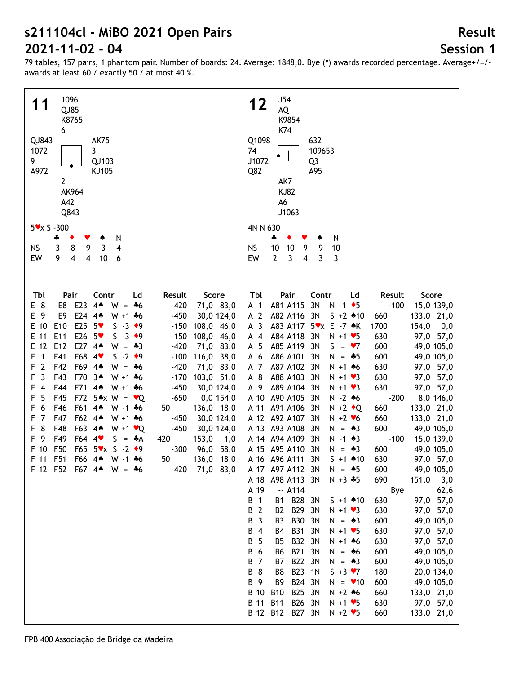# **Session 1**

**Result**

| 1096<br>QJ85<br>K8765<br>6<br>QJ843<br><b>AK75</b><br>1072<br>3<br>9<br>QJ103<br>A972<br>KJ105                                                                                                                                                                                                                                                                                                                                                                                                                                                                                                                                                                                                                                                                                                                                                                                                                                                                                                                                                                                                                                                                                                                                                                                                                                       | J54<br>12<br>AQ<br>K9854<br>K74<br>Q1098<br>632<br>74<br>109653<br>J1072<br>Q <sub>3</sub><br>Q82<br>A95                                                                                                                                                                                                                                                                                                                                                                                                                                                                                                                                                                                                                                                                                                                                                                                                                                                                                                                                                                                                                                                                                                                                                                                                                                                                                                                                                                                                                                                                                                                                                                                                                                                                                                                                                                                                                                                                                                                                                                                                                                                                                                                                                                                                                                                   |
|--------------------------------------------------------------------------------------------------------------------------------------------------------------------------------------------------------------------------------------------------------------------------------------------------------------------------------------------------------------------------------------------------------------------------------------------------------------------------------------------------------------------------------------------------------------------------------------------------------------------------------------------------------------------------------------------------------------------------------------------------------------------------------------------------------------------------------------------------------------------------------------------------------------------------------------------------------------------------------------------------------------------------------------------------------------------------------------------------------------------------------------------------------------------------------------------------------------------------------------------------------------------------------------------------------------------------------------|------------------------------------------------------------------------------------------------------------------------------------------------------------------------------------------------------------------------------------------------------------------------------------------------------------------------------------------------------------------------------------------------------------------------------------------------------------------------------------------------------------------------------------------------------------------------------------------------------------------------------------------------------------------------------------------------------------------------------------------------------------------------------------------------------------------------------------------------------------------------------------------------------------------------------------------------------------------------------------------------------------------------------------------------------------------------------------------------------------------------------------------------------------------------------------------------------------------------------------------------------------------------------------------------------------------------------------------------------------------------------------------------------------------------------------------------------------------------------------------------------------------------------------------------------------------------------------------------------------------------------------------------------------------------------------------------------------------------------------------------------------------------------------------------------------------------------------------------------------------------------------------------------------------------------------------------------------------------------------------------------------------------------------------------------------------------------------------------------------------------------------------------------------------------------------------------------------------------------------------------------------------------------------------------------------------------------------------------------------|
| $\mathbf{2}$<br>AK964<br>A42<br>Q843<br>$5 \times x$ S -300<br>N<br>÷                                                                                                                                                                                                                                                                                                                                                                                                                                                                                                                                                                                                                                                                                                                                                                                                                                                                                                                                                                                                                                                                                                                                                                                                                                                                | AK7<br><b>KJ82</b><br>A6<br>J1063<br>4N N 630<br>♣<br>N                                                                                                                                                                                                                                                                                                                                                                                                                                                                                                                                                                                                                                                                                                                                                                                                                                                                                                                                                                                                                                                                                                                                                                                                                                                                                                                                                                                                                                                                                                                                                                                                                                                                                                                                                                                                                                                                                                                                                                                                                                                                                                                                                                                                                                                                                                    |
| 4<br>8<br>9<br>$\mathbf{3}$<br><b>NS</b><br>3<br>$\overline{\mathbf{4}}$<br>$\overline{\mathbf{4}}$<br>EW<br>9<br>10<br>6                                                                                                                                                                                                                                                                                                                                                                                                                                                                                                                                                                                                                                                                                                                                                                                                                                                                                                                                                                                                                                                                                                                                                                                                            | 10<br><b>NS</b><br>10<br>10<br>9<br>9<br>3<br>$\overline{4}$<br>EW<br>$\overline{2}$<br>3<br>3                                                                                                                                                                                                                                                                                                                                                                                                                                                                                                                                                                                                                                                                                                                                                                                                                                                                                                                                                                                                                                                                                                                                                                                                                                                                                                                                                                                                                                                                                                                                                                                                                                                                                                                                                                                                                                                                                                                                                                                                                                                                                                                                                                                                                                                             |
| Score<br>Tbl<br>Pair<br>Contr<br>Result<br>Ld<br>E 8<br>E8 E23<br>4 <sub>•</sub><br>$-420$<br>71,0 83,0<br>$W = -6$<br>E24 44<br>E 9<br>E9<br>$-450$<br>$W + 1 + 6$<br>30,0 124,0<br>E25 $5$<br>E 10<br>E <sub>10</sub><br>$S - 3 \cdot 9$<br>108,0 46,0<br>$-150$<br>E26 5<br>E 11<br>E11<br>$S - 3 \cdot 9$<br>108,0 46,0<br>$-150$<br>E27 44<br>E 12<br>E <sub>12</sub><br>71,0 83,0<br>$-420$<br>$W = -3$<br>F68 4<br>F<br>$\mathbf{1}$<br>F41<br>$S -2$ $\rightarrow$ 9<br>$-100$<br>116,0 38,0<br>$\overline{2}$<br>F42<br>F69<br>$4*$<br>$-420$<br>71,0 83,0<br>F<br>$W = -6$<br>$\overline{\mathbf{3}}$<br>F43<br>F70<br>- 3∧<br>$-170$<br>103,0 51,0<br>F<br>$W + 1 + 6$<br>F44<br>F71<br>$4*$<br>$-450$<br>30,0 124,0<br>$W + 1 + 6$<br>F<br>$\overline{4}$<br>$5 \star x$ W = $\mathbf{v}$ Q<br>5<br>F45<br>F72<br>$-650$<br>$0,0$ 154,0<br>F<br>F46<br>F61<br>$4*$<br>F<br>6<br>$W - 1 + 6$<br>50<br>136,0 18,0<br>F62 44<br>-7<br>F47<br>$-450$<br>$W + 1 + 6$<br>30,0 124,0<br>F<br>8<br>F48<br>F63 4*<br>$-450$<br>$W + 1$ $\vee Q$<br>30,0 124,0<br>F<br>- 9<br>F49<br>F64 4<br>420<br>F<br>$S = A$<br>153,0<br>1,0<br>F50<br>F65<br>$5x \times S - 2 \cdot 9$<br>F 10<br>$-300$<br>96,0<br>58,0<br>F 11 F51<br>F66 4 <sup>*</sup><br>50<br>136,0 18,0<br>W -1 *6<br>F 12 F52 F67 4* W = $*6$<br>$-420$<br>71,0 83,0 | Pair<br>Tbl<br>Contr<br>Ld<br>Result<br>Score<br>A81 A115<br>3N<br>$N - 1$ + 5<br>$-100$<br>15,0 139,0<br>A <sub>1</sub><br>A 2<br>A82 A116<br>$S + 2$ 410<br>3N<br>133,0 21,0<br>660<br>A <sub>3</sub><br>A83 A117<br>$5x \times E - 7$ *K<br>$154,0$ 0,0<br>1700<br>630<br>97,0 57,0<br>A84 A118<br>3N<br>$N + 1$ $\blacktriangleright$ 5<br>A 4<br>A 5<br>A85 A119<br>3N<br>$S = \bullet 7$<br>600<br>49,0 105,0<br>A86 A101<br>A 6<br>3N<br>600<br>49,0 105,0<br>$N = -5$<br>A 7<br>A87 A102<br>97,0 57,0<br>3N<br>$N + 1$ 46<br>630<br>A 8<br>A88 A103<br>97,0 57,0<br>3N<br>$N + 1$ $\vee$ 3<br>630<br>A 9<br>A89 A104<br>630<br>97,0 57,0<br>3N<br>$N + 1$ $\vee$ 3<br>A 10 A90 A105<br>$N - 2 * 6$<br>$-200$<br>8,0 146,0<br>3N<br>A 11 A 91 A 106<br>3N<br>$N + 2 \cdot Q$<br>660<br>133,0 21,0<br>A 12 A92 A107<br>3N<br>$N + 2$ $\blacktriangleright$ 6<br>660<br>133,0 21,0<br>A 13 A93 A108<br>600<br>3N<br>49,0 105,0<br>$N = 43$<br>A 14 A 94 A 109<br>$-100$<br>3N<br>$N - 1$ $*3$<br>15,0 139,0<br>A 15 A95 A110<br>49,0 105,0<br>3N<br>$N = 43$<br>600<br>630<br>A 16 A 96 A 111<br>3N<br>$S + 1$ 410<br>97,0 57,0<br>A 17 A97 A112 3N<br>49,0 105,0<br>$N = 45$<br>600<br>A 18 A 98 A 113 3N<br>690<br>$N + 3 + 5$<br>151,0<br>3,0<br>$-. A114$<br>A 19<br>62,6<br>Bye<br>B28 3N<br>$\overline{1}$<br>97,0 57,0<br>В<br><b>B1</b><br>$S + 1$ 410<br>630<br>$\overline{2}$<br><b>B29</b><br>В<br><b>B2</b><br>630<br>97,0 57,0<br>3N<br>$N + 1$ $\vee$ 3<br>$\overline{3}$<br><b>B30</b><br>В<br>600<br>B3<br>3N<br>$N = 43$<br>49,0 105,0<br><b>B31</b><br>В<br>$\overline{4}$<br>B4<br>3N<br>$N + 1$ $\blacktriangleright$ 5<br>630<br>97,0 57,0<br>5<br><b>B32</b><br>В<br><b>B5</b><br>3N<br>$N + 1$ 46<br>630<br>97,0 57,0<br><b>B21</b><br>В<br>6<br><b>B6</b><br>3N<br>600<br>49,0 105,0<br>$N = 46$<br>$\overline{7}$<br><b>B22</b><br><b>B7</b><br>600<br>49,0 105,0<br>В<br>3N<br>$N = \triangle 3$<br>8<br><b>B23</b><br>B8<br>$S + 3 \cdot 7$<br>180<br>20,0 134,0<br>В<br>1 <sup>N</sup><br><b>B24</b><br>9<br>B9<br>3N<br>49,0 105,0<br>В<br>$N = 10$<br>600<br><b>B</b> 10<br><b>B25</b><br><b>B10</b><br>3N<br>$N + 2 * 6$<br>660<br>133,0 21,0<br><b>B</b> 11<br><b>B11</b><br>B26 3N<br>$N + 1$ $\blacktriangleright$ 5<br>630<br>97,0 57,0<br>B 12 B12 B27 3N<br>$N + 2$ $\blacktriangleright$ 5<br>133,0 21,0<br>660 |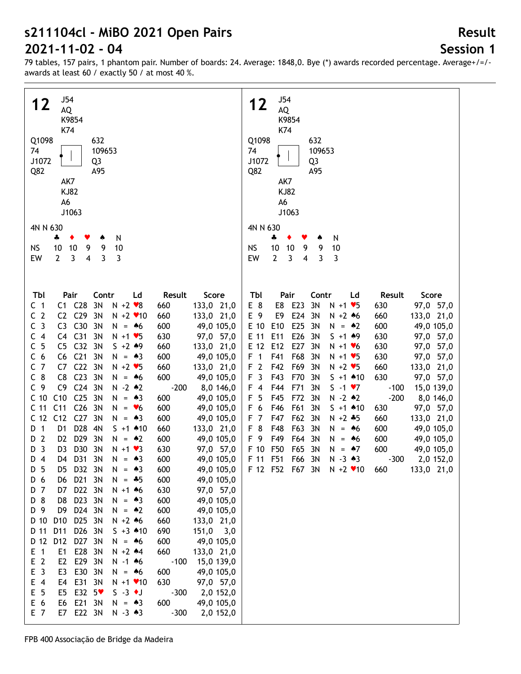# **Session 1**

79 tables, 157 pairs, 1 phantom pair. Number of boards: 24. Average: 1848,0. Bye (\*) awards recorded percentage. Average+/=/ awards at least 60 / exactly 50 / at most 40 %.

| J54<br>12<br>AQ<br>K9854<br>K74<br>Q1098<br>632<br>74<br>109653<br>J1072<br>Q3<br>Q82<br>A95<br>AK7<br><b>KJ82</b><br>A6<br>J1063<br>4N N 630<br>N<br>÷<br>٠<br>10<br>9<br>9<br>10<br><b>NS</b><br>10<br>4<br>3<br>EW<br>$\overline{2}$<br>3<br>3                                                                                                                                                                                                                                                                                                                                                                                                                                                                                                                                                                                                                                                                                                                                                                                                                                                                                                                                                                                                                                                                                                                                                                                                                                                                                                                                                                                                                                                                                                                                                                                                                                                                                                                                                                                                                                                                                                                                                                                                                                                                                                                                                                                                                                                                 | J54<br>12<br>AQ<br>K9854<br>K74<br>Q1098<br>632<br>74<br>109653<br>J1072<br>Q3<br>Q82<br>A95<br>AK7<br><b>KJ82</b><br>A6<br>J1063<br>4N N 630<br>÷<br>N<br>10<br>9<br>9<br>10<br><b>NS</b><br>10<br>$\overline{2}$<br>3<br>$\overline{4}$<br>EW<br>3<br>3                                                                                                                                                                                                                                                                                                                                                                                                                                                                                                                                                                                                                                                                                                                                                                                                                                                                                                                                                                                       |
|-------------------------------------------------------------------------------------------------------------------------------------------------------------------------------------------------------------------------------------------------------------------------------------------------------------------------------------------------------------------------------------------------------------------------------------------------------------------------------------------------------------------------------------------------------------------------------------------------------------------------------------------------------------------------------------------------------------------------------------------------------------------------------------------------------------------------------------------------------------------------------------------------------------------------------------------------------------------------------------------------------------------------------------------------------------------------------------------------------------------------------------------------------------------------------------------------------------------------------------------------------------------------------------------------------------------------------------------------------------------------------------------------------------------------------------------------------------------------------------------------------------------------------------------------------------------------------------------------------------------------------------------------------------------------------------------------------------------------------------------------------------------------------------------------------------------------------------------------------------------------------------------------------------------------------------------------------------------------------------------------------------------------------------------------------------------------------------------------------------------------------------------------------------------------------------------------------------------------------------------------------------------------------------------------------------------------------------------------------------------------------------------------------------------------------------------------------------------------------------------------------------------|-------------------------------------------------------------------------------------------------------------------------------------------------------------------------------------------------------------------------------------------------------------------------------------------------------------------------------------------------------------------------------------------------------------------------------------------------------------------------------------------------------------------------------------------------------------------------------------------------------------------------------------------------------------------------------------------------------------------------------------------------------------------------------------------------------------------------------------------------------------------------------------------------------------------------------------------------------------------------------------------------------------------------------------------------------------------------------------------------------------------------------------------------------------------------------------------------------------------------------------------------|
| Pair<br>Score<br>Tbl<br>Contr<br>Ld<br>Result<br>C1 C28<br>3N<br>$N + 2$ $\vee 8$<br>133,0 21,0<br>C <sub>1</sub><br>660<br>C <sub>2</sub><br>C2 C29<br>3N<br>$N + 2$ $*10$<br>133,0 21,0<br>660<br>C <sub>3</sub><br>C30<br>C <sub>3</sub><br>3N<br>49,0 105,0<br>$N = 46$<br>600<br>C4 C31<br>C <sub>4</sub><br>3N<br>97,0 57,0<br>$N + 1$ $\vee$ 5<br>630<br>C <sub>5</sub><br>C <sub>32</sub><br>C <sub>5</sub><br>3N<br>$S + 2 * 9$<br>133,0 21,0<br>660<br>C <sub>21</sub><br>C <sub>6</sub><br>C6<br>3N<br>600<br>49,0 105,0<br>$N = 43$<br>C <sub>7</sub><br>C <sub>22</sub><br>3N<br>C7<br>$N + 2$ $\blacktriangleright$ 5<br>660<br>133,0 21,0<br>C <sub>23</sub><br>$C_8$<br>3N<br>C <sub>8</sub><br>600<br>49,0 105,0<br>$N = 46$<br>C <sub>24</sub><br>C <sub>9</sub><br>C <sub>9</sub><br>3N<br>$N - 2$ $*2$<br>$-200$<br>8,0 146,0<br>C10<br>C <sub>25</sub><br>3N<br>C <sub>10</sub><br>600<br>49,0 105,0<br>$N = 43$<br>C <sub>26</sub><br>C <sub>11</sub><br>C <sub>11</sub><br>3N<br>600<br>49,0 105,0<br>$N = 6$<br>C <sub>27</sub><br>C <sub>12</sub><br>C <sub>12</sub><br>3N<br>49,0 105,0<br>$N = 43$<br>600<br>D <sub>28</sub><br>D 1<br>D1<br>4N<br>133,0 21,0<br>$S + 1$ 410<br>660<br>$\overline{2}$<br>D <sub>29</sub><br>3N<br>D <sub>2</sub><br>$N = 2$<br>600<br>49,0 105,0<br>D<br>$\overline{3}$<br>D30<br>3N<br>D <sub>3</sub><br>97,0 57,0<br>D<br>$N + 1$ $\vee$ 3<br>630<br>D31 3N<br>600<br>D 4<br>D4<br>$N = 43$<br>49,0 105,0<br>D <sub>5</sub><br>D32 3N<br>600<br>49,0 105,0<br>D5<br>$= 43$<br>N<br>D 6<br>D21 3N<br>600<br>49,0 105,0<br>D6<br>$N = *5$<br>D22 3N<br>D 7<br>D7<br>$N + 1$ 46<br>630<br>97,0 57,0<br>D 8<br>D23 3N<br>D8<br>600<br>49,0 105,0<br>$N = 43$<br>D 9<br>D9<br>D24 3N<br>$N = 2$<br>600<br>49,0 105,0<br>D 10<br>D <sub>10</sub><br>D25 3N<br>$N + 2 * 6$<br>660<br>133,0 21,0<br>$D$ 11<br>D11<br>D26 3N<br>$5 + 3 * 10$<br>690<br>$151,0$ 3,0<br>D 12<br>D12<br>D27 3N<br>600<br>49,0 105,0<br>$N = 46$<br>E28<br>$E$ 1<br>E <sub>1</sub><br>3N<br>$N + 2$ $*4$<br>660<br>133,0 21,0<br>E <sub>2</sub><br>E <sub>2</sub><br>E29<br>3N<br>$N - 1$ 46<br>$-100$<br>15,0 139,0<br>E <sub>3</sub><br>E30<br>E <sub>3</sub><br>3N<br>49,0 105,0<br>$N = 46$<br>600<br>E31<br>630<br>$E$ 4<br>E4<br>3N<br>97,0 57,0<br>$N + 1$ $*10$<br>E 5<br>E32<br>$S -3$ + J<br>E <sub>5</sub><br>$-5*$<br>$-300$<br>2,0 152,0<br>E 6<br>E21<br>E6<br>3N<br>600<br>49,0 105,0<br>$N = 43$<br>E22 3N<br>E 7<br>E7<br>$N - 3 \cdot 3$<br>$-300$<br>2,0 152,0 | Pair<br>Tbl<br>Contr<br>Result<br>Score<br>Ld<br>E 8<br>E8<br>E23<br>3N<br>97,0 57,0<br>$N + 1$ $\blacktriangleright$ 5<br>630<br>E24<br>E 9<br>E9<br>3N<br>133,0 21,0<br>$N + 2 * 6$<br>660<br>E25<br>E 10<br>E10<br>3N<br>49,0 105,0<br>600<br>$N = 2$<br>E26<br>E 11<br>E11<br>3N<br>$5 + 1 + 9$<br>97,0 57,0<br>630<br>E27<br>E 12<br>E12<br>3N<br>97,0 57,0<br>$N + 1$ $V$ 6<br>630<br>F <sub>1</sub><br>F41<br>F68<br>3N<br>97,0 57,0<br>$N + 1$ $\blacktriangleright$ 5<br>630<br>F <sub>2</sub><br>F42<br>F69<br>3N<br>$N + 2$ $\blacktriangleright$ 5<br>660<br>133,0 21,0<br>F <sub>3</sub><br>F43<br>630<br>F70<br>3N<br>$S + 1$ 410<br>97,0 57,0<br>F44<br>F71<br>3N<br>$S -1 \cdot 7$<br>15,0 139,0<br>F 4<br>$-100$<br>$-200$<br>F 5<br>F45<br>F72<br>3N<br>$N - 2$ $*2$<br>8,0 146,0<br>F 6<br>F46<br>F61<br>3N<br>$S + 1$ 410<br>97,0 57,0<br>630<br>F 7<br>F47<br>F62<br>3N<br>660<br>$N + 2 * 5$<br>133,0 21,0<br>F 8<br>F48<br>F63<br>3N<br>600<br>49,0 105,0<br>$N = 46$<br>F 9<br>F49<br>F64<br>3N<br>600<br>49,0 105,0<br>$N = 46$<br>F50<br>F 10<br>F65<br>3N<br>600<br>49,0 105,0<br>$N = 47$<br>F 11 F51<br>F66 3N<br>$N - 3 \cdot 3$<br>$-300$<br>2,0 152,0<br>F 12 F52 F67 3N N +2 $\bullet$ 10<br>133,0 21,0<br>660 |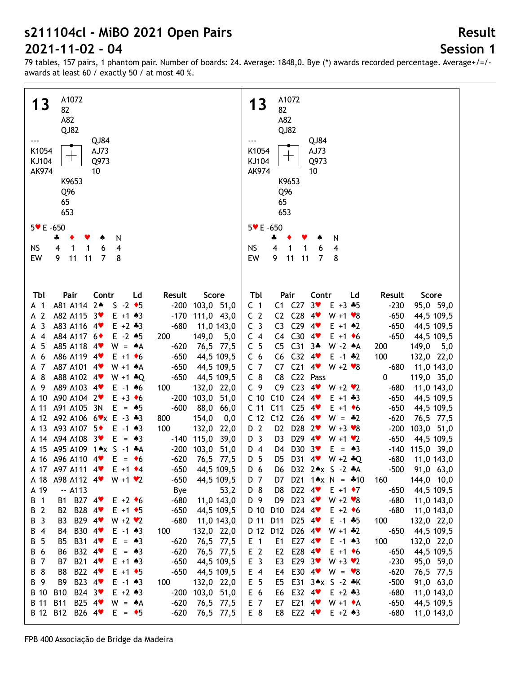## **Session 1**

79 tables, 157 pairs, 1 phantom pair. Number of boards: 24. Average: 1848,0. Bye (\*) awards recorded percentage. Average+/=/ awards at least 60 / exactly 50 / at most 40 %.

| A1072                                                                                 | A1072                                                                                   |
|---------------------------------------------------------------------------------------|-----------------------------------------------------------------------------------------|
| 13<br>82                                                                              | 13<br>82                                                                                |
| A82                                                                                   | A82                                                                                     |
| QJ82                                                                                  | QJ82                                                                                    |
| QJ84                                                                                  | QJ84                                                                                    |
| K1054<br>AJ73                                                                         | K1054<br>AJ73                                                                           |
|                                                                                       |                                                                                         |
| KJ104<br>Q973                                                                         | KJ104<br>Q973                                                                           |
| <b>AK974</b><br>10                                                                    | <b>AK974</b><br>10                                                                      |
| K9653                                                                                 | K9653                                                                                   |
| Q <sub>96</sub>                                                                       | Q <sub>96</sub>                                                                         |
| 65                                                                                    | 65                                                                                      |
| 653                                                                                   | 653                                                                                     |
| $5 \times E - 650$                                                                    | 5 V E -650                                                                              |
| 4<br>٠                                                                                |                                                                                         |
| N                                                                                     | N<br>÷<br>$\overline{\mathbf{4}}$<br>1                                                  |
| 4<br><b>NS</b><br>6<br>4<br>1<br>1<br>$\overline{7}$<br>9<br>8                        | <b>NS</b><br>6<br>4<br>1<br>9<br>$\overline{7}$                                         |
| EW<br>11<br>11                                                                        | EW<br>11<br>11<br>8                                                                     |
|                                                                                       |                                                                                         |
|                                                                                       |                                                                                         |
| TЫ<br>Pair<br>Contr<br>Ld<br>Result<br>Score                                          | Tbl<br>Pair<br>Contr<br>Ld<br>Result<br>Score                                           |
| $S -2$ $\bullet$ 5<br>A81 A114 2*<br>$-200$<br>103,0 51,0<br>A 1                      | C1 C27<br>3 <sub>v</sub><br>C <sub>1</sub><br>$E + 3 + 5$<br>$-230$<br>95,0 59,0        |
| A82 A115 3<br>$E + 1 \cdot 3$                                                         | C <sub>2</sub><br>C2 C28<br>4<br>$W + 1 \cdot 8$<br>$-650$                              |
| 111,0 43,0<br>A 2<br>$-170$                                                           | 44,5 109,5                                                                              |
| A <sub>3</sub><br>A83 A116 4<br>$-680$<br>$E + 2 \div 3$<br>11,0 143,0                | C <sub>3</sub><br>C3 C29 $4$<br>$-650$<br>$E + 1$ $*2$<br>44,5 109,5                    |
| A84 A117 6 <sup>+</sup><br>$E - 2$ $*5$<br>200<br>149,0<br>$\overline{4}$<br>5,0<br>А | C4 C30<br>C <sub>4</sub><br>$4$ v<br>$E + 1$ + 6<br>$-650$<br>44,5 109,5                |
| 5<br>A85 A118 4<br>$-620$<br>$W = A$<br>76,5 77,5<br>А                                | C <sub>5</sub><br>$C313+$<br>C <sub>5</sub><br>W -2 $*A$<br>200<br>149,0<br>5,0         |
| A86 A119 4<br>$-650$<br>44,5 109,5<br>-6<br>$E + 1$ + 6<br>А                          | C32 $4\bullet$<br>100<br>C <sub>6</sub><br>C6<br>$E - 1$ $*2$<br>132,0 22,0             |
| A87 A101 4<br>$\overline{7}$<br>$-650$<br>44,5 109,5<br>$W + 1$ $A$<br>А              | C <sub>7</sub><br>$C21$ 4<br>C7<br>$W + 2 \cdot 8$<br>$-680$<br>11,0 143,0              |
| A 8<br>A88 A102 4<br>$-650$<br>44,5 109,5<br>$W + 1 * Q$                              | $C_8$<br>C22 Pass<br>C <sub>8</sub><br>0<br>119,0 35,0                                  |
| A89 A103 4<br>132,0 22,0<br>A 9<br>$E - 1$ 46<br>100                                  | C <sub>23</sub><br>C <sub>9</sub><br>C9<br>4<br>$W + 2 \cdot 2$<br>$-680$<br>11,0 143,0 |
| A90 A104 2<br>$E + 3 \cdot 6$<br>$-200$<br>103,0 51,0<br>A 10                         | C10<br>$C24$ 4<br>C <sub>10</sub><br>$-650$<br>$E + 1 + 3$<br>44,5 109,5                |
| A91 A105 3N<br>$E = 45$<br>$-600$<br>88,0 66,0<br>A 11                                | C11<br>$C25$ 4<br>C <sub>11</sub><br>$-650$<br>$E + 1$ + 6<br>44,5 109,5                |
| A 12 A92 A106 6 * x E - 3 * 3<br>800<br>154,0<br>0,0                                  | $C12$ $C26$ $4$<br>C <sub>12</sub><br>$-620$<br>$W = -2$<br>76,5 77,5                   |
| A 13 A93 A107 5 <sup>*</sup><br>$E - 1$ $*3$<br>100<br>132,0 22,0                     | D2 D28 2<br>D 2<br>$-200$<br>$W + 3 \cdot 8$<br>103,0 51,0                              |
| $E = \triangle 3$<br>A 14 A 94 A 108 3<br>$-140$ 115,0<br>39,0                        | D29 4<br>D <sub>3</sub><br>D <sub>3</sub><br>$-650$<br>$W + 1$ $\vee$ 2<br>44,5 109,5   |
| A 15 A95 A109 1*x S -1 *A<br>$-200$<br>103,0 51,0                                     | D30 3<br>$E = \triangle 3$<br>$-140$<br>115,0 39,0<br>D 4<br>D4                         |
| A 16 A96 A110 4<br>$E = \bullet 6$<br>$-620$<br>76,5 77,5                             | D 5<br>D31 4<br>D5<br>$W + 2 * Q$<br>$-680$<br>11,0 143,0                               |
| A 17 A97 A111 4<br>$E + 1$ $\rightarrow$ 4<br>$-650$<br>44,5 109,5                    | D 6<br>D6 D32 2*x S -2 *A<br>$-500$<br>91,0 63,0                                        |
| $-650$<br>44,5 109,5<br>A98 A112 4<br>$W + 1 \cdot 2$<br>A 18                         | 144,0 10,0<br>D 7<br>D21 $1 \times N = 10$<br>160<br>D7                                 |
| $-$ A113<br>Bye<br>53,2<br>A 19                                                       | D 8<br>D22 $4$<br>$E + 1 \cdot 7$<br>$-650$<br>44,5 109,5<br>D8                         |
| B1 B27 4<br>$-680$<br>11,0 143,0<br>B 1<br>$E + 2 \cdot 6$                            | D23 $4$<br>D 9<br>D <sub>9</sub><br>$W + 2 \cdot 8$<br>$-680$<br>11,0 143,0             |
| B2 B28 4<br>B 2<br>$-650$<br>44,5 109,5<br>$E + 1$ + 5                                | D24 4<br>D 10<br>D <sub>10</sub><br>$E + 2 \cdot 6$<br>$-680$<br>11,0 143,0             |
| B29 4<br>B 3<br>B <sub>3</sub><br>$W + 2 V$<br>$-680$<br>11,0 143,0                   | D25 4<br>D 11<br>D11<br>$E - 1 + 5$<br>100<br>132,0 22,0                                |
| B30 4 <sup>₩</sup><br>B 4<br>132,0 22,0<br>B4<br>$E - 1$ $*3$<br>100                  | D26 4<br>D 12 D12<br>$-650$<br>44,5 109,5<br>$W + 1 * 2$                                |
|                                                                                       |                                                                                         |
| B31 4<br>B 5<br>$-620$<br>76,5 77,5<br>B5<br>$E = \triangle 3$                        | E27 $4$<br>E <sub>1</sub><br>E1<br>100<br>$E - 1$ $*3$<br>132,0 22,0                    |
| B32 4<br>B 6<br>$-620$<br>76,5 77,5<br>B6<br>$E = \triangle 3$                        | E <sub>2</sub><br>E28 4<br>$E + 1$ + 6<br>$-650$<br>44,5 109,5<br>E <sub>2</sub>        |
| B21 4<br>B 7<br>$E + 1 \cdot 3$<br>$-650$<br>44,5 109,5<br>B7                         | E <sub>3</sub><br>E29 $3\bullet$<br>E3<br>$W + 3 V2$<br>$-230$<br>95,0 59,0             |
| B22 4<br>B 8<br>B8<br>$E + 1$ + 5<br>$-650$<br>44,5 109,5                             | E30 4<br>E 4<br>$W = \bullet 8$<br>$-620$<br>E4<br>76,5 77,5                            |
| B23 4<br>B 9<br>B <sub>9</sub><br>$E - 1$ $*3$<br>132,0 22,0<br>100                   | E 5<br>E31 3*x S -2 *K<br>$-500$<br>E5<br>91,0 63,0                                     |
| B24 3<br>B 10<br><b>B10</b><br>$E + 2 \cdot 3$<br>$-200$<br>103,0 51,0                | E 6<br>E32 4<br>$E + 2 + 3$<br>$-680$<br>11,0 143,0<br>E6                               |
| B25 4<br>B 11<br><b>B11</b><br>$-620$<br>76,5 77,5<br>$W = A$                         | E21 $4$<br>E 7<br>$W + 1 \cdot A$<br>$-650$<br>44,5 109,5<br>E7                         |
| B 12 B12<br>B26 4<br>$-620$<br>$E = \bullet 5$<br>76,5 77,5                           | E 8<br>E22 $4\bullet$<br>$-680$<br>E8<br>$E + 2 \cdot 3$<br>11,0 143,0                  |
|                                                                                       |                                                                                         |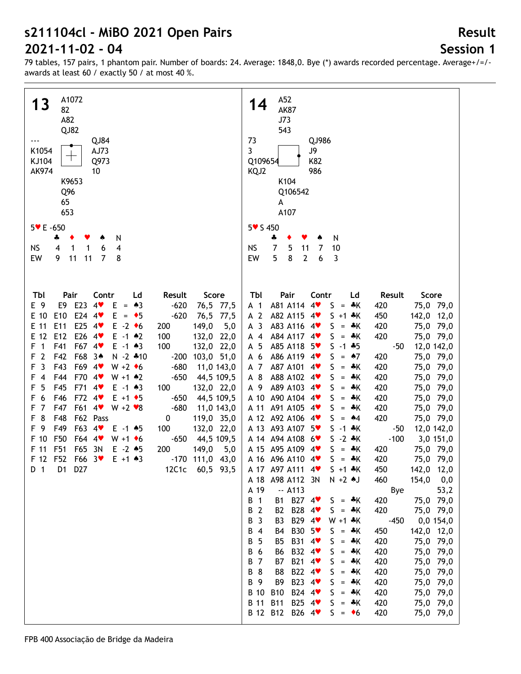## **Session 1**

| A1072                                                                                       | A52                                                                                   |
|---------------------------------------------------------------------------------------------|---------------------------------------------------------------------------------------|
| 13<br>82                                                                                    | 14<br><b>AK87</b>                                                                     |
| A82                                                                                         | J73                                                                                   |
| QJ82                                                                                        | 543                                                                                   |
| QJ84                                                                                        | 73<br>QJ986                                                                           |
| K1054<br>AJ73                                                                               | $\overline{3}$<br>J9                                                                  |
| ┯<br>KJ104<br>Q973                                                                          | K82<br>Q109654                                                                        |
| AK974                                                                                       | 986                                                                                   |
| 10                                                                                          | KQJ2                                                                                  |
| K9653                                                                                       | K104                                                                                  |
| Q96                                                                                         | Q106542                                                                               |
| 65                                                                                          | A                                                                                     |
| 653                                                                                         | A107                                                                                  |
| 5 V E -650                                                                                  | 5 <b>v</b> S 450                                                                      |
| 4<br>N                                                                                      | N<br>÷                                                                                |
| <b>NS</b><br>6<br>4<br>4<br>1<br>1                                                          | <b>NS</b><br>$\overline{7}$<br>5<br>10<br>11<br>7                                     |
| 11<br>7<br>EW<br>9<br>11<br>8                                                               | 5<br>8<br>$\mathbf{2}$<br>EW<br>6<br>3                                                |
|                                                                                             |                                                                                       |
|                                                                                             |                                                                                       |
|                                                                                             |                                                                                       |
| Tbl<br>Pair<br>Contr<br>Result<br>Score<br>Ld                                               | Tbl<br>Pair<br>Contr<br>Result<br>Score<br>Ld                                         |
| E9 E23 4<br>E 9<br>$-620$<br>76,5 77,5<br>$E = \triangle 3$                                 | A81 A114 4<br>75,0 79,0<br>A 1<br>$S = A K$<br>420                                    |
| E24 4<br>E 10<br>E10<br>$-620$<br>76,5 77,5<br>$E = \bullet 5$                              | A 2<br>A82 A115 4<br>142,0 12,0<br>$S + 1$ $*$ K<br>450                               |
| E25 $4$<br>E 11<br>E11<br>$E -2$ +6<br>149,0<br>5,0<br>200                                  | A <sub>3</sub><br>A83 A116 4<br>75,0 79,0<br>$S = A K$<br>420                         |
| E26 4<br>E 12<br>E12<br>100<br>132,0 22,0<br>$E - 1$ $*2$                                   | A84 A117 4<br>420<br>75,0 79,0<br>$A$ 4<br>$S = A K$                                  |
| F67 4<br>$\overline{1}$<br>F41<br>100<br>132,0 22,0<br>$E - 1$ $*3$<br>F                    | A 5<br>A85 A118 5<br>$-50$<br>12,0 142,0<br>$S - 1 + 5$                               |
| F68 34<br>$\overline{2}$<br>F42<br>$N - 2 * 10$<br>103,0 51,0<br>F<br>$-200$                | A86 A119 4<br>420<br>75,0 79,0<br>A 6<br>$S = \triangle 7$                            |
| $\overline{3}$<br>F43<br>F69 4 <sup>v</sup><br>$-680$<br>$W + 2 \cdot 6$<br>11,0 143,0<br>F | A 7<br>A87 A101<br>420<br>75,0 79,0<br>$4$ v<br>$S = A K$                             |
| F70 4<br>F44<br>$W + 1$ $*2$<br>$-650$<br>44,5 109,5<br>$\overline{4}$<br>F                 | A88 A102 4<br>A 8<br>420<br>75,0 79,0<br>$S = A K$                                    |
| F45<br>F71 4<br>5<br>F<br>$E - 1$ $*3$<br>100<br>132,0 22,0                                 | A 9<br>A89 A103 4<br>75,0 79,0<br>$S = A K$<br>420                                    |
| 6<br>F46<br>F72 4<br>$-650$<br>44,5 109,5<br>F<br>$E + 1$ + 5                               | A 10 A90 A104 4<br>75,0 79,0<br>$S = A K$<br>420                                      |
| F61 4 <sup>v</sup><br>$\overline{7}$<br>F47<br>$-680$<br>F<br>$W + 2 \cdot 8$<br>11,0 143,0 | A 11 A91 A105 4<br>75,0 79,0<br>$S = A K$<br>420                                      |
| 8<br>F62 Pass<br>F48<br>119,0 35,0<br>F<br>0                                                | A 12 A92 A106 4<br>420<br>75,0 79,0<br>$S = 44$                                       |
| F63 4<br>F 9<br>F49<br>100<br>$E - 1$ $*5$<br>132,0 22,0                                    | A 13 A93 A107 5<br>12,0 142,0<br>$S - 1$ $*K$<br>-50                                  |
| F50<br>F 10<br>F64 4 <sup>v</sup><br>44,5 109,5<br>$W + 1$ + 6<br>$-650$                    | A 14 A 94 A 108 6<br>$S - 2 * K$<br>$-100$<br>3,0 151,0                               |
| F51<br>F65 3N<br>F 11<br>$E - 2$ $*5$<br>200<br>149,0<br>5,0                                | A 15 A95 A109 4<br>75,0 79,0<br>$S = A K$<br>420                                      |
| F 12 F52<br>F66 3<br>$-170$ 111,0 43,0<br>$E + 1 \cdot 3$                                   | 420<br>A 16 A 96 A 110 4<br>$S = A K$<br>75,0 79,0                                    |
| 12C1c 60,5 93,5<br>D 1<br>D1 D27                                                            | A 17 A97 A111 4<br>142,0 12,0<br>$S + 1$ $*$ K                                        |
|                                                                                             | 450<br>A 18 A98 A112 3N<br>154,0<br>$N + 2$ $\uparrow$ J<br>460                       |
|                                                                                             | 0,0<br>A 19<br>$-$ A113<br>53,2                                                       |
|                                                                                             | Bye<br>$\overline{1}$                                                                 |
|                                                                                             | B1 B27 4<br>В<br>75,0 79,0<br>$S = A K$<br>420                                        |
|                                                                                             | B28 4<br>В<br>$\overline{2}$<br>420<br>B2<br>$S = A K$<br>75,0 79,0                   |
|                                                                                             | B29 4<br>В<br>$\overline{3}$<br>B <sub>3</sub><br>$W + 1$ $*K$<br>$-450$<br>0,0 154,0 |
|                                                                                             | B30 5 <sup>₩</sup><br>В<br>$\overline{4}$<br>142,0 12,0<br>B4<br>$S = *K$<br>450      |
|                                                                                             | 5<br>B31 4<br>В<br>B <sub>5</sub><br>420<br>75,0 79,0<br>$S = A K$                    |
|                                                                                             | B32 4 <sup>₩</sup><br>В<br>6<br><b>B6</b><br>420<br>75,0 79,0<br>$S = A K$            |
|                                                                                             | $\overline{7}$<br>B21 4<br>В<br><b>B7</b><br>420<br>75,0 79,0<br>$S = A K$            |
|                                                                                             | 8<br>B22 4<br>В<br>B8<br>420<br>75,0 79,0<br>$S = A K$                                |
|                                                                                             | B23 4<br>В<br>- 9<br>B <sub>9</sub><br>420<br>75,0 79,0<br>$S = A K$                  |
|                                                                                             | B24 4<br><b>B</b> 10<br><b>B10</b><br>75,0 79,0<br>$S = A K$<br>420                   |
|                                                                                             | <b>B</b> 11<br>B25 4 <sup>₩</sup><br><b>B11</b><br>75,0 79,0<br>$S = A K$<br>420      |
|                                                                                             | B 12 B12 B26 4<br>75,0 79,0<br>$S = \bullet 6$<br>420                                 |
|                                                                                             |                                                                                       |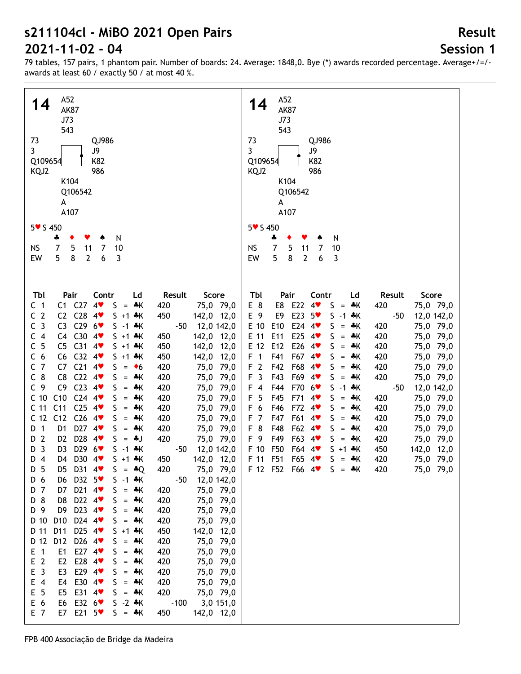## **Session 1**

**Result**

| A52                                                                                                                                                                                                                                                                                                                                                                                                                                                                                                                                                                                                                                                                                                                                                                                                                                                                                                                                                                                                                                                                                                                                                                                                                                                                                                                                                                                                                                                                                                                                                                                                                                                                                                                                                                                                                                                                                                                                                                                                                                                                                                                                                                                                                                                                                                                                                                                                                                                                         | A52                                                                                                                                                                                                                                                                                                                                                                                                                                                                                                                                                                                                                                                                                                                                                                                                                                                                                                                                                                                                                                                                                                                                                                                                                                                                                                                                                            |
|-----------------------------------------------------------------------------------------------------------------------------------------------------------------------------------------------------------------------------------------------------------------------------------------------------------------------------------------------------------------------------------------------------------------------------------------------------------------------------------------------------------------------------------------------------------------------------------------------------------------------------------------------------------------------------------------------------------------------------------------------------------------------------------------------------------------------------------------------------------------------------------------------------------------------------------------------------------------------------------------------------------------------------------------------------------------------------------------------------------------------------------------------------------------------------------------------------------------------------------------------------------------------------------------------------------------------------------------------------------------------------------------------------------------------------------------------------------------------------------------------------------------------------------------------------------------------------------------------------------------------------------------------------------------------------------------------------------------------------------------------------------------------------------------------------------------------------------------------------------------------------------------------------------------------------------------------------------------------------------------------------------------------------------------------------------------------------------------------------------------------------------------------------------------------------------------------------------------------------------------------------------------------------------------------------------------------------------------------------------------------------------------------------------------------------------------------------------------------------|----------------------------------------------------------------------------------------------------------------------------------------------------------------------------------------------------------------------------------------------------------------------------------------------------------------------------------------------------------------------------------------------------------------------------------------------------------------------------------------------------------------------------------------------------------------------------------------------------------------------------------------------------------------------------------------------------------------------------------------------------------------------------------------------------------------------------------------------------------------------------------------------------------------------------------------------------------------------------------------------------------------------------------------------------------------------------------------------------------------------------------------------------------------------------------------------------------------------------------------------------------------------------------------------------------------------------------------------------------------|
| 14                                                                                                                                                                                                                                                                                                                                                                                                                                                                                                                                                                                                                                                                                                                                                                                                                                                                                                                                                                                                                                                                                                                                                                                                                                                                                                                                                                                                                                                                                                                                                                                                                                                                                                                                                                                                                                                                                                                                                                                                                                                                                                                                                                                                                                                                                                                                                                                                                                                                          | 14                                                                                                                                                                                                                                                                                                                                                                                                                                                                                                                                                                                                                                                                                                                                                                                                                                                                                                                                                                                                                                                                                                                                                                                                                                                                                                                                                             |
| <b>AK87</b>                                                                                                                                                                                                                                                                                                                                                                                                                                                                                                                                                                                                                                                                                                                                                                                                                                                                                                                                                                                                                                                                                                                                                                                                                                                                                                                                                                                                                                                                                                                                                                                                                                                                                                                                                                                                                                                                                                                                                                                                                                                                                                                                                                                                                                                                                                                                                                                                                                                                 | <b>AK87</b>                                                                                                                                                                                                                                                                                                                                                                                                                                                                                                                                                                                                                                                                                                                                                                                                                                                                                                                                                                                                                                                                                                                                                                                                                                                                                                                                                    |
| J73                                                                                                                                                                                                                                                                                                                                                                                                                                                                                                                                                                                                                                                                                                                                                                                                                                                                                                                                                                                                                                                                                                                                                                                                                                                                                                                                                                                                                                                                                                                                                                                                                                                                                                                                                                                                                                                                                                                                                                                                                                                                                                                                                                                                                                                                                                                                                                                                                                                                         | J73                                                                                                                                                                                                                                                                                                                                                                                                                                                                                                                                                                                                                                                                                                                                                                                                                                                                                                                                                                                                                                                                                                                                                                                                                                                                                                                                                            |
| 543                                                                                                                                                                                                                                                                                                                                                                                                                                                                                                                                                                                                                                                                                                                                                                                                                                                                                                                                                                                                                                                                                                                                                                                                                                                                                                                                                                                                                                                                                                                                                                                                                                                                                                                                                                                                                                                                                                                                                                                                                                                                                                                                                                                                                                                                                                                                                                                                                                                                         | 543                                                                                                                                                                                                                                                                                                                                                                                                                                                                                                                                                                                                                                                                                                                                                                                                                                                                                                                                                                                                                                                                                                                                                                                                                                                                                                                                                            |
| 73                                                                                                                                                                                                                                                                                                                                                                                                                                                                                                                                                                                                                                                                                                                                                                                                                                                                                                                                                                                                                                                                                                                                                                                                                                                                                                                                                                                                                                                                                                                                                                                                                                                                                                                                                                                                                                                                                                                                                                                                                                                                                                                                                                                                                                                                                                                                                                                                                                                                          | 73                                                                                                                                                                                                                                                                                                                                                                                                                                                                                                                                                                                                                                                                                                                                                                                                                                                                                                                                                                                                                                                                                                                                                                                                                                                                                                                                                             |
| QJ986                                                                                                                                                                                                                                                                                                                                                                                                                                                                                                                                                                                                                                                                                                                                                                                                                                                                                                                                                                                                                                                                                                                                                                                                                                                                                                                                                                                                                                                                                                                                                                                                                                                                                                                                                                                                                                                                                                                                                                                                                                                                                                                                                                                                                                                                                                                                                                                                                                                                       | QJ986                                                                                                                                                                                                                                                                                                                                                                                                                                                                                                                                                                                                                                                                                                                                                                                                                                                                                                                                                                                                                                                                                                                                                                                                                                                                                                                                                          |
| $\mathbf{3}$                                                                                                                                                                                                                                                                                                                                                                                                                                                                                                                                                                                                                                                                                                                                                                                                                                                                                                                                                                                                                                                                                                                                                                                                                                                                                                                                                                                                                                                                                                                                                                                                                                                                                                                                                                                                                                                                                                                                                                                                                                                                                                                                                                                                                                                                                                                                                                                                                                                                | 3                                                                                                                                                                                                                                                                                                                                                                                                                                                                                                                                                                                                                                                                                                                                                                                                                                                                                                                                                                                                                                                                                                                                                                                                                                                                                                                                                              |
| J9                                                                                                                                                                                                                                                                                                                                                                                                                                                                                                                                                                                                                                                                                                                                                                                                                                                                                                                                                                                                                                                                                                                                                                                                                                                                                                                                                                                                                                                                                                                                                                                                                                                                                                                                                                                                                                                                                                                                                                                                                                                                                                                                                                                                                                                                                                                                                                                                                                                                          | J9                                                                                                                                                                                                                                                                                                                                                                                                                                                                                                                                                                                                                                                                                                                                                                                                                                                                                                                                                                                                                                                                                                                                                                                                                                                                                                                                                             |
| Q109654                                                                                                                                                                                                                                                                                                                                                                                                                                                                                                                                                                                                                                                                                                                                                                                                                                                                                                                                                                                                                                                                                                                                                                                                                                                                                                                                                                                                                                                                                                                                                                                                                                                                                                                                                                                                                                                                                                                                                                                                                                                                                                                                                                                                                                                                                                                                                                                                                                                                     | K82                                                                                                                                                                                                                                                                                                                                                                                                                                                                                                                                                                                                                                                                                                                                                                                                                                                                                                                                                                                                                                                                                                                                                                                                                                                                                                                                                            |
| K82                                                                                                                                                                                                                                                                                                                                                                                                                                                                                                                                                                                                                                                                                                                                                                                                                                                                                                                                                                                                                                                                                                                                                                                                                                                                                                                                                                                                                                                                                                                                                                                                                                                                                                                                                                                                                                                                                                                                                                                                                                                                                                                                                                                                                                                                                                                                                                                                                                                                         | Q109654                                                                                                                                                                                                                                                                                                                                                                                                                                                                                                                                                                                                                                                                                                                                                                                                                                                                                                                                                                                                                                                                                                                                                                                                                                                                                                                                                        |
| KQJ2                                                                                                                                                                                                                                                                                                                                                                                                                                                                                                                                                                                                                                                                                                                                                                                                                                                                                                                                                                                                                                                                                                                                                                                                                                                                                                                                                                                                                                                                                                                                                                                                                                                                                                                                                                                                                                                                                                                                                                                                                                                                                                                                                                                                                                                                                                                                                                                                                                                                        | 986                                                                                                                                                                                                                                                                                                                                                                                                                                                                                                                                                                                                                                                                                                                                                                                                                                                                                                                                                                                                                                                                                                                                                                                                                                                                                                                                                            |
| 986                                                                                                                                                                                                                                                                                                                                                                                                                                                                                                                                                                                                                                                                                                                                                                                                                                                                                                                                                                                                                                                                                                                                                                                                                                                                                                                                                                                                                                                                                                                                                                                                                                                                                                                                                                                                                                                                                                                                                                                                                                                                                                                                                                                                                                                                                                                                                                                                                                                                         | KQJ2                                                                                                                                                                                                                                                                                                                                                                                                                                                                                                                                                                                                                                                                                                                                                                                                                                                                                                                                                                                                                                                                                                                                                                                                                                                                                                                                                           |
| K104                                                                                                                                                                                                                                                                                                                                                                                                                                                                                                                                                                                                                                                                                                                                                                                                                                                                                                                                                                                                                                                                                                                                                                                                                                                                                                                                                                                                                                                                                                                                                                                                                                                                                                                                                                                                                                                                                                                                                                                                                                                                                                                                                                                                                                                                                                                                                                                                                                                                        | K104                                                                                                                                                                                                                                                                                                                                                                                                                                                                                                                                                                                                                                                                                                                                                                                                                                                                                                                                                                                                                                                                                                                                                                                                                                                                                                                                                           |
| Q106542                                                                                                                                                                                                                                                                                                                                                                                                                                                                                                                                                                                                                                                                                                                                                                                                                                                                                                                                                                                                                                                                                                                                                                                                                                                                                                                                                                                                                                                                                                                                                                                                                                                                                                                                                                                                                                                                                                                                                                                                                                                                                                                                                                                                                                                                                                                                                                                                                                                                     | Q106542                                                                                                                                                                                                                                                                                                                                                                                                                                                                                                                                                                                                                                                                                                                                                                                                                                                                                                                                                                                                                                                                                                                                                                                                                                                                                                                                                        |
| A                                                                                                                                                                                                                                                                                                                                                                                                                                                                                                                                                                                                                                                                                                                                                                                                                                                                                                                                                                                                                                                                                                                                                                                                                                                                                                                                                                                                                                                                                                                                                                                                                                                                                                                                                                                                                                                                                                                                                                                                                                                                                                                                                                                                                                                                                                                                                                                                                                                                           | A                                                                                                                                                                                                                                                                                                                                                                                                                                                                                                                                                                                                                                                                                                                                                                                                                                                                                                                                                                                                                                                                                                                                                                                                                                                                                                                                                              |
| A107                                                                                                                                                                                                                                                                                                                                                                                                                                                                                                                                                                                                                                                                                                                                                                                                                                                                                                                                                                                                                                                                                                                                                                                                                                                                                                                                                                                                                                                                                                                                                                                                                                                                                                                                                                                                                                                                                                                                                                                                                                                                                                                                                                                                                                                                                                                                                                                                                                                                        | A107                                                                                                                                                                                                                                                                                                                                                                                                                                                                                                                                                                                                                                                                                                                                                                                                                                                                                                                                                                                                                                                                                                                                                                                                                                                                                                                                                           |
| 5 <b>v</b> S 450                                                                                                                                                                                                                                                                                                                                                                                                                                                                                                                                                                                                                                                                                                                                                                                                                                                                                                                                                                                                                                                                                                                                                                                                                                                                                                                                                                                                                                                                                                                                                                                                                                                                                                                                                                                                                                                                                                                                                                                                                                                                                                                                                                                                                                                                                                                                                                                                                                                            | 5 <b>v</b> S 450                                                                                                                                                                                                                                                                                                                                                                                                                                                                                                                                                                                                                                                                                                                                                                                                                                                                                                                                                                                                                                                                                                                                                                                                                                                                                                                                               |
| N                                                                                                                                                                                                                                                                                                                                                                                                                                                                                                                                                                                                                                                                                                                                                                                                                                                                                                                                                                                                                                                                                                                                                                                                                                                                                                                                                                                                                                                                                                                                                                                                                                                                                                                                                                                                                                                                                                                                                                                                                                                                                                                                                                                                                                                                                                                                                                                                                                                                           | N                                                                                                                                                                                                                                                                                                                                                                                                                                                                                                                                                                                                                                                                                                                                                                                                                                                                                                                                                                                                                                                                                                                                                                                                                                                                                                                                                              |
| 4                                                                                                                                                                                                                                                                                                                                                                                                                                                                                                                                                                                                                                                                                                                                                                                                                                                                                                                                                                                                                                                                                                                                                                                                                                                                                                                                                                                                                                                                                                                                                                                                                                                                                                                                                                                                                                                                                                                                                                                                                                                                                                                                                                                                                                                                                                                                                                                                                                                                           | ÷                                                                                                                                                                                                                                                                                                                                                                                                                                                                                                                                                                                                                                                                                                                                                                                                                                                                                                                                                                                                                                                                                                                                                                                                                                                                                                                                                              |
| <b>NS</b>                                                                                                                                                                                                                                                                                                                                                                                                                                                                                                                                                                                                                                                                                                                                                                                                                                                                                                                                                                                                                                                                                                                                                                                                                                                                                                                                                                                                                                                                                                                                                                                                                                                                                                                                                                                                                                                                                                                                                                                                                                                                                                                                                                                                                                                                                                                                                                                                                                                                   | <b>NS</b>                                                                                                                                                                                                                                                                                                                                                                                                                                                                                                                                                                                                                                                                                                                                                                                                                                                                                                                                                                                                                                                                                                                                                                                                                                                                                                                                                      |
| 7                                                                                                                                                                                                                                                                                                                                                                                                                                                                                                                                                                                                                                                                                                                                                                                                                                                                                                                                                                                                                                                                                                                                                                                                                                                                                                                                                                                                                                                                                                                                                                                                                                                                                                                                                                                                                                                                                                                                                                                                                                                                                                                                                                                                                                                                                                                                                                                                                                                                           | 7                                                                                                                                                                                                                                                                                                                                                                                                                                                                                                                                                                                                                                                                                                                                                                                                                                                                                                                                                                                                                                                                                                                                                                                                                                                                                                                                                              |
| 5                                                                                                                                                                                                                                                                                                                                                                                                                                                                                                                                                                                                                                                                                                                                                                                                                                                                                                                                                                                                                                                                                                                                                                                                                                                                                                                                                                                                                                                                                                                                                                                                                                                                                                                                                                                                                                                                                                                                                                                                                                                                                                                                                                                                                                                                                                                                                                                                                                                                           | 5                                                                                                                                                                                                                                                                                                                                                                                                                                                                                                                                                                                                                                                                                                                                                                                                                                                                                                                                                                                                                                                                                                                                                                                                                                                                                                                                                              |
| 7                                                                                                                                                                                                                                                                                                                                                                                                                                                                                                                                                                                                                                                                                                                                                                                                                                                                                                                                                                                                                                                                                                                                                                                                                                                                                                                                                                                                                                                                                                                                                                                                                                                                                                                                                                                                                                                                                                                                                                                                                                                                                                                                                                                                                                                                                                                                                                                                                                                                           | 10                                                                                                                                                                                                                                                                                                                                                                                                                                                                                                                                                                                                                                                                                                                                                                                                                                                                                                                                                                                                                                                                                                                                                                                                                                                                                                                                                             |
| 10                                                                                                                                                                                                                                                                                                                                                                                                                                                                                                                                                                                                                                                                                                                                                                                                                                                                                                                                                                                                                                                                                                                                                                                                                                                                                                                                                                                                                                                                                                                                                                                                                                                                                                                                                                                                                                                                                                                                                                                                                                                                                                                                                                                                                                                                                                                                                                                                                                                                          | 11                                                                                                                                                                                                                                                                                                                                                                                                                                                                                                                                                                                                                                                                                                                                                                                                                                                                                                                                                                                                                                                                                                                                                                                                                                                                                                                                                             |
| 11                                                                                                                                                                                                                                                                                                                                                                                                                                                                                                                                                                                                                                                                                                                                                                                                                                                                                                                                                                                                                                                                                                                                                                                                                                                                                                                                                                                                                                                                                                                                                                                                                                                                                                                                                                                                                                                                                                                                                                                                                                                                                                                                                                                                                                                                                                                                                                                                                                                                          | 7                                                                                                                                                                                                                                                                                                                                                                                                                                                                                                                                                                                                                                                                                                                                                                                                                                                                                                                                                                                                                                                                                                                                                                                                                                                                                                                                                              |
| 5                                                                                                                                                                                                                                                                                                                                                                                                                                                                                                                                                                                                                                                                                                                                                                                                                                                                                                                                                                                                                                                                                                                                                                                                                                                                                                                                                                                                                                                                                                                                                                                                                                                                                                                                                                                                                                                                                                                                                                                                                                                                                                                                                                                                                                                                                                                                                                                                                                                                           | 5                                                                                                                                                                                                                                                                                                                                                                                                                                                                                                                                                                                                                                                                                                                                                                                                                                                                                                                                                                                                                                                                                                                                                                                                                                                                                                                                                              |
| 8                                                                                                                                                                                                                                                                                                                                                                                                                                                                                                                                                                                                                                                                                                                                                                                                                                                                                                                                                                                                                                                                                                                                                                                                                                                                                                                                                                                                                                                                                                                                                                                                                                                                                                                                                                                                                                                                                                                                                                                                                                                                                                                                                                                                                                                                                                                                                                                                                                                                           | 8                                                                                                                                                                                                                                                                                                                                                                                                                                                                                                                                                                                                                                                                                                                                                                                                                                                                                                                                                                                                                                                                                                                                                                                                                                                                                                                                                              |
| EW                                                                                                                                                                                                                                                                                                                                                                                                                                                                                                                                                                                                                                                                                                                                                                                                                                                                                                                                                                                                                                                                                                                                                                                                                                                                                                                                                                                                                                                                                                                                                                                                                                                                                                                                                                                                                                                                                                                                                                                                                                                                                                                                                                                                                                                                                                                                                                                                                                                                          | $\overline{2}$                                                                                                                                                                                                                                                                                                                                                                                                                                                                                                                                                                                                                                                                                                                                                                                                                                                                                                                                                                                                                                                                                                                                                                                                                                                                                                                                                 |
| $\overline{2}$                                                                                                                                                                                                                                                                                                                                                                                                                                                                                                                                                                                                                                                                                                                                                                                                                                                                                                                                                                                                                                                                                                                                                                                                                                                                                                                                                                                                                                                                                                                                                                                                                                                                                                                                                                                                                                                                                                                                                                                                                                                                                                                                                                                                                                                                                                                                                                                                                                                              | EW                                                                                                                                                                                                                                                                                                                                                                                                                                                                                                                                                                                                                                                                                                                                                                                                                                                                                                                                                                                                                                                                                                                                                                                                                                                                                                                                                             |
| 6                                                                                                                                                                                                                                                                                                                                                                                                                                                                                                                                                                                                                                                                                                                                                                                                                                                                                                                                                                                                                                                                                                                                                                                                                                                                                                                                                                                                                                                                                                                                                                                                                                                                                                                                                                                                                                                                                                                                                                                                                                                                                                                                                                                                                                                                                                                                                                                                                                                                           | 6                                                                                                                                                                                                                                                                                                                                                                                                                                                                                                                                                                                                                                                                                                                                                                                                                                                                                                                                                                                                                                                                                                                                                                                                                                                                                                                                                              |
| 3                                                                                                                                                                                                                                                                                                                                                                                                                                                                                                                                                                                                                                                                                                                                                                                                                                                                                                                                                                                                                                                                                                                                                                                                                                                                                                                                                                                                                                                                                                                                                                                                                                                                                                                                                                                                                                                                                                                                                                                                                                                                                                                                                                                                                                                                                                                                                                                                                                                                           | 3                                                                                                                                                                                                                                                                                                                                                                                                                                                                                                                                                                                                                                                                                                                                                                                                                                                                                                                                                                                                                                                                                                                                                                                                                                                                                                                                                              |
| Tbl<br>Pair<br>Contr<br>Ld<br>Result<br>Score<br>C1 C27<br>C <sub>1</sub><br>4<br>S<br>75,0 79,0<br>= *K<br>420<br>C <sub>2</sub><br>C2 C28<br>4<br>$S + 1$ *K<br>142,0 12,0<br>450<br>C <sub>3</sub><br>$C29$ 6<br>C <sub>3</sub><br>12,0 142,0<br>$S - 1 * K$<br>-50<br>C4 C30<br>C <sub>4</sub><br>$4$ v<br>$S + 1$ $*$ K<br>450<br>142,0 12,0<br>5<br>C <sub>31</sub><br>C<br>C <sub>5</sub><br>$4$ v<br>$S + 1$ $*$ K<br>450<br>142,0 12,0<br>C <sub>6</sub><br>$C32$ 4<br>C <sub>6</sub><br>$S + 1 * K$<br>450<br>142,0 12,0<br>C <sub>7</sub><br>C <sub>21</sub><br>C7<br>4<br>420<br>75,0 79,0<br>S<br>$= 6$<br>$C22$ 4<br>$C_8$<br>C <sub>8</sub><br>75,0 79,0<br>S<br>$=$ $\frac{1}{2}$ K<br>420<br>C <sub>23</sub><br>C <sub>9</sub><br>C <sub>9</sub><br>4<br>75,0 79,0<br>S<br>$=$ $\frac{1}{2}$ K<br>420<br>$C24$ 4<br>C <sub>10</sub><br>C <sub>10</sub><br>420<br>75,0 79,0<br>S<br>$=$ $\frac{1}{2}$ K<br>C <sub>25</sub><br>C <sub>11</sub><br>C <sub>11</sub><br>4<br>420<br>75,0 79,0<br>S<br>$=$ $\frac{1}{2}$ K<br>C <sub>26</sub><br>C <sub>12</sub><br>C <sub>12</sub><br>75,0 79,0<br>$4$ v<br>S<br>= *K<br>420<br>D27 4<br>$\overline{1}$<br>75,0 79,0<br>D1<br>= *K<br>420<br>D<br>S<br>D <sub>28</sub><br>$\overline{2}$<br>420<br>75,0 79,0<br>D <sub>2</sub><br>$4$ v<br>S<br>D<br>= ♣J<br>$\overline{\mathbf{3}}$<br>D29 6<br>D <sub>3</sub><br>12,0 142,0<br>D<br>$S - 1 * K$<br>-50<br>D30 4<br>D <sub>4</sub><br>450<br>142,0 12,0<br>D4<br>$S + 1$ $*$ K<br>D <sub>5</sub><br>D5 D31 4<br>$S = *Q$<br>420<br>75,0 79,0<br>D32 5<br>12,0 142,0<br>D 6<br>D6<br>$S - 1 * K$<br>$-50$<br>D7 D21 4<br>D 7<br>$S = \cdot K$<br>420<br>75,0 79,0<br>D22 4<br>D 8<br>D8<br>$S = *K$<br>420<br>75,0 79,0<br>D23 4<br>D 9<br>D9<br>$S = *K$<br>420<br>75,0 79,0<br>D <sub>10</sub><br>D24 4<br>D 10<br>$S = *K$<br>420<br>75,0 79,0<br>D25 4<br>D 11<br>D11<br>$S + 1 * K$<br>450<br>142,0 12,0<br>D 12<br>D12<br>D26 4<br>75,0 79,0<br>420<br>$S = *K$<br>E27 $4$<br>$E$ 1<br>E1<br>$S = \cdot K$<br>420<br>75,0 79,0<br>E <sub>2</sub><br>E <sub>2</sub><br>E28 4<br>420<br>75,0 79,0<br>$S = *K$<br>E <sub>3</sub><br>E <sub>3</sub><br>E29 4<br>420<br>75,0 79,0<br>$S = *K$<br>E30 4<br>$E$ 4<br>E4<br>420<br>75,0 79,0<br>$S = *K$<br>E <sub>5</sub><br>E31 4<br>E <sub>5</sub><br>420<br>75,0 79,0<br>$S = *K$<br>E 6<br>E32 6<br>E6<br>$S - 2 * K$<br>$-100$<br>3,0 151,0<br>E 7<br>E21 $5\bullet$<br>E7<br>450<br>142,0 12,0<br>$S = *K$ | Tbl<br>Pair<br>Contr<br>Result<br>Score<br>Ld<br>E 8<br>E8<br>E22<br>4<br>S<br>75,0 79,0<br>$=$ $\frac{1}{2}$ K<br>420<br>E 9<br>E23<br>E9<br>$5*$<br>$S - 1 * K$<br>$-50$<br>12,0 142,0<br>E24<br>E 10<br>E10<br>420<br>75,0 79,0<br>$4$ v<br>S<br>= *K<br>E25<br>E 11<br>E11<br>75,0 79,0<br>$4$ v<br>S<br>$=$ $\frac{1}{2}$ K<br>420<br>E12<br>E26<br>E 12<br>75,0 79,0<br>4<br>S<br>$=$ $\frac{1}{2}$ K<br>420<br>F41<br>F67<br>F <sub>1</sub><br>$4$ v<br>S<br>$=$ $\frac{1}{2}$ K<br>420<br>75,0 79,0<br>F <sub>2</sub><br>F42<br>F68<br>420<br>75,0 79,0<br>4<br>S<br>$=$ $\frac{1}{2}$ K<br>F <sub>3</sub><br>F43<br>F69<br>420<br>75,0 79,0<br>4<br>$=$ $\frac{1}{2}$ K<br>S<br>F44<br>F70<br>12,0 142,0<br>F 4<br>$6$ v<br>$S - 1$ $*$ K<br>-50<br>F <sub>5</sub><br>F45<br>F71<br>420<br>75,0 79,0<br>4<br>$=$ $\frac{1}{2}$ K<br>S<br>F 6<br>F46<br>F72<br>75,0 79,0<br>4<br>$=$ $\frac{1}{2}$ K<br>420<br>S<br>F <sub>7</sub><br>F47<br>F61<br>75,0 79,0<br>4<br>$=$ $\frac{1}{2}$ K<br>420<br>S<br>F <sub>8</sub><br>F48<br>F62<br>75,0 79,0<br>4<br>$=$ $\frac{1}{2}$ K<br>420<br>S<br>F 9<br>F49<br>F63<br>75,0 79,0<br>4<br>$=$ $\frac{1}{2}$ K<br>420<br>S.<br>F 10 F50<br>F64<br>450<br>142,0 12,0<br>4<br>$S + 1$ $*$ K<br>F 11 F51<br>F65 4<br>420<br>75,0 79,0<br>$S = A K$<br>F 12 F52 F66 4 $\bullet$ S = $\ast$ K<br>420<br>75,0 79,0 |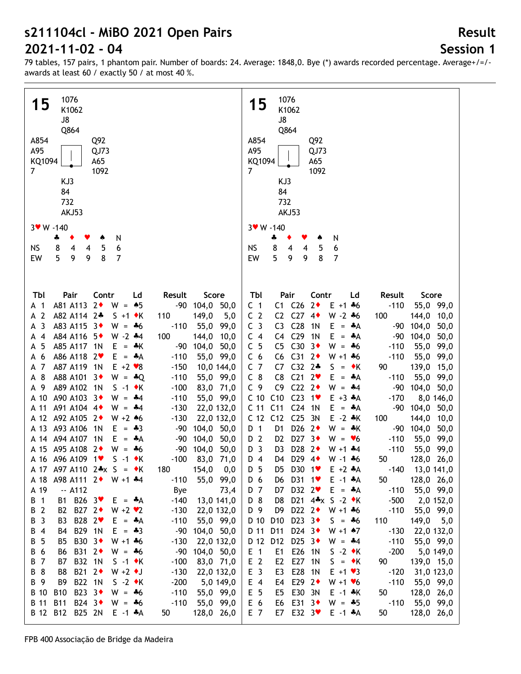## **Session 1**

**Result**

| 1076                                                                                                                                         | 1076                                                                                                                                                                                            |
|----------------------------------------------------------------------------------------------------------------------------------------------|-------------------------------------------------------------------------------------------------------------------------------------------------------------------------------------------------|
| 15<br>K1062                                                                                                                                  | 15<br>K1062                                                                                                                                                                                     |
| J8                                                                                                                                           | J8                                                                                                                                                                                              |
| Q864                                                                                                                                         | Q864                                                                                                                                                                                            |
| A854<br>Q92                                                                                                                                  | A854<br>Q92                                                                                                                                                                                     |
| A95<br>QJ73                                                                                                                                  | A95<br>QJ73                                                                                                                                                                                     |
| KQ1094<br>A65                                                                                                                                | KQ1094<br>A65                                                                                                                                                                                   |
| 7<br>1092                                                                                                                                    | $\overline{7}$<br>1092                                                                                                                                                                          |
| KJ3                                                                                                                                          | KJ3                                                                                                                                                                                             |
| 84                                                                                                                                           | 84                                                                                                                                                                                              |
| 732                                                                                                                                          | 732                                                                                                                                                                                             |
| AKJ53                                                                                                                                        | AKJ53                                                                                                                                                                                           |
| 3 W - 140                                                                                                                                    | 3 W - 140                                                                                                                                                                                       |
| N<br>÷<br>٠                                                                                                                                  | N<br>ቆ                                                                                                                                                                                          |
| 8<br>5<br><b>NS</b><br>6<br>4<br>4                                                                                                           | 8<br>6<br><b>NS</b><br>5<br>$\overline{4}$<br>4                                                                                                                                                 |
| 5<br>9<br>9<br>8<br>7<br>EW                                                                                                                  | 5<br>9<br>8<br>7<br>EW<br>9                                                                                                                                                                     |
|                                                                                                                                              |                                                                                                                                                                                                 |
|                                                                                                                                              |                                                                                                                                                                                                 |
| Contr<br>Tbl<br>Pair<br>Ld<br>Result<br>Score                                                                                                | Pair<br>Tbl<br>Contr<br>Ld<br>Result<br>Score                                                                                                                                                   |
| $2*$<br>A81 A113<br>$W = 15$<br>-90 104,0 50,0<br>A 1                                                                                        | C1 C26<br>$2*$<br>$-110$<br>55,0 99,0<br>C <sub>1</sub><br>$E + 1 + 6$                                                                                                                          |
| $\overline{2}$<br>A82 A114 2+<br>$S + 1$ $\star$ K<br>149,0<br>5,0<br>110<br>А                                                               | C <sub>2</sub><br>C <sub>27</sub><br>$4\bullet$<br>$W - 2 * 6$<br>C <sub>2</sub><br>100<br>144,0<br>10,0                                                                                        |
| 3<br>A83 A115<br>$-3+$<br>$W = -6$<br>$-110$<br>55,0<br>99,0<br>А                                                                            | C <sub>28</sub><br>C <sub>3</sub><br>C <sub>3</sub><br>1 <sub>N</sub><br>Е<br>104,0<br>50,0<br>$=$ $A$<br>-90                                                                                   |
| A84 A116<br>-5♦<br>$W - 2$ $*4$<br>100<br>$\overline{4}$<br>144,0<br>10,0<br>А                                                               | C <sub>29</sub><br>1 <sub>N</sub><br>E<br>C <sub>4</sub><br>C <sub>4</sub><br>$-90$<br>104,0<br>50,0<br>$=$ $A$                                                                                 |
| 5<br>A85 A117<br>1 <sup>N</sup><br>Е<br>104,0<br>50,0<br>$=$ $\frac{1}{2}$ K<br>$-90$<br>А                                                   | C30<br>C <sub>5</sub><br>$3+$<br>C <sub>5</sub><br>W<br>55,0<br>99,0<br>$=$ $*6$<br>$-110$                                                                                                      |
| 6<br>A86 A118 2<br>E.<br>$-110$<br>55,0 99,0<br>$=$ $A$<br>А                                                                                 | C <sub>31</sub><br>$2\bullet$<br>C <sub>6</sub><br>C <sub>6</sub><br>$W + 1 + 6$<br>$-110$<br>55,0<br>99,0                                                                                      |
| A87 A119 1N<br>$E + 2 \cdot 8$<br>7<br>$-150$<br>10,0 144,0<br>А                                                                             | C <sub>32</sub><br>C <sub>7</sub><br>$2*$<br>139,0<br>C7<br>S<br>90<br>15,0<br>$=$ $\bullet$ K                                                                                                  |
| 8<br>A88 A101 3 <sup>+</sup><br>$W = -Q$<br>$-110$<br>55,0 99,0<br>А                                                                         | C <sub>21</sub><br>$C_8$<br>C8<br>2 <sub>v</sub><br>55,0<br>E<br>$-110$<br>99,0<br>$=$ $A$                                                                                                      |
| A89 A102<br>-9<br>1N<br>$S -1$ $\star$ K<br>$-100$<br>83,0 71,0<br>А<br>A90 A103 3+<br>A 10<br>$W = -4$<br>55,0 99,0<br>$-110$               | C <sub>22</sub><br>C <sub>9</sub><br>C <sub>9</sub><br>$2\bullet$<br>$W = -4$<br>$-90$<br>104,0<br>50,0<br>C <sub>10</sub><br>C10<br>C <sub>23</sub><br>1<br>$E + 3 + A$<br>$-170$<br>8,0 146,0 |
| A91 A104 4<br>22,0 132,0<br>A 11<br>$W = -4$<br>$-130$                                                                                       | C <sub>11</sub><br>C <sub>24</sub><br>C <sub>11</sub><br>1 <sub>N</sub><br>$E = A$<br>$-90$<br>104,0<br>50,0                                                                                    |
| A92 A105 2+<br>A 12<br>$W + 2 * 6$<br>$-130$<br>22,0 132,0                                                                                   | C <sub>12</sub><br>C <sub>12</sub><br>C <sub>25</sub><br>3N<br>$E - 2 * K$<br>100<br>144,0<br>10,0                                                                                              |
| A93 A106<br>A 13<br>1 <sup>N</sup><br>E<br>$-90$<br>50,0<br>$=$ $*3$<br>104,0                                                                | D <sub>26</sub><br>$2\bullet$<br>D 1<br>D <sub>1</sub><br>$W = *K$<br>104,0<br>50,0<br>-90                                                                                                      |
| A 14 A 94 A 107<br>1 <sub>N</sub><br>E.<br>104,0<br>50,0<br>$-90$<br>= *A                                                                    | D 2<br>D27 $3\bullet$<br>D <sub>2</sub><br>$W = \bullet 6$<br>$-110$<br>55,0<br>99,0                                                                                                            |
| A 15 A95 A108<br>$2\bullet$<br>$W = -6$<br>104,0<br>$-90$<br>50,0                                                                            | D <sub>3</sub><br>D <sub>28</sub><br>$2\bullet$<br>D <sub>3</sub><br>$W + 1$ $*4$<br>$-110$<br>55,0 99,0                                                                                        |
| A 16 A96 A109 1<br>$S -1$ $\bullet$ K<br>83,0 71,0<br>$-100$                                                                                 | D29 4+<br>D <sub>4</sub><br>128,0 26,0<br>D4<br>$W - 1 + 6$<br>50                                                                                                                               |
| A 17 A97 A110 $2*x S = *K$<br>180<br>154,0<br>0,0                                                                                            | $-140$<br>D 5<br>D5 D30 1♥<br>$E + 2$ $A$<br>13,0 141,0                                                                                                                                         |
| 55,0 99,0<br>A98 A111 2◆ W +1 *4<br>$-110$<br>A 18                                                                                           | 128,0 26,0<br>D 6<br>D31 1 <sup>v</sup><br>$E - 1$ $A$<br>50<br>D6                                                                                                                              |
| $-$ A112<br>A 19<br>Bye<br>73,4                                                                                                              | D32 2<br>D 7<br>$E = A$<br>$-110$<br>55,0 99,0<br>D7                                                                                                                                            |
| B1 B26 3<br>$-140$<br>13,0 141,0<br>$\overline{1}$<br>$E = A$<br>B                                                                           | D 8<br>D21 4*x S -2 ◆K<br>$-500$<br>D8<br>2,0 152,0                                                                                                                                             |
| B 2<br>B2 B27 2+<br>$W + 2 V$<br>$-130$<br>22,0 132,0                                                                                        | D22 $2 \cdot W + 1 \cdot 6$<br>D 9<br>D9<br>$-110$<br>55,0 99,0                                                                                                                                 |
| B28 2 <sup>₩</sup><br>$\overline{\mathbf{3}}$<br>$-110$<br>55,0 99,0<br>B<br>B3<br>$E = A$                                                   | D23 $3\bullet$<br>D 10<br>D <sub>10</sub><br>110<br>149,0 5,0<br>$S = -6$                                                                                                                       |
| B29 1N<br>$\overline{4}$<br>$E = -3$<br>104,0 50,0<br>В<br>$-90$<br>B4                                                                       | D24 $3\bullet$<br>D 11<br>D11<br>$W + 1$ $*7$<br>$-130$<br>22,0 132,0                                                                                                                           |
| 5<br>B30 3◆<br>$W + 1 + 6$<br>$-130$<br>22,0 132,0<br>В<br>B5                                                                                | D 12<br>D25 $3\bullet$<br>D12<br>$W = -4$<br>$-110$<br>55,0 99,0                                                                                                                                |
| $6\phantom{1}6$<br>B31 2◆<br>104,0 50,0<br><b>B6</b><br>$W = -6$<br>$-90$<br>В                                                               | E26 1N<br>$-200$<br>$E$ 1<br>$S -2 \cdot K$<br>E1<br>5,0 149,0                                                                                                                                  |
| $\overline{7}$<br>B32 1N<br>$-100$<br>83,0 71,0<br>В7<br>$S -1$ $\star$ K<br>B<br>8<br>B21 2◆<br>$W + 2$ $\bullet$ J<br>$-130$<br>22,0 132,0 | E <sub>2</sub><br>E27 1N<br>E <sub>2</sub><br>$S = \cdot K$<br>90<br>139,0 15,0<br>E <sub>3</sub><br>E28 1N<br>$E + 1 \cdot 3$<br>$-120$                                                        |
| В<br>B8<br>B22 1N<br>B 9<br>$S -2 \cdot K$<br>$-200$<br>B9<br>5,0 149,0                                                                      | 31,0 123,0<br>E3<br>E 4<br>E29 $2\bullet$<br>$-110$<br>E4<br>$W + 1 \cdot 6$<br>55,0 99,0                                                                                                       |
| B23 3◆<br><b>B</b> 10<br><b>B10</b><br>$-110$<br>$W = -6$<br>55,0 99,0                                                                       | E 5<br>E30 3N<br>E5<br>$E - 1$ $*$ K<br>50<br>128,0 26,0                                                                                                                                        |
| B 11<br><b>B11</b><br>B24 3◆<br>$-110$<br>$W = -6$<br>55,0 99,0                                                                              | E 6<br>E31 3◆<br>$-110$<br>55,0 99,0<br>E6<br>$W = -5$                                                                                                                                          |
| B 12<br>B12 B25 2N<br>$E -1$ $A$<br>50<br>128,0 26,0                                                                                         | E7 E32 3<br>E 7<br>$E - 1$ $A$<br>50<br>128,0 26,0                                                                                                                                              |
|                                                                                                                                              |                                                                                                                                                                                                 |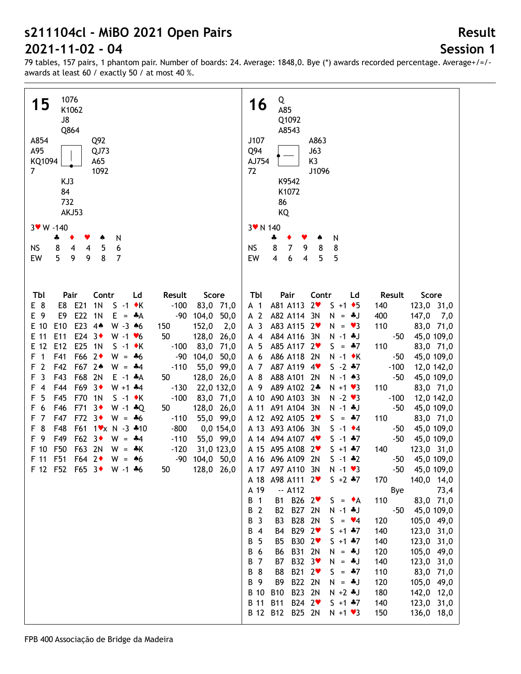# **Session 1**

**Result**

| 1076                                                                                                                                                           | Q                                                                                                                                                                                                    |
|----------------------------------------------------------------------------------------------------------------------------------------------------------------|------------------------------------------------------------------------------------------------------------------------------------------------------------------------------------------------------|
| 15<br>K1062                                                                                                                                                    | 16<br>A85                                                                                                                                                                                            |
| J8                                                                                                                                                             | Q1092                                                                                                                                                                                                |
| Q864<br>A854<br>Q92                                                                                                                                            | A8543<br>J107<br>A863                                                                                                                                                                                |
| A95<br>QJ73                                                                                                                                                    | Q94<br>J63                                                                                                                                                                                           |
| KQ1094<br>A65                                                                                                                                                  | AJ754<br>K3                                                                                                                                                                                          |
| $\overline{7}$<br>1092                                                                                                                                         | 72<br>J1096                                                                                                                                                                                          |
| KJ3<br>84                                                                                                                                                      | K9542<br>K1072                                                                                                                                                                                       |
| 732                                                                                                                                                            | 86                                                                                                                                                                                                   |
| AKJ53                                                                                                                                                          | KQ                                                                                                                                                                                                   |
| $3$ W $-140$                                                                                                                                                   | 3 v N 140                                                                                                                                                                                            |
| 4<br>N                                                                                                                                                         | N<br>÷<br>۸                                                                                                                                                                                          |
| 8<br><b>NS</b><br>5<br>4<br>4<br>6<br>5<br>9<br>8<br>9<br>$\overline{7}$                                                                                       | 8<br>$\overline{7}$<br>9<br>8<br><b>NS</b><br>8<br>$\overline{4}$<br>$\overline{\mathbf{4}}$                                                                                                         |
| EW                                                                                                                                                             | 5<br>EW<br>6<br>5                                                                                                                                                                                    |
|                                                                                                                                                                |                                                                                                                                                                                                      |
| Tbl<br>Pair<br>Contr<br>Ld<br>Result<br>Score                                                                                                                  | Tbl<br>Pair<br>Contr<br>Score<br>Ld<br>Result                                                                                                                                                        |
| E8 E21<br>1 <sub>N</sub><br>$S -1$ $\star$ K<br>$-100$<br>83,0 71,0<br>E 8                                                                                     | A81 A113<br>$2\bullet$<br>123,0 31,0<br>A <sub>1</sub><br>$S + 1$ + 5<br>140                                                                                                                         |
| E22<br>E 9<br>E9<br>$-90$<br>104,0<br>50,0<br>1N<br>$E = A$                                                                                                    | A 2<br>A82 A114 3N<br>147,0 7,0<br>400<br>$N = *J$                                                                                                                                                   |
| E23 44<br>E 10<br>E <sub>10</sub><br>152,0<br>2,0<br>$W - 3 \cdot 6$<br>150                                                                                    | A <sub>3</sub><br>A83 A115 2<br>110<br>83,0 71,0<br>$N = 23$                                                                                                                                         |
| E24 $3\bullet$<br>E 11<br>E11<br>50<br>128,0<br>$W - 1$ $\blacktriangleright$ 6<br>26,0<br>E25 1N<br>E 12<br>E12<br>83,0<br>71,0<br>$S -1$ $\star$ K<br>$-100$ | A84 A116<br>$-50$<br>45,0 109,0<br>$A$ 4<br>3N<br>$N - 1$ . J<br>A85 A117 2<br>110<br>A 5<br>$S = *7$<br>83,0 71,0                                                                                   |
| F66 2◆<br>$\overline{1}$<br>F41<br>104,0<br>50,0<br>F<br>$W = -6$<br>$-90$                                                                                     | A86 A118<br>2N<br>$N - 1$ $\star$ K<br>$-50$<br>45,0 109,0<br>A 6                                                                                                                                    |
| $\overline{2}$<br>F42<br>F67 2*<br>$-110$<br>55,0<br>99,0<br>F<br>$W = -4$                                                                                     | $S - 2 * 7$<br>A 7<br>A87 A119 4<br>$-100$<br>12,0 142,0                                                                                                                                             |
| $\overline{3}$<br>F43<br>F68<br>F<br>2N<br>50<br>128,0 26,0<br>$E - 1$ $*A$                                                                                    | A 8<br>A88 A101<br>$N - 1$ $*3$<br>$-50$<br>45,0 109,0<br>2N                                                                                                                                         |
| F69<br>F44<br>3 <sub>•</sub><br>22,0 132,0<br>F<br>$\overline{4}$<br>$W + 1 + 4$<br>$-130$                                                                     | A 9<br>A89 A102<br>$2*$<br>110<br>83,0 71,0<br>$N + 1$ $\vee$ 3                                                                                                                                      |
| 5<br>F45<br>F70<br>$-100$<br>83,0 71,0<br>F<br>1 <sub>N</sub><br>$S -1$ $\star$ K<br>6<br>F46<br>F71<br>$3*$<br>128,0 26,0<br>F<br>$W - 1 * Q$<br>50           | A 10 A90 A103<br>$N - 2 \cdot 3$<br>3N<br>$-100$<br>12,0 142,0<br>A 11 A 91 A 104<br>$-50$<br>3N<br>$N - 1$ . J<br>45,0 109,0                                                                        |
| $\overline{7}$<br>F47<br>F72<br>3 <sub>•</sub><br>55,0 99,0<br>F<br>$W = -6$<br>$-110$                                                                         | A 12 A92 A105<br>$2\bullet$<br>$S = *7$<br>110<br>83,0 71,0                                                                                                                                          |
| 8<br>F48<br>F61<br>$1 \times N - 3 \cdot 10$<br>$0,0$ 154,0<br>F<br>$-800$                                                                                     | A 13 A93 A106<br>3N<br>$S - 1$ $\bullet$ 4<br>-50<br>45,0 109,0                                                                                                                                      |
| F49<br>F62<br>- 9<br>$3\bullet$<br>55,0 99,0<br>F<br>$W = -4$<br>$-110$                                                                                        | A 14 A 94 A 107<br>$-50$<br>$4$ v<br>$S - 1$ $*7$<br>45,0 109,0                                                                                                                                      |
| F50<br>F63<br>2N<br>F 10<br>31,0 123,0<br>$W = *K$<br>$-120$<br>F51<br>$F64$ 2<br>F 11<br>$-90$<br>104,0 50,0<br>$W = 46$                                      | A 15 A 95 A 108<br>$2\bullet$<br>123,0 31,0<br>$S + 1 + 7$<br>140<br>A 16 A96 A109 2N<br>$-50$<br>45,0 109,0<br>$S - 1 * 2$                                                                          |
| 50<br>128,0 26,0<br>F 12 F52 F65 3◆ W -1 ÷6                                                                                                                    | 45,0 109,0<br>A 17 A97 A110 3N<br>$-50$<br>$N - 1$ $\bullet$ 3                                                                                                                                       |
|                                                                                                                                                                | A 18 A 98 A 111 2<br>$S + 2 + 7$<br>140,0 14,0<br>170                                                                                                                                                |
|                                                                                                                                                                | A 19<br>$-$ A112<br>73,4<br>Bye                                                                                                                                                                      |
|                                                                                                                                                                | $\overline{1}$<br>В<br>B26 $2\blacktriangledown$<br>110<br>83,0 71,0<br><b>B1</b><br>$S = \bullet A$                                                                                                 |
|                                                                                                                                                                | $\overline{2}$<br>В<br>B <sub>2</sub><br>B27 2N<br>$N - 1$ $\clubsuit$ J<br>$-50$<br>45,0 109,0<br>$\overline{3}$<br><b>B28</b><br>В<br>B <sub>3</sub><br>2N<br>120<br>105,0 49,0<br>$S = \bullet 4$ |
|                                                                                                                                                                | $\overline{4}$<br>B29 2 <sup>₩</sup><br>B<br>B <sub>4</sub><br>$S + 1 + 7$<br>140<br>123,0 31,0                                                                                                      |
|                                                                                                                                                                | 5<br><b>B30</b><br>2 <sup>4</sup><br>123,0 31,0<br>В<br><b>B5</b><br>$S + 1 + 7$<br>140                                                                                                              |
|                                                                                                                                                                | 6<br>B31 2N<br>105,0 49,0<br><b>B6</b><br>120<br>В<br>$N = *J$                                                                                                                                       |
|                                                                                                                                                                | B32 3 <sup>₩</sup><br>В<br>$\overline{7}$<br><b>B7</b><br>140<br>123,0 31,0<br>$N = *J$                                                                                                              |
|                                                                                                                                                                | 8<br>B <sub>8</sub><br>B21 2<br>$= 47$<br>110<br>83,0 71,0<br>В<br>S.<br>B22 2N<br>9<br>B9<br>105,0 49,0<br>В<br>120<br>$N = *J$                                                                     |
|                                                                                                                                                                | <b>B</b> 10<br>B23 2N<br><b>B10</b><br>$N + 2 + J$<br>180<br>142,0 12,0                                                                                                                              |
|                                                                                                                                                                | B24 2 <sup>₩</sup><br>B 11 B11<br>123,0 31,0<br>$S + 1 + 7$<br>140                                                                                                                                   |
|                                                                                                                                                                | B 12 B12 B25 2N<br>136,0 18,0<br>$N + 1$ $\vee$ 3<br>150                                                                                                                                             |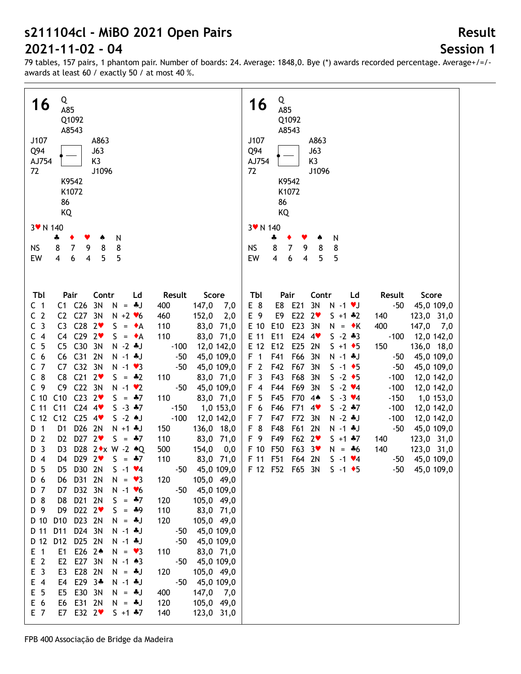# **Session 1**

| Q<br>16<br>A85<br>Q1092<br>A8543<br>J107<br>A863<br>Q94<br>J63<br>K3<br>AJ754<br>72<br>J1096<br>K9542<br>K1072<br>86<br>KQ    | Q<br>16<br>A85<br>Q1092<br>A8543<br>J107<br>A863<br>Q94<br>J63<br>K <sub>3</sub><br>AJ754<br>72<br>J1096<br>K9542<br>K1072<br>86<br>KQ |
|-------------------------------------------------------------------------------------------------------------------------------|----------------------------------------------------------------------------------------------------------------------------------------|
|                                                                                                                               |                                                                                                                                        |
| 3 v N 140                                                                                                                     | 3 V N 140                                                                                                                              |
| N<br>÷                                                                                                                        | ÷<br>N<br>۸                                                                                                                            |
| $\overline{7}$<br>8<br>8<br>8<br>NS<br>9                                                                                      | 8<br>$\overline{7}$<br>9<br>8<br><b>NS</b><br>8                                                                                        |
| 5<br>5<br>$6\phantom{1}6$<br>EW<br>4<br>4                                                                                     | $\overline{\mathbf{4}}$<br>5<br>6<br>5<br>EW<br>$\overline{4}$                                                                         |
|                                                                                                                               |                                                                                                                                        |
|                                                                                                                               |                                                                                                                                        |
| Tbl<br>Pair<br>Contr<br>Score<br>Ld<br>Result<br>$C1$ $C26$<br>3N<br>147,0<br>C <sub>1</sub><br>$N = 4J$<br>400               | Tbl<br>Pair<br>Contr<br>Result<br>Score<br>Ld<br>E 8<br>E8 E21<br>3N<br>$-50$<br>45,0 109,0<br>7,0<br>$N - 1$ $V$                      |
| C2 C27 3N<br>C <sub>2</sub><br>152,0<br>$N + 2$ $\vee$ 6<br>460                                                               | E22<br>2,0<br>E 9<br>E9<br>$2\bullet$<br>$S + 1 * 2$<br>123,0 31,0<br>140                                                              |
| C <sub>3</sub><br>C3 $C28$ $2$<br>110<br>83,0 71,0<br>$S = \bullet A$                                                         | E23<br>E 10<br>E10<br>400<br>$147,0$ 7,0<br>3N<br>$N = \cdot K$                                                                        |
| $C4$ $C29$ $2\blacktriangledown$<br>110<br>83,0 71,0<br>C <sub>4</sub><br>$S = \bullet A$                                     | E 11<br>E11<br>E24<br>$S - 2 * 3$<br>$-100$<br>12,0 142,0<br>$4$ v                                                                     |
| 5<br>C5 C30 3N<br>С<br>$N - 2$ . J<br>12,0 142,0<br>$-100$                                                                    | E25<br>E 12<br>E12<br>2N<br>150<br>136,0 18,0<br>$S + 1$ + 5                                                                           |
| C6 C31<br>C <sub>6</sub><br>2N<br>45,0 109,0<br>$N - 1$ $*J$<br>$-50$                                                         | F <sub>1</sub><br>F41<br>F66<br>45,0 109,0<br>3N<br>$N - 1$ $\clubsuit$ J<br>$-50$                                                     |
| C <sub>7</sub><br>C <sub>32</sub><br>C7<br>3N<br>$-50$<br>45,0 109,0<br>$N - 1$ $\vee$ 3                                      | F <sub>2</sub><br>F42<br>F67<br>3N<br>$S - 1$ $\bullet$ 5<br>$-50$<br>45,0 109,0                                                       |
| $C_8$<br>C8<br>C <sub>21</sub><br>$2\bullet$<br>83,0 71,0<br>$S = -2$<br>110                                                  | F <sub>3</sub><br>F43<br>F68<br>3N<br>$S -2$ $\rightarrow$ 5<br>$-100$<br>12,0 142,0                                                   |
| C <sub>9</sub><br>C <sub>9</sub><br>C22 3N<br>$-50$<br>45,0 109,0<br>$N - 1$ $\vee$ 2                                         | F44<br>F69<br>3N<br>$S - 2 \cdot 4$<br>$-100$<br>12,0 142,0<br>F 4                                                                     |
| C <sub>10</sub><br>C10<br>$C23$ $2\blacktriangledown$<br>$S = 47$<br>110<br>83,0 71,0                                         | F 5<br>F45<br>F70<br>$S - 3 \cdot 4$<br>$-150$<br>1,0 153,0<br>$4*$                                                                    |
| C <sub>11</sub><br>$C24$ 4<br>C <sub>11</sub><br>$S - 3 + 7$<br>$-150$<br>1,0 153,0                                           | F 6<br>F46<br>F71<br>$S - 2 * 7$<br>$-100$<br>12,0 142,0<br>$4\bullet$                                                                 |
| C12<br>$C25$ 4<br>$S - 2$ $\bullet J$<br>C <sub>12</sub><br>$-100$<br>12,0 142,0                                              | F47<br>F72<br>F 7<br>$N - 2$ . J<br>$-100$<br>12,0 142,0<br>3N                                                                         |
| D <sub>1</sub><br>D26 2N<br>D 1<br>$N + 1 + J$<br>150<br>136,0 18,0                                                           | F 8<br>F48<br>F61<br>2N<br>$-50$<br>45,0 109,0<br>N -1 +J                                                                              |
| D27 $2$<br>$\overline{2}$<br>D <sub>2</sub><br>$S = 47$<br>110<br>83,0 71,0<br>D                                              | F49<br>F62<br>F 9<br>$2\bullet$<br>123,0 31,0<br>$S + 1 + 7$<br>140                                                                    |
| $\overline{3}$<br>D28 2 * x W - 2 * Q<br>D <sub>3</sub><br>500<br>154,0<br>D                                                  | F50<br>F63<br>123,0 31,0<br>F 10<br>3 <sup>4</sup><br>140<br>0,0<br>$N = -6$                                                           |
| $D_4$<br>D4 D29 2<br>$S = -7$<br>110<br>83,0 71,0                                                                             | F 11 F51<br>F64 2N<br>$-50$<br>45,0 109,0<br>$S - 1 \cdot 4$                                                                           |
| - 5<br>D5 D30 2N<br>45,0 109,0<br>$S - 1 \cdot 4$<br>$-50$<br>D                                                               | 45,0 109,0<br>F 12 F52 F65 3N<br>$S - 1$ $\bullet$ 5<br>-50                                                                            |
| 6<br>D6<br>D31 2N<br>105,0 49,0<br>$N = \bullet 3$<br>120<br>D<br>D32 3N<br>$\overline{7}$<br>D7<br>$N - 1$ $\vee 6$<br>$-50$ |                                                                                                                                        |
| 45,0 109,0<br>D<br>D 8<br>D21 2N<br>105,0 49,0<br>D8<br>$S = *7$<br>120                                                       |                                                                                                                                        |
| D 9<br>D9<br>D22 $2$<br>$S = *9$<br>110<br>83,0 71,0                                                                          |                                                                                                                                        |
| D <sub>10</sub><br>D23 2N<br>105,0 49,0<br>D 10<br>120<br>$N = 4J$                                                            |                                                                                                                                        |
| D11<br>D24 3N<br>D 11<br>$N - 1$ $*J$<br>45,0 109,0<br>$-50$                                                                  |                                                                                                                                        |
| D 12<br>D12<br>D25 2N<br>$N - 1$ $J$<br>$-50$<br>45,0 109,0                                                                   |                                                                                                                                        |
| $E$ 1<br>E1<br>E26 2 <sup>4</sup><br>110<br>83,0 71,0<br>$N = \bullet 3$                                                      |                                                                                                                                        |
| E <sub>2</sub><br>E <sub>2</sub><br>E27 3N<br>$N - 1$ $*3$<br>$-50$<br>45,0 109,0                                             |                                                                                                                                        |
| E <sub>3</sub><br>E3<br>E28 2N<br>105,0 49,0<br>120<br>$N = 4J$                                                               |                                                                                                                                        |
| $E$ 4<br>E4<br>E29 3*<br>$N - 1$ . J<br>$-50$<br>45,0 109,0                                                                   |                                                                                                                                        |
| E 5<br>E30 3N<br>147,0 7,0<br>E5<br>$N = 4J$<br>400                                                                           |                                                                                                                                        |
| E 6<br>E31 2N<br>105,0 49,0<br>E6<br>120<br>$N = *J$                                                                          |                                                                                                                                        |
| E 7<br>E7<br>E32 2 <sup>v</sup><br>123,0 31,0<br>$S + 1 + 7$<br>140                                                           |                                                                                                                                        |
|                                                                                                                               |                                                                                                                                        |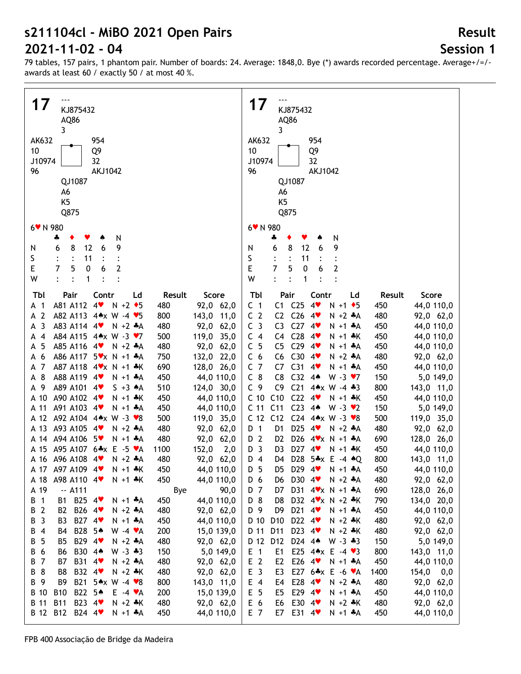# **Session 1**

79 tables, 157 pairs, 1 phantom pair. Number of boards: 24. Average: 1848,0. Bye (\*) awards recorded percentage. Average+/=/ awards at least 60 / exactly 50 / at most 40 %.

| 17<br>KJ875432<br>AQ86<br>3<br>AK632<br>954<br>10<br>Q9<br>J10974<br>32<br>96<br><b>AKJ1042</b><br>QJ1087<br>A6<br>K <sub>5</sub><br>Q875                                                                                                                                                                                                                                                                                                                                                                                                                                                                                                                                                                                                                                                                                                                                                                                                                                                                                                                                                                                                                                                                                                                                           | 17<br>KJ875432<br>AQ86<br>3<br>AK632<br>954<br>Q9<br>10<br>32<br>J10974<br>96<br><b>AKJ1042</b><br>QJ1087<br>A6<br>K <sub>5</sub><br>Q875                                                                                                                                                                                                                                                                                                                                                                                                                                                                                                                                                                                                                                                                                                                                                                                                                                                                                                                                                                                                                                                                                                                                                                                                                                                                                                                                                                                                                                                                                                                                                                                      |
|-------------------------------------------------------------------------------------------------------------------------------------------------------------------------------------------------------------------------------------------------------------------------------------------------------------------------------------------------------------------------------------------------------------------------------------------------------------------------------------------------------------------------------------------------------------------------------------------------------------------------------------------------------------------------------------------------------------------------------------------------------------------------------------------------------------------------------------------------------------------------------------------------------------------------------------------------------------------------------------------------------------------------------------------------------------------------------------------------------------------------------------------------------------------------------------------------------------------------------------------------------------------------------------|--------------------------------------------------------------------------------------------------------------------------------------------------------------------------------------------------------------------------------------------------------------------------------------------------------------------------------------------------------------------------------------------------------------------------------------------------------------------------------------------------------------------------------------------------------------------------------------------------------------------------------------------------------------------------------------------------------------------------------------------------------------------------------------------------------------------------------------------------------------------------------------------------------------------------------------------------------------------------------------------------------------------------------------------------------------------------------------------------------------------------------------------------------------------------------------------------------------------------------------------------------------------------------------------------------------------------------------------------------------------------------------------------------------------------------------------------------------------------------------------------------------------------------------------------------------------------------------------------------------------------------------------------------------------------------------------------------------------------------|
| 6 V N 980<br>N<br>÷                                                                                                                                                                                                                                                                                                                                                                                                                                                                                                                                                                                                                                                                                                                                                                                                                                                                                                                                                                                                                                                                                                                                                                                                                                                                 | 6* N 980<br>N<br>4                                                                                                                                                                                                                                                                                                                                                                                                                                                                                                                                                                                                                                                                                                                                                                                                                                                                                                                                                                                                                                                                                                                                                                                                                                                                                                                                                                                                                                                                                                                                                                                                                                                                                                             |
| 8<br>12<br>6<br>9<br>6<br>N<br>S<br>11<br>E<br>5<br>2<br>7<br>0<br>6<br>W<br>1<br>$\ddot{\cdot}$                                                                                                                                                                                                                                                                                                                                                                                                                                                                                                                                                                                                                                                                                                                                                                                                                                                                                                                                                                                                                                                                                                                                                                                    | 8<br>12<br>6<br>9<br>6<br>N<br>S<br>11<br>E<br>7<br>5<br>6<br>$\mathbf{2}$<br>0<br>W<br>1                                                                                                                                                                                                                                                                                                                                                                                                                                                                                                                                                                                                                                                                                                                                                                                                                                                                                                                                                                                                                                                                                                                                                                                                                                                                                                                                                                                                                                                                                                                                                                                                                                      |
| Tbl<br>Score<br>Pair<br>Contr<br>Ld<br>Result<br>4<br>A81 A112<br>$N + 2 + 5$<br>480<br>92,0 62,0<br>A <sub>1</sub><br>A <sub>2</sub><br>A82 A113 4*x W -4 *5<br>800<br>143,0 11,0<br>$\overline{3}$<br>A83 A114 4<br>480<br>92,0<br>62,0<br>$N + 2$ $*A$<br>A<br>$\overline{4}$<br>A84 A115 4*x W -3 *7<br>500<br>119,0<br>35,0<br>А<br>5<br>A85 A116 4<br>480<br>92,0<br>62,0<br>$N + 2 A$<br>А<br>6<br>A86 A117 5*x N +1 *A<br>750<br>132,0 22,0<br>А<br>A87 A118 4 x N +1 *K<br>7<br>690<br>128,0 26,0<br>A<br>8<br>A88 A119 4<br>450<br>44,0 110,0<br>$N + 1$ $A$<br>A<br>9<br>A89 A101 4<br>510<br>124,0 30,0<br>$S + 3 \cdot A$<br>A<br>A90 A102 4<br>A 10<br>$N + 1$ $N$<br>450<br>44,0 110,0<br>A 11<br>A91 A103 4<br>$N + 1$ $A$<br>450<br>44,0 110,0<br>A92 A104 4** W -3 *8<br>500<br>A 12<br>119,0 35,0<br>A93 A105 4<br>A 13<br>$N + 2 A$<br>480<br>92,0 62,0<br>A94 A106 5<br>480<br>62,0<br>$N + 1$ $*A$<br>92,0<br>A 14<br>A95 A107 6*x E -5 *A<br>1100<br>152,0<br>2,0<br>A 15<br>A 16 A96 A108 4<br>$N + 2 A$<br>92,0 62,0<br>480<br>A 17 A97 A109 4<br>N +1 ∗K<br>450<br>44,0 110,0<br>44,0 110,0<br>A98 A110 4<br>$N + 1$ $*K$<br>450<br>A 18<br>$-$ A111<br>90,0<br>A 19<br><b>Bye</b><br>B1 B25 4<br>44,0 110,0<br>$\overline{1}$<br>450<br>B<br>$N + 1$ $A$ | Tbl<br>Pair<br>Contr<br>Ld<br>Result<br>Score<br>C1 C25<br>C <sub>1</sub><br>4<br>$N + 1$ + 5<br>450<br>44,0 110,0<br>C <sub>2</sub><br>C <sub>26</sub><br>C <sub>2</sub><br>4<br>$N + 2 A$<br>480<br>92,0 62,0<br>C27<br>C <sub>3</sub><br>C <sub>3</sub><br>$N + 1$ $*A$<br>450<br>$4$ v<br>44,0 110,0<br>C <sub>28</sub><br>$C_4$<br>C <sub>4</sub><br>4<br>$N + 1$ *K<br>450<br>44,0 110,0<br>C <sub>29</sub><br>C <sub>5</sub><br>C <sub>5</sub><br>4<br>$N + 1$ $*A$<br>450<br>44,0 110,0<br>C30<br>C <sub>6</sub><br>C <sub>6</sub><br>$N + 2 A$<br>480<br>$4$ v<br>92,0 62,0<br>$C$ 7<br>C <sub>31</sub><br>C7<br>4<br>$N + 1$ $*A$<br>450<br>44,0 110,0<br>$C_8$<br>C <sub>32</sub><br>C <sub>8</sub><br>$4*$<br>$W - 3 \cdot 7$<br>150<br>5,0 149,0<br>C <sub>9</sub><br>C <sub>9</sub><br>C <sub>21</sub><br>$4 \times W - 4 \div 3$<br>800<br>143,0 11,0<br>C <sub>10</sub><br>C <sub>10</sub><br>C <sub>22</sub><br>4<br>450<br>$N + 1$ $N$<br>44,0 110,0<br>C <sub>11</sub><br>C <sub>11</sub><br>C <sub>23</sub><br>$4*$<br>150<br>W $-3 \cdot 2$<br>5,0 149,0<br>C 12 C 12<br>C <sub>24</sub><br>$4 \times W - 3 \times 8$<br>500<br>119,0 35,0<br>D <sub>25</sub><br>D 1<br>4<br>480<br>D1<br>$N + 2 A$<br>92,0 62,0<br>D 2<br>D <sub>26</sub><br>690<br>D <sub>2</sub><br>$4$ x N +1 $*$ A<br>128,0 26,0<br>D27<br>D <sub>3</sub><br>4<br>D <sub>3</sub><br>$N + 1$ *K<br>450<br>44,0 110,0<br>D28 5*x E -4 *Q<br>D <sub>4</sub><br>800<br>D4<br>143,0 11,0<br>D 5<br>D5<br>D29 $4\bullet$<br>$N + 1$ $*A$<br>450<br>44,0 110,0<br>D 6<br>D30 $4\bullet$<br>$N + 2 A$<br>480<br>92,0 62,0<br>D6<br>D 7<br>D31 4 x N +1 + A<br>690<br>128,0 26,0<br>D7<br>D 8<br>D32 4 x N + 2 + K<br>790<br>134,0 20,0<br>D8 |
| $\overline{2}$<br>B26 4<br>92,0 62,0<br>B <sub>2</sub><br>$N + 2 A$<br>480<br>В<br>$\overline{\mathbf{3}}$<br>B27 4<br>44,0 110,0<br>В<br>B <sub>3</sub><br>$N + 1$ $*A$<br>450                                                                                                                                                                                                                                                                                                                                                                                                                                                                                                                                                                                                                                                                                                                                                                                                                                                                                                                                                                                                                                                                                                     | D 9<br>D21 4<br>450<br>D9<br>$N + 1$ $*A$<br>44,0 110,0<br>D 10<br>D <sub>10</sub><br>D22 4<br>480<br>$N + 2$ $*K$<br>92,0 62,0                                                                                                                                                                                                                                                                                                                                                                                                                                                                                                                                                                                                                                                                                                                                                                                                                                                                                                                                                                                                                                                                                                                                                                                                                                                                                                                                                                                                                                                                                                                                                                                                |
| $\overline{4}$<br>B28 54<br>15,0 139,0<br>В<br>$W -4 W$<br>200<br>B4<br>5<br>B29 4<br>480<br>92,0 62,0<br>В<br>B5<br>$N + 2 A$<br>6<br>B30 44<br>$W - 3 + 3$<br>150<br>5,0 149,0<br>B6<br>B<br>$\overline{7}$<br>B31 4<br>92,0 62,0<br>В<br>B7<br>$N + 2 A$<br>480<br>8<br>B32 4<br>$N + 2$ $*K$<br>92,0 62,0<br>В<br>B8<br>480<br>B 9<br><b>B21</b><br>5*x W -4 *8<br>143,0 11,0<br>B9<br>800<br>B 10<br><b>B10</b><br>B22 54<br>15,0 139,0<br>200<br>E -4 ♥A<br>B23 4<br>B 11<br><b>B11</b><br>92,0 62,0<br>$N + 2$ $*K$<br>480<br>B12 B24 4<br>B 12<br>$N + 1$ $A$<br>450<br>44,0 110,0                                                                                                                                                                                                                                                                                                                                                                                                                                                                                                                                                                                                                                                                                          | D 11<br>D11<br>D23 4<br>$N + 2$ $*K$<br>480<br>92,0 62,0<br>D 12<br>D <sub>12</sub><br>D24 4*<br>$W - 3 + 3$<br>150<br>5,0 149,0<br>$E$ 1<br>E25 $4 \times 5 - 4 \times 3$<br>800<br>E1<br>143,0 11,0<br>E <sub>2</sub><br>E26 4<br>450<br>E <sub>2</sub><br>$N + 1$ $*A$<br>44,0 110,0<br>E <sub>3</sub><br>E27 6*x E -6 ♥A<br>1400<br>E3<br>154,0<br>0,0<br>E 4<br>E28 4<br>480<br>E4<br>$N + 2 A$<br>92,0 62,0<br>E <sub>5</sub><br>E29 4<br>450<br>E5<br>$N + 1$ $*A$<br>44,0 110,0<br>E30 4<br>E 6<br>E6<br>$N + 2$ $*K$<br>480<br>92,0 62,0<br>E 7<br>E31 4<br>450<br>44,0 110,0<br>E7<br>$N + 1$ $*A$                                                                                                                                                                                                                                                                                                                                                                                                                                                                                                                                                                                                                                                                                                                                                                                                                                                                                                                                                                                                                                                                                                                   |

## **Result**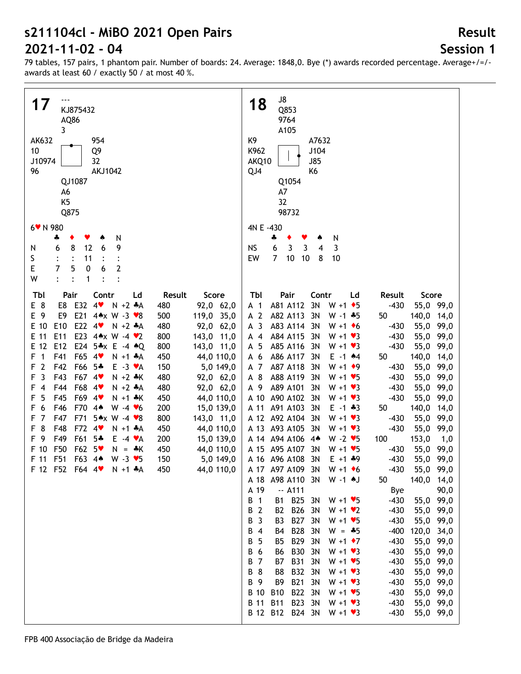# **Session 1**

| 17<br>KJ875432<br>AQ86<br>3<br>AK632<br>954<br>10<br>Q9<br>J10974<br>32<br>96<br><b>AKJ1042</b><br>QJ1087<br>A6<br>K <sub>5</sub><br>Q875<br>6 V N 980<br>N                                                                                                                                                                                                                                                                                                                                                                                                                                                                                                                                                                                                                                                                                                             |                                                                                                                                                                                                                                                                                                                                                                                | J8<br>18<br>Q853<br>9764<br>A105<br>K9<br>A7632<br>J104<br>K962<br><b>J85</b><br>AKQ10<br>QJ4<br>K6<br>Q1054<br>A7<br>32<br>98732<br>4N E -430<br>N                                                                                                                                                                                                                                                                                                                                                                                                                                                                                                                                                                                                                                                                                                                                                                                                                                                                                                                                                                                                                                                                                                                                                                                                                                                                                                                                                                                                                                                                                                                                                                                                                   |                                                                                                                                                                                                                                                                                                                                                                                                                                                              |
|-------------------------------------------------------------------------------------------------------------------------------------------------------------------------------------------------------------------------------------------------------------------------------------------------------------------------------------------------------------------------------------------------------------------------------------------------------------------------------------------------------------------------------------------------------------------------------------------------------------------------------------------------------------------------------------------------------------------------------------------------------------------------------------------------------------------------------------------------------------------------|--------------------------------------------------------------------------------------------------------------------------------------------------------------------------------------------------------------------------------------------------------------------------------------------------------------------------------------------------------------------------------|-----------------------------------------------------------------------------------------------------------------------------------------------------------------------------------------------------------------------------------------------------------------------------------------------------------------------------------------------------------------------------------------------------------------------------------------------------------------------------------------------------------------------------------------------------------------------------------------------------------------------------------------------------------------------------------------------------------------------------------------------------------------------------------------------------------------------------------------------------------------------------------------------------------------------------------------------------------------------------------------------------------------------------------------------------------------------------------------------------------------------------------------------------------------------------------------------------------------------------------------------------------------------------------------------------------------------------------------------------------------------------------------------------------------------------------------------------------------------------------------------------------------------------------------------------------------------------------------------------------------------------------------------------------------------------------------------------------------------------------------------------------------------|--------------------------------------------------------------------------------------------------------------------------------------------------------------------------------------------------------------------------------------------------------------------------------------------------------------------------------------------------------------------------------------------------------------------------------------------------------------|
| 6<br>9<br>8<br>12<br>N<br>6<br>S<br>11<br>E<br>7<br>$\overline{2}$<br>5<br>$\pmb{0}$<br>6<br>W<br>$\ddot{\cdot}$<br>$\ddot{\cdot}$<br>1                                                                                                                                                                                                                                                                                                                                                                                                                                                                                                                                                                                                                                                                                                                                 |                                                                                                                                                                                                                                                                                                                                                                                | 3<br>6<br>3<br><b>NS</b><br>3<br>$\overline{4}$<br>$\overline{7}$<br>10<br>EW<br>10<br>8<br>10                                                                                                                                                                                                                                                                                                                                                                                                                                                                                                                                                                                                                                                                                                                                                                                                                                                                                                                                                                                                                                                                                                                                                                                                                                                                                                                                                                                                                                                                                                                                                                                                                                                                        |                                                                                                                                                                                                                                                                                                                                                                                                                                                              |
| Tbl<br>Pair<br>Contr<br>Ld<br>E 8<br>4<br>E32<br>$N + 2 A$<br>E8<br>E 9<br>E21<br>E9<br>44x W -3 $\sqrt{8}$<br>E22 4<br>E 10<br>E <sub>10</sub><br>$N + 2 A$<br>E23 4** W -4 *2<br>E 11<br>E11<br>E24 5*x E -4 *Q<br>E 12<br>E12<br>F<br>$\overline{1}$<br>F41<br>F65 4<br>$N + 1$ $*A$<br>$\overline{2}$<br>F42<br>F66 5*<br>$E - 3 \cdot A$<br>F<br>$\overline{3}$<br>F43<br>F67 4<br>F<br>$N + 2 * K$<br>F68<br>F44<br>$N + 2 A$<br>F<br>$\overline{4}$<br>$4$ v<br>5<br>F45<br>F69<br>F<br>4<br>$N + 1$ $*K$<br>6<br>F46<br>F70<br>4 <sub>•</sub><br>F<br>W $-4$ $\vee 6$<br>$\overline{7}$<br>F47<br>F71<br>5*x W -4 *8<br>F<br>8<br>F48<br>F72<br>4 <sub>Y</sub><br>F.<br>$N + 1$ $*A$<br>F 9<br>F49<br>F61<br>$5*$<br>$E - 4 \cdot A$<br>F 10<br>F50<br>F62 5<br>$N = \frac{1}{2}K$<br>F51<br>F 11<br>F63 4*<br>$W - 3 \cdot 5$<br>F 12 F52 F64 4<br>$N + 1$ $A$ | Score<br>Result<br>92,0 62,0<br>480<br>119,0 35,0<br>500<br>92,0 62,0<br>480<br>800<br>143,0 11,0<br>800<br>143,0 11,0<br>450<br>44,0 110,0<br>150<br>5,0 149,0<br>480<br>92,0 62,0<br>480<br>92,0 62,0<br>450<br>44,0 110,0<br>200<br>15,0 139,0<br>800<br>143,0 11,0<br>450<br>44,0 110,0<br>200<br>15,0 139,0<br>44,0 110,0<br>450<br>150<br>5,0 149,0<br>44,0 110,0<br>450 | Tbl<br>Pair<br>Contr<br>Result<br>Ld<br>A81 A112<br>3N<br>$W + 1$ + 5<br>$-430$<br>A 1<br>A 2<br>A82 A113<br>3N<br>$W - 1$ $*5$<br>50<br>A <sub>3</sub><br>A83 A114<br>3N<br>$-430$<br>$W + 1$ + 6<br>A84 A115<br>3N<br>$-430$<br>$A$ 4<br>$W + 1 \cdot 3$<br>A 5<br>A85 A116<br>3N<br>$-430$<br>$W + 1 \cdot 3$<br>A 6<br>A86 A117<br>3N<br>$E - 1$ $*4$<br>50<br>A 7<br>A87 A118<br>3N<br>$W + 1$ + 9<br>$-430$<br>A 8<br>A88 A119<br>3N<br>$W + 1 \cdot 5$<br>$-430$<br>A89 A101<br>A 9<br>3N<br>$W + 1 \cdot 3$<br>$-430$<br>A 10 A90 A102<br>3N<br>$-430$<br>$W + 1 \cdot 3$<br>A 11<br>A91 A103<br>3N<br>$E - 1 + 3$<br>50<br>A 12 A92 A104<br>3N<br>$W + 1 \cdot 3$<br>$-430$<br>$-430$<br>A 13 A93 A105<br>3N<br>$W + 1 \cdot 3$<br>A 14 A 94 A 106<br>$W - 2 \cdot 5$<br>100<br>$4*$<br>A 15 A 95 A 107<br>3N<br>$W + 1 \cdot 5$<br>$-430$<br>A 16 A 96 A 108<br>3N<br>$-430$<br>$E + 1 + 9$<br>A 17 A97 A109 3N<br>$-430$<br>$W + 1 \cdot 6$<br>A 18 A98 A110 3N<br>W-1 +J<br>50<br>A 19<br>$-. A111$<br>Bye<br>B25 3N<br>B 1<br>$-430$<br><b>B1</b><br>$W + 1 \cdot 5$<br><b>B26</b><br>B 2<br>B <sub>2</sub><br>3N<br>$-430$<br>$W + 1 \cdot 2$<br>B27 3N<br>$-430$<br>B 3<br>B <sub>3</sub><br>$W + 1 \cdot 5$<br>B28 3N<br>$-400$<br>B 4<br>$W = -5$<br>B4<br>B29 3N<br>$-430$<br>B 5<br><b>B5</b><br>$W + 1$ + 7<br><b>B30</b><br>$-430$<br>B 6<br><b>B6</b><br>3N<br>$W + 1 \cdot 3$<br><b>B31</b><br>B 7<br>B7<br>3N<br>$W + 1 \cdot 5$<br>$-430$<br>B32 3N<br>B 8<br>B8<br>$W + 1 \cdot 3$<br>$-430$<br><b>B21</b><br>B 9<br>B9<br>3N<br>$W + 1 \cdot 3$<br>$-430$<br>B 10<br>B22 3N<br><b>B10</b><br>$W + 1 \cdot 5$<br>$-430$<br>B23 3N<br><b>B</b> 11<br><b>B11</b><br>$W + 1 \cdot 3$<br>$-430$<br>B 12 B12 B24 3N<br>$-430$<br>$W + 1 \cdot 3$ | Score<br>55,0 99,0<br>140,0 14,0<br>55,0 99,0<br>55,0 99,0<br>55,0 99,0<br>140,0<br>14,0<br>55,0<br>99,0<br>55,0<br>99,0<br>55,0<br>99,0<br>55,0<br>99,0<br>140,0<br>14,0<br>55,0<br>99,0<br>55,0<br>99,0<br>153,0<br>1,0<br>55,0<br>99,0<br>55,0<br>99,0<br>55,0<br>99,0<br>140,0 14,0<br>90,0<br>55,0 99,0<br>55,0 99,0<br>55,0 99,0<br>120,0 34,0<br>55,0 99,0<br>55,0 99,0<br>55,0 99,0<br>55,0 99,0<br>55,0 99,0<br>55,0 99,0<br>55,0 99,0<br>55,0 99,0 |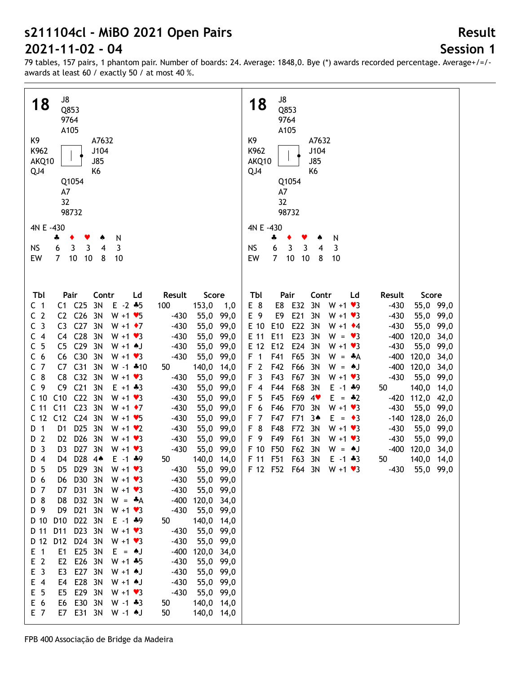## **Session 1**

**Result**

79 tables, 157 pairs, 1 phantom pair. Number of boards: 24. Average: 1848,0. Bye (\*) awards recorded percentage. Average+/=/ awards at least 60 / exactly 50 / at most 40 %.

| J8<br>18<br>Q853<br>9764<br>A105<br>K9<br>A7632<br>K962<br>J104<br><b>J85</b><br>AKQ10<br>QJ4<br>K <sub>6</sub><br>Q1054<br>A7<br>32<br>98732                                                                                                                                                                                                                                                                                                                                                                                                                                                                                                                                                                                                                                                                                                                                                                                                                                                                                                                                                                                                                                                                                                                                                                                                                                                                                                                                                                                                                                                                                                                                                                                                                                                                                                                                                                                                                                                                                                                                                                                                                                                          | J8<br>18<br>Q853<br>9764<br>A105<br>K9<br>A7632<br>J104<br>K962<br><b>J85</b><br>AKQ10<br>QJ4<br>K6<br>Q1054<br>A7<br>32<br>98732                                                                                                                                                                                                                                                                                                                                                                                                                                                                                                                                                                                                                                                                                                                                                                                                                                                                                                                                                                                                                                                                                                                                                                   |
|--------------------------------------------------------------------------------------------------------------------------------------------------------------------------------------------------------------------------------------------------------------------------------------------------------------------------------------------------------------------------------------------------------------------------------------------------------------------------------------------------------------------------------------------------------------------------------------------------------------------------------------------------------------------------------------------------------------------------------------------------------------------------------------------------------------------------------------------------------------------------------------------------------------------------------------------------------------------------------------------------------------------------------------------------------------------------------------------------------------------------------------------------------------------------------------------------------------------------------------------------------------------------------------------------------------------------------------------------------------------------------------------------------------------------------------------------------------------------------------------------------------------------------------------------------------------------------------------------------------------------------------------------------------------------------------------------------------------------------------------------------------------------------------------------------------------------------------------------------------------------------------------------------------------------------------------------------------------------------------------------------------------------------------------------------------------------------------------------------------------------------------------------------------------------------------------------------|-----------------------------------------------------------------------------------------------------------------------------------------------------------------------------------------------------------------------------------------------------------------------------------------------------------------------------------------------------------------------------------------------------------------------------------------------------------------------------------------------------------------------------------------------------------------------------------------------------------------------------------------------------------------------------------------------------------------------------------------------------------------------------------------------------------------------------------------------------------------------------------------------------------------------------------------------------------------------------------------------------------------------------------------------------------------------------------------------------------------------------------------------------------------------------------------------------------------------------------------------------------------------------------------------------|
| 4N E -430                                                                                                                                                                                                                                                                                                                                                                                                                                                                                                                                                                                                                                                                                                                                                                                                                                                                                                                                                                                                                                                                                                                                                                                                                                                                                                                                                                                                                                                                                                                                                                                                                                                                                                                                                                                                                                                                                                                                                                                                                                                                                                                                                                                              | 4N E -430                                                                                                                                                                                                                                                                                                                                                                                                                                                                                                                                                                                                                                                                                                                                                                                                                                                                                                                                                                                                                                                                                                                                                                                                                                                                                           |
| N<br>÷                                                                                                                                                                                                                                                                                                                                                                                                                                                                                                                                                                                                                                                                                                                                                                                                                                                                                                                                                                                                                                                                                                                                                                                                                                                                                                                                                                                                                                                                                                                                                                                                                                                                                                                                                                                                                                                                                                                                                                                                                                                                                                                                                                                                 | 4<br>N                                                                                                                                                                                                                                                                                                                                                                                                                                                                                                                                                                                                                                                                                                                                                                                                                                                                                                                                                                                                                                                                                                                                                                                                                                                                                              |
| 6<br>3<br>NS<br>3<br>3<br>4                                                                                                                                                                                                                                                                                                                                                                                                                                                                                                                                                                                                                                                                                                                                                                                                                                                                                                                                                                                                                                                                                                                                                                                                                                                                                                                                                                                                                                                                                                                                                                                                                                                                                                                                                                                                                                                                                                                                                                                                                                                                                                                                                                            | 6<br>3<br><b>NS</b><br>3<br>3<br>4                                                                                                                                                                                                                                                                                                                                                                                                                                                                                                                                                                                                                                                                                                                                                                                                                                                                                                                                                                                                                                                                                                                                                                                                                                                                  |
| $\overline{7}$<br>10<br>EW<br>10<br>8<br>10                                                                                                                                                                                                                                                                                                                                                                                                                                                                                                                                                                                                                                                                                                                                                                                                                                                                                                                                                                                                                                                                                                                                                                                                                                                                                                                                                                                                                                                                                                                                                                                                                                                                                                                                                                                                                                                                                                                                                                                                                                                                                                                                                            | $\overline{7}$<br>EW<br>10<br>10<br>10<br>8                                                                                                                                                                                                                                                                                                                                                                                                                                                                                                                                                                                                                                                                                                                                                                                                                                                                                                                                                                                                                                                                                                                                                                                                                                                         |
|                                                                                                                                                                                                                                                                                                                                                                                                                                                                                                                                                                                                                                                                                                                                                                                                                                                                                                                                                                                                                                                                                                                                                                                                                                                                                                                                                                                                                                                                                                                                                                                                                                                                                                                                                                                                                                                                                                                                                                                                                                                                                                                                                                                                        |                                                                                                                                                                                                                                                                                                                                                                                                                                                                                                                                                                                                                                                                                                                                                                                                                                                                                                                                                                                                                                                                                                                                                                                                                                                                                                     |
|                                                                                                                                                                                                                                                                                                                                                                                                                                                                                                                                                                                                                                                                                                                                                                                                                                                                                                                                                                                                                                                                                                                                                                                                                                                                                                                                                                                                                                                                                                                                                                                                                                                                                                                                                                                                                                                                                                                                                                                                                                                                                                                                                                                                        |                                                                                                                                                                                                                                                                                                                                                                                                                                                                                                                                                                                                                                                                                                                                                                                                                                                                                                                                                                                                                                                                                                                                                                                                                                                                                                     |
| Tbl<br>Pair<br>Contr<br>Result<br>Score<br>Ld<br>$C1$ $C25$<br>3N<br>$E - 2 + 5$<br>100<br>153,0<br>C <sub>1</sub><br>1,0<br>C <sub>2</sub><br>C2 C26<br>3N<br>$W + 1 \cdot 5$<br>$-430$<br>55,0 99,0<br>C <sub>3</sub><br>C <sub>27</sub><br>C <sub>3</sub><br>3N<br>$-430$<br>55,0 99,0<br>$W + 1 \cdot 7$<br>C <sub>28</sub><br>C <sub>4</sub><br>C4<br>3N<br>$-430$<br>55,0 99,0<br>$W + 1 \cdot 3$<br>C <sub>5</sub><br>C <sub>29</sub><br>C <sub>5</sub><br>3N<br>$-430$<br>55,0 99,0<br>$W + 1$ $A$ J<br>C <sub>6</sub><br>C30<br>C6<br>3N<br>$-430$<br>55,0 99,0<br>$W + 1 \cdot 3$<br>C <sub>7</sub><br>C <sub>31</sub><br>C7<br>3N<br>50<br>140,0 14,0<br>$W - 1$ $*10$<br>$C_8$<br>C <sub>32</sub><br>C <sub>8</sub><br>3N<br>$W + 1 \cdot 3$<br>$-430$<br>55,0 99,0<br>C <sub>21</sub><br>C <sub>9</sub><br>C <sub>9</sub><br>3N<br>$E + 1 + 3$<br>$-430$<br>55,0<br>99,0<br>C <sub>10</sub><br>C10<br>C <sub>22</sub><br>3N<br>$W + 1 \cdot 3$<br>$-430$<br>55,0<br>99,0<br>C <sub>11</sub><br>C <sub>23</sub><br>C <sub>11</sub><br>3N<br>$W + 1$ $\rightarrow 7$<br>$-430$<br>55,0<br>99,0<br>C <sub>24</sub><br>C <sub>12</sub><br>C <sub>12</sub><br>3N<br>$-430$<br>99,0<br>$W + 1 \cdot 5$<br>55,0<br>D <sub>25</sub><br>D 1<br>D <sub>1</sub><br>3N<br>$-430$<br>99,0<br>$W + 1 \cdot 2$<br>55,0<br>D <sub>26</sub><br>$\overline{2}$<br>D <sub>2</sub><br>3N<br>$-430$<br>55,0 99,0<br>$W + 1 \cdot 3$<br>D.<br>$\overline{\mathbf{3}}$<br>D <sub>27</sub><br>3N<br>D <sub>3</sub><br>$-430$<br>55,0 99,0<br>D<br>$W + 1 \cdot 3$<br>D28 44<br>140,0 14,0<br>D 4<br>D4<br>$E - 1$ $*9$<br>50<br>D <sub>5</sub><br>D29 3N<br>$-430$<br>55,0 99,0<br>$W + 1 \cdot 3$<br>D5<br>D 6<br>D30<br>$-430$<br>55,0 99,0<br>D6<br>3N<br>$W + 1 \cdot 3$<br>D31 3N<br>55,0 99,0<br>D 7<br>D7<br>$W + 1 \cdot 3$<br>$-430$<br>D 8<br>D <sub>8</sub><br>D32 3N<br>120,0 34,0<br>$-400$<br>$W = A$<br>D21 3N<br>D 9<br>D9<br>55,0 99,0<br>$W + 1 \cdot 3$<br>$-430$<br>D 10<br>D <sub>10</sub><br>D22 3N<br>140,0 14,0<br>$E - 1$ $*9$<br>50<br>$D$ 11<br>D11<br>D23 3N<br>$W + 1 \cdot 3$<br>$-430$<br>55,0 99,0<br>D 12<br>D <sub>12</sub><br>D24 3N<br>55,0 99,0<br>$W + 1 \cdot 3$<br>$-430$ | Pair<br>Tbl<br>Contr<br>Result<br>Score<br>Ld<br>E 8<br>E8<br>E32<br>3N<br>$-430$<br>55,0 99,0<br>$W + 1 \cdot 3$<br>E21<br>E 9<br>E9<br>3N<br>$-430$<br>55,0 99,0<br>$W + 1 \cdot 3$<br>E22<br>E 10<br>E10<br>3N<br>$-430$<br>55,0 99,0<br>$W + 1$ $\div 4$<br>E23<br>E 11<br>E11<br>3N<br>$-400$<br>120,0 34,0<br>$W = \bullet 3$<br>E24<br>E 12<br>E12<br>3N<br>$-430$<br>55,0 99,0<br>$W + 1 \cdot 3$<br>F41<br>F65<br>F <sub>1</sub><br>3N<br>$-400$<br>120,0 34,0<br>$W = A$<br>F <sub>2</sub><br>120,0 34,0<br>F42<br>F66<br>3N<br>$-400$<br>$W = AJ$<br>F <sub>3</sub><br>F43<br>3N<br>$-430$<br>55,0 99,0<br>F67<br>$W + 1 \cdot 3$<br>140,0 14,0<br>F44<br>F68<br>3N<br>F 4<br>$E - 1$ $*9$<br>50<br>F <sub>5</sub><br>F45<br>F69<br>4<br>$-420$<br>112,0 42,0<br>$E = -2$<br>F 6<br>F46<br>F70<br>3N<br>$W + 1 \cdot 3$<br>$-430$<br>55,0 99,0<br>F <sub>7</sub><br>F47<br>F71<br>3 <sub>•</sub><br>128,0<br>$E = \bullet 3$<br>$-140$<br>26,0<br>F <sub>8</sub><br>F48<br>F72<br>3N<br>$-430$<br>55,0 99,0<br>$W + 1 \cdot 3$<br>F 9<br>F49<br>F61<br>3N<br>$-430$<br>55,0 99,0<br>$W + 1 \cdot 3$<br>F50<br>F62<br>120,0 34,0<br>F 10<br>3N<br>$-400$<br>$W = AJ$<br>F 11 F51<br>F63 3N<br>140,0 14,0<br>$E - 1$ $*3$<br>50<br>F 12 F52 F64 3N W +1 $\bullet$ 3<br>$-430$<br>55,0 99,0 |
| E25 3N<br>$E$ 1<br>E1<br>$E = AJ$<br>$-400$<br>120,0 34,0                                                                                                                                                                                                                                                                                                                                                                                                                                                                                                                                                                                                                                                                                                                                                                                                                                                                                                                                                                                                                                                                                                                                                                                                                                                                                                                                                                                                                                                                                                                                                                                                                                                                                                                                                                                                                                                                                                                                                                                                                                                                                                                                              |                                                                                                                                                                                                                                                                                                                                                                                                                                                                                                                                                                                                                                                                                                                                                                                                                                                                                                                                                                                                                                                                                                                                                                                                                                                                                                     |
| E <sub>2</sub><br>E <sub>2</sub><br>E26 3N<br>$W + 1 + 5$<br>$-430$<br>55,0 99,0                                                                                                                                                                                                                                                                                                                                                                                                                                                                                                                                                                                                                                                                                                                                                                                                                                                                                                                                                                                                                                                                                                                                                                                                                                                                                                                                                                                                                                                                                                                                                                                                                                                                                                                                                                                                                                                                                                                                                                                                                                                                                                                       |                                                                                                                                                                                                                                                                                                                                                                                                                                                                                                                                                                                                                                                                                                                                                                                                                                                                                                                                                                                                                                                                                                                                                                                                                                                                                                     |
| E <sub>3</sub><br>E <sub>3</sub><br>E27 3N<br>$W + 1$ AJ<br>$-430$                                                                                                                                                                                                                                                                                                                                                                                                                                                                                                                                                                                                                                                                                                                                                                                                                                                                                                                                                                                                                                                                                                                                                                                                                                                                                                                                                                                                                                                                                                                                                                                                                                                                                                                                                                                                                                                                                                                                                                                                                                                                                                                                     |                                                                                                                                                                                                                                                                                                                                                                                                                                                                                                                                                                                                                                                                                                                                                                                                                                                                                                                                                                                                                                                                                                                                                                                                                                                                                                     |
| 55,0 99,0                                                                                                                                                                                                                                                                                                                                                                                                                                                                                                                                                                                                                                                                                                                                                                                                                                                                                                                                                                                                                                                                                                                                                                                                                                                                                                                                                                                                                                                                                                                                                                                                                                                                                                                                                                                                                                                                                                                                                                                                                                                                                                                                                                                              |                                                                                                                                                                                                                                                                                                                                                                                                                                                                                                                                                                                                                                                                                                                                                                                                                                                                                                                                                                                                                                                                                                                                                                                                                                                                                                     |
| E28 3N<br>$E$ 4<br>E4<br>$W + 1$ AJ<br>$-430$<br>55,0 99,0                                                                                                                                                                                                                                                                                                                                                                                                                                                                                                                                                                                                                                                                                                                                                                                                                                                                                                                                                                                                                                                                                                                                                                                                                                                                                                                                                                                                                                                                                                                                                                                                                                                                                                                                                                                                                                                                                                                                                                                                                                                                                                                                             |                                                                                                                                                                                                                                                                                                                                                                                                                                                                                                                                                                                                                                                                                                                                                                                                                                                                                                                                                                                                                                                                                                                                                                                                                                                                                                     |
| E <sub>5</sub><br>E29 3N<br>E5<br>$W + 1 \cdot 3$<br>$-430$<br>55,0 99,0                                                                                                                                                                                                                                                                                                                                                                                                                                                                                                                                                                                                                                                                                                                                                                                                                                                                                                                                                                                                                                                                                                                                                                                                                                                                                                                                                                                                                                                                                                                                                                                                                                                                                                                                                                                                                                                                                                                                                                                                                                                                                                                               |                                                                                                                                                                                                                                                                                                                                                                                                                                                                                                                                                                                                                                                                                                                                                                                                                                                                                                                                                                                                                                                                                                                                                                                                                                                                                                     |
| E 6<br>E30<br>3N<br>E6<br>$W - 1 + 3$<br>140,0 14,0<br>50                                                                                                                                                                                                                                                                                                                                                                                                                                                                                                                                                                                                                                                                                                                                                                                                                                                                                                                                                                                                                                                                                                                                                                                                                                                                                                                                                                                                                                                                                                                                                                                                                                                                                                                                                                                                                                                                                                                                                                                                                                                                                                                                              |                                                                                                                                                                                                                                                                                                                                                                                                                                                                                                                                                                                                                                                                                                                                                                                                                                                                                                                                                                                                                                                                                                                                                                                                                                                                                                     |
| E7 E31 3N<br>E 7<br>50<br>140,0 14,0<br>W -1 +J                                                                                                                                                                                                                                                                                                                                                                                                                                                                                                                                                                                                                                                                                                                                                                                                                                                                                                                                                                                                                                                                                                                                                                                                                                                                                                                                                                                                                                                                                                                                                                                                                                                                                                                                                                                                                                                                                                                                                                                                                                                                                                                                                        |                                                                                                                                                                                                                                                                                                                                                                                                                                                                                                                                                                                                                                                                                                                                                                                                                                                                                                                                                                                                                                                                                                                                                                                                                                                                                                     |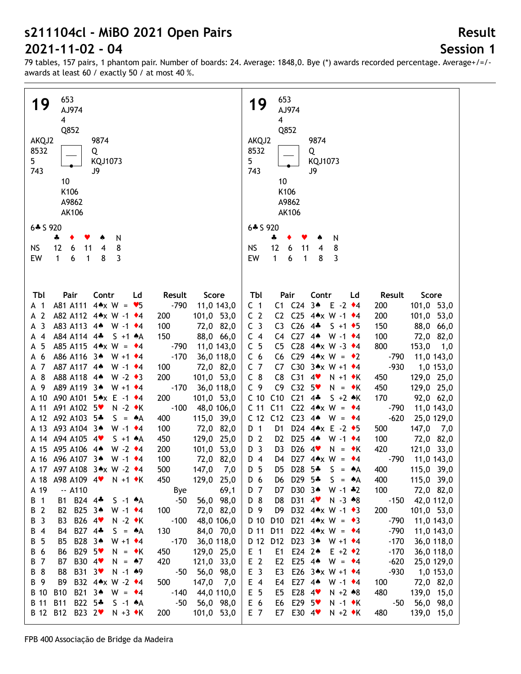## **Session 1**

**Result**

79 tables, 157 pairs, 1 phantom pair. Number of boards: 24. Average: 1848,0. Bye (\*) awards recorded percentage. Average+/=/ awards at least 60 / exactly 50 / at most 40 %.

| 653                                                                             | 653                                                                                                          |
|---------------------------------------------------------------------------------|--------------------------------------------------------------------------------------------------------------|
| 19<br>AJ974                                                                     | 19<br>AJ974                                                                                                  |
| $\overline{4}$                                                                  | $\overline{\mathbf{4}}$                                                                                      |
|                                                                                 |                                                                                                              |
| Q852                                                                            | Q852                                                                                                         |
| AKQJ2<br>9874                                                                   | 9874<br>AKQJ2                                                                                                |
| 8532<br>Q                                                                       | 8532<br>Q                                                                                                    |
| 5 <sub>5</sub><br>KQJ1073                                                       | 5<br>KQJ1073                                                                                                 |
| 743<br>J9                                                                       | 743<br>J9                                                                                                    |
| 10                                                                              | 10                                                                                                           |
| K106                                                                            | K106                                                                                                         |
| A9862                                                                           | A9862                                                                                                        |
|                                                                                 |                                                                                                              |
| <b>AK106</b>                                                                    | <b>AK106</b>                                                                                                 |
| $6 * 5920$                                                                      | 6* S 920                                                                                                     |
| N<br>4<br>٠                                                                     | ♣<br>N                                                                                                       |
| 12<br><b>NS</b><br>11<br>8<br>6<br>4                                            | 12<br><b>NS</b><br>6<br>8<br>11<br>4                                                                         |
|                                                                                 | $\mathbf{1}$                                                                                                 |
| 3<br>EW<br>1<br>8<br>6<br>$\mathbf{1}$                                          | EW<br>3<br>6<br>$\mathbf{1}$<br>8                                                                            |
|                                                                                 |                                                                                                              |
|                                                                                 |                                                                                                              |
| Contr<br>Score<br>Tbl<br>Pair<br>Ld<br>Result                                   | Pair<br>Tbl<br>Contr<br>Ld<br>Result<br>Score                                                                |
| A81 A111<br>$4 \cdot x$ W = $\cdot 5$<br>$-790$                                 | C1 C24<br>$3*$<br>$E -2$ $\rightarrow 4$                                                                     |
| 11,0 143,0<br>A 1                                                               | C <sub>1</sub><br>200<br>101,0 53,0                                                                          |
| $\overline{2}$<br>A82 A112 4*x W -1 +4<br>101,0 53,0<br>200<br>А                | C <sub>2</sub><br>C <sub>25</sub><br>4** W -1 +4<br>C <sub>2</sub><br>101,0 53,0<br>200                      |
| 3<br>A83 A113 44<br>100<br>72,0 82,0<br>$W - 1$ $\rightarrow 4$<br>А            | C <sub>26</sub><br>C <sub>3</sub><br>C <sub>3</sub><br>$4 -$<br>$S + 1$ + 5<br>150<br>88,0 66,0              |
| A84 A114 4*<br>$S + 1$ $A$<br>150<br>88,0 66,0<br>$\overline{4}$<br>А           | $C27$ 44<br>C <sub>4</sub><br>C <sub>4</sub><br>$W - 1$ $\div 4$<br>100<br>72,0 82,0                         |
| 5<br>A85 A115 $4 \times W = 4$<br>$-790$<br>11,0 143,0<br>А                     | C28 44x W -3 $*4$<br>C <sub>5</sub><br>C <sub>5</sub><br>800<br>153,0<br>1,0                                 |
| A86 A116 3*<br>$-170$<br>6<br>$W + 1$ $*4$<br>36,0 118,0<br>А                   | C29 4* $x W = 2$<br>C <sub>6</sub><br>C <sub>6</sub><br>$-790$<br>11,0 143,0                                 |
| 7<br>A87 A117 4*<br>100<br>72,0 82,0<br>W -1 $\star$ 4<br>A                     | C <sub>7</sub><br>C30 3*x W +1 $*4$<br>$-930$<br>C7<br>1,0 153,0                                             |
| 8<br>A88 A118 4*<br>$W - 2 \cdot 3$<br>200<br>101,0 53,0<br>А                   | $C_8$<br>C <sub>31</sub><br>C <sub>8</sub><br>4<br>129,0 25,0<br>$N + 1$ $\bullet K$<br>450                  |
| 9<br>A89 A119 3*<br>$-170$<br>$W + 1$ $*4$<br>36,0 118,0<br>A                   | C <sub>9</sub><br>C <sub>9</sub><br>C <sub>32</sub><br>$5*$<br>$N = \cdot K$<br>450<br>129,0 25,0            |
| A 10<br>A90 A101 5★x E -1 ◆4<br>200<br>101,0 53,0                               | C <sub>21</sub><br>C <sub>10</sub><br>C10<br>$4 -$<br>$S + 2$ $\star$ K<br>170<br>92,0 62,0                  |
| $-100$<br>A91 A102 5<br>$N - 2$ $\star$ K<br>A 11<br>48,0 106,0                 | C <sub>11</sub><br>C <sub>22</sub><br>$4 \triangle x$ W<br>C <sub>11</sub><br>$-790$<br>$= 44$<br>11,0 143,0 |
| A 12 A92 A103 5*<br>$S = A$                                                     | C <sub>23</sub><br>$-620$<br>C <sub>12</sub><br>$4^$                                                         |
| 400<br>115,0 39,0                                                               | C <sub>12</sub><br>$W = 4$<br>25,0 129,0                                                                     |
| A 13 A93 A104 3*<br>W -1 $\cdot$ 4<br>100<br>72,0 82,0                          | D24 $4 \times E - 2 \cdot 5$<br>D 1<br>500<br>147,0 7,0<br>D1                                                |
| A 14 A 94 A 105 4<br>129,0 25,0<br>$S + 1$ $A$<br>450                           | D <sub>25</sub><br>D 2<br>$4*$<br>$W - 1$ $\star$ 4<br>100<br>D <sub>2</sub><br>72,0 82,0                    |
| A 15 A95 A106 4*<br>$W - 2 \cdot 4$<br>101,0 53,0<br>200                        | D <sub>26</sub><br>4<br>D <sub>3</sub><br>420<br>121,0 33,0<br>D3<br>$N = \cdot K$                           |
| A 16 A 96 A 107 3*<br>W -1 $\cdot$ 4<br>100<br>72,0 82,0                        | D27 4* $x W = *4$<br>D <sub>4</sub><br>$-790$<br>D4<br>11,0 143,0                                            |
| A 17 A97 A108 3*x W -2 *4<br>500<br>147,0<br>- 7,0                              | 400<br>D 5<br>D5 D28 5 <del>*</del><br>$S = A$<br>115,0 39,0                                                 |
| A98 A109 4<br>450<br>129,0 25,0<br>$N + 1$ $\star$ K<br>A 18                    | D29 5*<br>115,0 39,0<br>D 6<br>$S = A$<br>400<br>D6                                                          |
| A 19<br>$-$ A110<br>69,1<br>Bye                                                 | D 7<br>D30 3 <sup>*</sup><br>$W - 1$ $*2$<br>100<br>72,0 82,0<br>D7                                          |
| $\mathbf{1}$<br>B1 B24 4*<br>56,0 98,0<br>$S -1$ $*A$<br>$-50$<br>B             | D 8<br>D31 4<br>$N - 3 * 8$<br>$-150$<br>42,0 112,0<br>D8                                                    |
| B2 B25 34<br>$\overline{2}$<br>72,0 82,0<br>$W - 1$ $\bullet$ 4<br>100<br>B     | D32 4★x W -1 ◆3<br>D 9<br>D <sub>9</sub><br>200<br>101,0 53,0                                                |
| $\overline{3}$<br>B26 4<br>$-100$<br>$N - 2$ $\star$ K<br>48,0 106,0<br>В<br>B3 | D21 4* $x W = 3$<br>D 10<br>D <sub>10</sub><br>$-790$<br>11,0 143,0                                          |
| B27 4*<br>$\overline{4}$<br>130<br>В<br>B4<br>$S = A$                           | D 11<br>D11<br>D22 4* $x W = 4$<br>$-790$                                                                    |
| 84,0 70,0                                                                       | 11,0 143,0                                                                                                   |
| 5<br>B28 34<br>$W + 1$ $\div 4$<br>$-170$<br>36,0 118,0<br>В<br>B5              | D 12<br>D12<br>D23 34 W +1 $\bullet$ 4<br>$-170$<br>36,0 118,0                                               |
| 6<br>B29 5 <sup>₩</sup><br>$N = \cdot K$<br>129,0 25,0<br>В<br>B6<br>450        | $E$ 1<br>E24 2 <sup>+</sup><br>$E + 2 \cdot 2$<br>$-170$<br>E1<br>36,0 118,0                                 |
| $\overline{7}$<br>B30 4<br>$N = 27$<br>420<br>121,0 33,0<br>В<br>B7             | E <sub>2</sub><br>E25 4*<br>$W = 4$<br>$-620$<br>E <sub>2</sub><br>25,0 129,0                                |
| 8<br>B31 3 <sup>V</sup><br>$N - 1$ $*9$<br>56,0 98,0<br>В<br>B8<br>$-50$        | E <sub>3</sub><br>E26 3★x W +1 ◆4<br>$-930$<br>E3<br>1,0 153,0                                               |
| B32 4★x W -2 ◆4<br>9<br>B <sub>9</sub><br>В<br>500<br>147,0<br>7,0              | E 4<br>E27 44<br>E4<br>$W - 1$ $\cdot 4$<br>100<br>72,0 82,0                                                 |
| <b>B</b> 10<br><b>B10</b><br>B21 34<br>$W = 4$<br>$-140$<br>44,0 110,0          | E 5<br>E28 4<br>$N + 2 * 8$<br>480<br>E5<br>139,0 15,0                                                       |
| B22 5*<br><b>B</b> 11<br><b>B11</b><br>$S -1$ $*A$<br>$-50$<br>56,0 98,0        | E 6<br>E29 5 <sup>V</sup><br>$N - 1$ $\star$ K<br>56,0 98,0<br>E6<br>-50                                     |
| B 12 B12 B23 2<br>$N + 3$ $\star$ K<br>200<br>101,0 53,0                        | E30 4<br>E 7<br>480<br>E7<br>$N + 2$ $\star$ K<br>139,0 15,0                                                 |
|                                                                                 |                                                                                                              |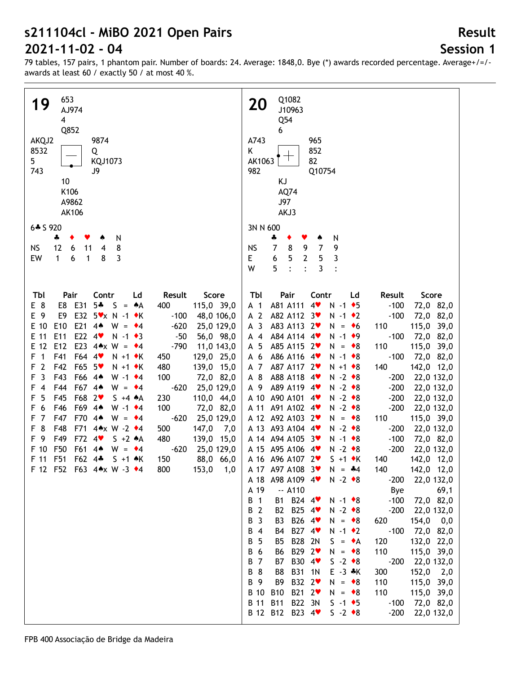# **Session 1**

| 653<br>19<br>AJ974<br>$\overline{\mathbf{4}}$<br>Q852<br>AKQJ2<br>9874<br>8532<br>Q<br>5<br>KQJ1073<br>743<br>J9<br>10<br>K106<br>A9862<br><b>AK106</b><br>$6 * S 920$<br>÷<br>N<br>٠<br>12<br>8<br><b>NS</b><br>11<br>6<br>4<br>3<br>EW<br>8<br>$\mathbf{1}$<br>6<br>1<br>Score<br>Tbl<br>Pair<br>Contr<br>Ld<br>Result                                                                                                                                                                                                                                                                                                                                                                                                                                                                                                                                                                                                                                                                                                                                                                                                                                                                                        | Q1082<br><b>20</b><br>J10963<br>Q54<br>6<br>A743<br>965<br>852<br>Κ<br>82<br>AK1063<br>982<br>Q10754<br>ΚJ<br>AQ74<br>J97<br>AKJ3<br>3N N 600<br>÷<br>N<br>۸<br>$\bf 8$<br>9<br>$\overline{7}$<br><b>NS</b><br>$\overline{7}$<br>9<br>5<br>$\mathbf{2}$<br>E<br>6<br>5<br>3<br>5<br>$\cdot$<br>W<br>3<br>$\ddot{\cdot}$<br>$\ddot{\cdot}$<br>Tbl<br>Pair<br>Contr<br>Ld<br>Result<br>Score                                                                                                                                                                                                                                                                                                                                                                                                                                                                                                                                                                                                                                                                                                                                                                                                                                                                                                                                                                                                                                                                                                                                                                                                                                                                                                                                                                                                                                                                                                                                                                                                                                                                                                                                                                     |
|-----------------------------------------------------------------------------------------------------------------------------------------------------------------------------------------------------------------------------------------------------------------------------------------------------------------------------------------------------------------------------------------------------------------------------------------------------------------------------------------------------------------------------------------------------------------------------------------------------------------------------------------------------------------------------------------------------------------------------------------------------------------------------------------------------------------------------------------------------------------------------------------------------------------------------------------------------------------------------------------------------------------------------------------------------------------------------------------------------------------------------------------------------------------------------------------------------------------|----------------------------------------------------------------------------------------------------------------------------------------------------------------------------------------------------------------------------------------------------------------------------------------------------------------------------------------------------------------------------------------------------------------------------------------------------------------------------------------------------------------------------------------------------------------------------------------------------------------------------------------------------------------------------------------------------------------------------------------------------------------------------------------------------------------------------------------------------------------------------------------------------------------------------------------------------------------------------------------------------------------------------------------------------------------------------------------------------------------------------------------------------------------------------------------------------------------------------------------------------------------------------------------------------------------------------------------------------------------------------------------------------------------------------------------------------------------------------------------------------------------------------------------------------------------------------------------------------------------------------------------------------------------------------------------------------------------------------------------------------------------------------------------------------------------------------------------------------------------------------------------------------------------------------------------------------------------------------------------------------------------------------------------------------------------------------------------------------------------------------------------------------------------|
| E 8<br>E8 E31<br>$5+$<br>$S = A$<br>400<br>115,0 39,0<br>E32 5vx N -1 ◆K<br>E 9<br>E9<br>$-100$<br>48,0 106,0<br>E21 44<br>E 10<br>E <sub>10</sub><br>$W = 4$<br>$-620$<br>25,0 129,0<br>E22 4<br>E 11<br>E11<br>$N - 1$ $\bullet$ 3<br>$-50$<br>56,0 98,0<br>E23 4*x W = $*4$<br>E 12<br>E <sub>12</sub><br>$-790$<br>11,0 143,0<br>$\overline{1}$<br>F41<br>F64 4<br>F.<br>$N + 1$ $\star$ K<br>450<br>129,0 25,0<br>$\overline{2}$<br>F42<br>F65 5<br>$N + 1$ $\star$ K<br>480<br>139,0 15,0<br>F<br>$\overline{3}$<br>F43<br>F66 4*<br>F<br>100<br>72,0 82,0<br>W -1 $\cdot$ 4<br>F67 4*<br>F44<br>$-620$<br>25,0 129,0<br>F<br>$\overline{4}$<br>$W = 4$<br>F45<br>F68 2<br>5<br>230<br>110,0 44,0<br>F<br>$S + 4 \cdot A$<br>F69 4*<br>6<br>F46<br>100<br>72,0 82,0<br>F<br>W -1 $\cdot$ 4<br>F47<br>F70<br>$\overline{7}$<br>$4*$<br>$-620$<br>25,0 129,0<br>F<br>$W = 4$<br>8<br>F48<br>F71<br>44x W -2 +4<br>500<br>147,0<br>F<br>7,0<br>F49<br>- 9<br>F72<br>4<br>$S + 2 A$<br>480<br>139,0 15,0<br>F<br>F50<br>F61<br>F 10<br>4 <sub>•</sub><br>$W = 4$<br>$-620$<br>25,0 129,0<br>F51<br>F62 4*<br>F 11<br>$S + 1$ $\star$ K<br>150<br>88,0 66,0<br>153,0<br>F 12 F52 F63 4*x W -3 *4<br>800<br>1,0 | A81 A111<br>$4\bullet$<br>$N - 1$ $\bullet$ 5<br>$-100$<br>72,0 82,0<br>A <sub>1</sub><br>A <sub>2</sub><br>A82 A112 3<br>$-100$<br>72,0 82,0<br>$N - 1$ $\bullet$ 2<br>A <sub>3</sub><br>A83 A113 2<br>110<br>115,0 39,0<br>$N = 6$<br>A84 A114 4<br>$N - 1$ $\bullet$ 9<br>$-100$<br>72,0 82,0<br>$A$ 4<br>A85 A115 2<br>110<br>115,0 39,0<br>A 5<br>$N = *8$<br>A 6<br>A86 A116 4<br>$-100$<br>72,0 82,0<br>$N - 1$ $\bullet$ 8<br>142,0 12,0<br>A 7<br>A87 A117 2<br>$N + 1$ $\bullet$ 8<br>140<br>$N - 2 * 8$<br>A 8<br>A88 A118 4<br>$-200$<br>22,0 132,0<br>$N - 2 * 8$<br>A 9<br>A89 A119 4<br>$-200$<br>22,0 132,0<br>$N - 2 \cdot 8$<br>A 10<br>A90 A101 4<br>$-200$<br>22,0 132,0<br>$N - 2 \cdot 8$<br>A 11<br>A91 A102 4<br>$-200$<br>22,0 132,0<br>A 12 A92 A103 2<br>$N = \bullet 8$<br>110<br>115,0 39,0<br>A 13 A93 A104 4<br>$N - 2 \cdot 8$<br>$-200$<br>22,0 132,0<br>A 14 A 94 A 105 3<br>$N - 1$ $\bullet$ 8<br>$-100$<br>72,0 82,0<br>A 15 A95 A106 4<br>$-200$<br>$N - 2 \cdot 8$<br>22,0 132,0<br>A 16 A 96 A 107 2<br>140<br>142,0 12,0<br>$S + 1$ $\star$ K<br>142,0 12,0<br>A 17 A97 A108 3<br>$N = -4$<br>140<br>A 18 A98 A109 4<br>$N - 2 \cdot 8$<br>22,0 132,0<br>$-200$<br>A 19<br>$-. A110$<br>69,1<br>Bye<br><b>B</b> 1<br>B1 B24 4<br>$-100$<br>72,0 82,0<br>$N - 1$ $\bullet$ 8<br>B 2<br>B25 4<br><b>B2</b><br>$N - 2 \cdot 8$<br>$-200$<br>22,0 132,0<br>B 3<br>B26 4<br><b>B3</b><br>$N = \cdot 8$<br>620<br>154,0 0,0<br>B27 4<br>B 4<br>$N - 1$ $\bullet$ 2<br>$-100$<br>72,0 82,0<br>B4<br><b>B</b> 5<br>B28 2N<br>120<br>132,0 22,0<br>B <sub>5</sub><br>$S = \bullet A$<br>B29 2 <sup>₩</sup><br>B 6<br><b>B6</b><br>$N = \bullet 8$<br>110<br>115,0 39,0<br><b>B</b> 7<br>B30 4 <sup>₩</sup><br>$S -2$ $\bullet$ 8<br><b>B7</b><br>$-200$<br>22,0 132,0<br>B 8<br>152,0<br>B8<br>B31 1N<br>$E - 3$ $*K$<br>300<br>2,0<br>B 9<br>B32 2 <sup>₩</sup><br>B9<br>$N = \bullet 8$<br>110<br>115,0 39,0<br>B 10<br>B21 2<br><b>B10</b><br>$N = \cdot 8$<br>110<br>115,0 39,0<br><b>B</b> 11<br><b>B11</b><br>B22 3N<br>$S -1$ +5<br>72,0 82,0<br>$-100$<br>B 12 B12 B23 4<br>$S -2$ $\bullet$ 8<br>$-200$<br>22,0 132,0 |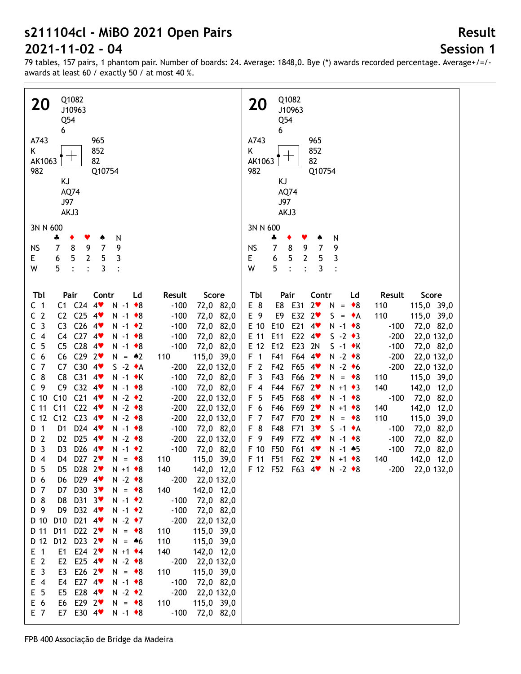# **Session 1**

**Result**

79 tables, 157 pairs, 1 phantom pair. Number of boards: 24. Average: 1848,0. Bye (\*) awards recorded percentage. Average+/=/ awards at least 60 / exactly 50 / at most 40 %.

| Q1082                                                                                                                                                                                                                                                                                                                                                                                                                                                                                                                                                                                                                                                                                                                                                                                                                                                                                                                                                                                                                                                                                                                                                                                                                                                                                                                                                                                                                                                                                                                                                                                                                                                                                                                                                                                                                                                                                                                                                                                                                                                                                                                                                                                                                                                                                                                                                                                                                                                                                                                                                      | Q1082                                                                                                                                                                                                                                                                                                                                                                                                                                                                                                                                                                                                                                                                                                                                                                                                                                                                                                                                                                                                                                                                                                                                                                                                                                                                                                    |
|------------------------------------------------------------------------------------------------------------------------------------------------------------------------------------------------------------------------------------------------------------------------------------------------------------------------------------------------------------------------------------------------------------------------------------------------------------------------------------------------------------------------------------------------------------------------------------------------------------------------------------------------------------------------------------------------------------------------------------------------------------------------------------------------------------------------------------------------------------------------------------------------------------------------------------------------------------------------------------------------------------------------------------------------------------------------------------------------------------------------------------------------------------------------------------------------------------------------------------------------------------------------------------------------------------------------------------------------------------------------------------------------------------------------------------------------------------------------------------------------------------------------------------------------------------------------------------------------------------------------------------------------------------------------------------------------------------------------------------------------------------------------------------------------------------------------------------------------------------------------------------------------------------------------------------------------------------------------------------------------------------------------------------------------------------------------------------------------------------------------------------------------------------------------------------------------------------------------------------------------------------------------------------------------------------------------------------------------------------------------------------------------------------------------------------------------------------------------------------------------------------------------------------------------------------|----------------------------------------------------------------------------------------------------------------------------------------------------------------------------------------------------------------------------------------------------------------------------------------------------------------------------------------------------------------------------------------------------------------------------------------------------------------------------------------------------------------------------------------------------------------------------------------------------------------------------------------------------------------------------------------------------------------------------------------------------------------------------------------------------------------------------------------------------------------------------------------------------------------------------------------------------------------------------------------------------------------------------------------------------------------------------------------------------------------------------------------------------------------------------------------------------------------------------------------------------------------------------------------------------------|
| <b>20</b>                                                                                                                                                                                                                                                                                                                                                                                                                                                                                                                                                                                                                                                                                                                                                                                                                                                                                                                                                                                                                                                                                                                                                                                                                                                                                                                                                                                                                                                                                                                                                                                                                                                                                                                                                                                                                                                                                                                                                                                                                                                                                                                                                                                                                                                                                                                                                                                                                                                                                                                                                  | 20                                                                                                                                                                                                                                                                                                                                                                                                                                                                                                                                                                                                                                                                                                                                                                                                                                                                                                                                                                                                                                                                                                                                                                                                                                                                                                       |
| J10963                                                                                                                                                                                                                                                                                                                                                                                                                                                                                                                                                                                                                                                                                                                                                                                                                                                                                                                                                                                                                                                                                                                                                                                                                                                                                                                                                                                                                                                                                                                                                                                                                                                                                                                                                                                                                                                                                                                                                                                                                                                                                                                                                                                                                                                                                                                                                                                                                                                                                                                                                     | J10963                                                                                                                                                                                                                                                                                                                                                                                                                                                                                                                                                                                                                                                                                                                                                                                                                                                                                                                                                                                                                                                                                                                                                                                                                                                                                                   |
| Q54                                                                                                                                                                                                                                                                                                                                                                                                                                                                                                                                                                                                                                                                                                                                                                                                                                                                                                                                                                                                                                                                                                                                                                                                                                                                                                                                                                                                                                                                                                                                                                                                                                                                                                                                                                                                                                                                                                                                                                                                                                                                                                                                                                                                                                                                                                                                                                                                                                                                                                                                                        | Q54                                                                                                                                                                                                                                                                                                                                                                                                                                                                                                                                                                                                                                                                                                                                                                                                                                                                                                                                                                                                                                                                                                                                                                                                                                                                                                      |
| 6                                                                                                                                                                                                                                                                                                                                                                                                                                                                                                                                                                                                                                                                                                                                                                                                                                                                                                                                                                                                                                                                                                                                                                                                                                                                                                                                                                                                                                                                                                                                                                                                                                                                                                                                                                                                                                                                                                                                                                                                                                                                                                                                                                                                                                                                                                                                                                                                                                                                                                                                                          | 6                                                                                                                                                                                                                                                                                                                                                                                                                                                                                                                                                                                                                                                                                                                                                                                                                                                                                                                                                                                                                                                                                                                                                                                                                                                                                                        |
| A743                                                                                                                                                                                                                                                                                                                                                                                                                                                                                                                                                                                                                                                                                                                                                                                                                                                                                                                                                                                                                                                                                                                                                                                                                                                                                                                                                                                                                                                                                                                                                                                                                                                                                                                                                                                                                                                                                                                                                                                                                                                                                                                                                                                                                                                                                                                                                                                                                                                                                                                                                       | A743                                                                                                                                                                                                                                                                                                                                                                                                                                                                                                                                                                                                                                                                                                                                                                                                                                                                                                                                                                                                                                                                                                                                                                                                                                                                                                     |
| 965                                                                                                                                                                                                                                                                                                                                                                                                                                                                                                                                                                                                                                                                                                                                                                                                                                                                                                                                                                                                                                                                                                                                                                                                                                                                                                                                                                                                                                                                                                                                                                                                                                                                                                                                                                                                                                                                                                                                                                                                                                                                                                                                                                                                                                                                                                                                                                                                                                                                                                                                                        | 965                                                                                                                                                                                                                                                                                                                                                                                                                                                                                                                                                                                                                                                                                                                                                                                                                                                                                                                                                                                                                                                                                                                                                                                                                                                                                                      |
| 852                                                                                                                                                                                                                                                                                                                                                                                                                                                                                                                                                                                                                                                                                                                                                                                                                                                                                                                                                                                                                                                                                                                                                                                                                                                                                                                                                                                                                                                                                                                                                                                                                                                                                                                                                                                                                                                                                                                                                                                                                                                                                                                                                                                                                                                                                                                                                                                                                                                                                                                                                        | Κ                                                                                                                                                                                                                                                                                                                                                                                                                                                                                                                                                                                                                                                                                                                                                                                                                                                                                                                                                                                                                                                                                                                                                                                                                                                                                                        |
| K                                                                                                                                                                                                                                                                                                                                                                                                                                                                                                                                                                                                                                                                                                                                                                                                                                                                                                                                                                                                                                                                                                                                                                                                                                                                                                                                                                                                                                                                                                                                                                                                                                                                                                                                                                                                                                                                                                                                                                                                                                                                                                                                                                                                                                                                                                                                                                                                                                                                                                                                                          | 852                                                                                                                                                                                                                                                                                                                                                                                                                                                                                                                                                                                                                                                                                                                                                                                                                                                                                                                                                                                                                                                                                                                                                                                                                                                                                                      |
| AK1063                                                                                                                                                                                                                                                                                                                                                                                                                                                                                                                                                                                                                                                                                                                                                                                                                                                                                                                                                                                                                                                                                                                                                                                                                                                                                                                                                                                                                                                                                                                                                                                                                                                                                                                                                                                                                                                                                                                                                                                                                                                                                                                                                                                                                                                                                                                                                                                                                                                                                                                                                     | AK1063                                                                                                                                                                                                                                                                                                                                                                                                                                                                                                                                                                                                                                                                                                                                                                                                                                                                                                                                                                                                                                                                                                                                                                                                                                                                                                   |
| 82                                                                                                                                                                                                                                                                                                                                                                                                                                                                                                                                                                                                                                                                                                                                                                                                                                                                                                                                                                                                                                                                                                                                                                                                                                                                                                                                                                                                                                                                                                                                                                                                                                                                                                                                                                                                                                                                                                                                                                                                                                                                                                                                                                                                                                                                                                                                                                                                                                                                                                                                                         | 82                                                                                                                                                                                                                                                                                                                                                                                                                                                                                                                                                                                                                                                                                                                                                                                                                                                                                                                                                                                                                                                                                                                                                                                                                                                                                                       |
| 982                                                                                                                                                                                                                                                                                                                                                                                                                                                                                                                                                                                                                                                                                                                                                                                                                                                                                                                                                                                                                                                                                                                                                                                                                                                                                                                                                                                                                                                                                                                                                                                                                                                                                                                                                                                                                                                                                                                                                                                                                                                                                                                                                                                                                                                                                                                                                                                                                                                                                                                                                        | 982                                                                                                                                                                                                                                                                                                                                                                                                                                                                                                                                                                                                                                                                                                                                                                                                                                                                                                                                                                                                                                                                                                                                                                                                                                                                                                      |
| Q10754                                                                                                                                                                                                                                                                                                                                                                                                                                                                                                                                                                                                                                                                                                                                                                                                                                                                                                                                                                                                                                                                                                                                                                                                                                                                                                                                                                                                                                                                                                                                                                                                                                                                                                                                                                                                                                                                                                                                                                                                                                                                                                                                                                                                                                                                                                                                                                                                                                                                                                                                                     | Q10754                                                                                                                                                                                                                                                                                                                                                                                                                                                                                                                                                                                                                                                                                                                                                                                                                                                                                                                                                                                                                                                                                                                                                                                                                                                                                                   |
| KJ                                                                                                                                                                                                                                                                                                                                                                                                                                                                                                                                                                                                                                                                                                                                                                                                                                                                                                                                                                                                                                                                                                                                                                                                                                                                                                                                                                                                                                                                                                                                                                                                                                                                                                                                                                                                                                                                                                                                                                                                                                                                                                                                                                                                                                                                                                                                                                                                                                                                                                                                                         | KJ                                                                                                                                                                                                                                                                                                                                                                                                                                                                                                                                                                                                                                                                                                                                                                                                                                                                                                                                                                                                                                                                                                                                                                                                                                                                                                       |
| AQ74                                                                                                                                                                                                                                                                                                                                                                                                                                                                                                                                                                                                                                                                                                                                                                                                                                                                                                                                                                                                                                                                                                                                                                                                                                                                                                                                                                                                                                                                                                                                                                                                                                                                                                                                                                                                                                                                                                                                                                                                                                                                                                                                                                                                                                                                                                                                                                                                                                                                                                                                                       | AQ74                                                                                                                                                                                                                                                                                                                                                                                                                                                                                                                                                                                                                                                                                                                                                                                                                                                                                                                                                                                                                                                                                                                                                                                                                                                                                                     |
| J97                                                                                                                                                                                                                                                                                                                                                                                                                                                                                                                                                                                                                                                                                                                                                                                                                                                                                                                                                                                                                                                                                                                                                                                                                                                                                                                                                                                                                                                                                                                                                                                                                                                                                                                                                                                                                                                                                                                                                                                                                                                                                                                                                                                                                                                                                                                                                                                                                                                                                                                                                        | J97                                                                                                                                                                                                                                                                                                                                                                                                                                                                                                                                                                                                                                                                                                                                                                                                                                                                                                                                                                                                                                                                                                                                                                                                                                                                                                      |
| AKJ3                                                                                                                                                                                                                                                                                                                                                                                                                                                                                                                                                                                                                                                                                                                                                                                                                                                                                                                                                                                                                                                                                                                                                                                                                                                                                                                                                                                                                                                                                                                                                                                                                                                                                                                                                                                                                                                                                                                                                                                                                                                                                                                                                                                                                                                                                                                                                                                                                                                                                                                                                       | AKJ3                                                                                                                                                                                                                                                                                                                                                                                                                                                                                                                                                                                                                                                                                                                                                                                                                                                                                                                                                                                                                                                                                                                                                                                                                                                                                                     |
| 3N N 600                                                                                                                                                                                                                                                                                                                                                                                                                                                                                                                                                                                                                                                                                                                                                                                                                                                                                                                                                                                                                                                                                                                                                                                                                                                                                                                                                                                                                                                                                                                                                                                                                                                                                                                                                                                                                                                                                                                                                                                                                                                                                                                                                                                                                                                                                                                                                                                                                                                                                                                                                   | 3N N 600                                                                                                                                                                                                                                                                                                                                                                                                                                                                                                                                                                                                                                                                                                                                                                                                                                                                                                                                                                                                                                                                                                                                                                                                                                                                                                 |
| N<br>4<br>٠<br>۸<br>9<br>$\overline{7}$<br>$\overline{7}$<br>8<br>9<br><b>NS</b><br>5<br>$\mathbf 2$<br>5<br>3<br>6<br>E.<br>5<br>3<br>W<br>$\cdot$<br>$\ddot{\cdot}$<br>$\ddot{\cdot}$                                                                                                                                                                                                                                                                                                                                                                                                                                                                                                                                                                                                                                                                                                                                                                                                                                                                                                                                                                                                                                                                                                                                                                                                                                                                                                                                                                                                                                                                                                                                                                                                                                                                                                                                                                                                                                                                                                                                                                                                                                                                                                                                                                                                                                                                                                                                                                    | ÷<br>N<br>8<br>9<br>$\overline{7}$<br>$\overline{7}$<br>9<br><b>NS</b><br>5<br>$\mathbf{2}$<br>5<br>3<br>6<br>E<br>5<br>W<br>$\ddot{\cdot}$<br>3<br>$\ddot{\cdot}$<br>$\ddot{\cdot}$                                                                                                                                                                                                                                                                                                                                                                                                                                                                                                                                                                                                                                                                                                                                                                                                                                                                                                                                                                                                                                                                                                                     |
| Score<br>Tbl<br>Pair<br>Contr<br>Result<br>Ld<br>C <sub>1</sub><br>$C1$ $C24$ $4$<br>$-100$<br>72,0 82,0<br>$N - 1$ $\bullet$ 8<br>C <sub>2</sub><br>C2 $C25$ 4<br>$-100$<br>72,0 82,0<br>$N - 1$ $\bullet$ 8<br>$C26$ 4<br>C <sub>3</sub><br>C <sub>3</sub><br>$-100$<br>72,0 82,0<br>$N - 1$ $\bullet$ 2<br>C4 C27 4<br>C <sub>4</sub><br>$-100$<br>72,0 82,0<br>$N - 1$ $\bullet$ 8<br>$C28$ 4<br>C <sub>5</sub><br>C <sub>5</sub><br>$-100$<br>72,0 82,0<br>$N - 1$ $\bullet$ 8<br>C <sub>6</sub><br>$C6$ $C29$ $2\blacktriangledown$<br>115,0 39,0<br>$N = \triangle 2$<br>110<br>C7 C30 4<br>C <sub>7</sub><br>$S -2 \cdot A$<br>$-200$<br>22,0 132,0<br>$C_8$<br>$C31$ 4<br>C8<br>$N - 1$ $\star$ K<br>$-100$<br>72,0 82,0<br>$C32$ 4<br>C <sub>9</sub><br>C <sub>9</sub><br>$-100$<br>72,0 82,0<br>$N - 1$ $\bullet$ 8<br>$C21$ 4<br>C10<br>C <sub>10</sub><br>$N - 2$ $\bullet$ 2<br>$-200$<br>22,0 132,0<br>$C22$ 4<br>C <sub>11</sub><br>C <sub>11</sub><br>$N - 2 \cdot 8$<br>$-200$<br>22,0 132,0<br>$C23$ 4<br>C12<br>C <sub>12</sub><br>$N - 2 \cdot 8$<br>$-200$<br>22,0 132,0<br>D24 4<br>D 1<br>$N - 1$ $\bullet$ 8<br>$-100$<br>D1<br>72,0 82,0<br>D25 4<br>$\overline{2}$<br>D <sub>2</sub><br>$-200$<br>$N - 2 \cdot 8$<br>22,0 132,0<br>D<br>$\overline{\mathbf{3}}$<br>D26 4<br>$-100$<br>D <sub>3</sub><br>$N - 1$ $\bullet$ 2<br>72,0 82,0<br>D<br>D27 $2$<br>115,0 39,0<br>D 4<br>D4<br>$N = \bullet 8$<br>110<br>D <sub>5</sub><br>D28 2<br>140<br>142,0 12,0<br>$N + 1$ $\bullet$ 8<br>D5<br>D29 4<br>D 6<br>$N - 2 \cdot 8$<br>22,0 132,0<br>D6<br>$-200$<br>D30 3<br>D 7<br>D7<br>140<br>142,0 12,0<br>$N = \bullet 8$<br>D <sub>8</sub><br>D31 3<br>D 8<br>$N - 1$ $\bullet$ 2<br>$-100$<br>72,0 82,0<br>D32 4<br>D 9<br>D9<br>$-100$<br>$N - 1$ $\bullet$ 2<br>72,0 82,0<br>D 10<br>D <sub>10</sub><br>D21 4<br>$-200$<br>$N - 2$ $\rightarrow 7$<br>22,0 132,0<br>D11<br>D22 2<br>D 11<br>115,0 39,0<br>$N = \bullet 8$<br>110<br>D 12<br>D12<br>D23 $2$<br>110<br>115,0 39,0<br>$N = 46$<br>E24 $2$<br>140<br>$E$ 1<br>E1<br>$N + 1$ $\bullet$ 4<br>142,0 12,0<br>E <sub>2</sub><br>E <sub>2</sub><br>E25 $4$<br>$N - 2 \cdot 8$<br>$-200$<br>22,0 132,0<br>E <sub>3</sub><br>E26 $2$<br>E3<br>110<br>115,0 39,0<br>$N = \bullet 8$<br>E27 $4$<br>$E$ 4<br>E4<br>$-100$<br>72,0 82,0<br>$N - 1$ $\bullet$ 8<br>E <sub>5</sub><br>E28 4<br>$-200$<br>E5<br>$N - 2 \cdot 2$<br>22,0 132,0<br>E 6<br>E29 $2$<br>E6<br>$N = \bullet 8$<br>115,0 39,0<br>110<br>E7 E30 4<br>E 7<br>$-100$<br>72,0 82,0<br>$N - 1$ $\bullet$ 8 | Tbl<br>Pair<br>Contr<br>Result<br>Score<br>Ld<br>E 8<br>E8<br>E31<br>2 <sub>v</sub><br>110<br>115,0 39,0<br>N<br>$=$ $\bullet$ 8<br>E32 2<br>E 9<br>E9<br>$S = \bullet A$<br>110<br>115,0 39,0<br>$E$ 10<br>E21<br>E10<br>$N - 1$ $\bullet$ 8<br>72,0 82,0<br>4<br>$-100$<br>E22 4<br>E 11<br>E11<br>$S -2 \cdot 3$<br>$-200$<br>22,0 132,0<br>E23<br>E 12<br>E12<br>2N<br>$S -1$ $\star$ K<br>$-100$<br>72,0 82,0<br>F64 4<br>$N - 2 * 8$<br>F <sub>1</sub><br>F41<br>$-200$<br>22,0 132,0<br>F <sub>2</sub><br>F65<br>$N - 2$ +6<br>$-200$<br>F42<br>22,0 132,0<br>$4$ v<br>F <sub>3</sub><br>F43<br>F66 2<br>115,0 39,0<br>$N = \bullet 8$<br>110<br>$F$ 4<br>F44<br>F67 2<br>$N + 1$ $\bullet$ 3<br>140<br>142,0 12,0<br>F 5<br>F68 4<br>F45<br>$N - 1$ $\bullet$ 8<br>$-100$<br>72,0 82,0<br>F 6<br>F46<br>F69 2<br>$N + 1$ $\bullet$ 8<br>140<br>142,0 12,0<br>F <sub>7</sub><br>F47<br>F70 2<br>110<br>115,0 39,0<br>$N = \bullet 8$<br>F 8<br>F48<br>F71<br>3 <sub>v</sub><br>$S -1$ $\bullet$ A<br>$-100$<br>72,0 82,0<br>F 9<br>F72<br>F49<br>$N - 1$ $\bullet$ 8<br>$-100$<br>72,0 82,0<br>4<br>F50<br>F61<br>F 10<br>$N - 1$ $*5$<br>$-100$<br>72,0 82,0<br>$4\bullet$<br>F 11<br>F51<br>F62 2<br>142,0 12,0<br>$N + 1$ $\bullet$ 8<br>140<br>F 12 F52 F63 4 N -2 +8<br>$-200$<br>22,0 132,0 |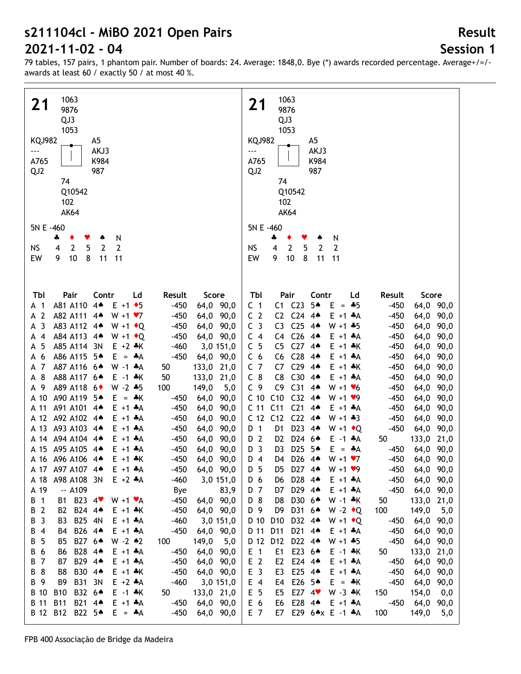**Session 1**

**Result**

| 1063                                                                             | 1063                                                                                                   |
|----------------------------------------------------------------------------------|--------------------------------------------------------------------------------------------------------|
| 21<br>9876                                                                       | 21<br>9876                                                                                             |
| QJ3                                                                              | QJ3                                                                                                    |
| 1053                                                                             | 1053                                                                                                   |
| <b>KQJ982</b><br>A <sub>5</sub>                                                  | <b>KQJ982</b><br>A <sub>5</sub>                                                                        |
| AKJ3<br>                                                                         | AKJ3<br>$\overline{\phantom{a}}$                                                                       |
| A765<br>K984                                                                     | A765<br>K984                                                                                           |
|                                                                                  |                                                                                                        |
| QJ <sub>2</sub><br>987                                                           | QJ2<br>987                                                                                             |
| 74                                                                               | 74                                                                                                     |
| Q10542                                                                           | Q10542                                                                                                 |
| 102                                                                              | 102                                                                                                    |
| <b>AK64</b>                                                                      | <b>AK64</b>                                                                                            |
| 5N E -460                                                                        | 5N E -460                                                                                              |
| N<br>4<br>٠<br>v                                                                 | N<br>÷                                                                                                 |
| $\overline{2}$<br>2<br>$\overline{2}$<br>5<br><b>NS</b><br>4                     | $\overline{2}$<br>2<br>2<br><b>NS</b><br>4<br>5                                                        |
| EW<br>9<br>10<br>8<br>11<br>11                                                   | 10<br>EW<br>9<br>8<br>11<br>11                                                                         |
|                                                                                  |                                                                                                        |
|                                                                                  |                                                                                                        |
|                                                                                  |                                                                                                        |
| Tbl<br>Pair<br>Contr<br>Ld<br>Result<br>Score                                    | Pair<br>Tbl<br>Contr<br>Ld<br>Result<br>Score                                                          |
| $4*$<br>A81 A110<br>$E + 1$ + 5<br>$-450$<br>64,0 90,0<br>A 1                    | $C1$ $C23$<br>5▲<br>C <sub>1</sub><br>$-450$<br>64,0 90,0<br>$E = +5$                                  |
| A 2<br>A82 A111 44<br>$W + 1 \cdot 7$<br>$-450$<br>64,0 90,0                     | C <sub>2</sub><br>C2 C24<br>$-450$<br>$4*$<br>$E + 1 + A$<br>90,0<br>64,0                              |
| $\overline{3}$<br>A83 A112 4*<br>$-450$<br>64,0 90,0<br>$W + 1$ $\bullet$ Q<br>А | C <sub>25</sub><br>C <sub>3</sub><br>$4*$<br>$W + 1 + 5$<br>$-450$<br>90,0<br>C <sub>3</sub><br>64,0   |
| A84 A113 4*<br>$-450$<br>64,0 90,0<br>$\overline{4}$<br>$W + 1$ $\bullet$ Q<br>А | C <sub>26</sub><br>C <sub>4</sub><br>$-450$<br>90,0<br>C4<br>44<br>$E + 1$ $A$<br>64,0                 |
| 5<br>A85 A114 3N<br>$E + 2$ $*K$<br>$-460$<br>3,0 151,0<br>А                     | C <sub>5</sub><br>C <sub>27</sub><br>C <sub>5</sub><br>$4*$<br>$-450$<br>90,0<br>$E + 1 + K$<br>64,0   |
| 6<br>A86 A115 5*<br>$-450$<br>$E = A$<br>64,0 90,0<br>А                          | C <sub>6</sub><br>C <sub>28</sub><br>C <sub>6</sub><br>$-450$<br>90,0<br>44<br>$E + 1 + A$<br>64,0     |
| 7<br>A87 A116 6*<br>$W - 1$ $*A$<br>133,0 21,0<br>50<br>A                        | C <sub>7</sub><br>C <sub>29</sub><br>C7<br>4 <sub>•</sub><br>$-450$<br>64,0<br>90,0<br>$E + 1$ $*$ K   |
| 8<br>A88 A117 64<br>50<br>133,0 21,0<br>E -1 ÷K<br>А                             | C30<br>$C_8$<br>C <sub>8</sub><br>$4*$<br>$-450$<br>64,0<br>90,0<br>$E + 1 + A$                        |
| $W - 2 * 5$<br>-9<br>A89 A118 6 <sup>+</sup><br>100<br>149,0<br>5,0<br>А         | C <sub>31</sub><br>C <sub>9</sub><br>C <sub>9</sub><br>$4*$<br>$-450$<br>90,0<br>$W + 1$ $V$ 6<br>64,0 |
| A90 A119 5*<br>A 10<br>$E = \cdot K$<br>$-450$<br>64,0 90,0                      | C <sub>10</sub><br>C <sub>10</sub><br>$C32$ 44<br>$-450$<br>$W + 1 \cdot 9$<br>64,0<br>90,0            |
| A91 A101 4*<br>$-450$<br>90,0<br>A 11<br>$E + 1 + A$<br>64,0                     | C 11 C 11<br>C <sub>21</sub><br>$-450$<br>4▲<br>$E + 1 + A$<br>64,0<br>90,0                            |
| A 12 A92 A102 4*<br>$E + 1 + A$<br>$-450$<br>64,0<br>90,0                        | $C22$ 44<br>C 12 C12<br>$-450$<br>$W + 1 + 3$<br>64,0<br>90,0                                          |
| A93 A103 4*<br>A 13<br>$E + 1 + A$<br>$-450$<br>64,0<br>90,0                     | D <sub>23</sub><br>D <sub>1</sub><br>$-450$<br>D1<br>$4*$<br>$W + 1$ $\bullet$ Q<br>64,0<br>90,0       |
| A 14 A 94 A 104 4*                                                               | D <sub>2</sub><br>D24 64<br>$E -1$ $*A$                                                                |
| $E + 1 + A$<br>$-450$<br>64,0<br>90,0                                            | 133,0 21,0<br>D <sub>2</sub><br>50                                                                     |
| A 15<br>A95 A105 4*<br>$-450$<br>90,0<br>$E + 1 + A$<br>64,0                     | D <sub>3</sub><br>D <sub>25</sub><br>D <sub>3</sub><br>5♠<br>$E = A$<br>$-450$<br>64,0<br>90,0         |
| A 16 A 96 A 106 4*<br>$E + 1$ $*$ K<br>$-450$<br>64,0 90,0                       | D26 44<br>D 4<br>$-450$<br>D4<br>$W + 1 \cdot 7$<br>64,0<br>90,0                                       |
| A 17 A97 A107 4*<br>$E + 1 + A$<br>$-450$<br>64,0 90,0                           | D 5<br>D27 44<br>$W + 1 \cdot 9$<br>$-450$<br>64,0 90,0<br>D5.                                         |
| $-460$<br>3,0 151,0<br>A98 A108 3N<br>$E + 2$ $A$<br>A 18                        | D28 44<br>$-450$<br>D 6<br>$E + 1 + A$<br>64,0 90,0<br>D6                                              |
| $-. A109$<br>Bye<br>83,9<br>A 19                                                 | D29 44<br>$-450$<br>D 7<br>64,0 90,0<br>D7<br>$E + 1 + A$                                              |
| B1 B23 4<br>$-450$<br>64,0 90,0<br>B 1<br>$W + 1$ $\forall A$                    | D 8<br>D30 6 <sup>*</sup><br>$W - 1 * K$<br>133,0 21,0<br>D8<br>50                                     |
| B 2<br>B2 B24 4*<br>$-450$<br>64,0 90,0<br>$E + 1 * K$                           | D31 6*<br>D 9<br>D <sub>9</sub><br>$W - 2 \cdot Q$<br>100<br>149,0<br>5,0                              |
| B25 4N<br>B 3<br>B <sub>3</sub><br>$-460$<br>3,0 151,0<br>$E + 1 + A$            | D32 44<br>D 10<br>D <sub>10</sub><br>$W + 1$ $\bullet$ Q<br>$-450$<br>64,0 90,0                        |
| B 4<br>B26 44<br>$-450$<br>B4<br>$E + 1 + A$<br>64,0 90,0                        | D 11<br>D11<br>D21 44<br>$-450$<br>$E + 1$ $A$<br>64,0 90,0                                            |
| B27 6*<br>B 5<br>$W - 2 \cdot 2$<br>149,0<br>5,0<br>B5<br>100                    | D 12 D12 D22 44<br>$-450$<br>$W + 1 + 5$<br>64,0 90,0                                                  |
| B28 44<br>B 6<br>$-450$<br>64,0 90,0<br>B6<br>$E + 1 + A$                        | E23 6*<br>$E$ 1<br>50<br>133,0 21,0<br>E1<br>$E - 1$ $*$ K                                             |
| B29 44<br>B 7<br><b>B7</b><br>$-450$<br>64,0 90,0<br>$E + 1$ $A$                 | E <sub>2</sub><br>E24 44<br>$-450$<br>64,0 90,0<br>E <sub>2</sub><br>$E + 1 + A$                       |
| B30 44<br>B 8<br>B8<br>$-450$<br>64,0 90,0<br>$E + 1$ $*$ K                      | E <sub>3</sub><br>E25 4*<br>$-450$<br>E3<br>$E + 1 + A$<br>64,0 90,0                                   |
| B31 3N<br>B 9<br>B <sub>9</sub><br>$E + 2 A$<br>$-460$<br>3,0 151,0              | E26 5 <sup>*</sup><br>E 4<br>$-450$<br>E4<br>$E = \cdot K$<br>64,0 90,0                                |
| <b>B</b> 10<br><b>B10</b><br>B32 64<br>$E - 1$ $*$ K<br>50<br>133,0 21,0         | E27 $4$<br>E 5<br>$W - 3 * K$<br>E5<br>150<br>154,0<br>0,0                                             |
| B21 44<br>B 11<br><b>B11</b><br>$-450$<br>64,0 90,0<br>$E + 1 + A$               | E 6<br>E28 4*<br>$-450$<br>64,0 90,0<br>E6<br>$E + 1$ $A$                                              |
| B 12 B12<br>B22 5 <sup>*</sup><br>$-450$<br>64,0 90,0<br>$E = A$                 | E 7<br>E7 E29 6*x E -1 *A<br>100<br>149,0<br>5,0                                                       |
|                                                                                  |                                                                                                        |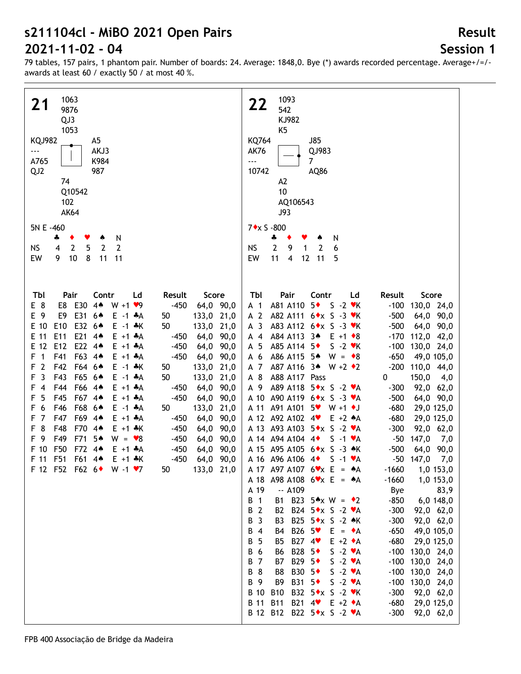# **Session 1**

| 1063<br>21<br>9876<br>QJ3<br>1053<br><b>KQJ982</b><br>A5<br>AKJ3<br>$\overline{\phantom{a}}$<br>A765<br>K984<br>QJ <sub>2</sub><br>987<br>74<br>Q10542<br>102<br><b>AK64</b><br>5N E -460<br>N<br>÷<br>۸<br>$\mathbf{2}$<br>5<br>$\overline{2}$<br>2<br><b>NS</b><br>4<br>8<br>EW<br>9<br>10<br>11<br>11                                                                                                                                                                                                                                                                                                                                                                                                                                                                                                                                                                                                                                                                                                                                                                                                                                                                                                                                                                                                                 | 1093<br>22<br>542<br>KJ982<br>K <sub>5</sub><br><b>KQ764</b><br><b>J85</b><br><b>AK76</b><br>QJ983<br>$\overline{\phantom{a}}$<br>$\overline{7}$<br>10742<br>AQ86<br>A2<br>10<br>AQ106543<br><b>J93</b><br>$7 \star x S - 800$<br>N<br>÷<br>۸<br>$\mathbf{2}$<br>9<br>6<br><b>NS</b><br>$\mathbf{1}$<br>$\overline{2}$<br>11<br>EW<br>$\overline{4}$<br>12 11<br>5                                                                                                                                                                                                                                                                                                                                                                                                                                                                                                                                                                                                                                                                                                                                                                                                                                                                                                                                                                                                                                                                                                                                                                                                                                                                                                                                                                                                                                                                                                                                                                                                                                                                                                                                                                                                                                                                             |
|--------------------------------------------------------------------------------------------------------------------------------------------------------------------------------------------------------------------------------------------------------------------------------------------------------------------------------------------------------------------------------------------------------------------------------------------------------------------------------------------------------------------------------------------------------------------------------------------------------------------------------------------------------------------------------------------------------------------------------------------------------------------------------------------------------------------------------------------------------------------------------------------------------------------------------------------------------------------------------------------------------------------------------------------------------------------------------------------------------------------------------------------------------------------------------------------------------------------------------------------------------------------------------------------------------------------------|------------------------------------------------------------------------------------------------------------------------------------------------------------------------------------------------------------------------------------------------------------------------------------------------------------------------------------------------------------------------------------------------------------------------------------------------------------------------------------------------------------------------------------------------------------------------------------------------------------------------------------------------------------------------------------------------------------------------------------------------------------------------------------------------------------------------------------------------------------------------------------------------------------------------------------------------------------------------------------------------------------------------------------------------------------------------------------------------------------------------------------------------------------------------------------------------------------------------------------------------------------------------------------------------------------------------------------------------------------------------------------------------------------------------------------------------------------------------------------------------------------------------------------------------------------------------------------------------------------------------------------------------------------------------------------------------------------------------------------------------------------------------------------------------------------------------------------------------------------------------------------------------------------------------------------------------------------------------------------------------------------------------------------------------------------------------------------------------------------------------------------------------------------------------------------------------------------------------------------------------|
| Tbl<br>Pair<br>Contr<br>Result<br>Score<br>Ld<br>E 8<br>E8 E30 44<br>$-450$<br>64,0 90,0<br>$W + 1 \cdot 9$<br>E31 64<br>E 9<br>E9<br>133,0 21,0<br>$E -1$ $A$<br>50<br>E 10<br>E <sub>10</sub><br>E32 6 <sup>*</sup><br>50<br>133,0 21,0<br>$E - 1$ $*$ K<br>E21 44<br>E 11<br>E11<br>64,0 90,0<br>$E + 1 + A$<br>$-450$<br>E22 44<br>E 12<br>E <sub>12</sub><br>$-450$<br>64,0 90,0<br>$E + 1 + A$<br>F63 4*<br>$\overline{1}$<br>F41<br>$-450$<br>64,0 90,0<br>F<br>$E + 1 + A$<br>$\overline{2}$<br>F42<br>F64 6 <sup>*</sup><br>133,0 21,0<br>F<br>$E - 1$ $*$ K<br>50<br>$\overline{3}$<br>F43<br>F65 6*<br>50<br>133,0 21,0<br>F<br>$E - 1$ $A$<br>F66 4 <sup>*</sup><br>F44<br>64,0<br>90,0<br>$\overline{4}$<br>$E + 1 + A$<br>$-450$<br>F<br>F45<br>F67 4*<br>5<br>$-450$<br>64,0<br>90,0<br>F<br>$E + 1 + A$<br>F68 6 <sup>*</sup><br>F46<br>133,0<br>21,0<br>F<br>6<br>$E - 1$ $A$<br>50<br>F47<br>F69 4*<br>7<br>90,0<br>F<br>$E + 1 + A$<br>$-450$<br>64,0<br>8<br>F48<br>F70<br>$4*$<br>90,0<br>F<br>$E + 1$ $*$ K<br>$-450$<br>64,0<br>F49<br>F71<br>5▲<br>F 9<br>90,0<br>$W = \bullet 8$<br>$-450$<br>64,0<br>F50<br>F72<br>F 10<br>$4*$<br>64,0<br>90,0<br>$E + 1$ $A$<br>$-450$<br>F51<br>F 11<br>F61 4*<br>$E + 1$ $*$ K<br>$-450$<br>64,0 90,0<br>133,0 21,0<br>F 12 F52 F62 6 W -1 $\cdot$ 7<br>50 | Tbl<br>Pair<br>Contr<br>Ld<br>Result<br>Score<br>A81 A110 5◆<br>$S - 2$ $\vee$ K<br>$-100$<br>130,0 24,0<br>A <sub>1</sub><br>A 2<br>A82 A111 6 * x S - 3 * K<br>$-500$<br>64,0 90,0<br>A <sub>3</sub><br>A83 A112 6 * x S - 3 * K<br>$-500$<br>64,0 90,0<br>A84 A113 3*<br>$-170$<br>112,0 42,0<br>$A$ 4<br>$E + 1 \cdot 8$<br>A 5<br>A85 A114 5 <sup>+</sup><br>$S - 2$ $\vee$ K<br>$-100$<br>130,0 24,0<br>A86 A115 5*<br>$-650$<br>A 6<br>$W = \bullet 8$<br>49,0 105,0<br>$-200$<br>A 7<br>A87 A116 34<br>110,0 44,0<br>$W + 2 \cdot 2$<br>150,0<br>A 8<br>A88 A117 Pass<br>0<br>4,0<br>A89 A118 5 * x S - 2 * A<br>92,0 62,0<br>A 9<br>$-300$<br>A90 A119 6 * x S - 3 * A<br>$-500$<br>A 10<br>64,0 90,0<br>A91 A101<br>$-680$<br>A 11<br>$5$ v W +1 $\bullet$ J<br>29,0 125,0<br>A 12 A92 A102 4<br>$-680$<br>$E + 2 \cdot A$<br>29,0 125,0<br>A 13 A93 A103 5 * x S - 2 * A<br>$-300$<br>92,0 62,0<br>A 14 A 94 A 104 4<br>147,0<br>$S -1$ $\forall A$<br>$-50$<br>7,0<br>A 15 A95 A105 6 * x S - 3 * K<br>$-500$<br>64,0<br>90,0<br>$-50$ 147,0<br>A 16 A 96 A 106 4<br>$S -1$ $\forall A$<br>7,0<br>1,0 153,0<br>A 17 A97 A107 $6 \times x$ E = $A$ A<br>$-1660$<br>A98 A108 $6 \times x$ E = $A$ A<br>$-1660$<br>1,0 153,0<br>A 18<br>A 19<br>$- A109$<br>83,9<br>Bye<br>В<br>$\overline{1}$<br>B23 5*x W = $*2$<br>$-850$<br>6,0 148,0<br>B1<br>В<br>$\overline{2}$<br>B <sub>2</sub><br>B24 $5 \star x$ S -2 $\star A$<br>$-300$<br>92,0 62,0<br>$\overline{3}$<br>В<br>B <sub>3</sub><br>B25 5 * x S - 2 * K<br>$-300$<br>92,0 62,0<br>В<br>$\overline{4}$<br>B26 5 <sup>V</sup><br>$-650$<br>B4<br>$E = \bullet A$<br>49,0 105,0<br>5<br>В<br>B <sub>5</sub><br>B27 4<br>$-680$<br>29,0 125,0<br>$E + 2 \cdot A$<br>B28 5◆<br>В<br>6<br>$S -2 \cdot A$<br>$-100$<br>130,0 24,0<br>B6<br>$\overline{7}$<br>B29 5◆<br>130,0 24,0<br>B<br>B7<br>$S -2 \cdot A$<br>$-100$<br>8<br>$-100$<br>130,0 24,0<br>В<br>B8<br>B30 5◆<br>$S -2 \cdot A$<br>B31 5◆<br>$-100$<br>130,0 24,0<br>В<br>-9<br>B9<br>$S -2 \cdot A$<br><b>B</b> 10<br><b>B10</b><br>B32 5 ★ x S - 2 ♥ K<br>$-300$<br>92,0 62,0<br><b>B</b> 11<br>B21 4 <sup>v</sup> E +2 ◆A<br><b>B11</b><br>$-680$<br>29,0 125,0<br>B 12 B12 B22 5*x S -2 *A<br>$-300$<br>92,0 62,0 |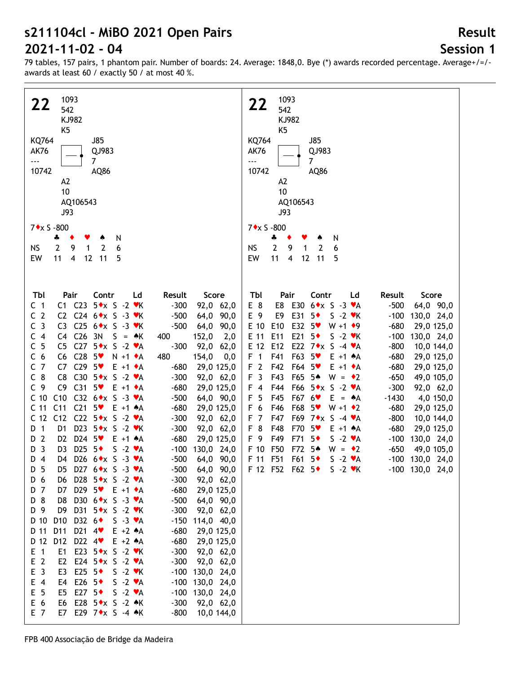## **Session 1**

**Result**

79 tables, 157 pairs, 1 phantom pair. Number of boards: 24. Average: 1848,0. Bye (\*) awards recorded percentage. Average+/=/ awards at least 60 / exactly 50 / at most 40 %.

| 1093                                                                                   |                      | 1093                                                                 |                       |
|----------------------------------------------------------------------------------------|----------------------|----------------------------------------------------------------------|-----------------------|
| 22<br>542                                                                              |                      | 22<br>542                                                            |                       |
| KJ982                                                                                  |                      | KJ982                                                                |                       |
| K <sub>5</sub>                                                                         |                      | K <sub>5</sub>                                                       |                       |
| <b>KQ764</b><br>J85                                                                    |                      | <b>KQ764</b><br>J85                                                  |                       |
| <b>AK76</b><br>QJ983                                                                   |                      | <b>AK76</b><br>QJ983                                                 |                       |
| $\overline{7}$<br>---                                                                  |                      | $\overline{7}$<br>---                                                |                       |
| 10742<br>AQ86                                                                          |                      | 10742<br>AQ86                                                        |                       |
| A <sub>2</sub>                                                                         |                      | A <sub>2</sub>                                                       |                       |
| 10                                                                                     |                      | 10                                                                   |                       |
|                                                                                        |                      |                                                                      |                       |
| AQ106543                                                                               |                      | AQ106543                                                             |                       |
| J93                                                                                    |                      | J93                                                                  |                       |
| $7 \star x$ S -800                                                                     |                      | 7◆x S -800                                                           |                       |
| N<br>÷<br>۸                                                                            |                      | N<br>÷                                                               |                       |
| $\overline{2}$<br>9<br>2<br>6<br>NS<br>$\mathbf{1}$                                    |                      | 6<br>$\overline{2}$<br>9<br>$\overline{2}$<br><b>NS</b><br>1         |                       |
| 11<br>EW<br>11<br>$\overline{4}$<br>12<br>5                                            |                      | 11<br>EW<br>$\overline{4}$<br>12<br>11<br>5                          |                       |
|                                                                                        |                      |                                                                      |                       |
|                                                                                        |                      |                                                                      |                       |
|                                                                                        |                      |                                                                      |                       |
| Tbl<br>Pair<br>Contr<br>Ld                                                             | Result<br>Score      | Tbl<br>Pair<br>Contr<br>Ld                                           | Result<br>Score       |
| C <sub>1</sub><br>$C1$ $C23$<br>$5 \cdot x$ S -2 $\cdot$ K                             | $-300$<br>92,0 62,0  | E 8<br>E8<br>E30 $6 \cdot x$ S -3 $\cdot A$                          | $-500$<br>64,0 90,0   |
| C <sub>2</sub><br>C2 C24 6*x S -3 *K                                                   | $-500$<br>64,0 90,0  | E 9<br>E31<br>E9<br>$5*$<br>$S - 2$ $\forall$ K                      | $-100$<br>130,0 24,0  |
| C <sub>3</sub><br>C3<br>C25 $6 \star x$ S -3 $\star$ K                                 | $-500$<br>64,0 90,0  | E32 5<br>E 10<br>E10<br>$W + 1$ + 9                                  | $-680$<br>29,0 125,0  |
| C4 C26<br>C <sub>4</sub><br>3N<br>$S = AK$                                             | 152,0<br>400<br>2,0  | E21<br>E 11<br>E11<br>$5*$<br>$S - 2$ $\forall$ K                    | $-100$<br>130,0 24,0  |
| C <sub>5</sub><br>C27 $5 \star x$ S -2 $\star A$<br>C <sub>5</sub>                     | $-300$<br>92,0 62,0  | E22 7◆x S -4 ♥A<br>E 12<br>E12                                       | $-800$<br>10,0 144,0  |
| C <sub>6</sub><br>$C28$ 5<br>C6<br>$N + 1$ $\uparrow$ A                                | 480<br>154,0<br>0,0  | F63<br>F <sub>1</sub><br>F41<br>$5*$<br>$E + 1$ $A$                  | $-680$<br>29,0 125,0  |
| C <sub>7</sub><br>C7<br>$C29$ 5<br>$E + 1 \cdot A$                                     | $-680$<br>29,0 125,0 | F <sub>2</sub><br>F42<br>F64 5 <sup>v</sup><br>$E + 1$ $\triangle A$ | $-680$<br>29,0 125,0  |
| $C_8$<br>C8<br>C30 $5 \star x$ S -2 $\star A$                                          | $-300$<br>92,0 62,0  | F <sub>3</sub><br>F43<br>F65 5*<br>$W = \cdot 2$                     | $-650$<br>49,0 105,0  |
| C <sub>9</sub><br>C9<br>$C31$ 5<br>$E + 1 \cdot A$                                     | $-680$<br>29,0 125,0 | F44<br>$F66$ $5 \star x$ S -2 $\star A$<br>F 4                       | $-300$<br>92,0 62,0   |
| C <sub>10</sub><br>C10<br>C32 $6*x$ S -3 $vA$                                          | $-500$<br>64,0 90,0  | F <sub>5</sub><br>F45<br>F67 6<br>$E = A$                            | $-1430$<br>4,0 150,0  |
| C <sub>11</sub><br>$C21$ 5<br>C <sub>11</sub><br>$E + 1$ $A$                           | $-680$<br>29,0 125,0 | F 6<br>F46<br>F68<br>$5*$<br>$W + 1$ $\rightarrow 2$                 | $-680$<br>29,0 125,0  |
| C 12 C12<br>C22 $5 \star x$ S -2 $\star A$                                             | $-300$<br>92,0 62,0  | F <sub>7</sub><br>F47<br>F69 7◆x S -4 ♥A                             | $-800$<br>10,0 144,0  |
| D 1<br>D <sub>1</sub><br>D23 5 ★ x S - 2 ♥ K                                           | $-300$<br>92,0 62,0  | F <sub>8</sub><br>F48<br>F70<br>$5*$<br>$E + 1$ $A$                  | $-680$<br>29,0 125,0  |
| $\overline{2}$<br>D <sub>2</sub><br>D24 5<br>$E + 1$ $A$<br>D                          | $-680$<br>29,0 125,0 | F 9<br>F49<br>F71<br>$5*$<br>$S -2 \cdot A$                          | $-100$<br>130,0 24,0  |
| $\overline{3}$<br>D25 $5*$<br>$S -2 \cdot A$<br>D <sub>3</sub><br>D                    | $-100$<br>130,0 24,0 | F50<br>F72<br>F 10<br>5▲<br>$W = \cdot 2$                            | $-650$<br>49,0 105,0  |
| $D_4$<br>D26 $6 \cdot x$ S -3 $\cdot A$<br>D4                                          | $-500$<br>64,0 90,0  | F 11 F51<br>F61<br>$5*$<br>$S - 2 \cdot A$                           | -100 130,0 24,0       |
| D5 D27 6 * x S - 3 * A<br>D 5                                                          | 64,0 90,0<br>$-500$  | F 12 F52 F62 5 + S -2 VK                                             | $-100$ $130,0$ $24,0$ |
| D28 $5 \star x$ S -2 $\star A$<br>D 6<br>D6                                            | $-300$<br>92,0 62,0  |                                                                      |                       |
| D 7<br>D7<br>D29 $5 \cdot E + 1 \cdot A$                                               | $-680$<br>29,0 125,0 |                                                                      |                       |
| D 8<br>D8<br>D30 6 * x S - 3 * A                                                       | $-500$<br>64,0 90,0  |                                                                      |                       |
| D31 5◆x S -2 ♥K<br>D 9<br>D9                                                           | $-300$<br>92,0 62,0  |                                                                      |                       |
| D 10<br>D <sub>10</sub><br>D32 $6\bullet$<br>$S -3 \cdot A$                            | $-150$<br>114,0 40,0 |                                                                      |                       |
| D 11<br>D11<br>D21 $4$<br>$E + 2 A$                                                    | $-680$<br>29,0 125,0 |                                                                      |                       |
| D 12<br>D <sub>12</sub><br>D22 $4$<br>$E + 2 A$                                        | $-680$<br>29,0 125,0 |                                                                      |                       |
| E23 $5 \times S - 2 \cdot K$<br>$E$ 1<br>E <sub>1</sub>                                | $-300$<br>92,0 62,0  |                                                                      |                       |
| E <sub>2</sub><br>E <sub>2</sub><br>E24 $5*x$ S -2 $*A$                                | $-300$<br>92,0 62,0  |                                                                      |                       |
| E <sub>3</sub><br>E <sub>3</sub><br>E25 5 $\bullet$<br>$S - 2$ $\blacktriangleright$ K | $-100$<br>130,0 24,0 |                                                                      |                       |
| $E$ 4<br>E4<br>E26 $5\bullet$<br>$S -2 \cdot A$                                        | $-100$               |                                                                      |                       |
| E <sub>5</sub><br>$S -2 \cdot A$<br>E <sub>5</sub><br>E27 5 $\bullet$                  | 130,0 24,0<br>$-100$ |                                                                      |                       |
| E 6<br>E28 5◆x S -2 ◆K<br>E6                                                           | 130,0 24,0           |                                                                      |                       |
| E 7<br>E7                                                                              | $-300$<br>92,0 62,0  |                                                                      |                       |
| E29 $7 \star x$ S -4 $\star$ K                                                         | $-800$<br>10,0 144,0 |                                                                      |                       |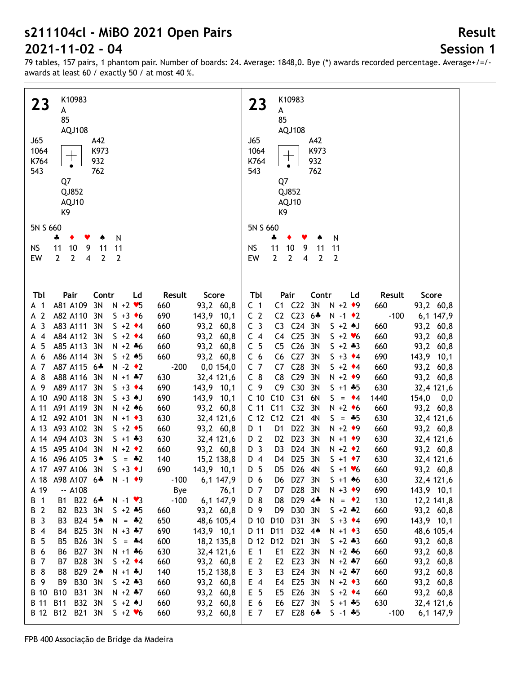## **Session 1**

| K10983<br>23<br>A<br>85<br>AQJ108<br>J65<br>A42<br>1064<br>K973<br>K764<br>932<br>543<br>762<br>Q7<br>QJ852<br>AQJ10<br>K9<br>5N S 660                                                                                                                                                                                                                                                                                                                                                                                                                                                                                                                                                                                                                                                                                                                                                                                                                                                                                                                                                                                                                                                                 |                                                                                                                                                                                                                                                                                                                                                                                                                                                                                                                                                     | K10983<br>23<br>A<br>85<br>AQJ108<br>J65<br>A42<br>K973<br>1064<br>K764<br>932<br>543<br>762<br>Q7<br>QJ852<br>AQJ10<br>K9<br>5N S 660                                                                                                                                                                                                                                                                                                                                                                                                                                                                                                                                                                                                                                                                                                                                                                                                                                                                                                                                                                                                                                                                                                                                                                                                                                                                                                                                                                                                                                                                                                                                                                                                                                                                                                                                                                                                                                                                                                                                                           |
|--------------------------------------------------------------------------------------------------------------------------------------------------------------------------------------------------------------------------------------------------------------------------------------------------------------------------------------------------------------------------------------------------------------------------------------------------------------------------------------------------------------------------------------------------------------------------------------------------------------------------------------------------------------------------------------------------------------------------------------------------------------------------------------------------------------------------------------------------------------------------------------------------------------------------------------------------------------------------------------------------------------------------------------------------------------------------------------------------------------------------------------------------------------------------------------------------------|-----------------------------------------------------------------------------------------------------------------------------------------------------------------------------------------------------------------------------------------------------------------------------------------------------------------------------------------------------------------------------------------------------------------------------------------------------------------------------------------------------------------------------------------------------|--------------------------------------------------------------------------------------------------------------------------------------------------------------------------------------------------------------------------------------------------------------------------------------------------------------------------------------------------------------------------------------------------------------------------------------------------------------------------------------------------------------------------------------------------------------------------------------------------------------------------------------------------------------------------------------------------------------------------------------------------------------------------------------------------------------------------------------------------------------------------------------------------------------------------------------------------------------------------------------------------------------------------------------------------------------------------------------------------------------------------------------------------------------------------------------------------------------------------------------------------------------------------------------------------------------------------------------------------------------------------------------------------------------------------------------------------------------------------------------------------------------------------------------------------------------------------------------------------------------------------------------------------------------------------------------------------------------------------------------------------------------------------------------------------------------------------------------------------------------------------------------------------------------------------------------------------------------------------------------------------------------------------------------------------------------------------------------------------|
| N<br>4<br>٠<br>Y<br>۸<br>$10$<br><b>NS</b><br>11<br>9<br>11<br>11                                                                                                                                                                                                                                                                                                                                                                                                                                                                                                                                                                                                                                                                                                                                                                                                                                                                                                                                                                                                                                                                                                                                      |                                                                                                                                                                                                                                                                                                                                                                                                                                                                                                                                                     | ÷<br>N<br><b>NS</b><br>11<br>10<br>9<br>11<br>11                                                                                                                                                                                                                                                                                                                                                                                                                                                                                                                                                                                                                                                                                                                                                                                                                                                                                                                                                                                                                                                                                                                                                                                                                                                                                                                                                                                                                                                                                                                                                                                                                                                                                                                                                                                                                                                                                                                                                                                                                                                 |
| $\overline{2}$<br>$\overline{2}$<br>$\overline{2}$<br>$\overline{2}$<br>EW<br>$\overline{\mathbf{4}}$                                                                                                                                                                                                                                                                                                                                                                                                                                                                                                                                                                                                                                                                                                                                                                                                                                                                                                                                                                                                                                                                                                  |                                                                                                                                                                                                                                                                                                                                                                                                                                                                                                                                                     | $\overline{2}$<br>2<br>$\overline{2}$<br>EW<br>$\overline{\mathbf{4}}$<br>$\overline{2}$                                                                                                                                                                                                                                                                                                                                                                                                                                                                                                                                                                                                                                                                                                                                                                                                                                                                                                                                                                                                                                                                                                                                                                                                                                                                                                                                                                                                                                                                                                                                                                                                                                                                                                                                                                                                                                                                                                                                                                                                         |
| Tbl<br>Pair<br>Contr<br>Ld<br>A81 A109<br>3N<br>$N + 2$ $\blacktriangleright$ 5<br>A 1<br>A <sub>2</sub><br>A82 A110<br>3N<br>$S + 3 \cdot 6$<br>$\overline{\mathbf{3}}$<br>A83 A111<br>3N<br>$S + 2 \cdot 4$<br>A<br>A84 A112<br>3N<br>$S + 2 \cdot 4$<br>$\overline{4}$<br>А<br>5<br>A85 A113<br>3N<br>$N + 2 + 6$<br>А<br>A86 A114 3N<br>$S + 2 * 5$<br>6<br>А<br>7<br>A87 A115 6*<br>$N - 2$ $\bullet$ 2<br>A<br>A 8<br>A88 A116<br>3N<br>$N + 1$ $*7$<br>A 9<br>A89 A117<br>3N<br>$S + 3 \cdot 4$<br>A90 A118<br>3N<br>A 10<br>$S + 3$ AJ<br>A91 A119<br>3N<br>A 11<br>$N + 2 * 6$<br>A 12 A92 A101<br>3N<br>$N + 1$ $\bullet$ 3<br>A 13 A93 A102<br>3N<br>$S + 2 \cdot 5$<br>A 14 A 94 A 103<br>3N<br>$S + 1 + 3$<br>A 15 A95 A104 3N<br>$N + 2 \cdot 2$<br>A 16 A 96 A 105 3*<br>$S = -2$<br>A 17 A97 A106 3N<br>$S + 3$ $\bullet$ J<br>A98 A107 6*<br>$N - 1$ $\rightarrow$ 9<br>A 18<br>A 19<br>$-$ A108<br>B 1<br>B1 B22 6*<br>$N - 1$ $\vee$ 3<br>B23 3N<br>B 2<br><b>B2</b><br>$S + 2 + 5$<br>B24 5*<br>B 3<br>B <sub>3</sub><br>$N = -2$<br>B25 3N<br>$N + 3 + 7$<br>B 4<br>B4<br>B 5<br><b>B26</b><br>B <sub>5</sub><br>3N<br>$S = -4$<br>B27 3N<br>B 6<br>B <sub>6</sub><br>$N + 1 + 6$ | Result<br>Score<br>93,2 60,8<br>660<br>690<br>143,9 10,1<br>660<br>93,2 60,8<br>660<br>93,2 60,8<br>660<br>93,2 60,8<br>660<br>93,2 60,8<br>$-200$<br>0,0 154,0<br>630<br>32,4 121,6<br>690<br>143,9 10,1<br>690<br>143,9 10,1<br>660<br>93,2 60,8<br>630<br>32,4 121,6<br>660<br>93,2 60,8<br>630<br>32,4 121,6<br>93,2 60,8<br>660<br>140<br>15,2 138,8<br>690<br>143,9 10,1<br>6,1 147,9<br>$-100$<br>Bye<br>76,1<br>$-100$<br>6,1 147,9<br>93,2 60,8<br>660<br>650<br>48,6 105,4<br>690<br>143,9 10,1<br>600<br>18,2 135,8<br>630<br>32,4 121,6 | Tbl<br>Contr<br>Pair<br>Ld<br>Result<br>Score<br>C1 C22<br>3N<br>$N + 2$ $\rightarrow$ 9<br>C <sub>1</sub><br>93,2 60,8<br>660<br>C2 C23<br>C <sub>2</sub><br>$-100$<br>$6 +$<br>$N - 1$ $\bullet$ 2<br>6,1 147,9<br>C <sub>3</sub><br>C <sub>24</sub><br>C <sub>3</sub><br>3N<br>$S + 2$ $\uparrow$ J<br>660<br>93,2 60,8<br>C4 C25<br>C <sub>4</sub><br>3N<br>$5 + 2$ $*6$<br>660<br>93,2 60,8<br>C <sub>5</sub><br>C <sub>26</sub><br>C <sub>5</sub><br>3N<br>$5 + 2 * 3$<br>93,2 60,8<br>660<br>C <sub>27</sub><br>C <sub>6</sub><br>C <sub>6</sub><br>3N<br>$S + 3 \cdot 4$<br>690<br>143,9 10,1<br>C <sub>7</sub><br>C <sub>28</sub><br>C7<br>3N<br>$S + 2 \cdot 4$<br>660<br>93,2 60,8<br>$C_8$<br>C <sub>29</sub><br>C <sub>8</sub><br>3N<br>$N + 2$ $\rightarrow$ 9<br>660<br>93,2 60,8<br>C30<br>C <sub>9</sub><br>C <sub>9</sub><br>3N<br>$S + 1 + 5$<br>630<br>32,4 121,6<br>C 10 C10 C31<br>6N<br>154,0<br>$S = \cdot 4$<br>1440<br>$_{0,0}$<br>C 11 C 11<br>C <sub>32</sub><br>3N<br>$N + 2$ +6<br>660<br>93,2 60,8<br>C 12 C12 C21<br>4N<br>630<br>$S = *5$<br>32,4 121,6<br>D22<br>D <sub>1</sub><br>3N<br>$N + 2$ $\rightarrow$ 9<br>D 1<br>660<br>93,2 60,8<br>D <sub>23</sub><br>D 2<br>D <sub>2</sub><br>3N<br>$N + 1$ $\rightarrow$ 9<br>630<br>32,4 121,6<br>D <sub>24</sub><br>D <sub>3</sub><br>D <sub>3</sub><br>3N<br>$N + 2 \cdot 2$<br>660<br>93,2 60,8<br>D <sub>25</sub><br>D 4<br>3N<br>630<br>D4<br>$S + 1$ $\rightarrow$ 7<br>32,4 121,6<br>D 5<br>D26 4N<br>$5 + 1$ $\times 6$<br>93,2 60,8<br>660<br>D5<br>D <sub>27</sub><br>630<br>D 6<br>3N<br>$S + 1$ 46<br>32,4 121,6<br>D6<br>D28 3N<br>$N + 3$ $\rightarrow$ 9<br>690<br>143,9 10,1<br>D 7<br>D7<br>D29 4*<br>D 8<br>D <sub>8</sub><br>130<br>12,2 141,8<br>$N = \cdot 2$<br>D 9<br>D30 3N<br>D <sub>9</sub><br>$S + 2 + 2$<br>660<br>93,2 60,8<br>D31<br>D 10 D 10<br>3N<br>$S + 3 \cdot 4$<br>690<br>143,9 10,1<br>D 11<br>D11<br>D32 4*<br>$N + 1$ + 3<br>650<br>48,6 105,4<br>D21<br>D 12 D12<br>$5 + 2 * 3$<br>660<br>93,2 60,8<br>3N<br>E22 3N<br>$E$ 1<br>$N + 2 + 6$<br>660<br>93,2 60,8<br>E1 |
| <b>B28</b><br>B 7<br><b>B7</b><br>3N<br>$S + 2 \cdot 4$<br>B29 24<br>B 8<br>B8<br>$N + 1 + J$<br><b>B30</b><br>B 9<br>B <sub>9</sub><br>3N<br>$5 + 2 * 3$<br>B 10<br><b>B10</b><br><b>B31</b><br>3N<br>$N + 2$ $*7$<br><b>B11</b><br>B32 3N<br>B 11<br>$S + 2$ AJ<br><b>B12</b><br>B 12<br>B21 3N<br>$S + 2 \times 6$                                                                                                                                                                                                                                                                                                                                                                                                                                                                                                                                                                                                                                                                                                                                                                                                                                                                                  | 660<br>93,2 60,8<br>140<br>15,2 138,8<br>660<br>93,2 60,8<br>660<br>93,2 60,8<br>660<br>93,2 60,8<br>660<br>93,2 60,8                                                                                                                                                                                                                                                                                                                                                                                                                               | E <sub>2</sub><br>E23 3N<br>E <sub>2</sub><br>$N + 2 + 7$<br>660<br>93,2 60,8<br>E <sub>3</sub><br>E24 3N<br>$N + 2 + 7$<br>660<br>93,2 60,8<br>E3<br>E25 3N<br>E 4<br>$N + 2 \cdot 3$<br>E4<br>660<br>93,2 60,8<br>E26 3N<br>E 5<br>$S + 2 \cdot 4$<br>E <sub>5</sub><br>660<br>93,2 60,8<br>E27 3N<br>E 6<br>$S + 1 + 5$<br>630<br>E6<br>32,4 121,6<br>E 7<br>E28 6*<br>$S - 1$ $*5$<br>6,1 147,9<br>E7<br>$-100$                                                                                                                                                                                                                                                                                                                                                                                                                                                                                                                                                                                                                                                                                                                                                                                                                                                                                                                                                                                                                                                                                                                                                                                                                                                                                                                                                                                                                                                                                                                                                                                                                                                                              |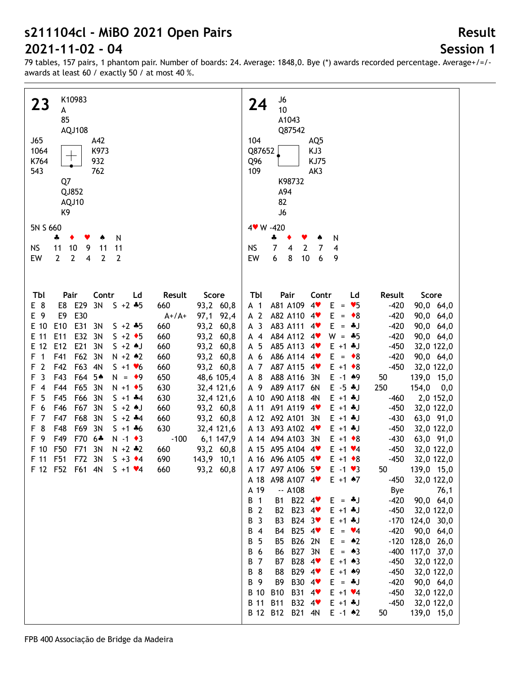## **Session 1**

| K10983<br><b>23</b><br>A<br>85<br>AQJ108<br>J65<br>A42<br>1064<br>K973<br>K764<br>932<br>543<br>762<br>Q7<br>QJ852<br>AQJ10<br>K9<br>5N S 660<br>N<br>4<br>٠<br>$10$<br><b>NS</b><br>11<br>9<br>11<br>11<br>$\overline{2}$<br>EW<br>$\mathbf{2}$<br>$\mathbf{2}$<br>4<br>$\overline{2}$                                                                                                                                                                                                                                                                                                                                                                                                                                                                                                                                                                                           |                                                                                                                                                                                                                                                                                                                                                                                   | J6<br>24<br>10<br>A1043<br>Q87542<br>104<br>AQ5<br>Q87652<br>KJ3<br>Q96<br><b>KJ75</b><br>109<br>AK3<br>K98732<br>A94<br>82<br>J6<br>4 W -420<br>4<br>N<br>۸<br>$\overline{7}$<br><b>NS</b><br>$\overline{2}$<br>7<br>4<br>4<br>8<br>EW<br>6<br>10<br>6<br>9                                                                                                                                                                                                                                                                                                                                                                                                                                                                                                                                                                                                                                                                                                                                                                                                                                                                                                                                                                                                                                                                                                                                                                                                                           |                                                                                                                                                                                                                                                                                                                                                                                                                                                                                                                                                                                                                                                                                                                                                            |
|-----------------------------------------------------------------------------------------------------------------------------------------------------------------------------------------------------------------------------------------------------------------------------------------------------------------------------------------------------------------------------------------------------------------------------------------------------------------------------------------------------------------------------------------------------------------------------------------------------------------------------------------------------------------------------------------------------------------------------------------------------------------------------------------------------------------------------------------------------------------------------------|-----------------------------------------------------------------------------------------------------------------------------------------------------------------------------------------------------------------------------------------------------------------------------------------------------------------------------------------------------------------------------------|----------------------------------------------------------------------------------------------------------------------------------------------------------------------------------------------------------------------------------------------------------------------------------------------------------------------------------------------------------------------------------------------------------------------------------------------------------------------------------------------------------------------------------------------------------------------------------------------------------------------------------------------------------------------------------------------------------------------------------------------------------------------------------------------------------------------------------------------------------------------------------------------------------------------------------------------------------------------------------------------------------------------------------------------------------------------------------------------------------------------------------------------------------------------------------------------------------------------------------------------------------------------------------------------------------------------------------------------------------------------------------------------------------------------------------------------------------------------------------------|------------------------------------------------------------------------------------------------------------------------------------------------------------------------------------------------------------------------------------------------------------------------------------------------------------------------------------------------------------------------------------------------------------------------------------------------------------------------------------------------------------------------------------------------------------------------------------------------------------------------------------------------------------------------------------------------------------------------------------------------------------|
| Tbl<br>Pair<br>Contr<br>Ld<br>E8 E29<br>E 8<br>3N<br>$S + 2 + 5$<br>E9<br>E30<br>E 9<br>E31 3N<br>E 10<br>E <sub>10</sub><br>$S + 2 + 5$<br>E11<br>E 11<br>E32 3N<br>$S + 2 \cdot 5$<br>E 12<br>E21 3N<br>E12<br>$S + 2$ $\uparrow$ J<br>$\overline{1}$<br>F41<br>F62 3N<br>F<br>$N + 2$ $*2$<br>$\overline{2}$<br>F42<br>F63<br>4N<br>F<br>$S + 1 \times 6$<br>$\overline{3}$<br>F43<br>F64 5 <sup>*</sup><br>F<br>$N = 9$<br>F44<br>$\overline{4}$<br>F65<br>3N<br>F<br>$N + 1$ + 5<br>5<br>F45<br>F<br>F66<br>3N<br>$S + 1 + 4$<br>F46<br>F67<br>6<br>3N<br>$S + 2$ $\uparrow$ J<br>F<br>$\overline{7}$<br>F47<br>F68<br>3N<br>$5 + 2 + 4$<br>F<br>8<br>F48<br>F69<br>3N<br>F.<br>$S + 1 + 6$<br>F 9<br>F49<br>F70<br>$6*$<br>$N - 1$ $\bullet$ 3<br>F50<br>F71<br>3N<br>F 10<br>$N + 2$ $*2$<br>F51<br>3N<br>F 11<br>F72<br>$S + 3 \cdot 4$<br>F 12 F52 F61 4N<br>$5 + 1$ $4$ | Result<br>Score<br>660<br>93,2 60,8<br>97,1 92,4<br>$A+ / A+$<br>660<br>93,2 60,8<br>660<br>93,2 60,8<br>93,2 60,8<br>660<br>660<br>93,2 60,8<br>660<br>93,2 60,8<br>48,6 105,4<br>650<br>630<br>32,4 121,6<br>630<br>32,4 121,6<br>660<br>93,2 60,8<br>660<br>93,2 60,8<br>630<br>32,4 121,6<br>$-100$<br>6,1 147,9<br>93,2 60,8<br>660<br>690<br>143,9 10,1<br>93,2 60,8<br>660 | Tbl<br>Pair<br>Contr<br>Ld<br>A81 A109<br>$4^{\prime\prime}$<br>Е<br>A 1<br>$= 95$<br>A 2<br>A82 A110<br>$E = \cdot 8$<br>$4$ v<br>A <sub>3</sub><br>A83 A111<br>4<br>$E = -1$<br>A84 A112 4<br>$A$ 4<br>$W = -5$<br>A 5<br>A85 A113 4<br>$E + 1 + J$<br>A 6<br>A86 A114 4<br>$E = \bullet 8$<br>A 7<br>A87 A115 4<br>$E + 1 \cdot 8$<br>A88 A116<br>A 8<br>3N<br>$E - 1$ $*9$<br>A 9<br>A89 A117 6N<br>$E - 5 + J$<br>A 10<br>A90 A118<br>$E + 1 + J$<br>4N<br>A 11<br>A91 A119 4<br>$E + 1 + J$<br>A 12 A92 A101<br>3N<br>$E + 1 + J$<br>A 13 A93 A102<br>$4$ v<br>$E + 1 + J$<br>A 14 A 94 A 103<br>3N<br>$E + 1 \cdot 8$<br>A 15 A95 A104<br>$4$ v<br>$E + 1$ $4$<br>A 16 A 96 A 105 4<br>$E + 1$ $\bullet$ 8<br>A 17 A97 A106 5<br>$E - 1 \cdot 3$<br>A98 A107 4<br>$E + 1$ $A$ 7<br>A 18<br>A 19<br>$-$ A108<br>В<br>$\overline{1}$<br>B22 4<br><b>B1</b><br>$E = 4J$<br>B23 4<br>В<br>$\overline{2}$<br>B <sub>2</sub><br>$E + 1 + J$<br>$\overline{\mathbf{3}}$<br>B24 3<br>В<br>B <sub>3</sub><br>$E + 1 + J$<br>B25 4<br>В<br>$\overline{4}$<br>$E = \bullet 4$<br>B4<br>5<br>B26 2N<br>В<br>$E = 2$<br>B <sub>5</sub><br>B27 3N<br>6<br><b>B6</b><br>В<br>$E = \triangle 3$<br>B28 4<br>В<br>$\overline{7}$<br><b>B7</b><br>$E + 1$ $*3$<br>8<br>B29 4<br>В<br>B8<br>$E + 1$ 49<br>B30 4<br>В<br>9<br>B <sub>9</sub><br>$E = -1$<br>B 10<br><b>B10</b><br>B31 4<br>$E + 1$ $\vee 4$<br><b>B</b> 11<br>B32 4<br><b>B11</b><br>$E + 1 + J$<br>B 12 B12 B21 4N<br>$E - 1$ $*2$ | Result<br>Score<br>$-420$<br>90,0 64,0<br>$-420$<br>90,0 64,0<br>$-420$<br>90,0 64,0<br>$-420$<br>90,0 64,0<br>$-450$<br>32,0 122,0<br>$-420$<br>90,0 64,0<br>$-450$<br>32,0 122,0<br>139,0 15,0<br>50<br>250<br>154,0 0,0<br>2,0 152,0<br>$-460$<br>$-450$<br>32,0 122,0<br>$-430$<br>63,0 91,0<br>$-450$<br>32,0 122,0<br>$-430$<br>63,0 91,0<br>$-450$<br>32,0 122,0<br>$-450$<br>32,0 122,0<br>139,0 15,0<br>50<br>$-450$<br>32,0 122,0<br><b>Bye</b><br>76,1<br>$-420$<br>90,0 64,0<br>$-450$<br>32,0 122,0<br>$-170$<br>124,0 30,0<br>$-420$<br>90,0 64,0<br>$-120$<br>128,0 26,0<br>$-400$<br>117,0 37,0<br>$-450$<br>32,0 122,0<br>$-450$<br>32,0 122,0<br>$-420$<br>90,0 64,0<br>$-450$<br>32,0 122,0<br>$-450$<br>32,0 122,0<br>139,0 15,0<br>50 |